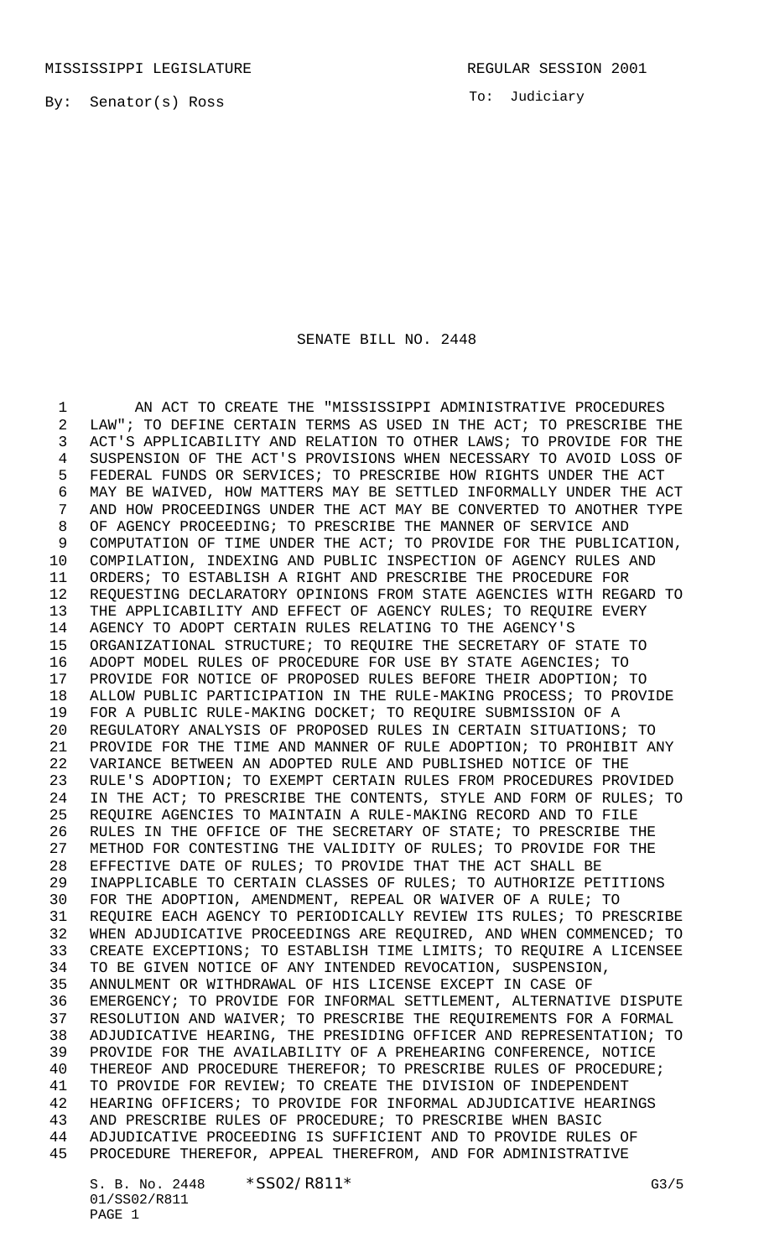To: Judiciary

## SENATE BILL NO. 2448

 AN ACT TO CREATE THE "MISSISSIPPI ADMINISTRATIVE PROCEDURES LAW"; TO DEFINE CERTAIN TERMS AS USED IN THE ACT; TO PRESCRIBE THE ACT'S APPLICABILITY AND RELATION TO OTHER LAWS; TO PROVIDE FOR THE SUSPENSION OF THE ACT'S PROVISIONS WHEN NECESSARY TO AVOID LOSS OF FEDERAL FUNDS OR SERVICES; TO PRESCRIBE HOW RIGHTS UNDER THE ACT MAY BE WAIVED, HOW MATTERS MAY BE SETTLED INFORMALLY UNDER THE ACT AND HOW PROCEEDINGS UNDER THE ACT MAY BE CONVERTED TO ANOTHER TYPE OF AGENCY PROCEEDING; TO PRESCRIBE THE MANNER OF SERVICE AND 9 COMPUTATION OF TIME UNDER THE ACT; TO PROVIDE FOR THE PUBLICATION, COMPILATION, INDEXING AND PUBLIC INSPECTION OF AGENCY RULES AND ORDERS; TO ESTABLISH A RIGHT AND PRESCRIBE THE PROCEDURE FOR REQUESTING DECLARATORY OPINIONS FROM STATE AGENCIES WITH REGARD TO 13 THE APPLICABILITY AND EFFECT OF AGENCY RULES; TO REQUIRE EVERY AGENCY TO ADOPT CERTAIN RULES RELATING TO THE AGENCY'S ORGANIZATIONAL STRUCTURE; TO REQUIRE THE SECRETARY OF STATE TO ADOPT MODEL RULES OF PROCEDURE FOR USE BY STATE AGENCIES; TO PROVIDE FOR NOTICE OF PROPOSED RULES BEFORE THEIR ADOPTION; TO ALLOW PUBLIC PARTICIPATION IN THE RULE-MAKING PROCESS; TO PROVIDE FOR A PUBLIC RULE-MAKING DOCKET; TO REQUIRE SUBMISSION OF A REGULATORY ANALYSIS OF PROPOSED RULES IN CERTAIN SITUATIONS; TO PROVIDE FOR THE TIME AND MANNER OF RULE ADOPTION; TO PROHIBIT ANY VARIANCE BETWEEN AN ADOPTED RULE AND PUBLISHED NOTICE OF THE RULE'S ADOPTION; TO EXEMPT CERTAIN RULES FROM PROCEDURES PROVIDED IN THE ACT; TO PRESCRIBE THE CONTENTS, STYLE AND FORM OF RULES; TO REQUIRE AGENCIES TO MAINTAIN A RULE-MAKING RECORD AND TO FILE RULES IN THE OFFICE OF THE SECRETARY OF STATE; TO PRESCRIBE THE METHOD FOR CONTESTING THE VALIDITY OF RULES; TO PROVIDE FOR THE EFFECTIVE DATE OF RULES; TO PROVIDE THAT THE ACT SHALL BE INAPPLICABLE TO CERTAIN CLASSES OF RULES; TO AUTHORIZE PETITIONS FOR THE ADOPTION, AMENDMENT, REPEAL OR WAIVER OF A RULE; TO REQUIRE EACH AGENCY TO PERIODICALLY REVIEW ITS RULES; TO PRESCRIBE WHEN ADJUDICATIVE PROCEEDINGS ARE REQUIRED, AND WHEN COMMENCED; TO CREATE EXCEPTIONS; TO ESTABLISH TIME LIMITS; TO REQUIRE A LICENSEE TO BE GIVEN NOTICE OF ANY INTENDED REVOCATION, SUSPENSION, ANNULMENT OR WITHDRAWAL OF HIS LICENSE EXCEPT IN CASE OF EMERGENCY; TO PROVIDE FOR INFORMAL SETTLEMENT, ALTERNATIVE DISPUTE RESOLUTION AND WAIVER; TO PRESCRIBE THE REQUIREMENTS FOR A FORMAL ADJUDICATIVE HEARING, THE PRESIDING OFFICER AND REPRESENTATION; TO PROVIDE FOR THE AVAILABILITY OF A PREHEARING CONFERENCE, NOTICE THEREOF AND PROCEDURE THEREFOR; TO PRESCRIBE RULES OF PROCEDURE; TO PROVIDE FOR REVIEW; TO CREATE THE DIVISION OF INDEPENDENT HEARING OFFICERS; TO PROVIDE FOR INFORMAL ADJUDICATIVE HEARINGS AND PRESCRIBE RULES OF PROCEDURE; TO PRESCRIBE WHEN BASIC ADJUDICATIVE PROCEEDING IS SUFFICIENT AND TO PROVIDE RULES OF PROCEDURE THEREFOR, APPEAL THEREFROM, AND FOR ADMINISTRATIVE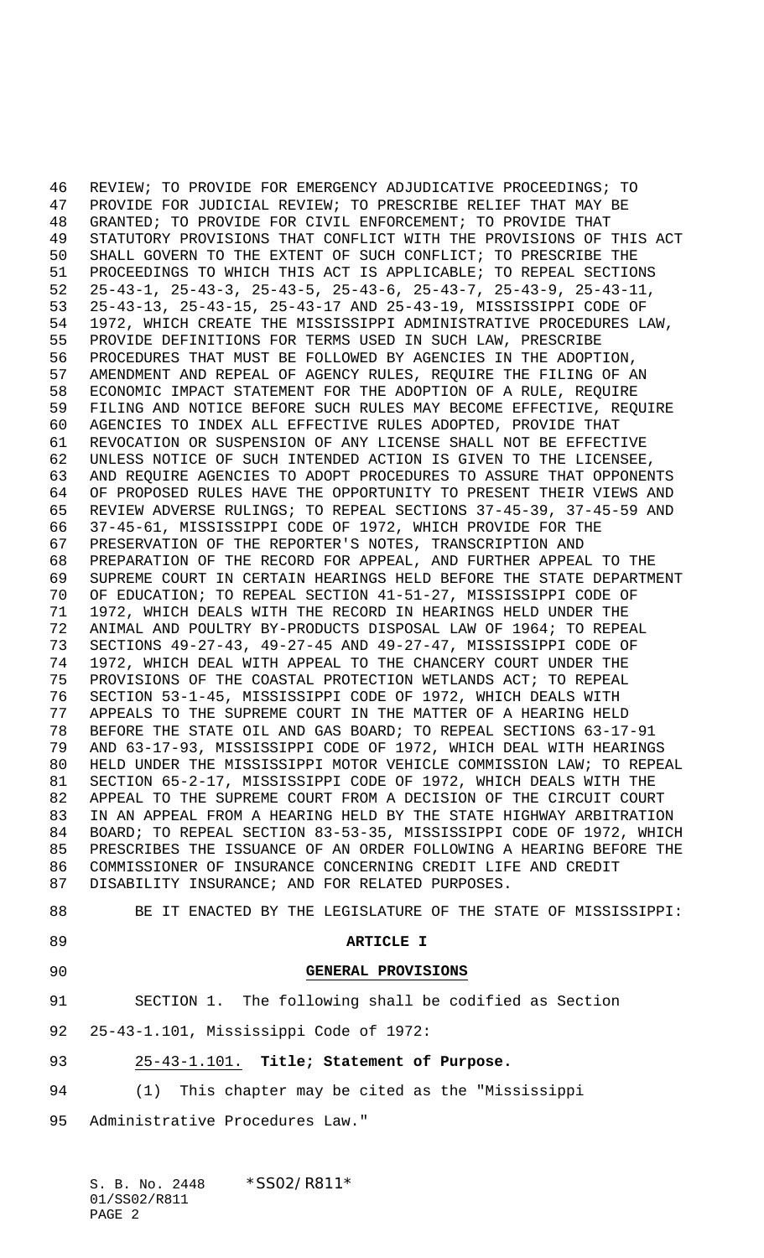REVIEW; TO PROVIDE FOR EMERGENCY ADJUDICATIVE PROCEEDINGS; TO PROVIDE FOR JUDICIAL REVIEW; TO PRESCRIBE RELIEF THAT MAY BE GRANTED; TO PROVIDE FOR CIVIL ENFORCEMENT; TO PROVIDE THAT STATUTORY PROVISIONS THAT CONFLICT WITH THE PROVISIONS OF THIS ACT SHALL GOVERN TO THE EXTENT OF SUCH CONFLICT; TO PRESCRIBE THE PROCEEDINGS TO WHICH THIS ACT IS APPLICABLE; TO REPEAL SECTIONS 25-43-1, 25-43-3, 25-43-5, 25-43-6, 25-43-7, 25-43-9, 25-43-11, 25-43-13, 25-43-15, 25-43-17 AND 25-43-19, MISSISSIPPI CODE OF 1972, WHICH CREATE THE MISSISSIPPI ADMINISTRATIVE PROCEDURES LAW, PROVIDE DEFINITIONS FOR TERMS USED IN SUCH LAW, PRESCRIBE PROCEDURES THAT MUST BE FOLLOWED BY AGENCIES IN THE ADOPTION, AMENDMENT AND REPEAL OF AGENCY RULES, REQUIRE THE FILING OF AN ECONOMIC IMPACT STATEMENT FOR THE ADOPTION OF A RULE, REQUIRE FILING AND NOTICE BEFORE SUCH RULES MAY BECOME EFFECTIVE, REQUIRE AGENCIES TO INDEX ALL EFFECTIVE RULES ADOPTED, PROVIDE THAT REVOCATION OR SUSPENSION OF ANY LICENSE SHALL NOT BE EFFECTIVE UNLESS NOTICE OF SUCH INTENDED ACTION IS GIVEN TO THE LICENSEE, AND REQUIRE AGENCIES TO ADOPT PROCEDURES TO ASSURE THAT OPPONENTS OF PROPOSED RULES HAVE THE OPPORTUNITY TO PRESENT THEIR VIEWS AND REVIEW ADVERSE RULINGS; TO REPEAL SECTIONS 37-45-39, 37-45-59 AND 37-45-61, MISSISSIPPI CODE OF 1972, WHICH PROVIDE FOR THE PRESERVATION OF THE REPORTER'S NOTES, TRANSCRIPTION AND PREPARATION OF THE RECORD FOR APPEAL, AND FURTHER APPEAL TO THE SUPREME COURT IN CERTAIN HEARINGS HELD BEFORE THE STATE DEPARTMENT OF EDUCATION; TO REPEAL SECTION 41-51-27, MISSISSIPPI CODE OF 1972, WHICH DEALS WITH THE RECORD IN HEARINGS HELD UNDER THE ANIMAL AND POULTRY BY-PRODUCTS DISPOSAL LAW OF 1964; TO REPEAL SECTIONS 49-27-43, 49-27-45 AND 49-27-47, MISSISSIPPI CODE OF 1972, WHICH DEAL WITH APPEAL TO THE CHANCERY COURT UNDER THE PROVISIONS OF THE COASTAL PROTECTION WETLANDS ACT; TO REPEAL SECTION 53-1-45, MISSISSIPPI CODE OF 1972, WHICH DEALS WITH 77 APPEALS TO THE SUPREME COURT IN THE MATTER OF A HEARING HELD<br>78 BEFORE THE STATE OIL AND GAS BOARD; TO REPEAL SECTIONS 63-17 BEFORE THE STATE OIL AND GAS BOARD; TO REPEAL SECTIONS 63-17-91 AND 63-17-93, MISSISSIPPI CODE OF 1972, WHICH DEAL WITH HEARINGS HELD UNDER THE MISSISSIPPI MOTOR VEHICLE COMMISSION LAW; TO REPEAL SECTION 65-2-17, MISSISSIPPI CODE OF 1972, WHICH DEALS WITH THE APPEAL TO THE SUPREME COURT FROM A DECISION OF THE CIRCUIT COURT IN AN APPEAL FROM A HEARING HELD BY THE STATE HIGHWAY ARBITRATION BOARD; TO REPEAL SECTION 83-53-35, MISSISSIPPI CODE OF 1972, WHICH PRESCRIBES THE ISSUANCE OF AN ORDER FOLLOWING A HEARING BEFORE THE COMMISSIONER OF INSURANCE CONCERNING CREDIT LIFE AND CREDIT DISABILITY INSURANCE; AND FOR RELATED PURPOSES.

- 
- 
- 

#### **ARTICLE I**

**GENERAL PROVISIONS**

BE IT ENACTED BY THE LEGISLATURE OF THE STATE OF MISSISSIPPI:

- SECTION 1. The following shall be codified as Section
- 25-43-1.101, Mississippi Code of 1972:
- 25-43-1.101. **Title; Statement of Purpose.**
- (1) This chapter may be cited as the "Mississippi
- Administrative Procedures Law."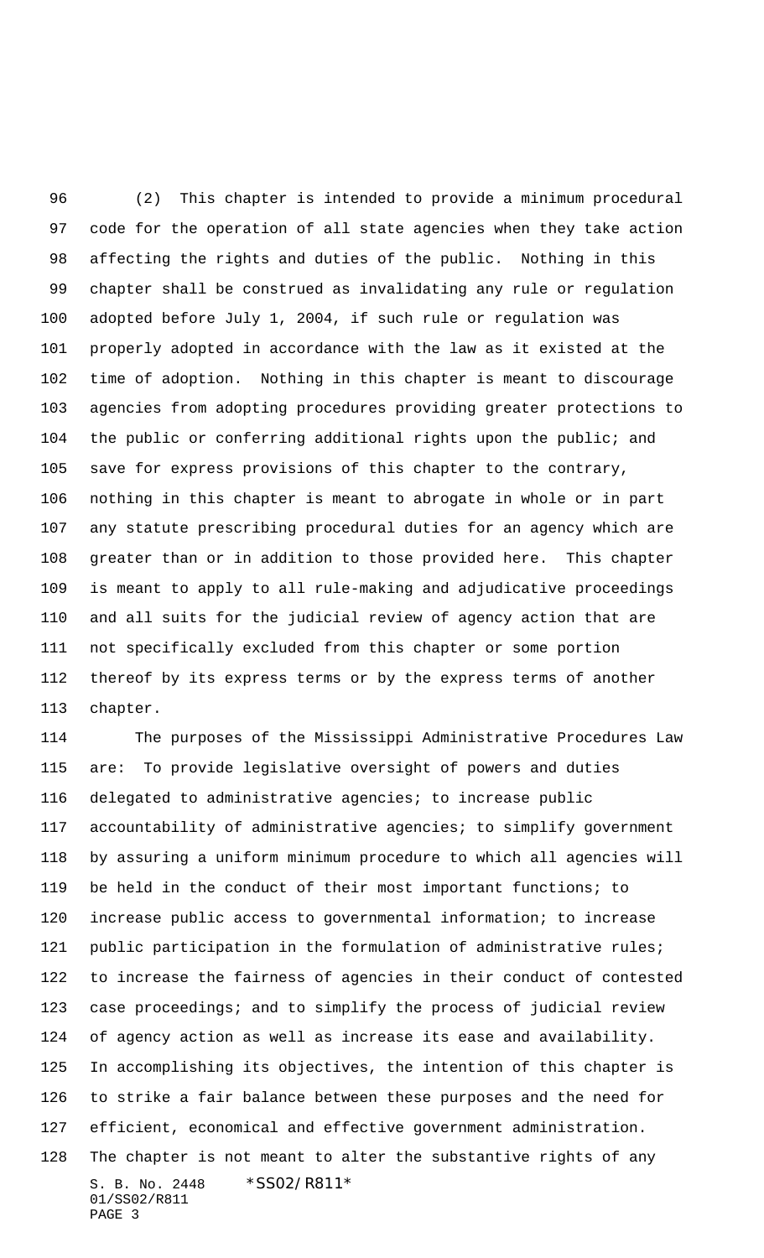(2) This chapter is intended to provide a minimum procedural code for the operation of all state agencies when they take action affecting the rights and duties of the public. Nothing in this chapter shall be construed as invalidating any rule or regulation adopted before July 1, 2004, if such rule or regulation was properly adopted in accordance with the law as it existed at the time of adoption. Nothing in this chapter is meant to discourage agencies from adopting procedures providing greater protections to the public or conferring additional rights upon the public; and save for express provisions of this chapter to the contrary, nothing in this chapter is meant to abrogate in whole or in part any statute prescribing procedural duties for an agency which are greater than or in addition to those provided here. This chapter is meant to apply to all rule-making and adjudicative proceedings and all suits for the judicial review of agency action that are not specifically excluded from this chapter or some portion thereof by its express terms or by the express terms of another chapter.

S. B. No. 2448 \* SS02/R811\* 01/SS02/R811 PAGE 3 The purposes of the Mississippi Administrative Procedures Law are: To provide legislative oversight of powers and duties delegated to administrative agencies; to increase public accountability of administrative agencies; to simplify government by assuring a uniform minimum procedure to which all agencies will be held in the conduct of their most important functions; to increase public access to governmental information; to increase 121 public participation in the formulation of administrative rules; to increase the fairness of agencies in their conduct of contested case proceedings; and to simplify the process of judicial review of agency action as well as increase its ease and availability. In accomplishing its objectives, the intention of this chapter is to strike a fair balance between these purposes and the need for efficient, economical and effective government administration. The chapter is not meant to alter the substantive rights of any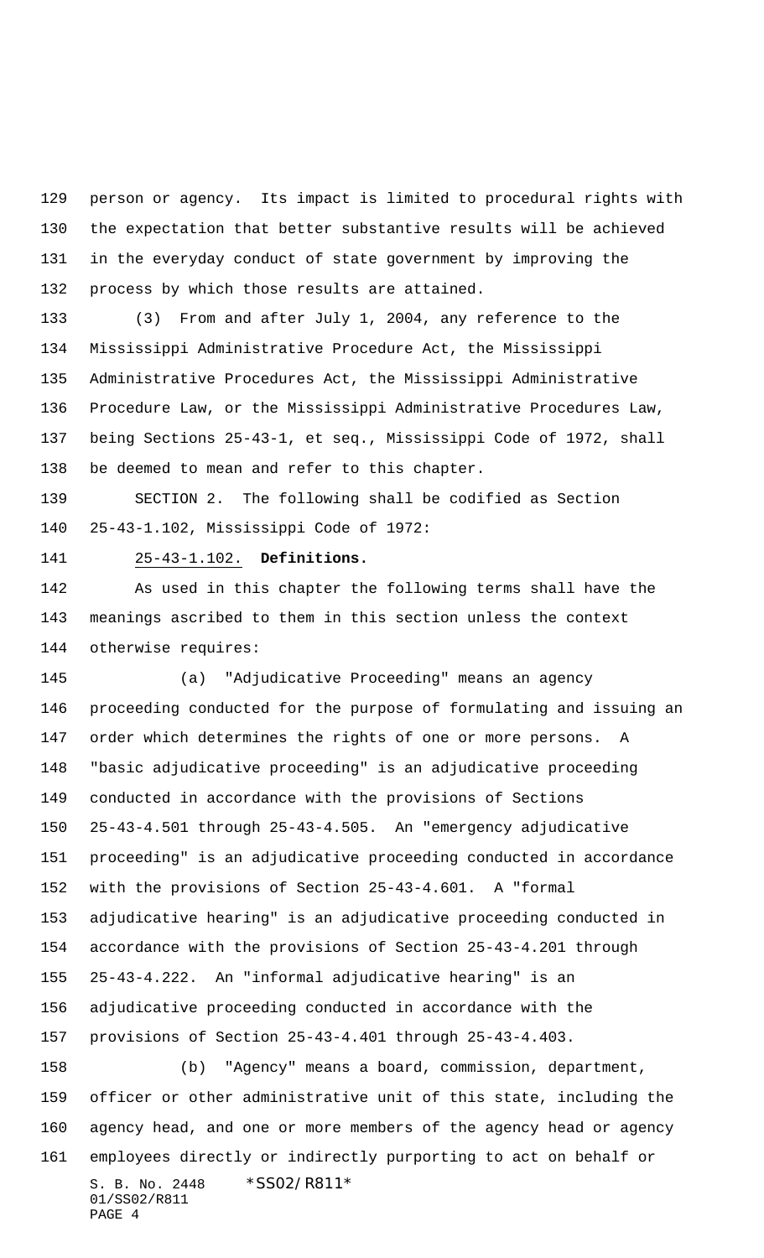person or agency. Its impact is limited to procedural rights with the expectation that better substantive results will be achieved in the everyday conduct of state government by improving the process by which those results are attained.

 (3) From and after July 1, 2004, any reference to the Mississippi Administrative Procedure Act, the Mississippi Administrative Procedures Act, the Mississippi Administrative Procedure Law, or the Mississippi Administrative Procedures Law, being Sections 25-43-1, et seq., Mississippi Code of 1972, shall be deemed to mean and refer to this chapter.

 SECTION 2. The following shall be codified as Section 25-43-1.102, Mississippi Code of 1972:

### 25-43-1.102. **Definitions.**

 As used in this chapter the following terms shall have the meanings ascribed to them in this section unless the context otherwise requires:

S. B. No. 2448 \*SS02/R811\* (a) "Adjudicative Proceeding" means an agency proceeding conducted for the purpose of formulating and issuing an order which determines the rights of one or more persons. A "basic adjudicative proceeding" is an adjudicative proceeding conducted in accordance with the provisions of Sections 25-43-4.501 through 25-43-4.505. An "emergency adjudicative proceeding" is an adjudicative proceeding conducted in accordance with the provisions of Section 25-43-4.601. A "formal adjudicative hearing" is an adjudicative proceeding conducted in accordance with the provisions of Section 25-43-4.201 through 25-43-4.222. An "informal adjudicative hearing" is an adjudicative proceeding conducted in accordance with the provisions of Section 25-43-4.401 through 25-43-4.403. (b) "Agency" means a board, commission, department, officer or other administrative unit of this state, including the agency head, and one or more members of the agency head or agency employees directly or indirectly purporting to act on behalf or

01/SS02/R811 PAGE 4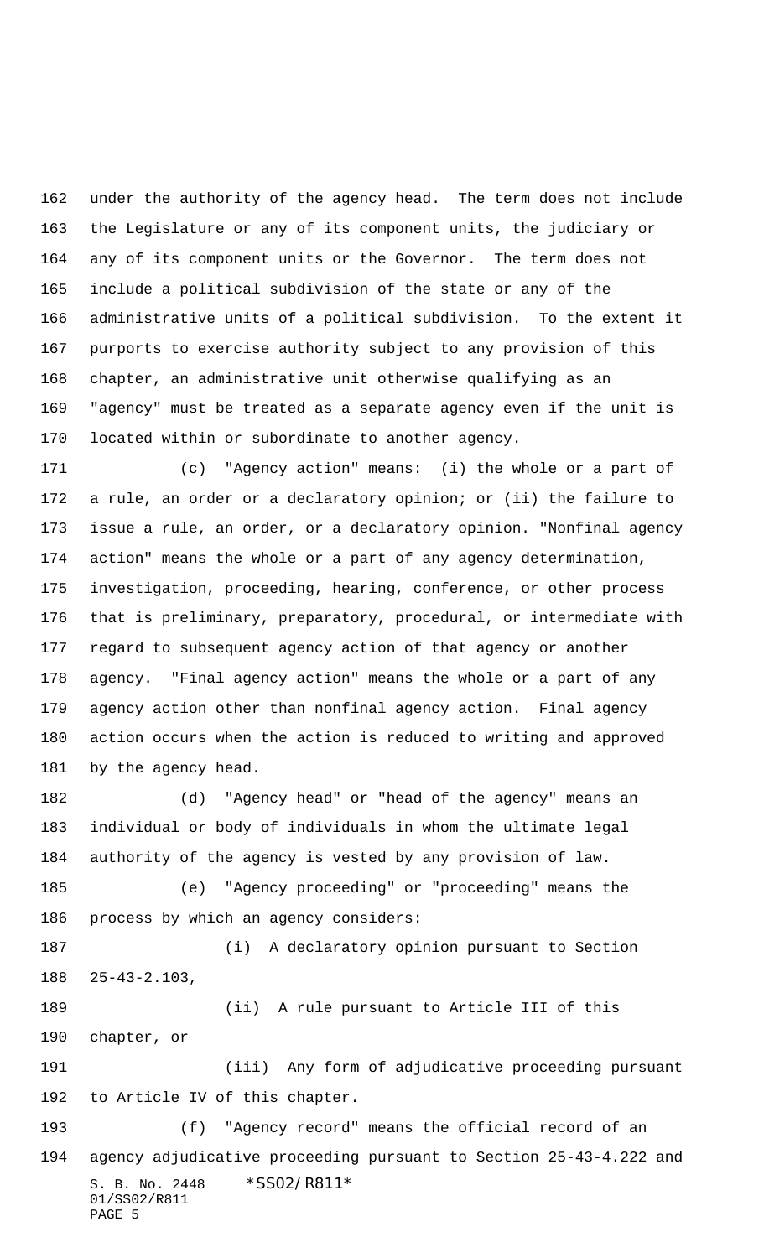under the authority of the agency head. The term does not include the Legislature or any of its component units, the judiciary or any of its component units or the Governor. The term does not include a political subdivision of the state or any of the administrative units of a political subdivision. To the extent it purports to exercise authority subject to any provision of this chapter, an administrative unit otherwise qualifying as an "agency" must be treated as a separate agency even if the unit is located within or subordinate to another agency.

 (c) "Agency action" means: (i) the whole or a part of a rule, an order or a declaratory opinion; or (ii) the failure to issue a rule, an order, or a declaratory opinion. "Nonfinal agency action" means the whole or a part of any agency determination, investigation, proceeding, hearing, conference, or other process that is preliminary, preparatory, procedural, or intermediate with regard to subsequent agency action of that agency or another agency. "Final agency action" means the whole or a part of any agency action other than nonfinal agency action. Final agency action occurs when the action is reduced to writing and approved 181 by the agency head.

 (d) "Agency head" or "head of the agency" means an individual or body of individuals in whom the ultimate legal authority of the agency is vested by any provision of law. (e) "Agency proceeding" or "proceeding" means the process by which an agency considers:

 (i) A declaratory opinion pursuant to Section 25-43-2.103, (ii) A rule pursuant to Article III of this

chapter, or

191 (iii) Any form of adjudicative proceeding pursuant to Article IV of this chapter.

S. B. No. 2448 \* SS02/R811\* 01/SS02/R811 PAGE 5 (f) "Agency record" means the official record of an agency adjudicative proceeding pursuant to Section 25-43-4.222 and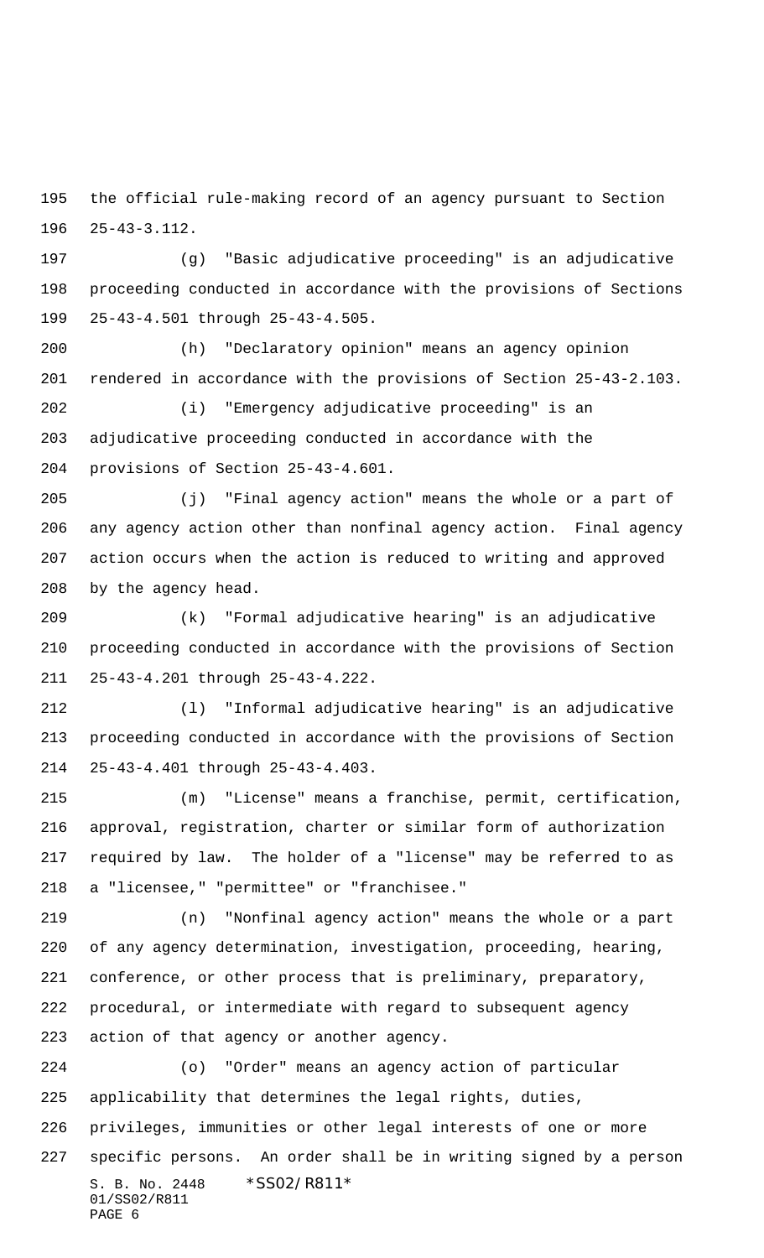the official rule-making record of an agency pursuant to Section 25-43-3.112.

 (g) "Basic adjudicative proceeding" is an adjudicative proceeding conducted in accordance with the provisions of Sections 25-43-4.501 through 25-43-4.505.

 (h) "Declaratory opinion" means an agency opinion rendered in accordance with the provisions of Section 25-43-2.103.

 (i) "Emergency adjudicative proceeding" is an adjudicative proceeding conducted in accordance with the provisions of Section 25-43-4.601.

 (j) "Final agency action" means the whole or a part of any agency action other than nonfinal agency action. Final agency action occurs when the action is reduced to writing and approved by the agency head.

 (k) "Formal adjudicative hearing" is an adjudicative proceeding conducted in accordance with the provisions of Section 25-43-4.201 through 25-43-4.222.

 (l) "Informal adjudicative hearing" is an adjudicative proceeding conducted in accordance with the provisions of Section 25-43-4.401 through 25-43-4.403.

 (m) "License" means a franchise, permit, certification, approval, registration, charter or similar form of authorization required by law. The holder of a "license" may be referred to as a "licensee," "permittee" or "franchisee."

 (n) "Nonfinal agency action" means the whole or a part of any agency determination, investigation, proceeding, hearing, conference, or other process that is preliminary, preparatory, procedural, or intermediate with regard to subsequent agency action of that agency or another agency.

S. B. No. 2448 \* SS02/R811\* 01/SS02/R811 PAGE 6 (o) "Order" means an agency action of particular applicability that determines the legal rights, duties, privileges, immunities or other legal interests of one or more specific persons. An order shall be in writing signed by a person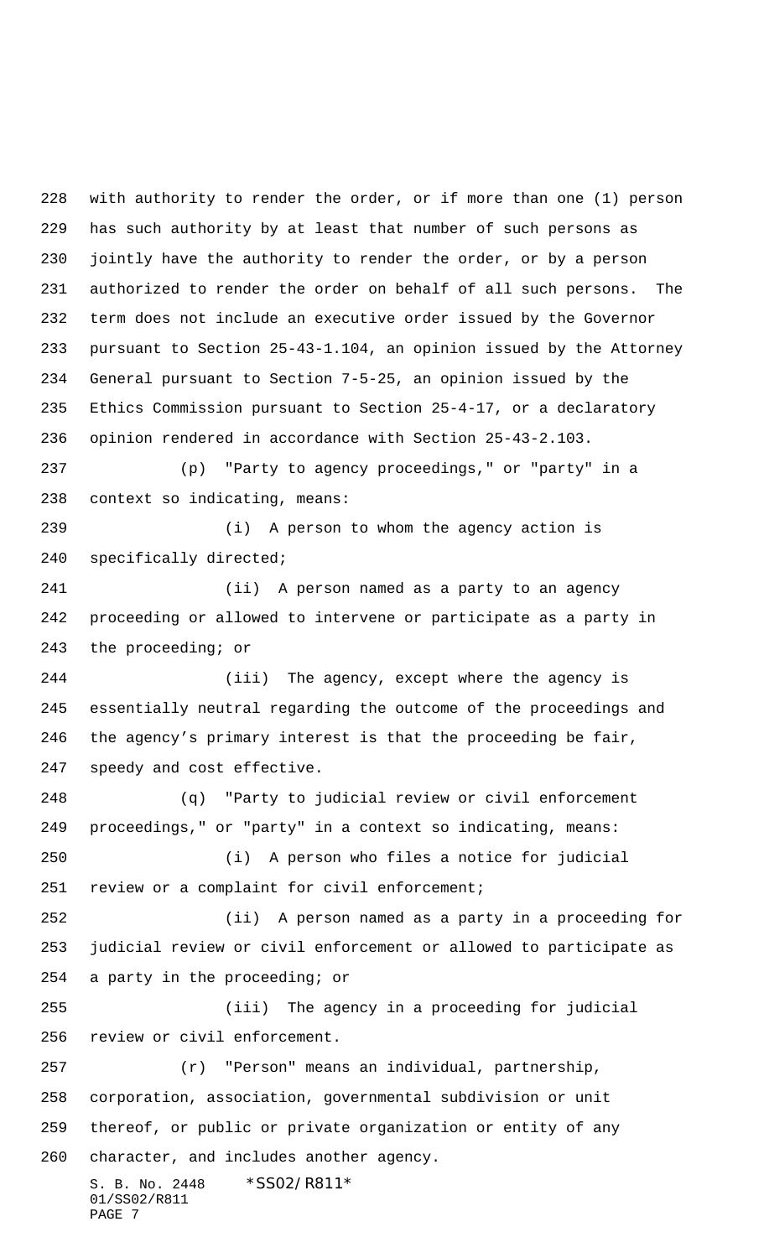S. B. No. 2448 \* SS02/R811\* 01/SS02/R811 with authority to render the order, or if more than one (1) person has such authority by at least that number of such persons as jointly have the authority to render the order, or by a person authorized to render the order on behalf of all such persons. The term does not include an executive order issued by the Governor pursuant to Section 25-43-1.104, an opinion issued by the Attorney General pursuant to Section 7-5-25, an opinion issued by the Ethics Commission pursuant to Section 25-4-17, or a declaratory opinion rendered in accordance with Section 25-43-2.103. (p) "Party to agency proceedings," or "party" in a context so indicating, means: (i) A person to whom the agency action is specifically directed; (ii) A person named as a party to an agency proceeding or allowed to intervene or participate as a party in the proceeding; or (iii) The agency, except where the agency is essentially neutral regarding the outcome of the proceedings and the agency's primary interest is that the proceeding be fair, speedy and cost effective. (q) "Party to judicial review or civil enforcement proceedings," or "party" in a context so indicating, means: (i) A person who files a notice for judicial 251 review or a complaint for civil enforcement; (ii) A person named as a party in a proceeding for judicial review or civil enforcement or allowed to participate as a party in the proceeding; or (iii) The agency in a proceeding for judicial review or civil enforcement. (r) "Person" means an individual, partnership, corporation, association, governmental subdivision or unit thereof, or public or private organization or entity of any character, and includes another agency.

PAGE 7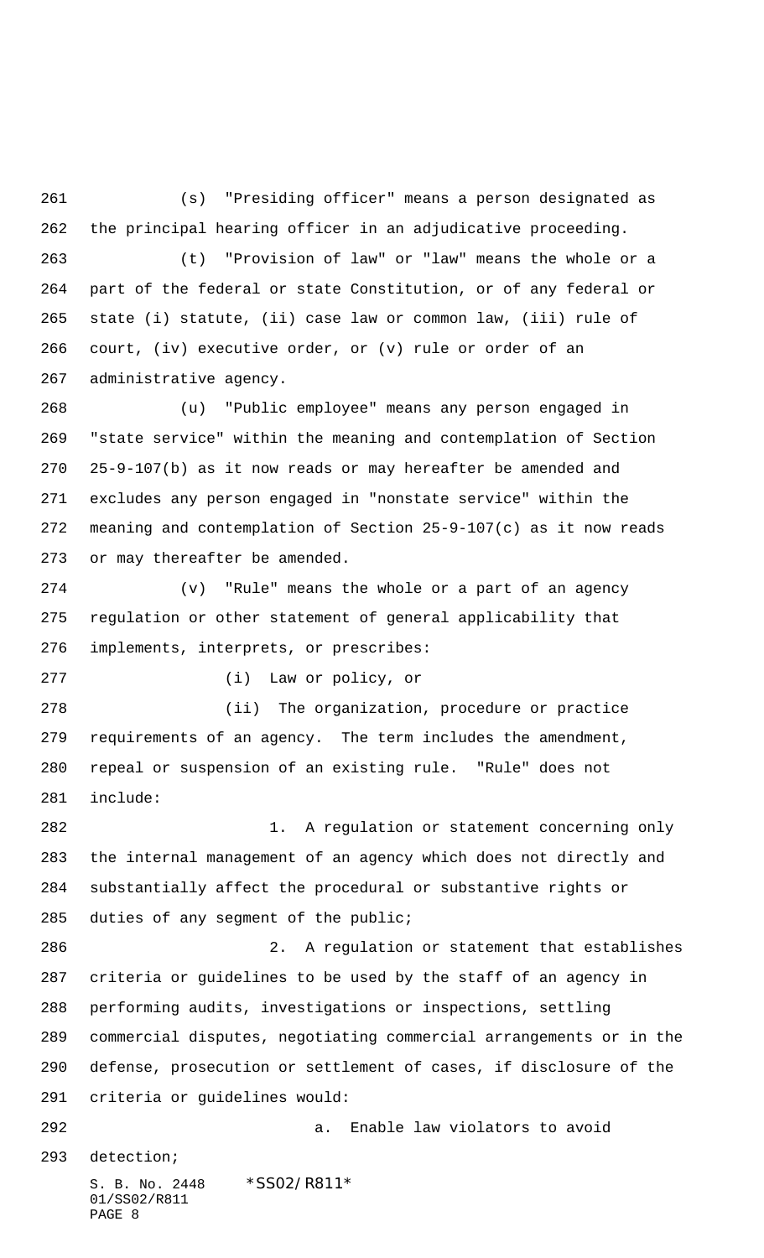(s) "Presiding officer" means a person designated as the principal hearing officer in an adjudicative proceeding.

 (t) "Provision of law" or "law" means the whole or a part of the federal or state Constitution, or of any federal or state (i) statute, (ii) case law or common law, (iii) rule of court, (iv) executive order, or (v) rule or order of an administrative agency.

 (u) "Public employee" means any person engaged in "state service" within the meaning and contemplation of Section 25-9-107(b) as it now reads or may hereafter be amended and excludes any person engaged in "nonstate service" within the meaning and contemplation of Section 25-9-107(c) as it now reads or may thereafter be amended.

 (v) "Rule" means the whole or a part of an agency regulation or other statement of general applicability that implements, interprets, or prescribes:

(i) Law or policy, or

 (ii) The organization, procedure or practice requirements of an agency. The term includes the amendment, repeal or suspension of an existing rule. "Rule" does not include:

 1. A regulation or statement concerning only the internal management of an agency which does not directly and substantially affect the procedural or substantive rights or duties of any segment of the public;

 2. A regulation or statement that establishes criteria or guidelines to be used by the staff of an agency in performing audits, investigations or inspections, settling commercial disputes, negotiating commercial arrangements or in the defense, prosecution or settlement of cases, if disclosure of the criteria or guidelines would: a. Enable law violators to avoid

detection;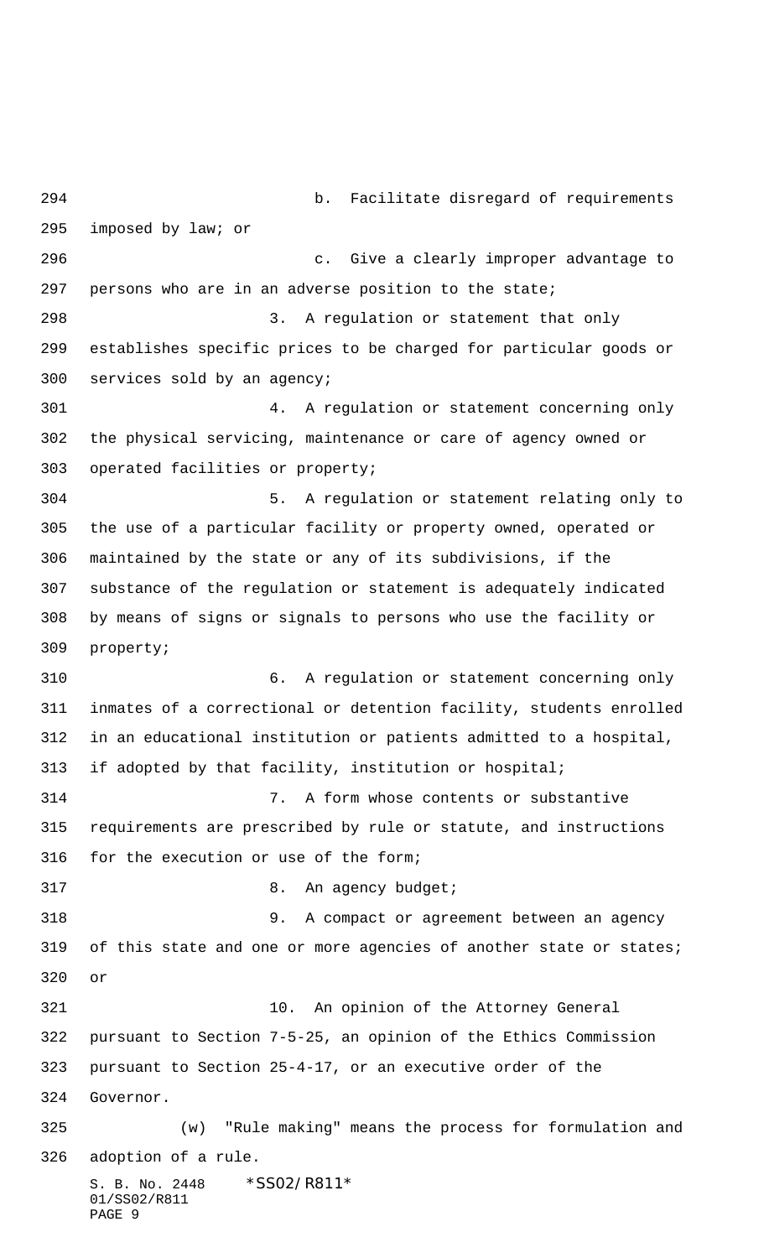S. B. No. 2448 \* SS02/R811\* 01/SS02/R811 PAGE 9 b. Facilitate disregard of requirements imposed by law; or c. Give a clearly improper advantage to persons who are in an adverse position to the state; 3. A regulation or statement that only establishes specific prices to be charged for particular goods or services sold by an agency; 4. A regulation or statement concerning only the physical servicing, maintenance or care of agency owned or operated facilities or property; 5. A regulation or statement relating only to the use of a particular facility or property owned, operated or maintained by the state or any of its subdivisions, if the substance of the regulation or statement is adequately indicated by means of signs or signals to persons who use the facility or property; 6. A regulation or statement concerning only inmates of a correctional or detention facility, students enrolled in an educational institution or patients admitted to a hospital, if adopted by that facility, institution or hospital; 7. A form whose contents or substantive requirements are prescribed by rule or statute, and instructions for the execution or use of the form; 317 8. An agency budget; 9. A compact or agreement between an agency 319 of this state and one or more agencies of another state or states; or 10. An opinion of the Attorney General pursuant to Section 7-5-25, an opinion of the Ethics Commission pursuant to Section 25-4-17, or an executive order of the Governor. (w) "Rule making" means the process for formulation and adoption of a rule.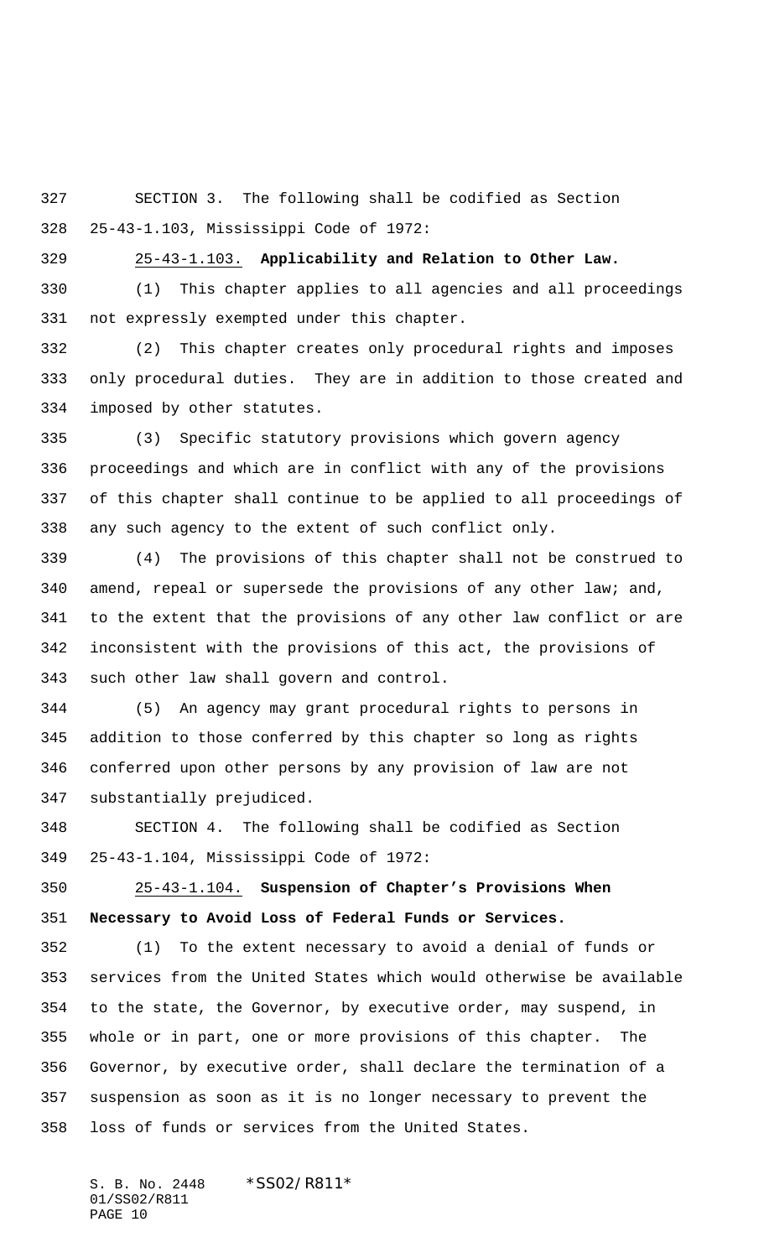SECTION 3. The following shall be codified as Section 25-43-1.103, Mississippi Code of 1972:

25-43-1.103. **Applicability and Relation to Other Law.**

 (1) This chapter applies to all agencies and all proceedings not expressly exempted under this chapter.

 (2) This chapter creates only procedural rights and imposes only procedural duties. They are in addition to those created and imposed by other statutes.

 (3) Specific statutory provisions which govern agency proceedings and which are in conflict with any of the provisions of this chapter shall continue to be applied to all proceedings of any such agency to the extent of such conflict only.

 (4) The provisions of this chapter shall not be construed to 340 amend, repeal or supersede the provisions of any other law; and, to the extent that the provisions of any other law conflict or are inconsistent with the provisions of this act, the provisions of such other law shall govern and control.

 (5) An agency may grant procedural rights to persons in addition to those conferred by this chapter so long as rights conferred upon other persons by any provision of law are not substantially prejudiced.

 SECTION 4. The following shall be codified as Section 25-43-1.104, Mississippi Code of 1972:

 25-43-1.104. **Suspension of Chapter's Provisions When Necessary to Avoid Loss of Federal Funds or Services.**

 (1) To the extent necessary to avoid a denial of funds or services from the United States which would otherwise be available to the state, the Governor, by executive order, may suspend, in whole or in part, one or more provisions of this chapter. The Governor, by executive order, shall declare the termination of a suspension as soon as it is no longer necessary to prevent the loss of funds or services from the United States.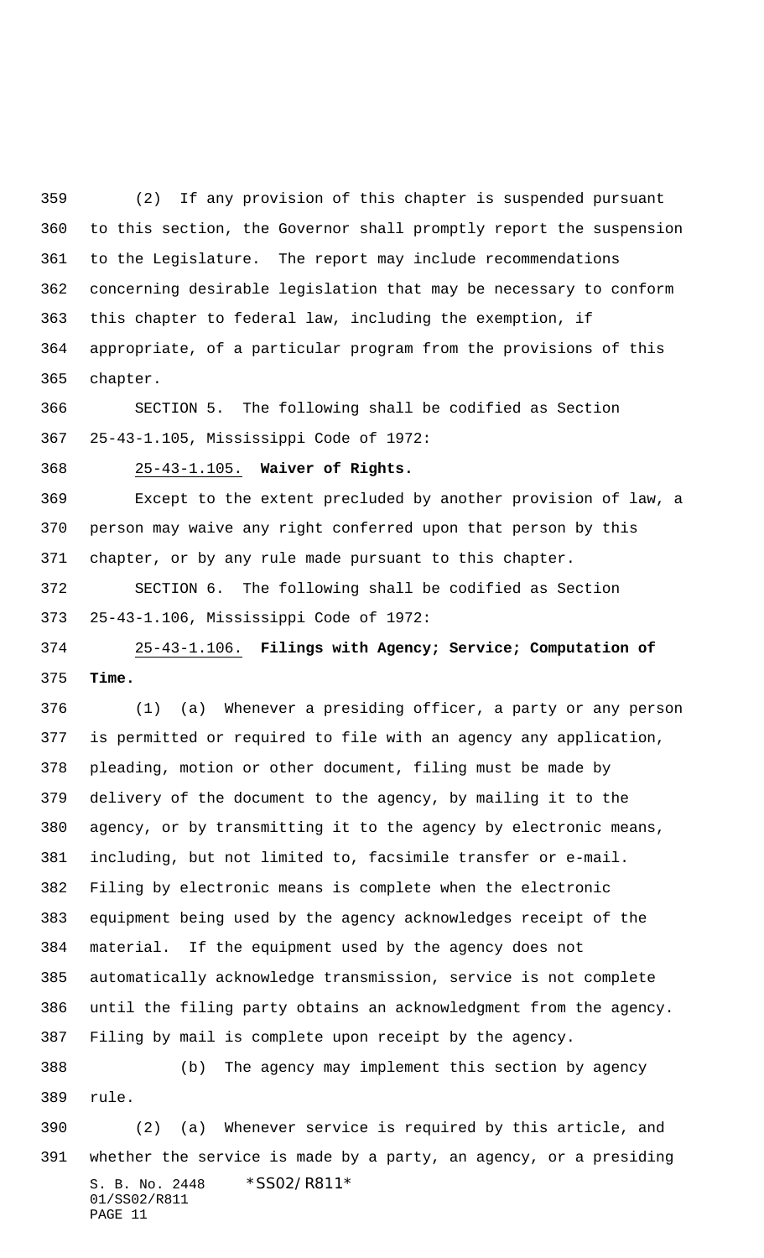(2) If any provision of this chapter is suspended pursuant to this section, the Governor shall promptly report the suspension to the Legislature. The report may include recommendations concerning desirable legislation that may be necessary to conform this chapter to federal law, including the exemption, if appropriate, of a particular program from the provisions of this chapter.

 SECTION 5. The following shall be codified as Section 25-43-1.105, Mississippi Code of 1972:

25-43-1.105. **Waiver of Rights.**

 Except to the extent precluded by another provision of law, a person may waive any right conferred upon that person by this chapter, or by any rule made pursuant to this chapter.

 SECTION 6. The following shall be codified as Section 25-43-1.106, Mississippi Code of 1972:

 25-43-1.106. **Filings with Agency; Service; Computation of Time.**

 (1) (a) Whenever a presiding officer, a party or any person is permitted or required to file with an agency any application, pleading, motion or other document, filing must be made by delivery of the document to the agency, by mailing it to the agency, or by transmitting it to the agency by electronic means, including, but not limited to, facsimile transfer or e-mail. Filing by electronic means is complete when the electronic equipment being used by the agency acknowledges receipt of the material. If the equipment used by the agency does not automatically acknowledge transmission, service is not complete until the filing party obtains an acknowledgment from the agency. Filing by mail is complete upon receipt by the agency.

 (b) The agency may implement this section by agency rule.

S. B. No. 2448 \* SS02/R811\* 01/SS02/R811 PAGE 11 (2) (a) Whenever service is required by this article, and whether the service is made by a party, an agency, or a presiding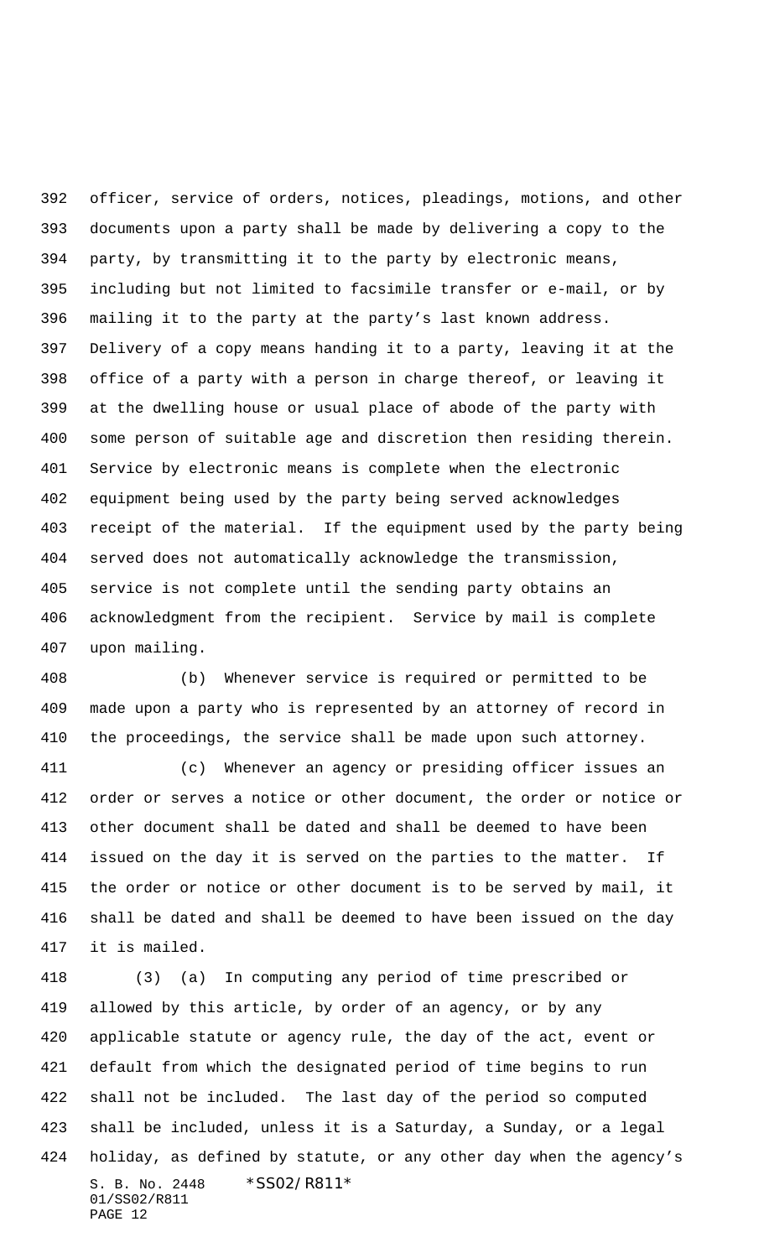officer, service of orders, notices, pleadings, motions, and other documents upon a party shall be made by delivering a copy to the party, by transmitting it to the party by electronic means, including but not limited to facsimile transfer or e-mail, or by mailing it to the party at the party's last known address. Delivery of a copy means handing it to a party, leaving it at the office of a party with a person in charge thereof, or leaving it at the dwelling house or usual place of abode of the party with some person of suitable age and discretion then residing therein. Service by electronic means is complete when the electronic equipment being used by the party being served acknowledges receipt of the material. If the equipment used by the party being served does not automatically acknowledge the transmission, service is not complete until the sending party obtains an acknowledgment from the recipient. Service by mail is complete upon mailing.

 (b) Whenever service is required or permitted to be made upon a party who is represented by an attorney of record in the proceedings, the service shall be made upon such attorney.

 (c) Whenever an agency or presiding officer issues an order or serves a notice or other document, the order or notice or other document shall be dated and shall be deemed to have been issued on the day it is served on the parties to the matter. If the order or notice or other document is to be served by mail, it shall be dated and shall be deemed to have been issued on the day it is mailed.

S. B. No. 2448 \* SS02/R811\* 01/SS02/R811 PAGE 12 (3) (a) In computing any period of time prescribed or allowed by this article, by order of an agency, or by any applicable statute or agency rule, the day of the act, event or default from which the designated period of time begins to run shall not be included. The last day of the period so computed shall be included, unless it is a Saturday, a Sunday, or a legal holiday, as defined by statute, or any other day when the agency's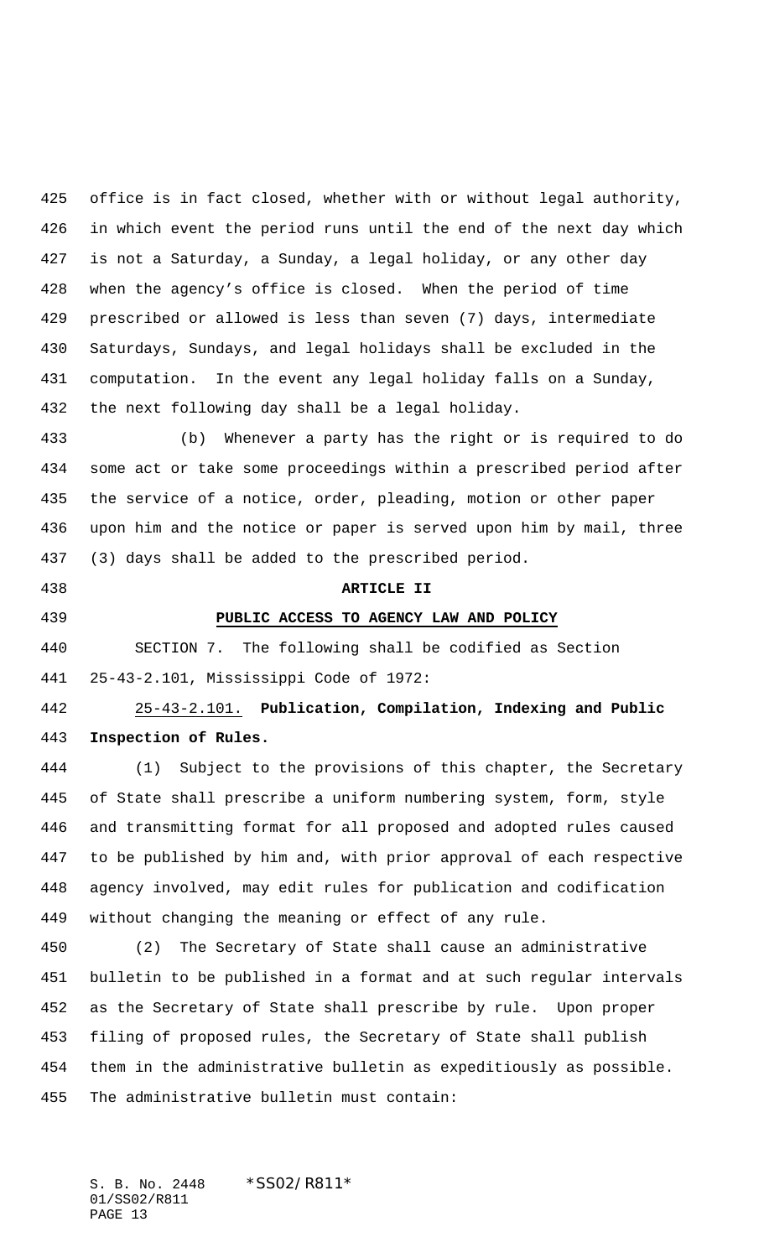office is in fact closed, whether with or without legal authority, in which event the period runs until the end of the next day which is not a Saturday, a Sunday, a legal holiday, or any other day when the agency's office is closed. When the period of time prescribed or allowed is less than seven (7) days, intermediate Saturdays, Sundays, and legal holidays shall be excluded in the computation. In the event any legal holiday falls on a Sunday, the next following day shall be a legal holiday.

 (b) Whenever a party has the right or is required to do some act or take some proceedings within a prescribed period after the service of a notice, order, pleading, motion or other paper upon him and the notice or paper is served upon him by mail, three (3) days shall be added to the prescribed period.

#### **ARTICLE II**

## **PUBLIC ACCESS TO AGENCY LAW AND POLICY**

 SECTION 7. The following shall be codified as Section 25-43-2.101, Mississippi Code of 1972:

 25-43-2.101. **Publication, Compilation, Indexing and Public Inspection of Rules.**

 (1) Subject to the provisions of this chapter, the Secretary of State shall prescribe a uniform numbering system, form, style and transmitting format for all proposed and adopted rules caused to be published by him and, with prior approval of each respective agency involved, may edit rules for publication and codification without changing the meaning or effect of any rule.

 (2) The Secretary of State shall cause an administrative bulletin to be published in a format and at such regular intervals as the Secretary of State shall prescribe by rule. Upon proper filing of proposed rules, the Secretary of State shall publish them in the administrative bulletin as expeditiously as possible. The administrative bulletin must contain: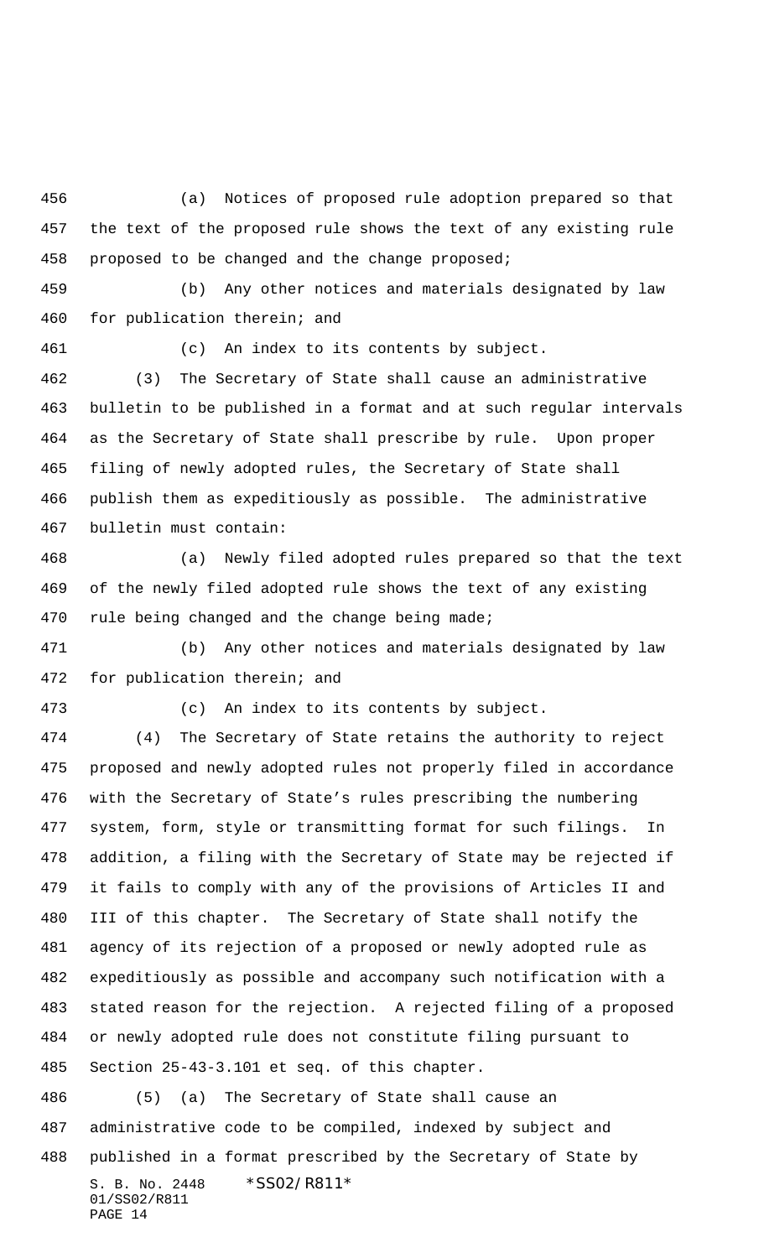(a) Notices of proposed rule adoption prepared so that the text of the proposed rule shows the text of any existing rule proposed to be changed and the change proposed;

 (b) Any other notices and materials designated by law for publication therein; and

(c) An index to its contents by subject.

 (3) The Secretary of State shall cause an administrative bulletin to be published in a format and at such regular intervals as the Secretary of State shall prescribe by rule. Upon proper filing of newly adopted rules, the Secretary of State shall publish them as expeditiously as possible. The administrative bulletin must contain:

 (a) Newly filed adopted rules prepared so that the text of the newly filed adopted rule shows the text of any existing 470 rule being changed and the change being made;

 (b) Any other notices and materials designated by law for publication therein; and

(c) An index to its contents by subject.

 (4) The Secretary of State retains the authority to reject proposed and newly adopted rules not properly filed in accordance with the Secretary of State's rules prescribing the numbering system, form, style or transmitting format for such filings. In addition, a filing with the Secretary of State may be rejected if it fails to comply with any of the provisions of Articles II and III of this chapter. The Secretary of State shall notify the agency of its rejection of a proposed or newly adopted rule as expeditiously as possible and accompany such notification with a stated reason for the rejection. A rejected filing of a proposed or newly adopted rule does not constitute filing pursuant to Section 25-43-3.101 et seq. of this chapter.

S. B. No. 2448 \* SS02/R811\* 01/SS02/R811 PAGE 14 (5) (a) The Secretary of State shall cause an administrative code to be compiled, indexed by subject and published in a format prescribed by the Secretary of State by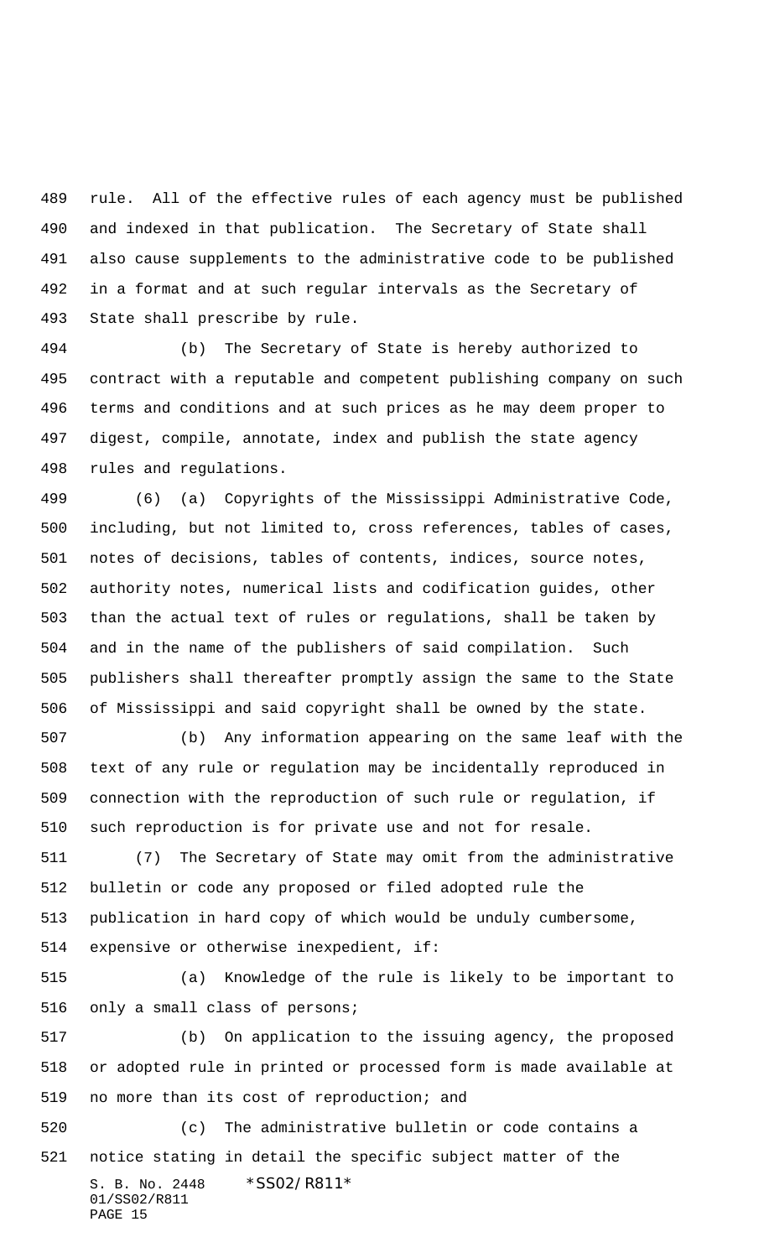rule. All of the effective rules of each agency must be published and indexed in that publication. The Secretary of State shall also cause supplements to the administrative code to be published in a format and at such regular intervals as the Secretary of State shall prescribe by rule.

 (b) The Secretary of State is hereby authorized to contract with a reputable and competent publishing company on such terms and conditions and at such prices as he may deem proper to digest, compile, annotate, index and publish the state agency rules and regulations.

 (6) (a) Copyrights of the Mississippi Administrative Code, including, but not limited to, cross references, tables of cases, notes of decisions, tables of contents, indices, source notes, authority notes, numerical lists and codification guides, other than the actual text of rules or regulations, shall be taken by and in the name of the publishers of said compilation. Such publishers shall thereafter promptly assign the same to the State of Mississippi and said copyright shall be owned by the state.

 (b) Any information appearing on the same leaf with the text of any rule or regulation may be incidentally reproduced in connection with the reproduction of such rule or regulation, if such reproduction is for private use and not for resale.

 (7) The Secretary of State may omit from the administrative bulletin or code any proposed or filed adopted rule the publication in hard copy of which would be unduly cumbersome, expensive or otherwise inexpedient, if:

 (a) Knowledge of the rule is likely to be important to only a small class of persons;

 (b) On application to the issuing agency, the proposed or adopted rule in printed or processed form is made available at no more than its cost of reproduction; and

S. B. No. 2448 \* SS02/R811\* 01/SS02/R811 PAGE 15 (c) The administrative bulletin or code contains a notice stating in detail the specific subject matter of the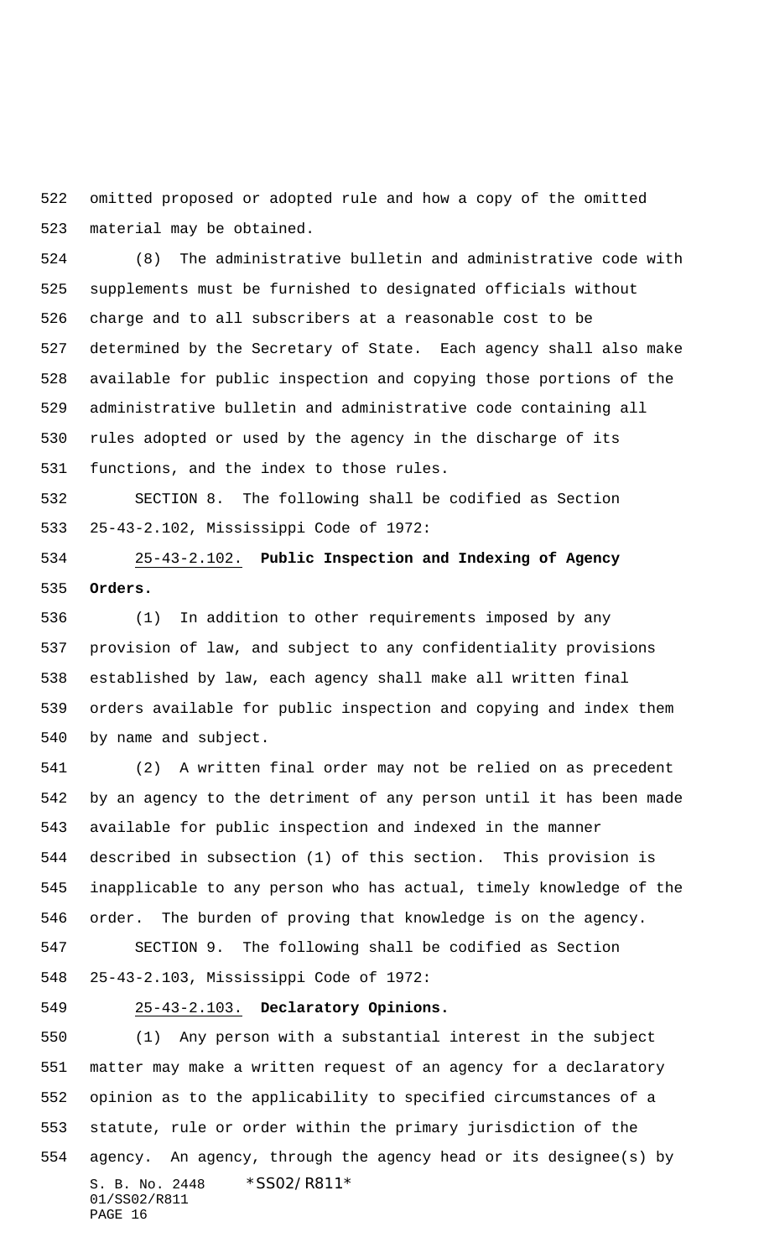omitted proposed or adopted rule and how a copy of the omitted material may be obtained.

 (8) The administrative bulletin and administrative code with supplements must be furnished to designated officials without charge and to all subscribers at a reasonable cost to be determined by the Secretary of State. Each agency shall also make available for public inspection and copying those portions of the administrative bulletin and administrative code containing all rules adopted or used by the agency in the discharge of its functions, and the index to those rules.

 SECTION 8. The following shall be codified as Section 25-43-2.102, Mississippi Code of 1972:

 25-43-2.102. **Public Inspection and Indexing of Agency Orders.**

 (1) In addition to other requirements imposed by any provision of law, and subject to any confidentiality provisions established by law, each agency shall make all written final orders available for public inspection and copying and index them by name and subject.

 (2) A written final order may not be relied on as precedent by an agency to the detriment of any person until it has been made available for public inspection and indexed in the manner described in subsection (1) of this section. This provision is inapplicable to any person who has actual, timely knowledge of the order. The burden of proving that knowledge is on the agency.

 SECTION 9. The following shall be codified as Section 25-43-2.103, Mississippi Code of 1972:

# 25-43-2.103. **Declaratory Opinions.**

S. B. No. 2448 \* SS02/R811\* 01/SS02/R811 PAGE 16 (1) Any person with a substantial interest in the subject matter may make a written request of an agency for a declaratory opinion as to the applicability to specified circumstances of a statute, rule or order within the primary jurisdiction of the agency. An agency, through the agency head or its designee(s) by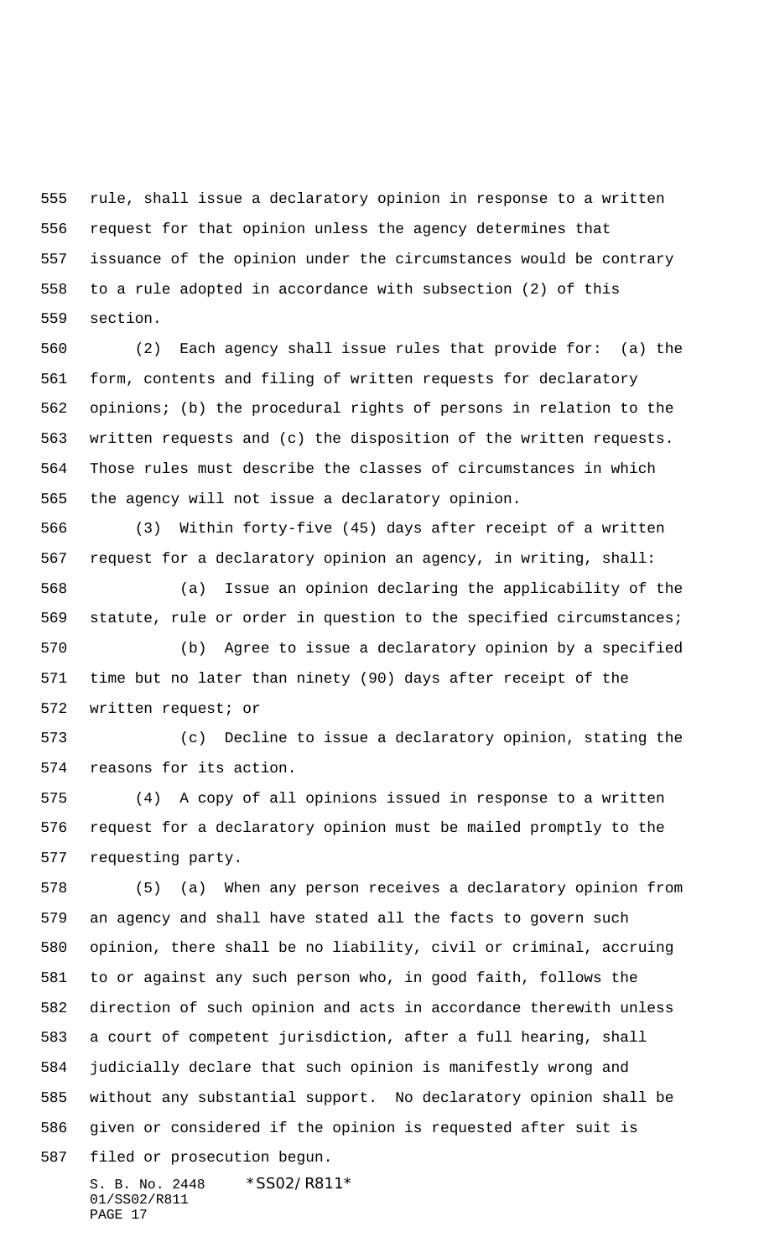rule, shall issue a declaratory opinion in response to a written request for that opinion unless the agency determines that issuance of the opinion under the circumstances would be contrary to a rule adopted in accordance with subsection (2) of this section.

 (2) Each agency shall issue rules that provide for: (a) the form, contents and filing of written requests for declaratory opinions; (b) the procedural rights of persons in relation to the written requests and (c) the disposition of the written requests. Those rules must describe the classes of circumstances in which the agency will not issue a declaratory opinion.

 (3) Within forty-five (45) days after receipt of a written request for a declaratory opinion an agency, in writing, shall:

 (a) Issue an opinion declaring the applicability of the statute, rule or order in question to the specified circumstances; (b) Agree to issue a declaratory opinion by a specified time but no later than ninety (90) days after receipt of the

written request; or

 (c) Decline to issue a declaratory opinion, stating the reasons for its action.

 (4) A copy of all opinions issued in response to a written request for a declaratory opinion must be mailed promptly to the requesting party.

 (5) (a) When any person receives a declaratory opinion from an agency and shall have stated all the facts to govern such opinion, there shall be no liability, civil or criminal, accruing to or against any such person who, in good faith, follows the direction of such opinion and acts in accordance therewith unless a court of competent jurisdiction, after a full hearing, shall judicially declare that such opinion is manifestly wrong and without any substantial support. No declaratory opinion shall be given or considered if the opinion is requested after suit is filed or prosecution begun.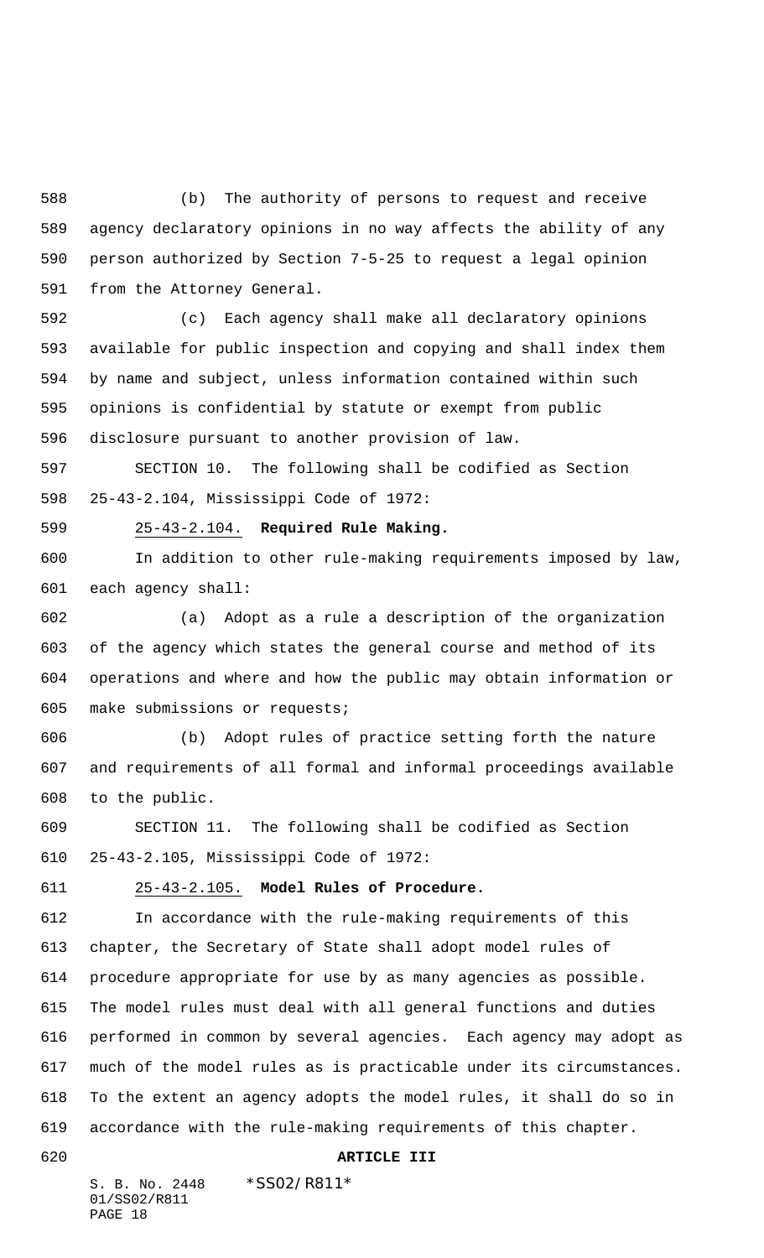(b) The authority of persons to request and receive agency declaratory opinions in no way affects the ability of any person authorized by Section 7-5-25 to request a legal opinion from the Attorney General.

 (c) Each agency shall make all declaratory opinions available for public inspection and copying and shall index them by name and subject, unless information contained within such opinions is confidential by statute or exempt from public disclosure pursuant to another provision of law.

 SECTION 10. The following shall be codified as Section 25-43-2.104, Mississippi Code of 1972:

25-43-2.104. **Required Rule Making.**

 In addition to other rule-making requirements imposed by law, each agency shall:

 (a) Adopt as a rule a description of the organization of the agency which states the general course and method of its operations and where and how the public may obtain information or make submissions or requests;

 (b) Adopt rules of practice setting forth the nature and requirements of all formal and informal proceedings available to the public.

 SECTION 11. The following shall be codified as Section 25-43-2.105, Mississippi Code of 1972:

### 25-43-2.105. **Model Rules of Procedure.**

 In accordance with the rule-making requirements of this chapter, the Secretary of State shall adopt model rules of procedure appropriate for use by as many agencies as possible. The model rules must deal with all general functions and duties performed in common by several agencies. Each agency may adopt as much of the model rules as is practicable under its circumstances. To the extent an agency adopts the model rules, it shall do so in accordance with the rule-making requirements of this chapter.

## **ARTICLE III**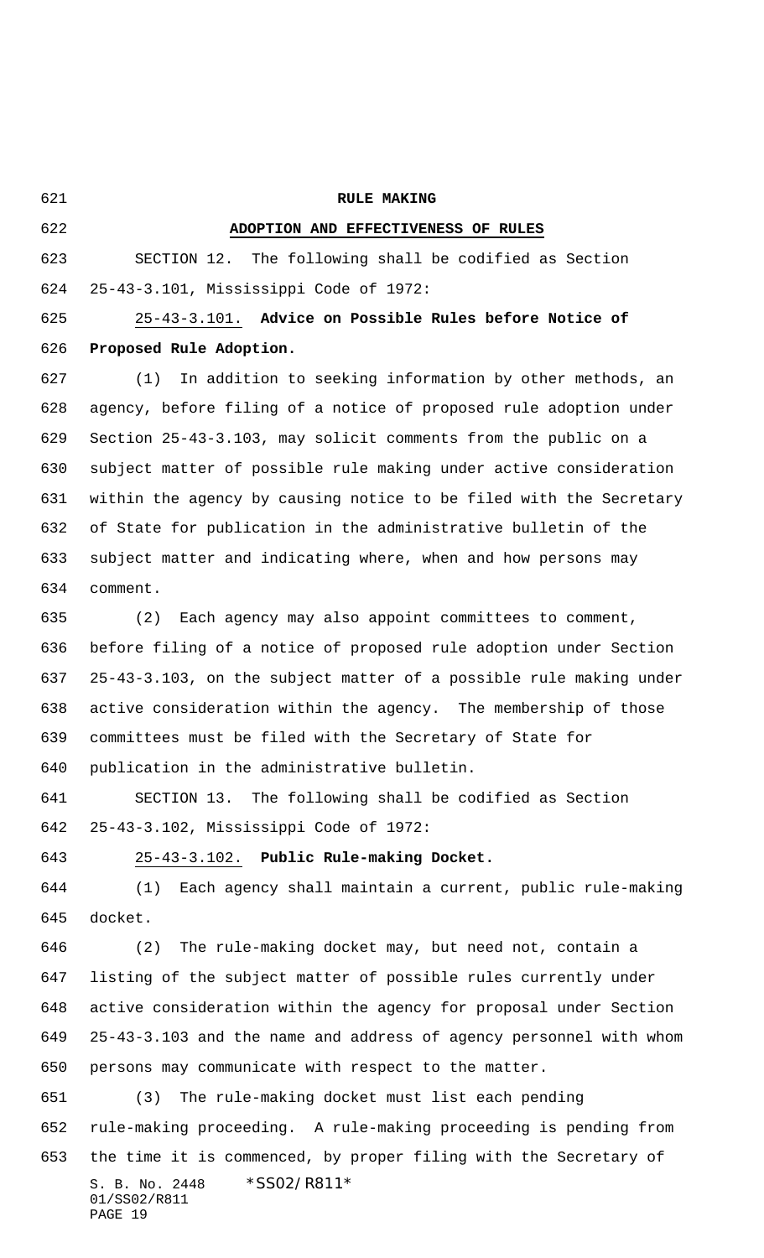**RULE MAKING ADOPTION AND EFFECTIVENESS OF RULES** SECTION 12. The following shall be codified as Section 25-43-3.101, Mississippi Code of 1972: 25-43-3.101. **Advice on Possible Rules before Notice of Proposed Rule Adoption.** (1) In addition to seeking information by other methods, an agency, before filing of a notice of proposed rule adoption under Section 25-43-3.103, may solicit comments from the public on a subject matter of possible rule making under active consideration within the agency by causing notice to be filed with the Secretary of State for publication in the administrative bulletin of the subject matter and indicating where, when and how persons may comment. (2) Each agency may also appoint committees to comment, before filing of a notice of proposed rule adoption under Section 25-43-3.103, on the subject matter of a possible rule making under active consideration within the agency. The membership of those committees must be filed with the Secretary of State for

publication in the administrative bulletin.

 SECTION 13. The following shall be codified as Section 25-43-3.102, Mississippi Code of 1972:

25-43-3.102. **Public Rule-making Docket.**

 (1) Each agency shall maintain a current, public rule-making docket.

 (2) The rule-making docket may, but need not, contain a listing of the subject matter of possible rules currently under active consideration within the agency for proposal under Section 25-43-3.103 and the name and address of agency personnel with whom persons may communicate with respect to the matter.

S. B. No. 2448 \* SS02/R811\* 01/SS02/R811 PAGE 19 (3) The rule-making docket must list each pending rule-making proceeding. A rule-making proceeding is pending from the time it is commenced, by proper filing with the Secretary of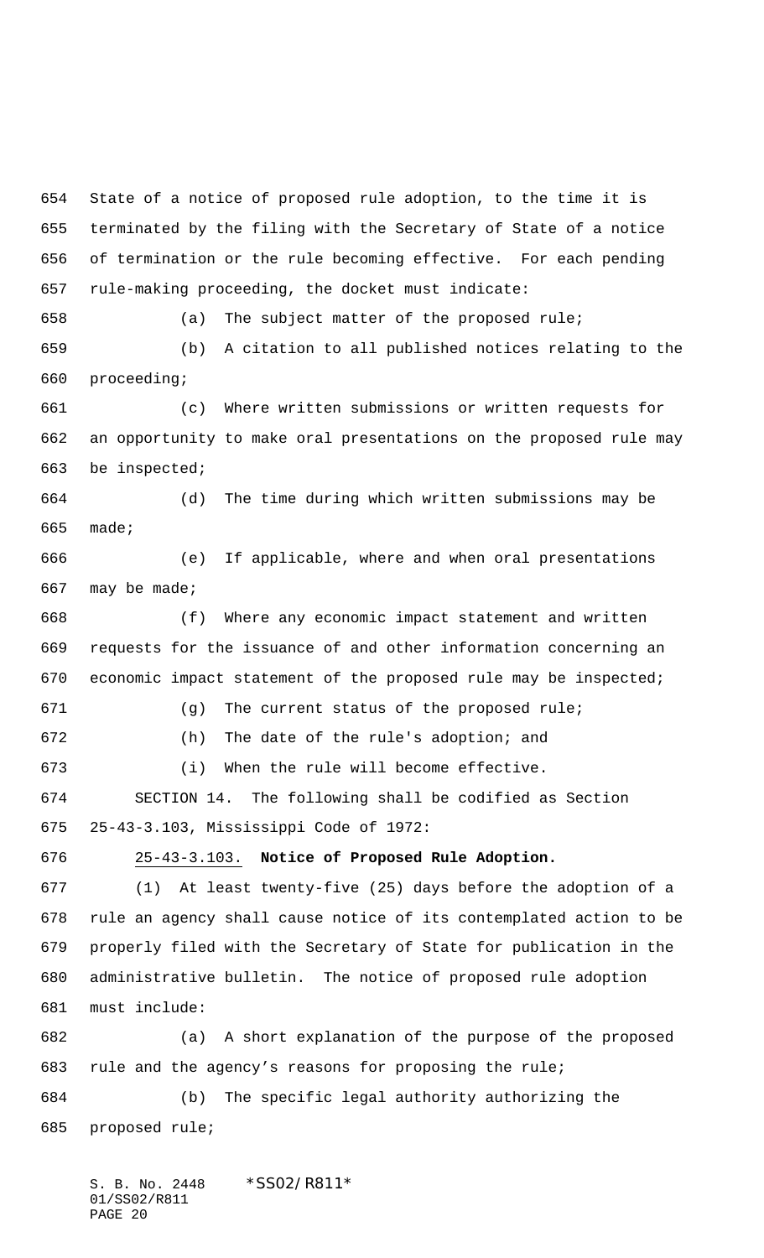State of a notice of proposed rule adoption, to the time it is terminated by the filing with the Secretary of State of a notice of termination or the rule becoming effective. For each pending rule-making proceeding, the docket must indicate:

(a) The subject matter of the proposed rule;

 (b) A citation to all published notices relating to the proceeding;

 (c) Where written submissions or written requests for an opportunity to make oral presentations on the proposed rule may be inspected;

 (d) The time during which written submissions may be made;

 (e) If applicable, where and when oral presentations may be made;

 (f) Where any economic impact statement and written requests for the issuance of and other information concerning an economic impact statement of the proposed rule may be inspected;

 (g) The current status of the proposed rule; (h) The date of the rule's adoption; and (i) When the rule will become effective.

 SECTION 14. The following shall be codified as Section 25-43-3.103, Mississippi Code of 1972:

25-43-3.103. **Notice of Proposed Rule Adoption.**

 (1) At least twenty-five (25) days before the adoption of a rule an agency shall cause notice of its contemplated action to be properly filed with the Secretary of State for publication in the administrative bulletin. The notice of proposed rule adoption must include:

 (a) A short explanation of the purpose of the proposed rule and the agency's reasons for proposing the rule; (b) The specific legal authority authorizing the proposed rule;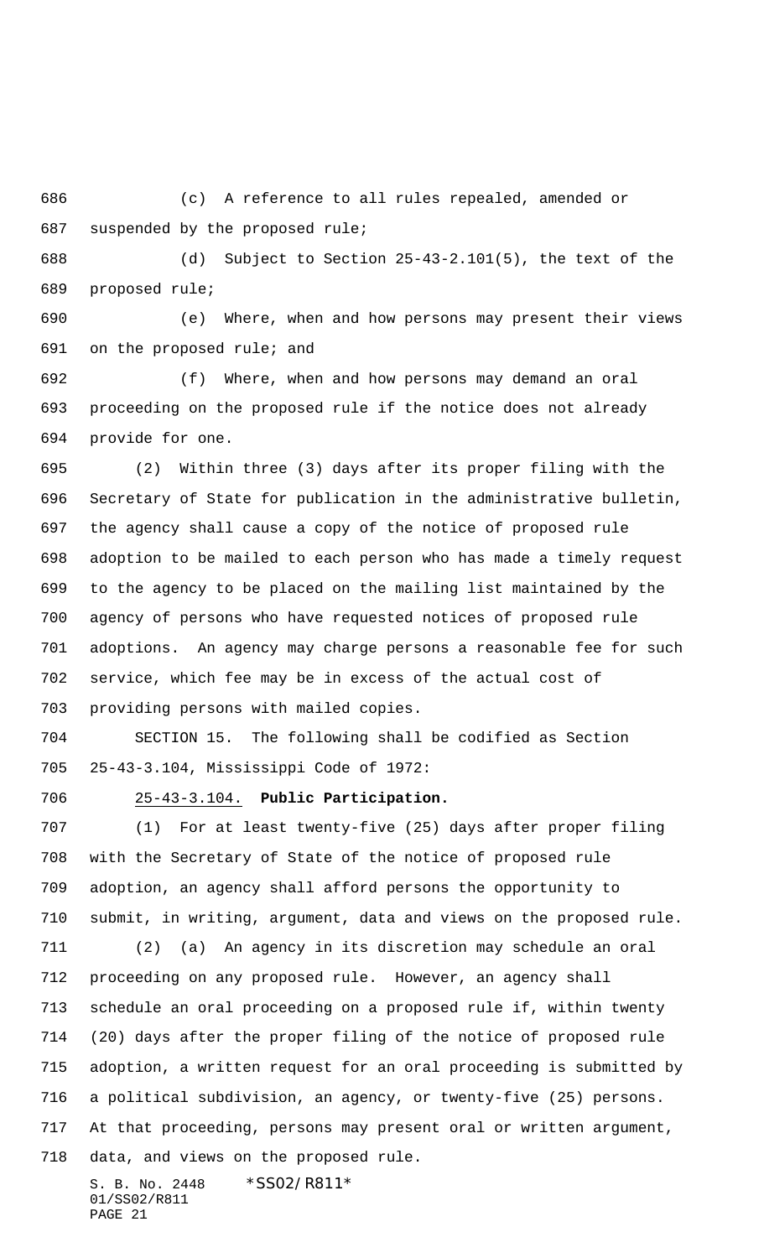(c) A reference to all rules repealed, amended or suspended by the proposed rule;

 (d) Subject to Section 25-43-2.101(5), the text of the proposed rule;

 (e) Where, when and how persons may present their views on the proposed rule; and

 (f) Where, when and how persons may demand an oral proceeding on the proposed rule if the notice does not already provide for one.

 (2) Within three (3) days after its proper filing with the Secretary of State for publication in the administrative bulletin, the agency shall cause a copy of the notice of proposed rule adoption to be mailed to each person who has made a timely request to the agency to be placed on the mailing list maintained by the agency of persons who have requested notices of proposed rule adoptions. An agency may charge persons a reasonable fee for such service, which fee may be in excess of the actual cost of providing persons with mailed copies.

 SECTION 15. The following shall be codified as Section 25-43-3.104, Mississippi Code of 1972:

# 25-43-3.104. **Public Participation.**

 (1) For at least twenty-five (25) days after proper filing with the Secretary of State of the notice of proposed rule adoption, an agency shall afford persons the opportunity to submit, in writing, argument, data and views on the proposed rule. (2) (a) An agency in its discretion may schedule an oral proceeding on any proposed rule. However, an agency shall schedule an oral proceeding on a proposed rule if, within twenty (20) days after the proper filing of the notice of proposed rule adoption, a written request for an oral proceeding is submitted by a political subdivision, an agency, or twenty-five (25) persons. At that proceeding, persons may present oral or written argument, data, and views on the proposed rule.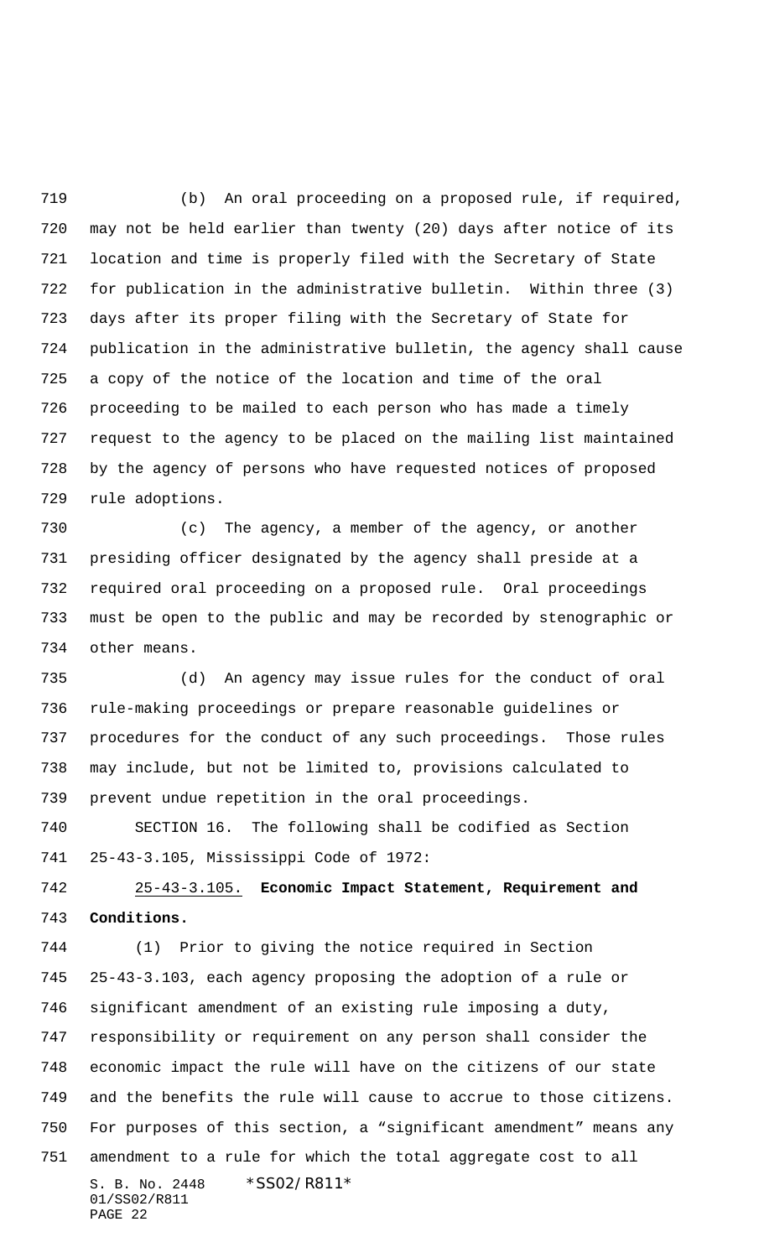(b) An oral proceeding on a proposed rule, if required, may not be held earlier than twenty (20) days after notice of its location and time is properly filed with the Secretary of State for publication in the administrative bulletin. Within three (3) days after its proper filing with the Secretary of State for publication in the administrative bulletin, the agency shall cause a copy of the notice of the location and time of the oral proceeding to be mailed to each person who has made a timely request to the agency to be placed on the mailing list maintained by the agency of persons who have requested notices of proposed rule adoptions.

 (c) The agency, a member of the agency, or another presiding officer designated by the agency shall preside at a required oral proceeding on a proposed rule. Oral proceedings must be open to the public and may be recorded by stenographic or other means.

 (d) An agency may issue rules for the conduct of oral rule-making proceedings or prepare reasonable guidelines or procedures for the conduct of any such proceedings. Those rules may include, but not be limited to, provisions calculated to prevent undue repetition in the oral proceedings.

 SECTION 16. The following shall be codified as Section 25-43-3.105, Mississippi Code of 1972:

 25-43-3.105. **Economic Impact Statement, Requirement and Conditions.**

S. B. No. 2448 \*SS02/R811\* 01/SS02/R811 PAGE 22 (1) Prior to giving the notice required in Section 25-43-3.103, each agency proposing the adoption of a rule or significant amendment of an existing rule imposing a duty, responsibility or requirement on any person shall consider the economic impact the rule will have on the citizens of our state and the benefits the rule will cause to accrue to those citizens. For purposes of this section, a "significant amendment" means any amendment to a rule for which the total aggregate cost to all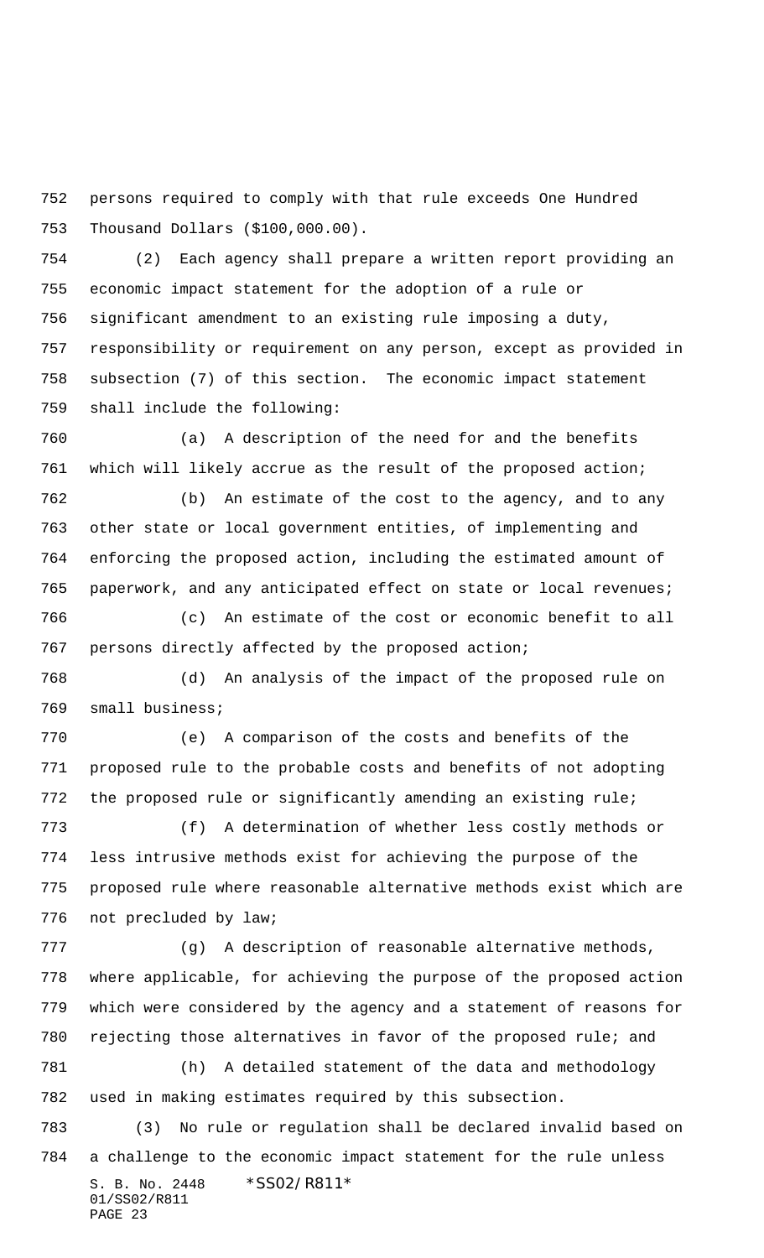persons required to comply with that rule exceeds One Hundred Thousand Dollars (\$100,000.00).

 (2) Each agency shall prepare a written report providing an economic impact statement for the adoption of a rule or significant amendment to an existing rule imposing a duty, responsibility or requirement on any person, except as provided in subsection (7) of this section. The economic impact statement shall include the following:

 (a) A description of the need for and the benefits which will likely accrue as the result of the proposed action;

 (b) An estimate of the cost to the agency, and to any other state or local government entities, of implementing and enforcing the proposed action, including the estimated amount of paperwork, and any anticipated effect on state or local revenues;

 (c) An estimate of the cost or economic benefit to all persons directly affected by the proposed action;

 (d) An analysis of the impact of the proposed rule on small business;

 (e) A comparison of the costs and benefits of the proposed rule to the probable costs and benefits of not adopting the proposed rule or significantly amending an existing rule;

 (f) A determination of whether less costly methods or less intrusive methods exist for achieving the purpose of the proposed rule where reasonable alternative methods exist which are not precluded by law;

 (g) A description of reasonable alternative methods, where applicable, for achieving the purpose of the proposed action which were considered by the agency and a statement of reasons for rejecting those alternatives in favor of the proposed rule; and (h) A detailed statement of the data and methodology

used in making estimates required by this subsection.

S. B. No. 2448 \* SS02/R811\* 01/SS02/R811 PAGE 23 (3) No rule or regulation shall be declared invalid based on a challenge to the economic impact statement for the rule unless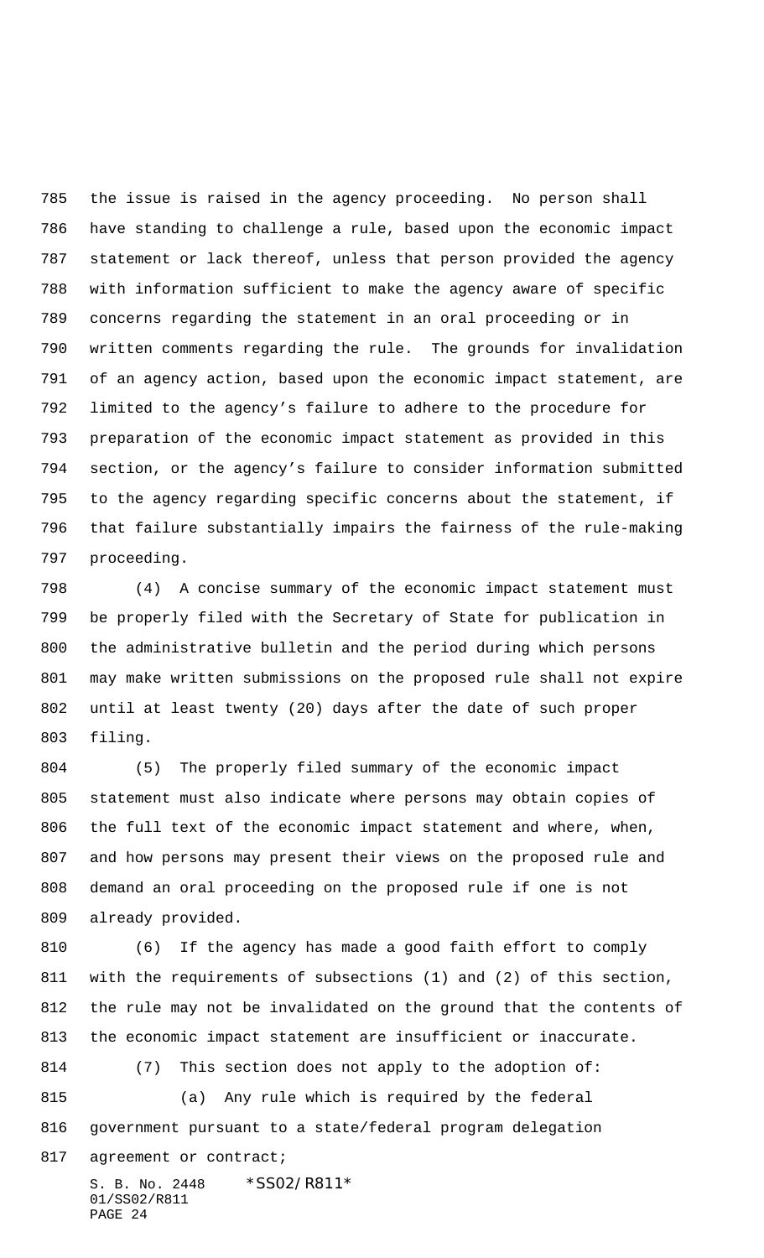the issue is raised in the agency proceeding. No person shall have standing to challenge a rule, based upon the economic impact statement or lack thereof, unless that person provided the agency with information sufficient to make the agency aware of specific concerns regarding the statement in an oral proceeding or in written comments regarding the rule. The grounds for invalidation of an agency action, based upon the economic impact statement, are limited to the agency's failure to adhere to the procedure for preparation of the economic impact statement as provided in this section, or the agency's failure to consider information submitted to the agency regarding specific concerns about the statement, if that failure substantially impairs the fairness of the rule-making proceeding.

 (4) A concise summary of the economic impact statement must be properly filed with the Secretary of State for publication in the administrative bulletin and the period during which persons may make written submissions on the proposed rule shall not expire until at least twenty (20) days after the date of such proper filing.

 (5) The properly filed summary of the economic impact statement must also indicate where persons may obtain copies of the full text of the economic impact statement and where, when, and how persons may present their views on the proposed rule and demand an oral proceeding on the proposed rule if one is not already provided.

S. B. No. 2448 \* SS02/R811\* 01/SS02/R811 PAGE 24 (6) If the agency has made a good faith effort to comply with the requirements of subsections (1) and (2) of this section, the rule may not be invalidated on the ground that the contents of the economic impact statement are insufficient or inaccurate. (7) This section does not apply to the adoption of: (a) Any rule which is required by the federal government pursuant to a state/federal program delegation 817 agreement or contract;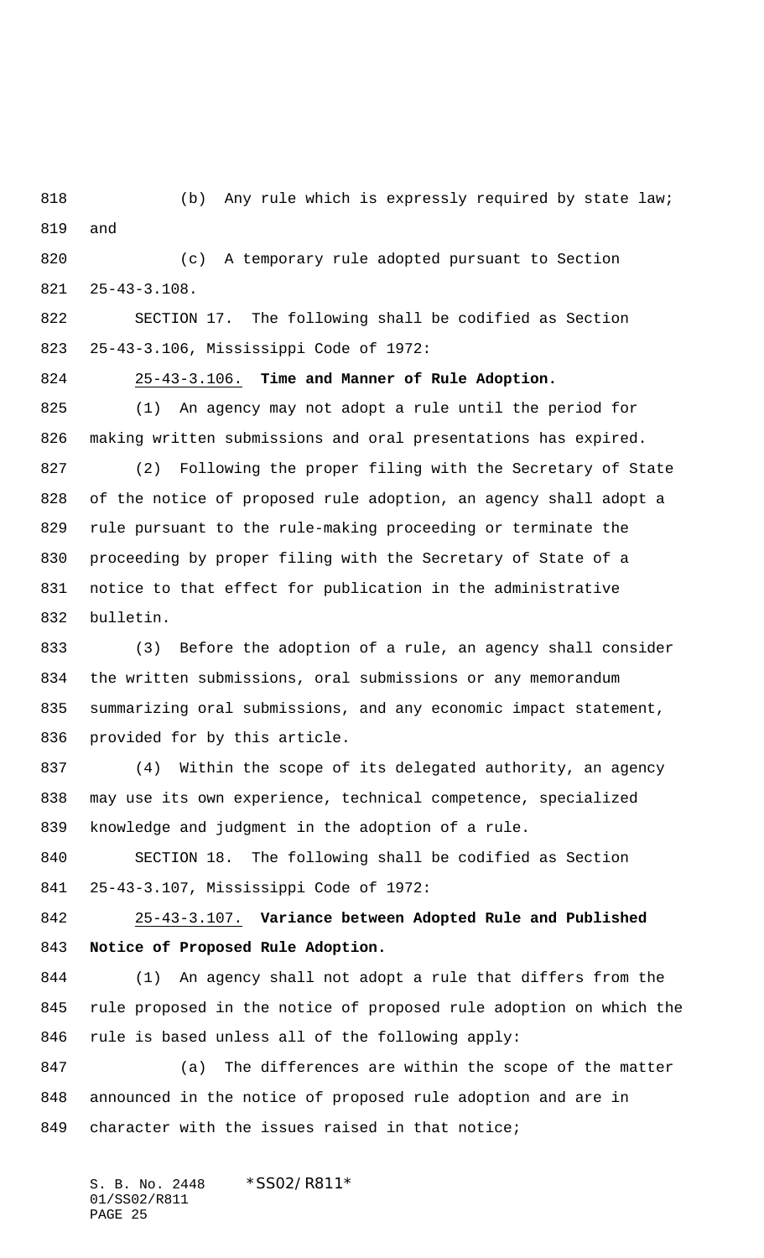(b) Any rule which is expressly required by state law; and

 (c) A temporary rule adopted pursuant to Section 25-43-3.108.

 SECTION 17. The following shall be codified as Section 25-43-3.106, Mississippi Code of 1972:

25-43-3.106. **Time and Manner of Rule Adoption.**

 (1) An agency may not adopt a rule until the period for making written submissions and oral presentations has expired. (2) Following the proper filing with the Secretary of State of the notice of proposed rule adoption, an agency shall adopt a rule pursuant to the rule-making proceeding or terminate the proceeding by proper filing with the Secretary of State of a notice to that effect for publication in the administrative bulletin.

 (3) Before the adoption of a rule, an agency shall consider the written submissions, oral submissions or any memorandum summarizing oral submissions, and any economic impact statement, provided for by this article.

 (4) Within the scope of its delegated authority, an agency may use its own experience, technical competence, specialized knowledge and judgment in the adoption of a rule.

 SECTION 18. The following shall be codified as Section 25-43-3.107, Mississippi Code of 1972:

 25-43-3.107. **Variance between Adopted Rule and Published Notice of Proposed Rule Adoption.**

 (1) An agency shall not adopt a rule that differs from the rule proposed in the notice of proposed rule adoption on which the rule is based unless all of the following apply:

 (a) The differences are within the scope of the matter announced in the notice of proposed rule adoption and are in character with the issues raised in that notice;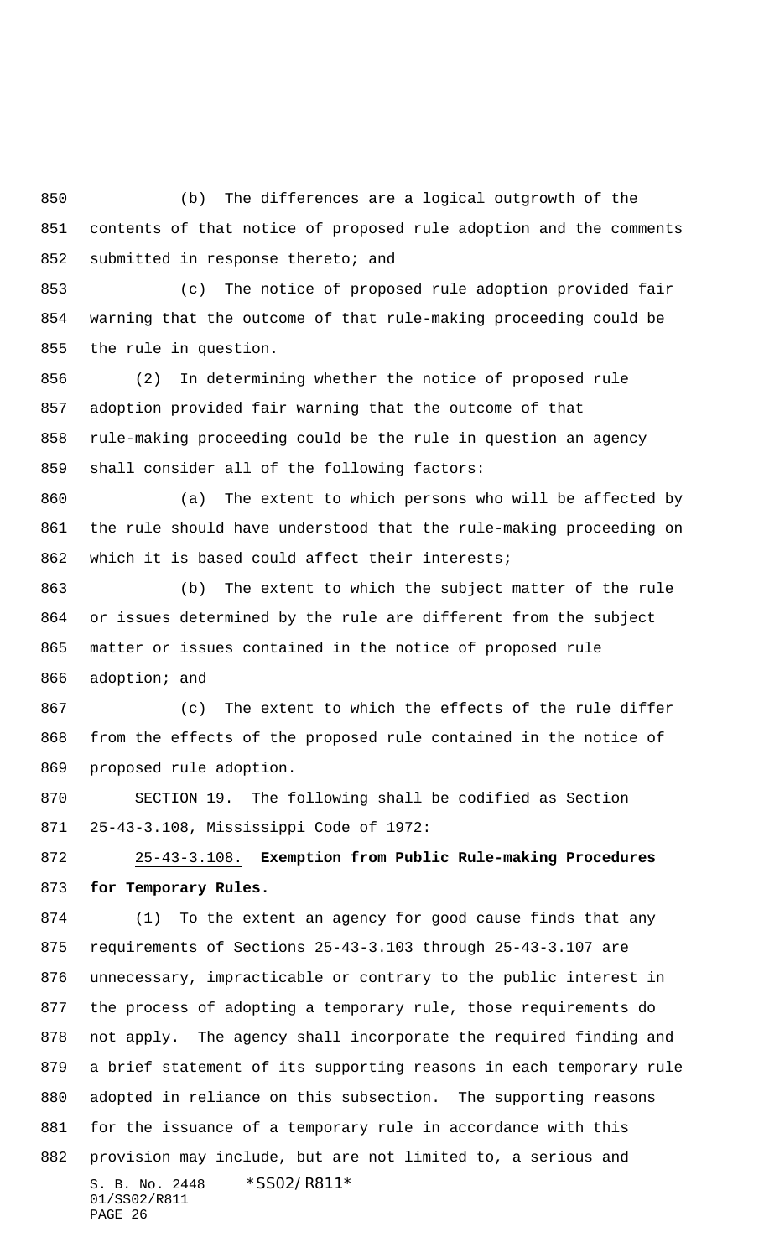(b) The differences are a logical outgrowth of the contents of that notice of proposed rule adoption and the comments 852 submitted in response thereto; and

 (c) The notice of proposed rule adoption provided fair warning that the outcome of that rule-making proceeding could be the rule in question.

 (2) In determining whether the notice of proposed rule adoption provided fair warning that the outcome of that rule-making proceeding could be the rule in question an agency shall consider all of the following factors:

 (a) The extent to which persons who will be affected by the rule should have understood that the rule-making proceeding on which it is based could affect their interests;

 (b) The extent to which the subject matter of the rule or issues determined by the rule are different from the subject matter or issues contained in the notice of proposed rule adoption; and

 (c) The extent to which the effects of the rule differ from the effects of the proposed rule contained in the notice of proposed rule adoption.

 SECTION 19. The following shall be codified as Section 25-43-3.108, Mississippi Code of 1972:

 25-43-3.108. **Exemption from Public Rule-making Procedures for Temporary Rules.**

S. B. No. 2448 \* SS02/R811\* 01/SS02/R811 (1) To the extent an agency for good cause finds that any requirements of Sections 25-43-3.103 through 25-43-3.107 are unnecessary, impracticable or contrary to the public interest in the process of adopting a temporary rule, those requirements do not apply. The agency shall incorporate the required finding and a brief statement of its supporting reasons in each temporary rule adopted in reliance on this subsection. The supporting reasons for the issuance of a temporary rule in accordance with this provision may include, but are not limited to, a serious and

```
PAGE 26
```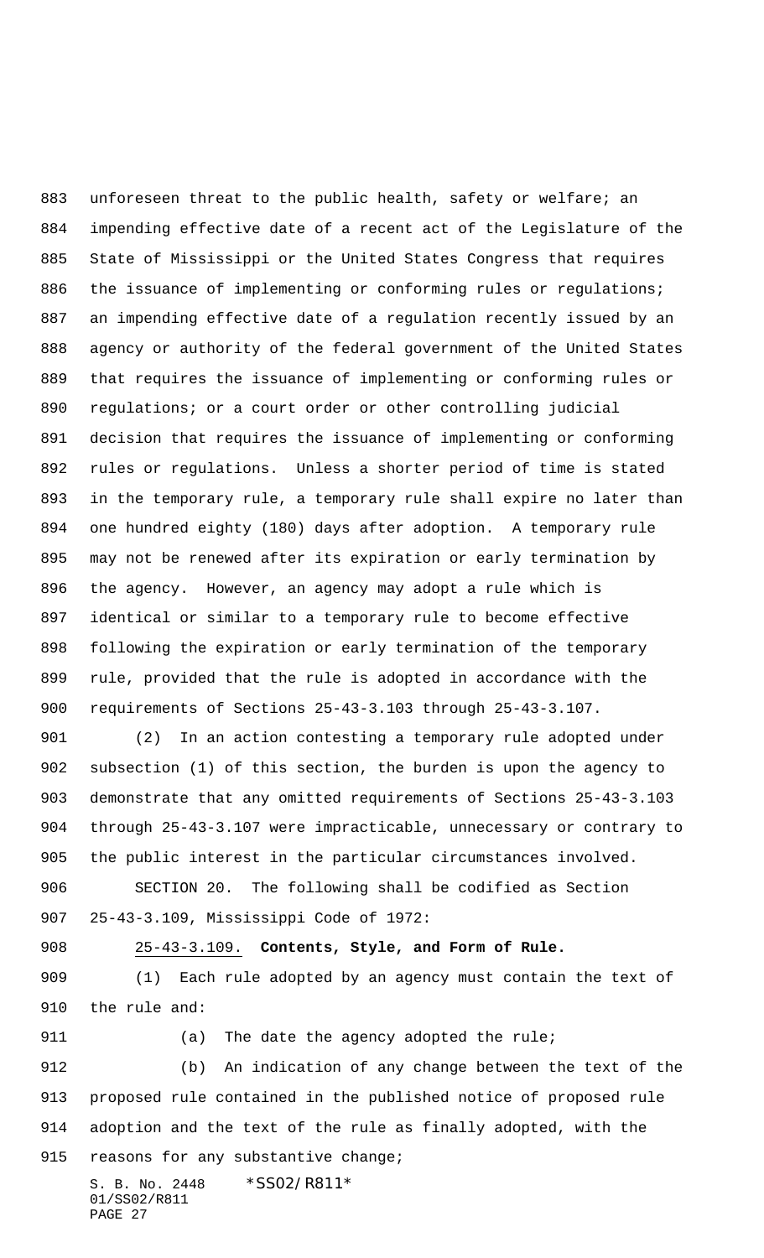883 unforeseen threat to the public health, safety or welfare; an impending effective date of a recent act of the Legislature of the State of Mississippi or the United States Congress that requires 886 the issuance of implementing or conforming rules or regulations; an impending effective date of a regulation recently issued by an agency or authority of the federal government of the United States that requires the issuance of implementing or conforming rules or regulations; or a court order or other controlling judicial decision that requires the issuance of implementing or conforming rules or regulations. Unless a shorter period of time is stated in the temporary rule, a temporary rule shall expire no later than one hundred eighty (180) days after adoption. A temporary rule may not be renewed after its expiration or early termination by the agency. However, an agency may adopt a rule which is identical or similar to a temporary rule to become effective following the expiration or early termination of the temporary rule, provided that the rule is adopted in accordance with the requirements of Sections 25-43-3.103 through 25-43-3.107.

 (2) In an action contesting a temporary rule adopted under subsection (1) of this section, the burden is upon the agency to demonstrate that any omitted requirements of Sections 25-43-3.103 through 25-43-3.107 were impracticable, unnecessary or contrary to the public interest in the particular circumstances involved. SECTION 20. The following shall be codified as Section

25-43-3.109, Mississippi Code of 1972:

25-43-3.109. **Contents, Style, and Form of Rule.**

 (1) Each rule adopted by an agency must contain the text of the rule and:

911 (a) The date the agency adopted the rule; (b) An indication of any change between the text of the proposed rule contained in the published notice of proposed rule adoption and the text of the rule as finally adopted, with the 915 reasons for any substantive change;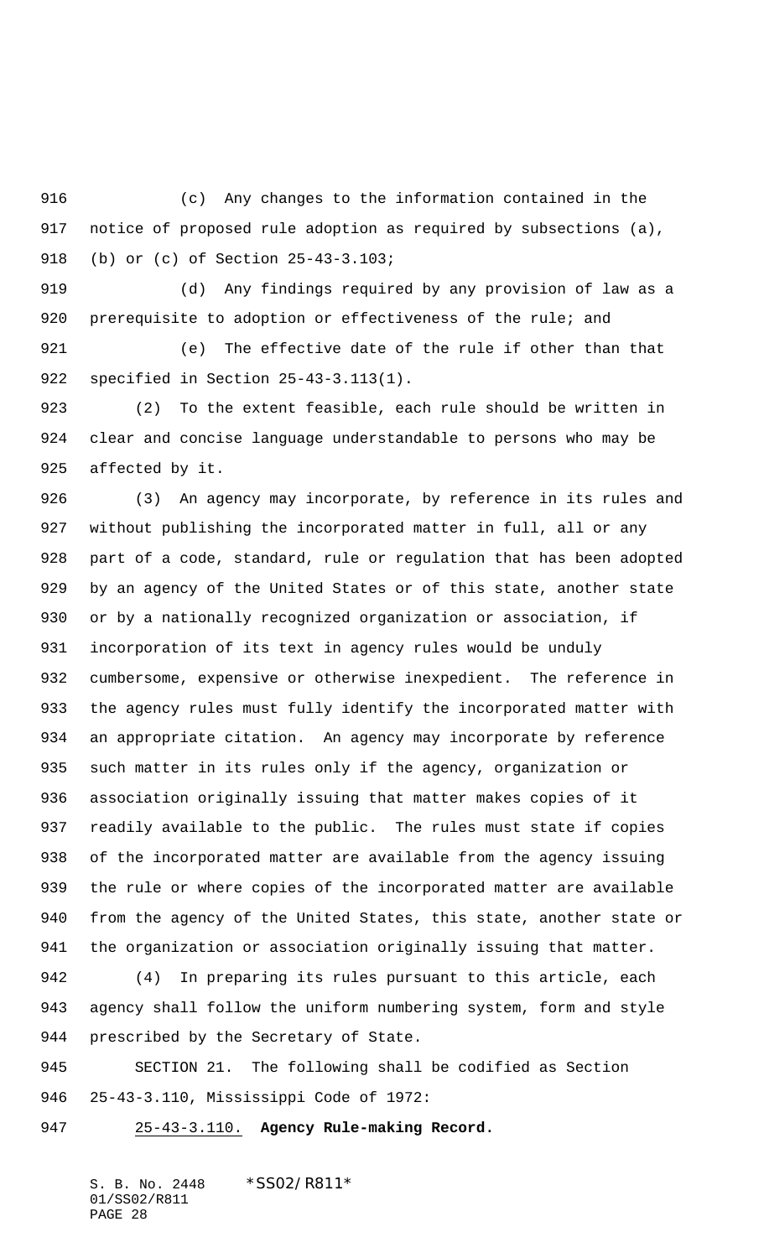(c) Any changes to the information contained in the notice of proposed rule adoption as required by subsections (a), (b) or (c) of Section 25-43-3.103;

 (d) Any findings required by any provision of law as a 920 prerequisite to adoption or effectiveness of the rule; and

 (e) The effective date of the rule if other than that specified in Section 25-43-3.113(1).

 (2) To the extent feasible, each rule should be written in clear and concise language understandable to persons who may be affected by it.

 (3) An agency may incorporate, by reference in its rules and without publishing the incorporated matter in full, all or any part of a code, standard, rule or regulation that has been adopted by an agency of the United States or of this state, another state or by a nationally recognized organization or association, if incorporation of its text in agency rules would be unduly cumbersome, expensive or otherwise inexpedient. The reference in the agency rules must fully identify the incorporated matter with an appropriate citation. An agency may incorporate by reference such matter in its rules only if the agency, organization or association originally issuing that matter makes copies of it readily available to the public. The rules must state if copies of the incorporated matter are available from the agency issuing the rule or where copies of the incorporated matter are available from the agency of the United States, this state, another state or the organization or association originally issuing that matter.

 (4) In preparing its rules pursuant to this article, each agency shall follow the uniform numbering system, form and style prescribed by the Secretary of State.

 SECTION 21. The following shall be codified as Section 25-43-3.110, Mississippi Code of 1972:

25-43-3.110. **Agency Rule-making Record.**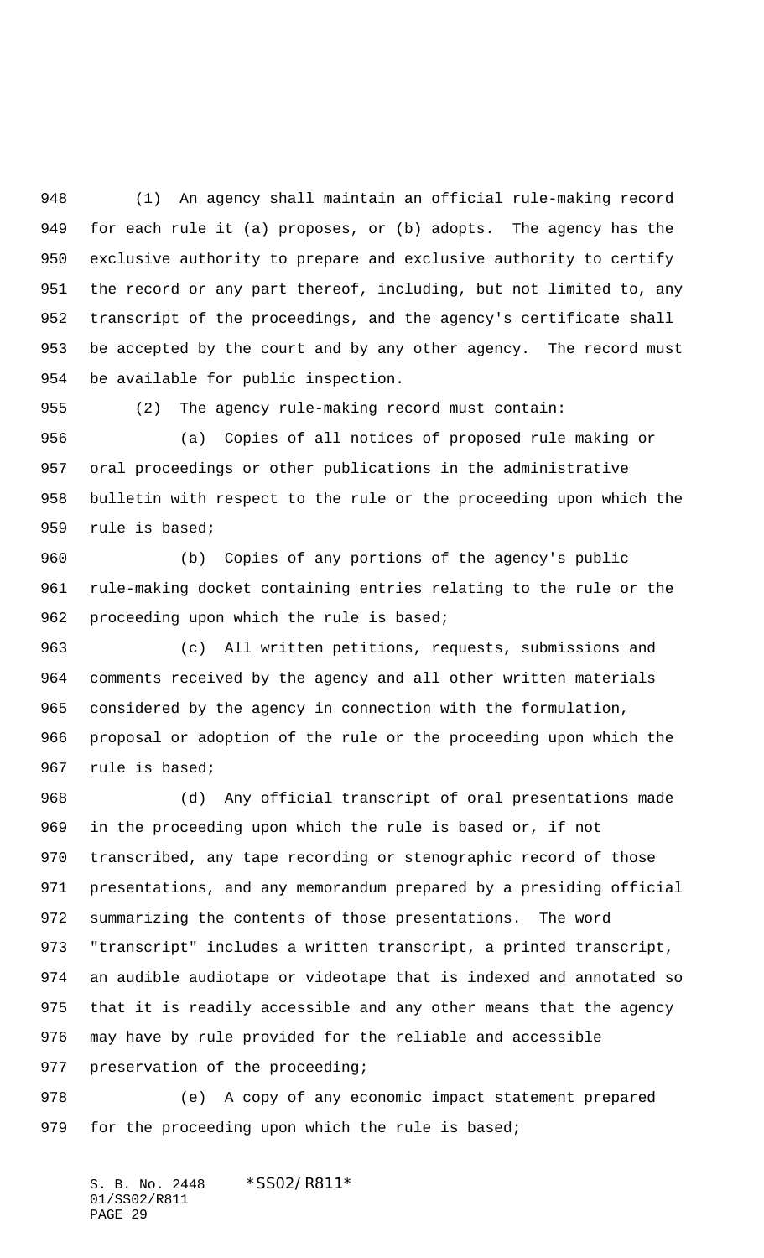(1) An agency shall maintain an official rule-making record for each rule it (a) proposes, or (b) adopts. The agency has the exclusive authority to prepare and exclusive authority to certify the record or any part thereof, including, but not limited to, any transcript of the proceedings, and the agency's certificate shall 953 be accepted by the court and by any other agency. The record must be available for public inspection.

(2) The agency rule-making record must contain:

 (a) Copies of all notices of proposed rule making or oral proceedings or other publications in the administrative bulletin with respect to the rule or the proceeding upon which the rule is based;

 (b) Copies of any portions of the agency's public rule-making docket containing entries relating to the rule or the 962 proceeding upon which the rule is based;

 (c) All written petitions, requests, submissions and comments received by the agency and all other written materials considered by the agency in connection with the formulation, proposal or adoption of the rule or the proceeding upon which the rule is based;

 (d) Any official transcript of oral presentations made in the proceeding upon which the rule is based or, if not transcribed, any tape recording or stenographic record of those presentations, and any memorandum prepared by a presiding official summarizing the contents of those presentations. The word "transcript" includes a written transcript, a printed transcript, an audible audiotape or videotape that is indexed and annotated so that it is readily accessible and any other means that the agency may have by rule provided for the reliable and accessible preservation of the proceeding;

 (e) A copy of any economic impact statement prepared 979 for the proceeding upon which the rule is based;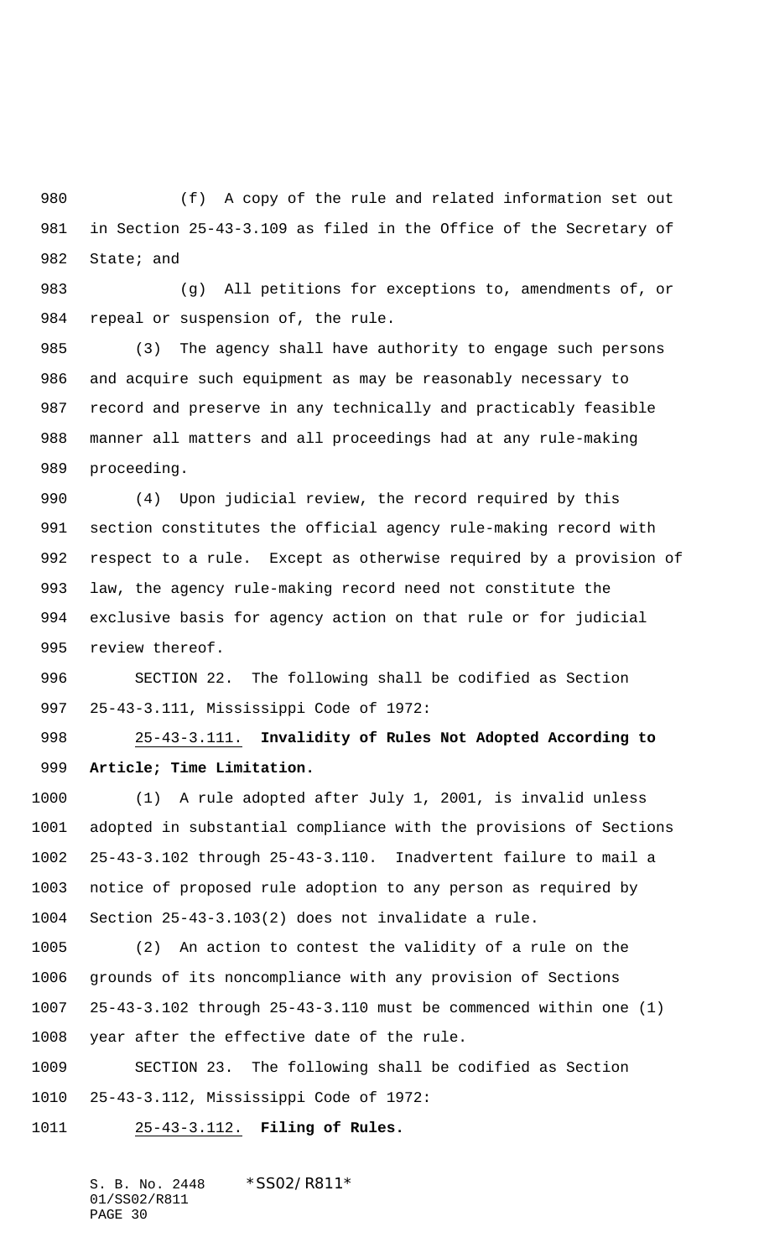(f) A copy of the rule and related information set out in Section 25-43-3.109 as filed in the Office of the Secretary of 982 State; and

 (g) All petitions for exceptions to, amendments of, or 984 repeal or suspension of, the rule.

 (3) The agency shall have authority to engage such persons and acquire such equipment as may be reasonably necessary to record and preserve in any technically and practicably feasible manner all matters and all proceedings had at any rule-making proceeding.

 (4) Upon judicial review, the record required by this section constitutes the official agency rule-making record with respect to a rule. Except as otherwise required by a provision of law, the agency rule-making record need not constitute the exclusive basis for agency action on that rule or for judicial review thereof.

 SECTION 22. The following shall be codified as Section 25-43-3.111, Mississippi Code of 1972:

 25-43-3.111. **Invalidity of Rules Not Adopted According to Article; Time Limitation.**

 (1) A rule adopted after July 1, 2001, is invalid unless adopted in substantial compliance with the provisions of Sections 25-43-3.102 through 25-43-3.110. Inadvertent failure to mail a notice of proposed rule adoption to any person as required by Section 25-43-3.103(2) does not invalidate a rule.

 (2) An action to contest the validity of a rule on the grounds of its noncompliance with any provision of Sections 25-43-3.102 through 25-43-3.110 must be commenced within one (1) year after the effective date of the rule.

 SECTION 23. The following shall be codified as Section 25-43-3.112, Mississippi Code of 1972:

25-43-3.112. **Filing of Rules.**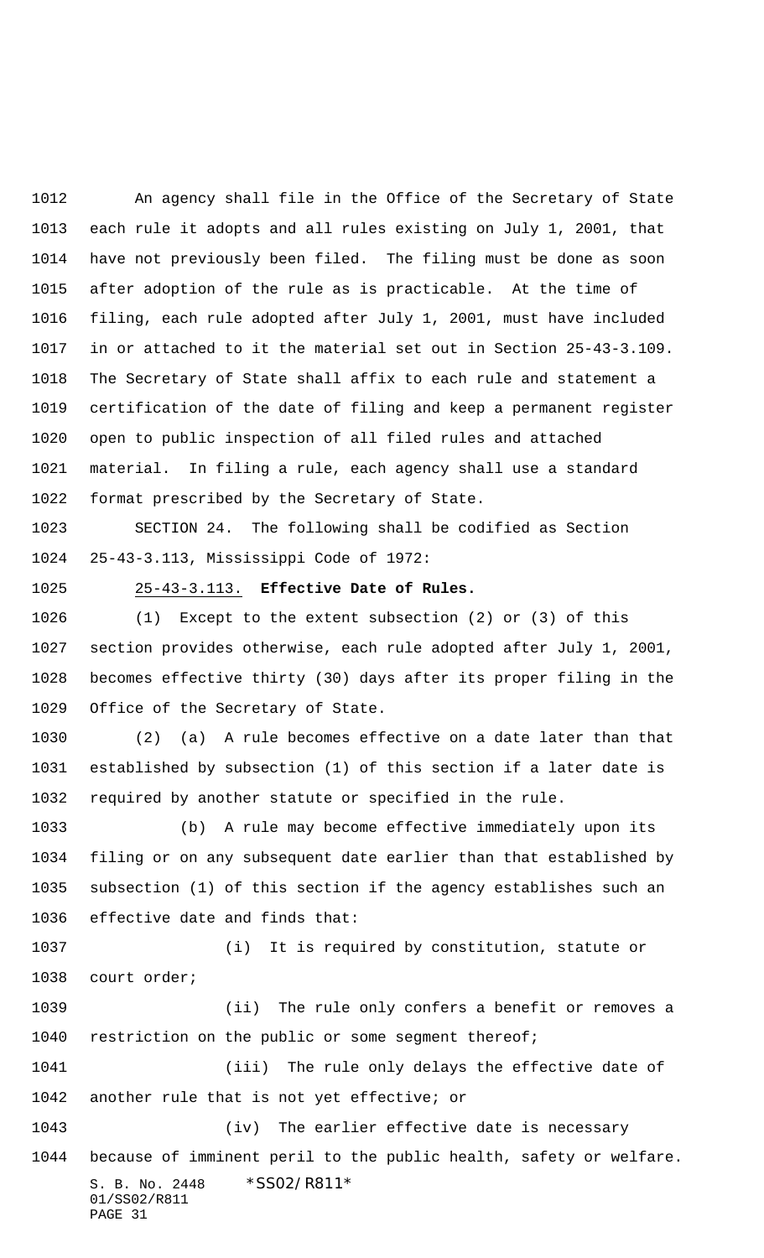An agency shall file in the Office of the Secretary of State each rule it adopts and all rules existing on July 1, 2001, that have not previously been filed. The filing must be done as soon after adoption of the rule as is practicable. At the time of filing, each rule adopted after July 1, 2001, must have included in or attached to it the material set out in Section 25-43-3.109. The Secretary of State shall affix to each rule and statement a certification of the date of filing and keep a permanent register open to public inspection of all filed rules and attached material. In filing a rule, each agency shall use a standard format prescribed by the Secretary of State.

 SECTION 24. The following shall be codified as Section 25-43-3.113, Mississippi Code of 1972:

### 25-43-3.113. **Effective Date of Rules.**

 (1) Except to the extent subsection (2) or (3) of this section provides otherwise, each rule adopted after July 1, 2001, becomes effective thirty (30) days after its proper filing in the Office of the Secretary of State.

 (2) (a) A rule becomes effective on a date later than that established by subsection (1) of this section if a later date is required by another statute or specified in the rule.

 (b) A rule may become effective immediately upon its filing or on any subsequent date earlier than that established by subsection (1) of this section if the agency establishes such an effective date and finds that:

 (i) It is required by constitution, statute or court order; (ii) The rule only confers a benefit or removes a 1040 restriction on the public or some segment thereof;

 (iii) The rule only delays the effective date of another rule that is not yet effective; or

S. B. No. 2448 \* SS02/R811\* 01/SS02/R811 PAGE 31 (iv) The earlier effective date is necessary because of imminent peril to the public health, safety or welfare.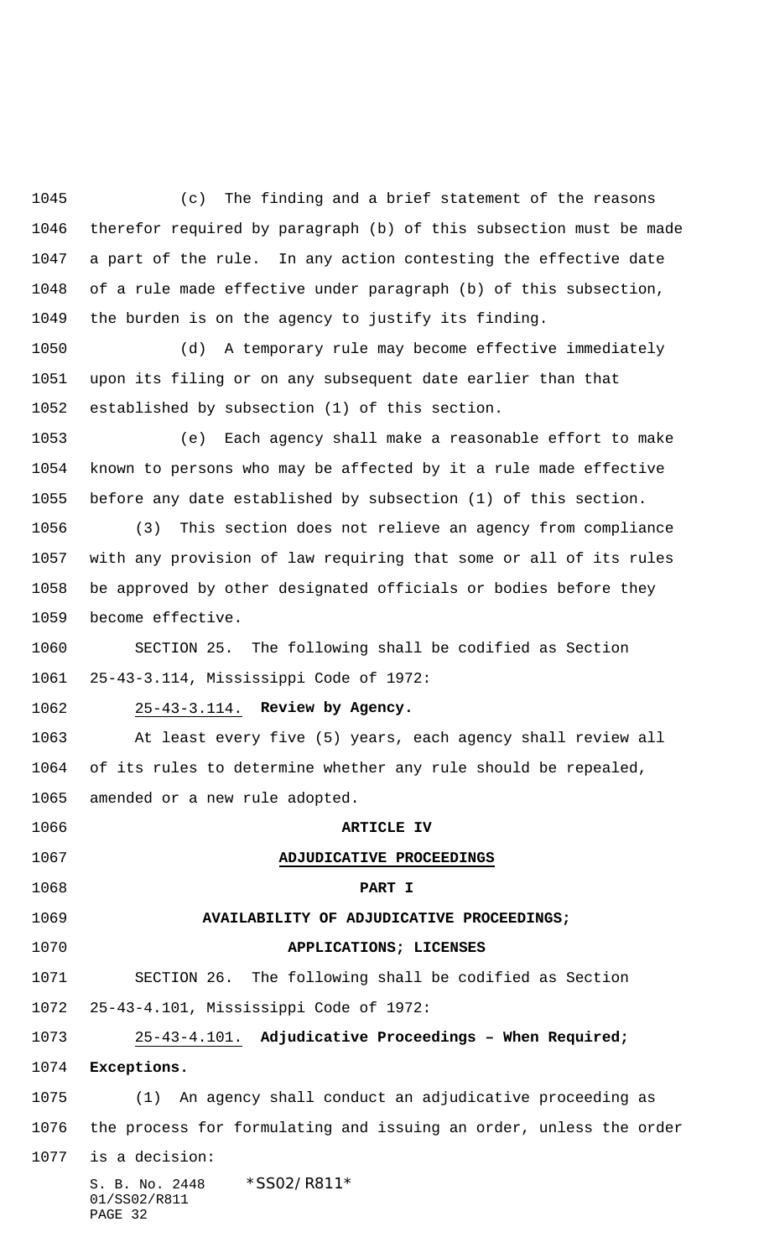(c) The finding and a brief statement of the reasons therefor required by paragraph (b) of this subsection must be made a part of the rule. In any action contesting the effective date of a rule made effective under paragraph (b) of this subsection, the burden is on the agency to justify its finding.

 (d) A temporary rule may become effective immediately upon its filing or on any subsequent date earlier than that established by subsection (1) of this section.

 (e) Each agency shall make a reasonable effort to make known to persons who may be affected by it a rule made effective before any date established by subsection (1) of this section.

 (3) This section does not relieve an agency from compliance with any provision of law requiring that some or all of its rules be approved by other designated officials or bodies before they become effective.

 SECTION 25. The following shall be codified as Section 25-43-3.114, Mississippi Code of 1972:

### 25-43-3.114. **Review by Agency.**

 At least every five (5) years, each agency shall review all of its rules to determine whether any rule should be repealed, amended or a new rule adopted.

S. B. No. 2448 \* SS02/R811\* 01/SS02/R811 PAGE 32 **ARTICLE IV ADJUDICATIVE PROCEEDINGS PART I AVAILABILITY OF ADJUDICATIVE PROCEEDINGS; APPLICATIONS; LICENSES** SECTION 26. The following shall be codified as Section 25-43-4.101, Mississippi Code of 1972: 25-43-4.101. **Adjudicative Proceedings – When Required; Exceptions.** (1) An agency shall conduct an adjudicative proceeding as the process for formulating and issuing an order, unless the order is a decision: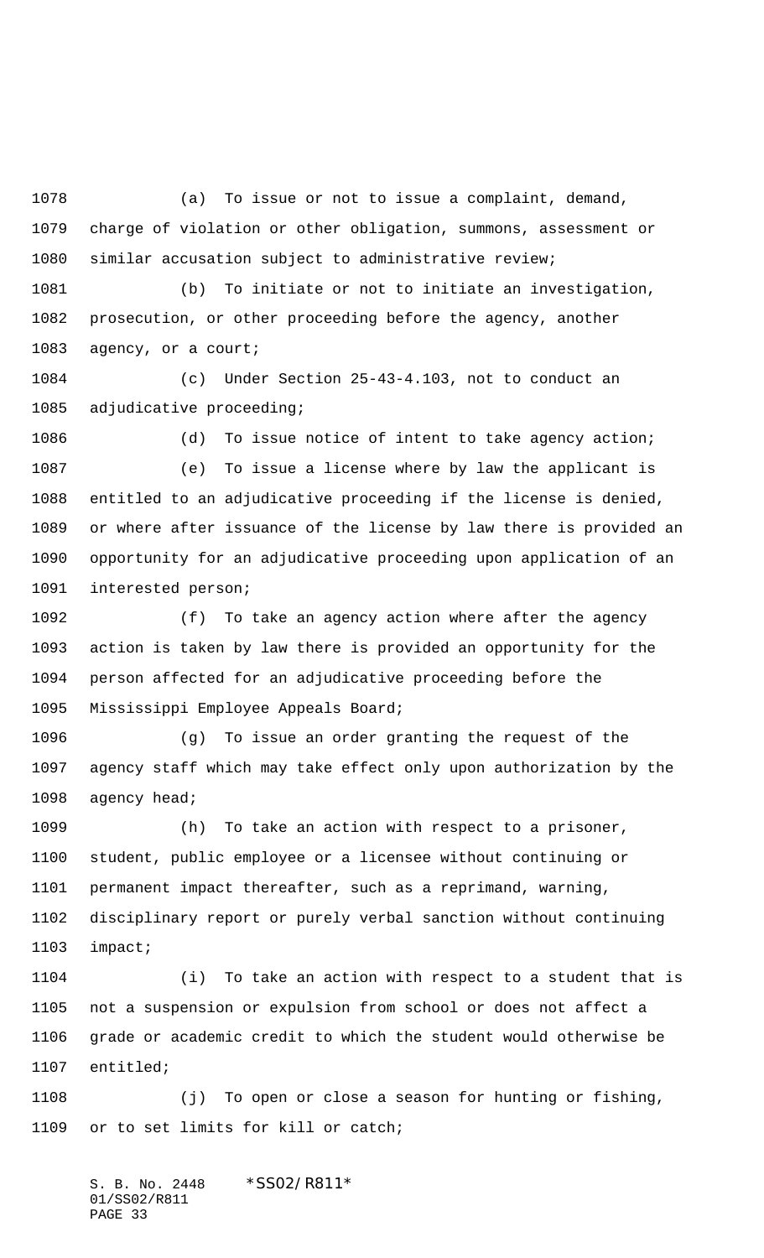(a) To issue or not to issue a complaint, demand, charge of violation or other obligation, summons, assessment or similar accusation subject to administrative review;

 (b) To initiate or not to initiate an investigation, prosecution, or other proceeding before the agency, another agency, or a court;

 (c) Under Section 25-43-4.103, not to conduct an adjudicative proceeding;

 (d) To issue notice of intent to take agency action; (e) To issue a license where by law the applicant is entitled to an adjudicative proceeding if the license is denied, or where after issuance of the license by law there is provided an opportunity for an adjudicative proceeding upon application of an interested person;

 (f) To take an agency action where after the agency action is taken by law there is provided an opportunity for the person affected for an adjudicative proceeding before the Mississippi Employee Appeals Board;

 (g) To issue an order granting the request of the agency staff which may take effect only upon authorization by the agency head;

 (h) To take an action with respect to a prisoner, student, public employee or a licensee without continuing or permanent impact thereafter, such as a reprimand, warning, disciplinary report or purely verbal sanction without continuing impact;

 (i) To take an action with respect to a student that is not a suspension or expulsion from school or does not affect a grade or academic credit to which the student would otherwise be entitled;

 (j) To open or close a season for hunting or fishing, or to set limits for kill or catch;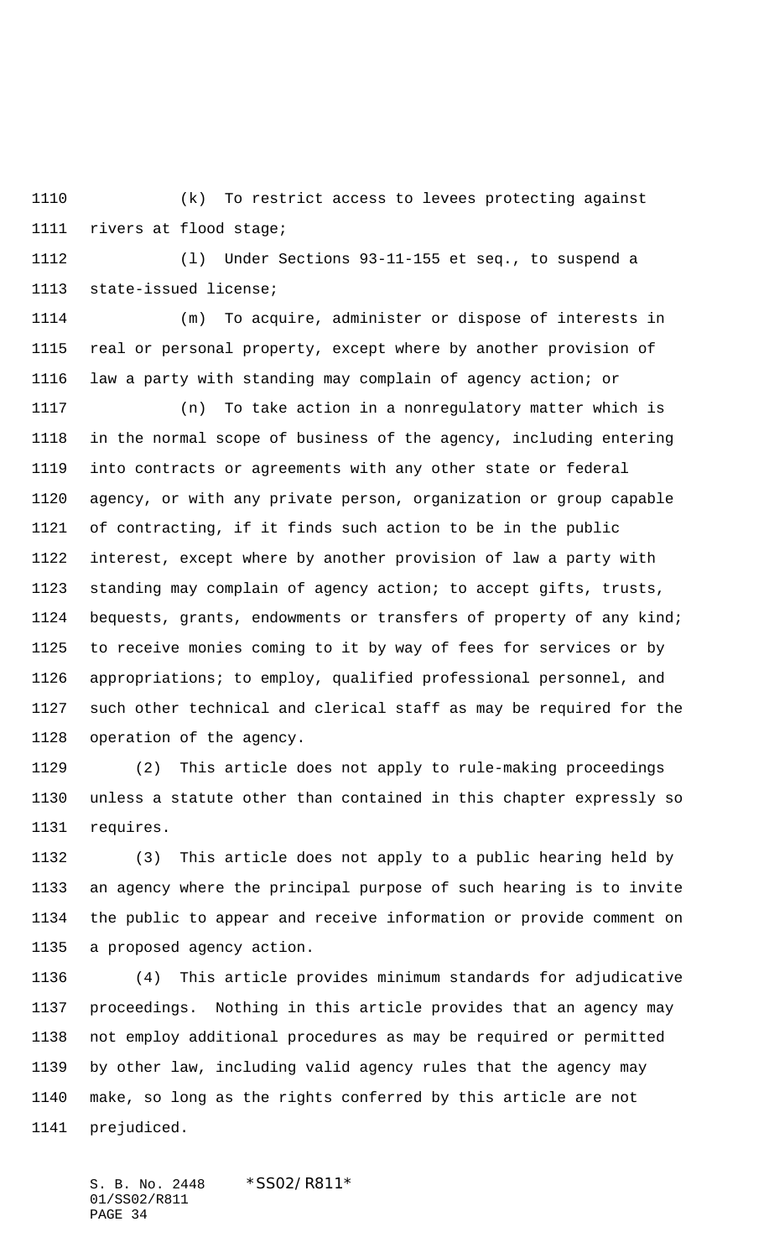(k) To restrict access to levees protecting against rivers at flood stage;

 (l) Under Sections 93-11-155 et seq., to suspend a state-issued license;

 (m) To acquire, administer or dispose of interests in real or personal property, except where by another provision of law a party with standing may complain of agency action; or

 (n) To take action in a nonregulatory matter which is in the normal scope of business of the agency, including entering into contracts or agreements with any other state or federal agency, or with any private person, organization or group capable of contracting, if it finds such action to be in the public interest, except where by another provision of law a party with standing may complain of agency action; to accept gifts, trusts, bequests, grants, endowments or transfers of property of any kind; to receive monies coming to it by way of fees for services or by appropriations; to employ, qualified professional personnel, and such other technical and clerical staff as may be required for the operation of the agency.

 (2) This article does not apply to rule-making proceedings unless a statute other than contained in this chapter expressly so requires.

 (3) This article does not apply to a public hearing held by an agency where the principal purpose of such hearing is to invite the public to appear and receive information or provide comment on a proposed agency action.

 (4) This article provides minimum standards for adjudicative proceedings. Nothing in this article provides that an agency may not employ additional procedures as may be required or permitted by other law, including valid agency rules that the agency may make, so long as the rights conferred by this article are not prejudiced.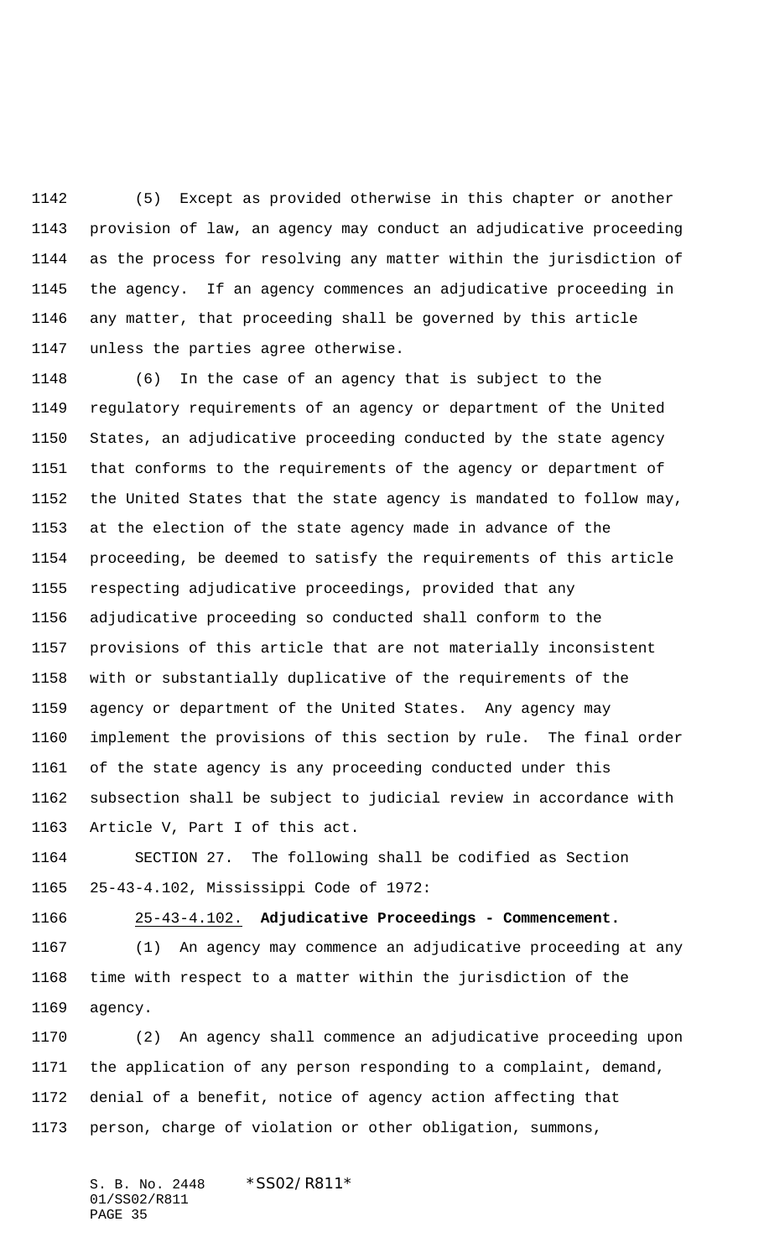(5) Except as provided otherwise in this chapter or another provision of law, an agency may conduct an adjudicative proceeding as the process for resolving any matter within the jurisdiction of the agency. If an agency commences an adjudicative proceeding in any matter, that proceeding shall be governed by this article unless the parties agree otherwise.

 (6) In the case of an agency that is subject to the regulatory requirements of an agency or department of the United States, an adjudicative proceeding conducted by the state agency that conforms to the requirements of the agency or department of the United States that the state agency is mandated to follow may, at the election of the state agency made in advance of the proceeding, be deemed to satisfy the requirements of this article respecting adjudicative proceedings, provided that any adjudicative proceeding so conducted shall conform to the provisions of this article that are not materially inconsistent with or substantially duplicative of the requirements of the agency or department of the United States. Any agency may implement the provisions of this section by rule. The final order of the state agency is any proceeding conducted under this subsection shall be subject to judicial review in accordance with Article V, Part I of this act.

 SECTION 27. The following shall be codified as Section 25-43-4.102, Mississippi Code of 1972:

25-43-4.102. **Adjudicative Proceedings - Commencement.**

 (1) An agency may commence an adjudicative proceeding at any time with respect to a matter within the jurisdiction of the agency.

 (2) An agency shall commence an adjudicative proceeding upon the application of any person responding to a complaint, demand, denial of a benefit, notice of agency action affecting that person, charge of violation or other obligation, summons,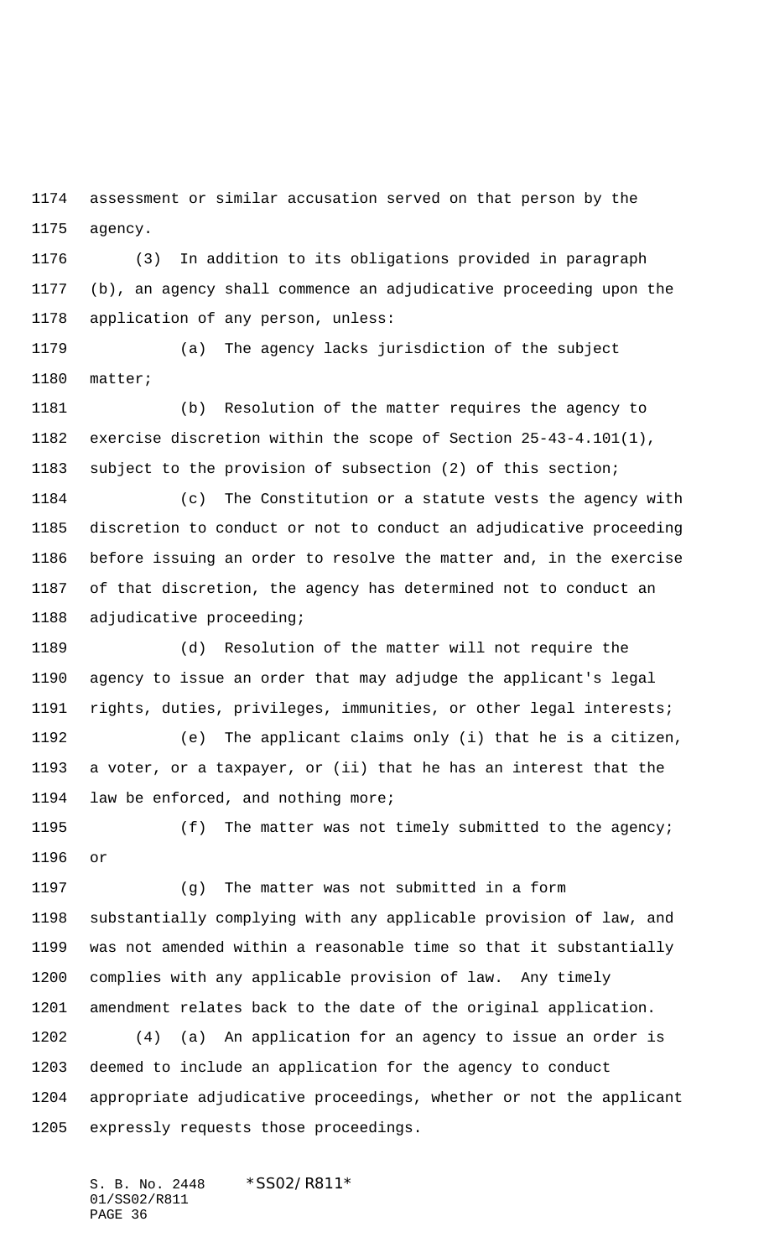assessment or similar accusation served on that person by the agency.

 (3) In addition to its obligations provided in paragraph (b), an agency shall commence an adjudicative proceeding upon the application of any person, unless:

 (a) The agency lacks jurisdiction of the subject matter;

 (b) Resolution of the matter requires the agency to exercise discretion within the scope of Section 25-43-4.101(1), subject to the provision of subsection (2) of this section;

 (c) The Constitution or a statute vests the agency with discretion to conduct or not to conduct an adjudicative proceeding before issuing an order to resolve the matter and, in the exercise of that discretion, the agency has determined not to conduct an adjudicative proceeding;

 (d) Resolution of the matter will not require the agency to issue an order that may adjudge the applicant's legal rights, duties, privileges, immunities, or other legal interests;

 (e) The applicant claims only (i) that he is a citizen, a voter, or a taxpayer, or (ii) that he has an interest that the law be enforced, and nothing more;

 (f) The matter was not timely submitted to the agency; or

 (g) The matter was not submitted in a form substantially complying with any applicable provision of law, and was not amended within a reasonable time so that it substantially complies with any applicable provision of law. Any timely amendment relates back to the date of the original application.

 (4) (a) An application for an agency to issue an order is deemed to include an application for the agency to conduct appropriate adjudicative proceedings, whether or not the applicant expressly requests those proceedings.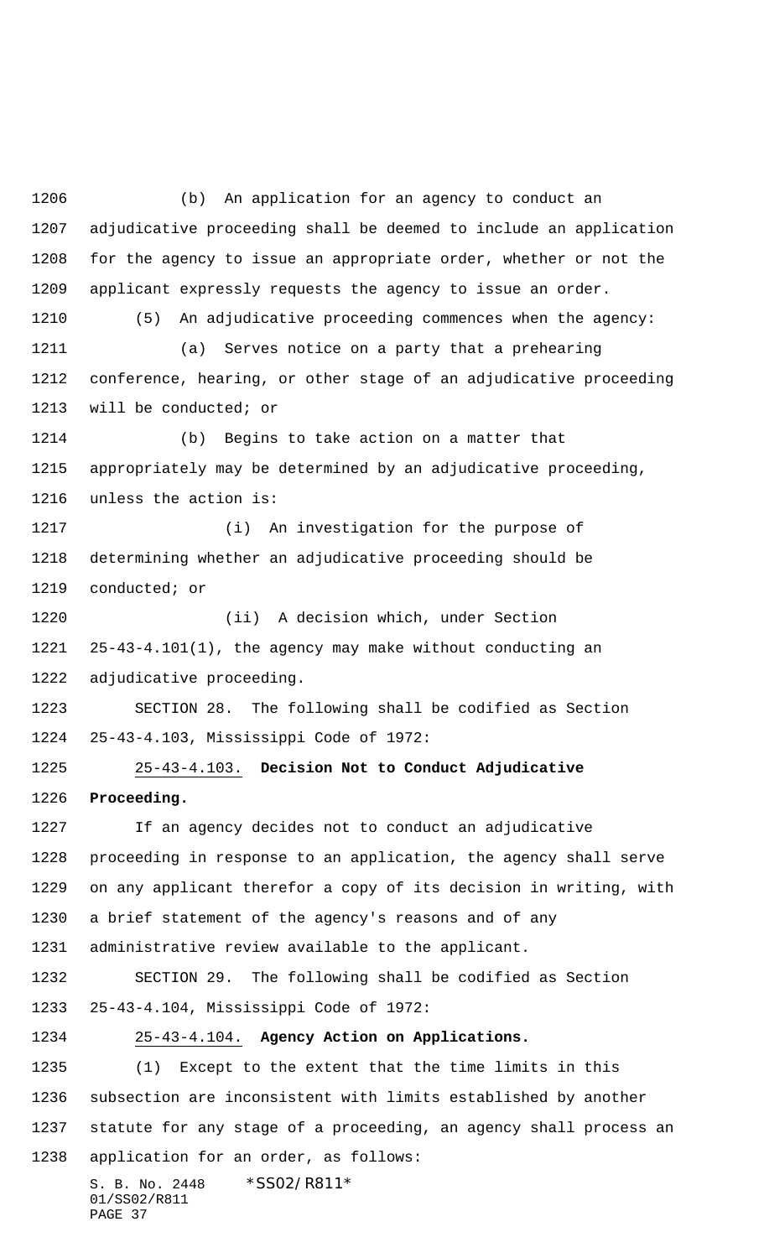S. B. No. 2448 \* SS02/R811\* 01/SS02/R811 PAGE 37 (b) An application for an agency to conduct an adjudicative proceeding shall be deemed to include an application for the agency to issue an appropriate order, whether or not the applicant expressly requests the agency to issue an order. (5) An adjudicative proceeding commences when the agency: (a) Serves notice on a party that a prehearing conference, hearing, or other stage of an adjudicative proceeding will be conducted; or (b) Begins to take action on a matter that appropriately may be determined by an adjudicative proceeding, unless the action is: (i) An investigation for the purpose of determining whether an adjudicative proceeding should be conducted; or (ii) A decision which, under Section 25-43-4.101(1), the agency may make without conducting an adjudicative proceeding. SECTION 28. The following shall be codified as Section 25-43-4.103, Mississippi Code of 1972: 25-43-4.103. **Decision Not to Conduct Adjudicative Proceeding.** If an agency decides not to conduct an adjudicative proceeding in response to an application, the agency shall serve on any applicant therefor a copy of its decision in writing, with a brief statement of the agency's reasons and of any administrative review available to the applicant. SECTION 29. The following shall be codified as Section 25-43-4.104, Mississippi Code of 1972: 25-43-4.104. **Agency Action on Applications.** (1) Except to the extent that the time limits in this subsection are inconsistent with limits established by another statute for any stage of a proceeding, an agency shall process an application for an order, as follows: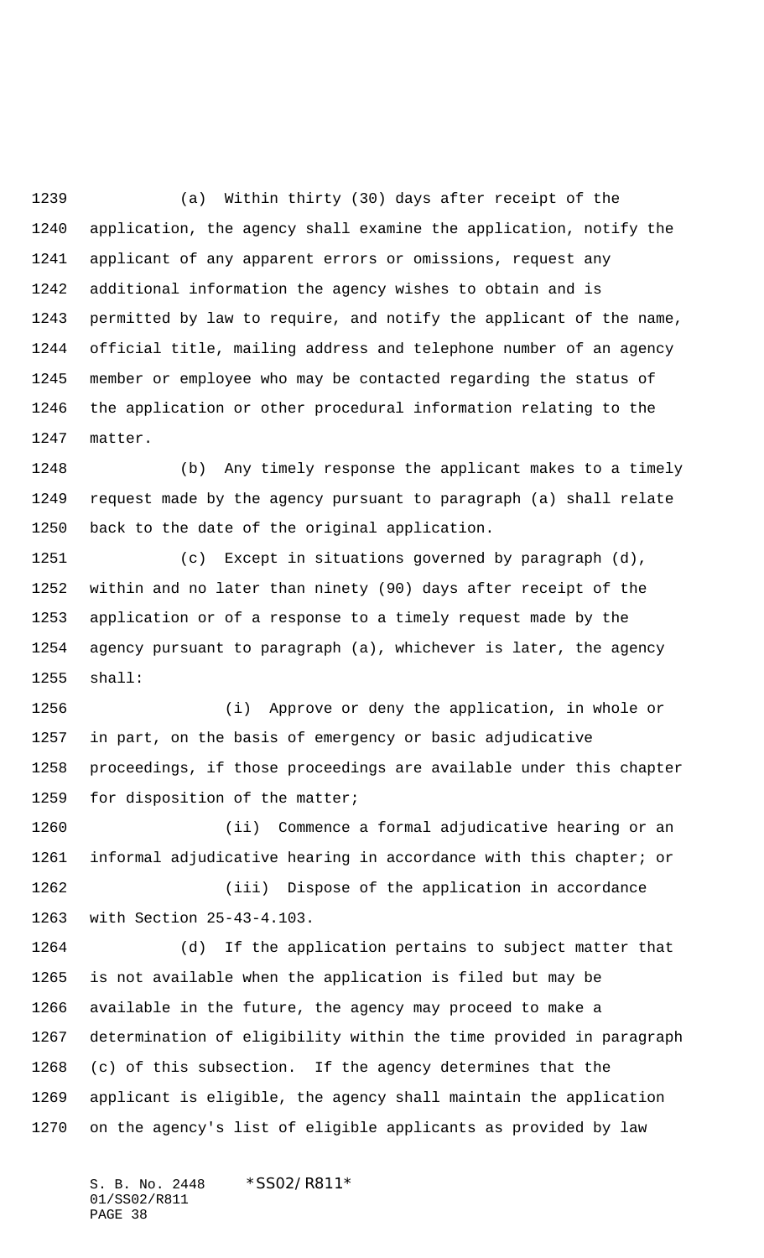(a) Within thirty (30) days after receipt of the application, the agency shall examine the application, notify the applicant of any apparent errors or omissions, request any additional information the agency wishes to obtain and is permitted by law to require, and notify the applicant of the name, official title, mailing address and telephone number of an agency member or employee who may be contacted regarding the status of the application or other procedural information relating to the matter.

 (b) Any timely response the applicant makes to a timely request made by the agency pursuant to paragraph (a) shall relate back to the date of the original application.

 (c) Except in situations governed by paragraph (d), within and no later than ninety (90) days after receipt of the application or of a response to a timely request made by the agency pursuant to paragraph (a), whichever is later, the agency shall:

 (i) Approve or deny the application, in whole or in part, on the basis of emergency or basic adjudicative proceedings, if those proceedings are available under this chapter for disposition of the matter;

 (ii) Commence a formal adjudicative hearing or an informal adjudicative hearing in accordance with this chapter; or (iii) Dispose of the application in accordance with Section 25-43-4.103.

 (d) If the application pertains to subject matter that is not available when the application is filed but may be available in the future, the agency may proceed to make a determination of eligibility within the time provided in paragraph (c) of this subsection. If the agency determines that the applicant is eligible, the agency shall maintain the application on the agency's list of eligible applicants as provided by law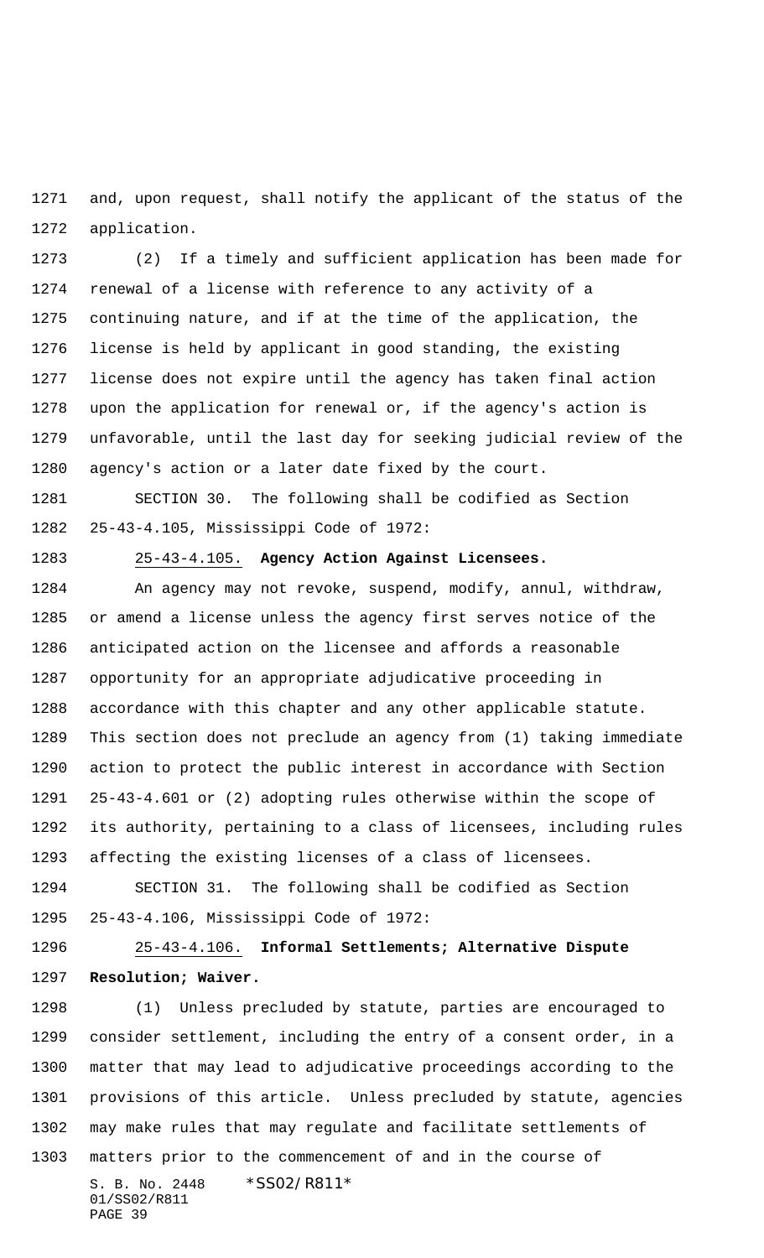and, upon request, shall notify the applicant of the status of the application.

 (2) If a timely and sufficient application has been made for renewal of a license with reference to any activity of a continuing nature, and if at the time of the application, the license is held by applicant in good standing, the existing license does not expire until the agency has taken final action upon the application for renewal or, if the agency's action is unfavorable, until the last day for seeking judicial review of the agency's action or a later date fixed by the court.

 SECTION 30. The following shall be codified as Section 25-43-4.105, Mississippi Code of 1972:

25-43-4.105. **Agency Action Against Licensees.**

 An agency may not revoke, suspend, modify, annul, withdraw, or amend a license unless the agency first serves notice of the anticipated action on the licensee and affords a reasonable opportunity for an appropriate adjudicative proceeding in accordance with this chapter and any other applicable statute. This section does not preclude an agency from (1) taking immediate action to protect the public interest in accordance with Section 25-43-4.601 or (2) adopting rules otherwise within the scope of its authority, pertaining to a class of licensees, including rules affecting the existing licenses of a class of licensees.

 SECTION 31. The following shall be codified as Section 25-43-4.106, Mississippi Code of 1972:

 25-43-4.106. **Informal Settlements; Alternative Dispute Resolution; Waiver.**

S. B. No. 2448 \* SS02/R811\* 01/SS02/R811 PAGE 39 (1) Unless precluded by statute, parties are encouraged to consider settlement, including the entry of a consent order, in a matter that may lead to adjudicative proceedings according to the provisions of this article. Unless precluded by statute, agencies may make rules that may regulate and facilitate settlements of matters prior to the commencement of and in the course of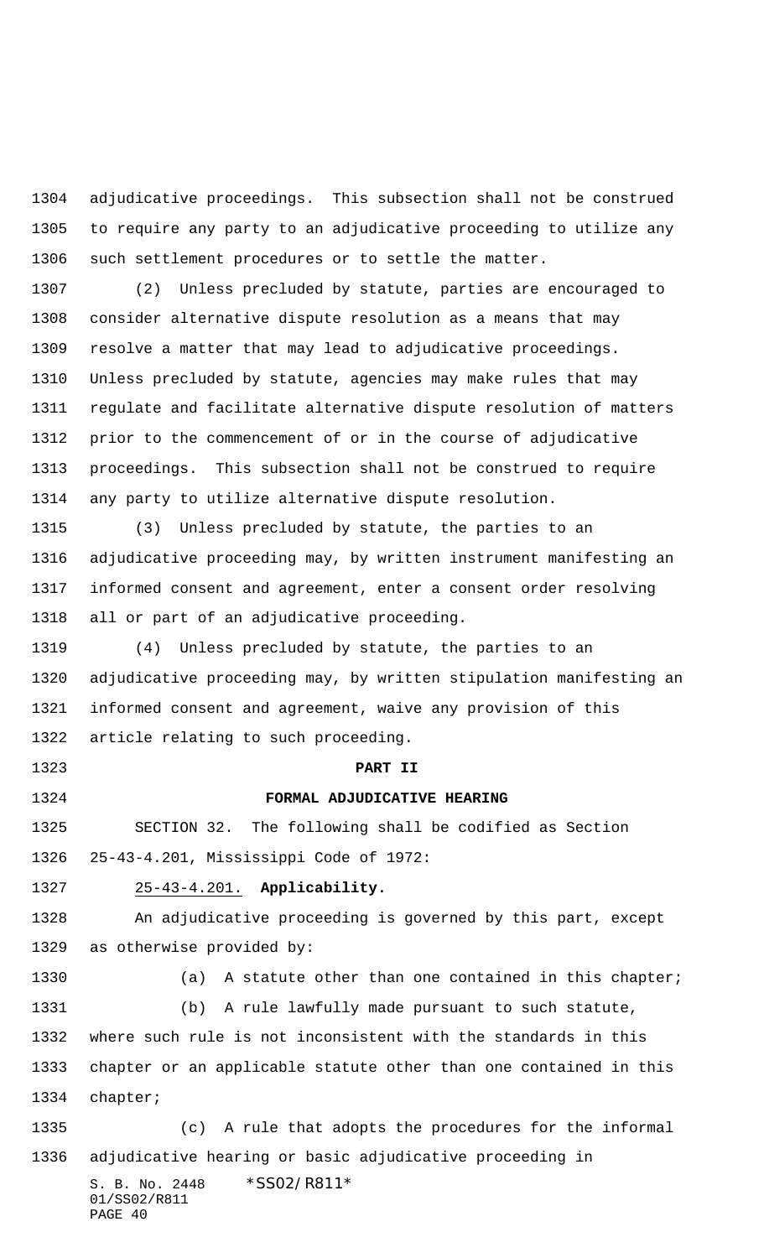adjudicative proceedings. This subsection shall not be construed to require any party to an adjudicative proceeding to utilize any such settlement procedures or to settle the matter.

 (2) Unless precluded by statute, parties are encouraged to consider alternative dispute resolution as a means that may resolve a matter that may lead to adjudicative proceedings. Unless precluded by statute, agencies may make rules that may regulate and facilitate alternative dispute resolution of matters prior to the commencement of or in the course of adjudicative proceedings. This subsection shall not be construed to require any party to utilize alternative dispute resolution.

 (3) Unless precluded by statute, the parties to an adjudicative proceeding may, by written instrument manifesting an informed consent and agreement, enter a consent order resolving all or part of an adjudicative proceeding.

 (4) Unless precluded by statute, the parties to an adjudicative proceeding may, by written stipulation manifesting an informed consent and agreement, waive any provision of this article relating to such proceeding.

**PART II**

**FORMAL ADJUDICATIVE HEARING**

 SECTION 32. The following shall be codified as Section 25-43-4.201, Mississippi Code of 1972:

### 25-43-4.201. **Applicability.**

 An adjudicative proceeding is governed by this part, except as otherwise provided by:

 (a) A statute other than one contained in this chapter; (b) A rule lawfully made pursuant to such statute, where such rule is not inconsistent with the standards in this chapter or an applicable statute other than one contained in this chapter;

 (c) A rule that adopts the procedures for the informal adjudicative hearing or basic adjudicative proceeding in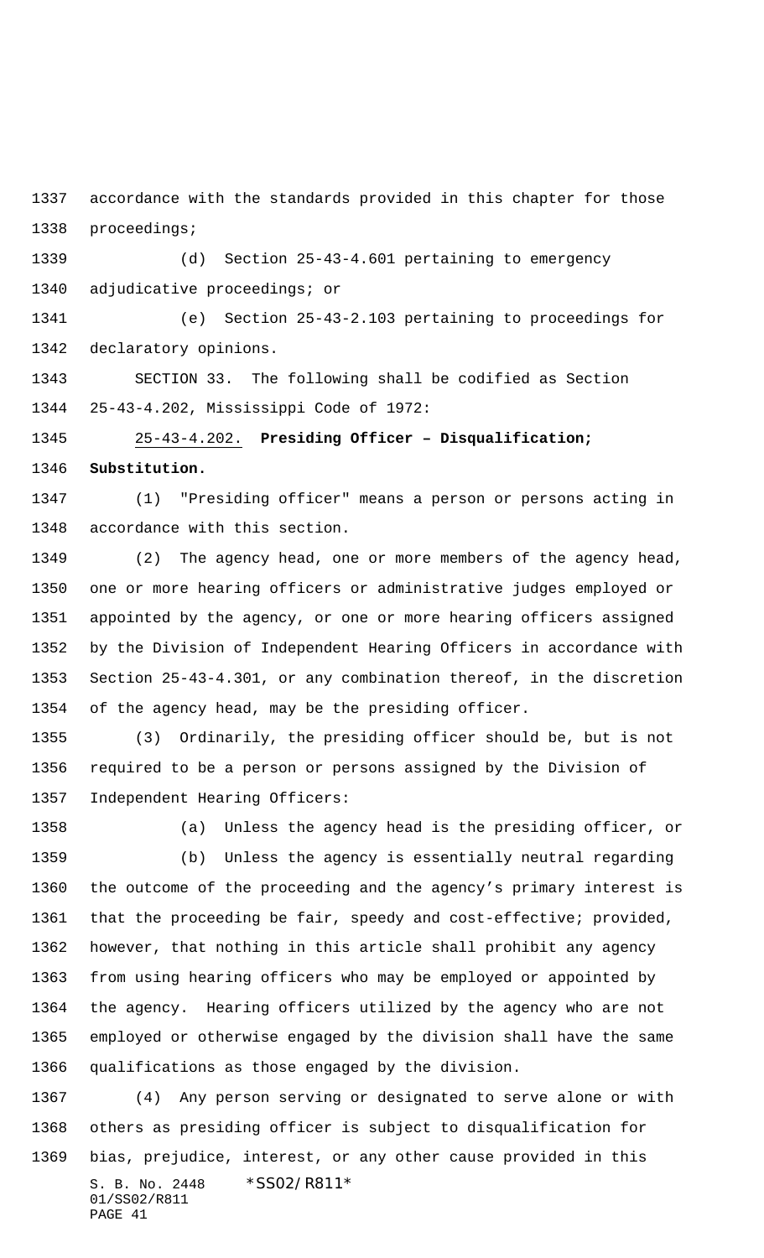accordance with the standards provided in this chapter for those proceedings;

 (d) Section 25-43-4.601 pertaining to emergency adjudicative proceedings; or

 (e) Section 25-43-2.103 pertaining to proceedings for declaratory opinions.

 SECTION 33. The following shall be codified as Section 25-43-4.202, Mississippi Code of 1972:

25-43-4.202. **Presiding Officer – Disqualification;**

**Substitution.**

 (1) "Presiding officer" means a person or persons acting in accordance with this section.

 (2) The agency head, one or more members of the agency head, one or more hearing officers or administrative judges employed or appointed by the agency, or one or more hearing officers assigned by the Division of Independent Hearing Officers in accordance with Section 25-43-4.301, or any combination thereof, in the discretion of the agency head, may be the presiding officer.

 (3) Ordinarily, the presiding officer should be, but is not required to be a person or persons assigned by the Division of Independent Hearing Officers:

(a) Unless the agency head is the presiding officer, or

 (b) Unless the agency is essentially neutral regarding the outcome of the proceeding and the agency's primary interest is that the proceeding be fair, speedy and cost-effective; provided, however, that nothing in this article shall prohibit any agency from using hearing officers who may be employed or appointed by the agency. Hearing officers utilized by the agency who are not employed or otherwise engaged by the division shall have the same qualifications as those engaged by the division.

S. B. No. 2448 \* SS02/R811\* 01/SS02/R811 PAGE 41 (4) Any person serving or designated to serve alone or with others as presiding officer is subject to disqualification for bias, prejudice, interest, or any other cause provided in this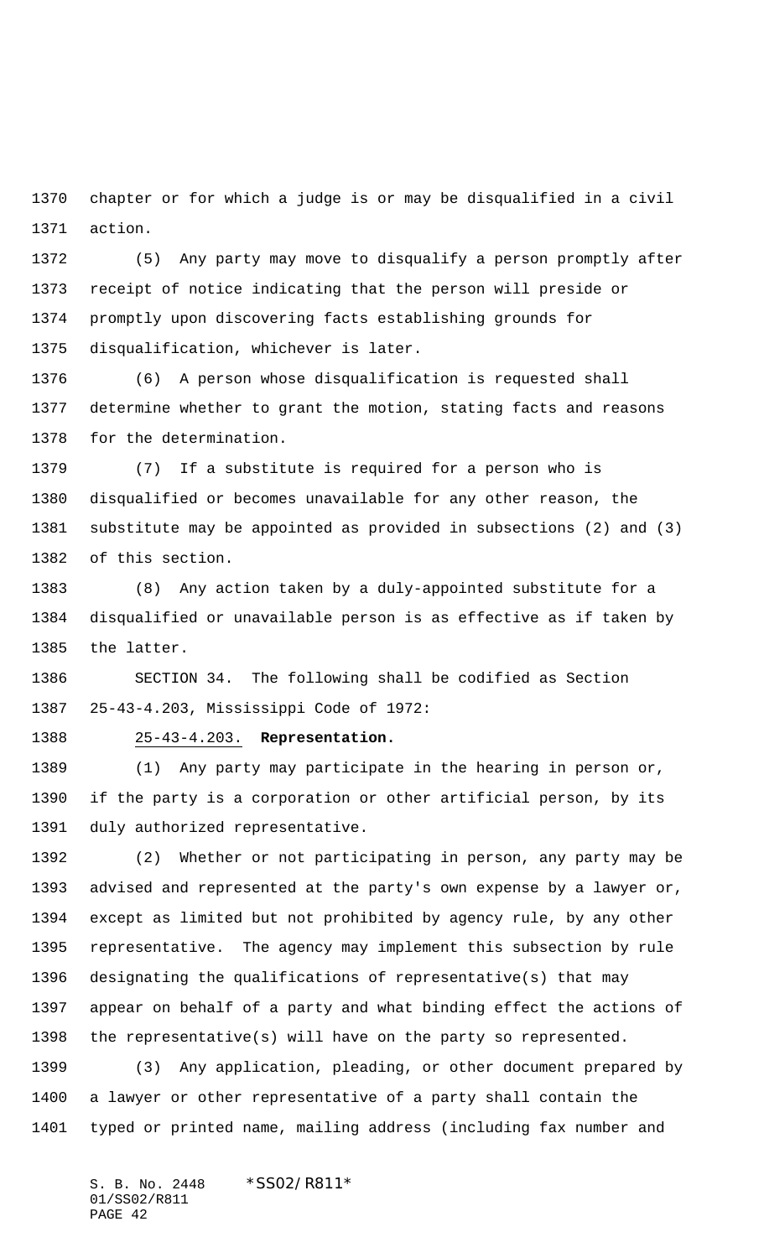chapter or for which a judge is or may be disqualified in a civil action.

 (5) Any party may move to disqualify a person promptly after receipt of notice indicating that the person will preside or promptly upon discovering facts establishing grounds for disqualification, whichever is later.

 (6) A person whose disqualification is requested shall determine whether to grant the motion, stating facts and reasons for the determination.

 (7) If a substitute is required for a person who is disqualified or becomes unavailable for any other reason, the substitute may be appointed as provided in subsections (2) and (3) of this section.

 (8) Any action taken by a duly-appointed substitute for a disqualified or unavailable person is as effective as if taken by the latter.

 SECTION 34. The following shall be codified as Section 25-43-4.203, Mississippi Code of 1972:

## 25-43-4.203. **Representation.**

 (1) Any party may participate in the hearing in person or, if the party is a corporation or other artificial person, by its duly authorized representative.

 (2) Whether or not participating in person, any party may be advised and represented at the party's own expense by a lawyer or, except as limited but not prohibited by agency rule, by any other representative. The agency may implement this subsection by rule designating the qualifications of representative(s) that may appear on behalf of a party and what binding effect the actions of the representative(s) will have on the party so represented.

 (3) Any application, pleading, or other document prepared by a lawyer or other representative of a party shall contain the typed or printed name, mailing address (including fax number and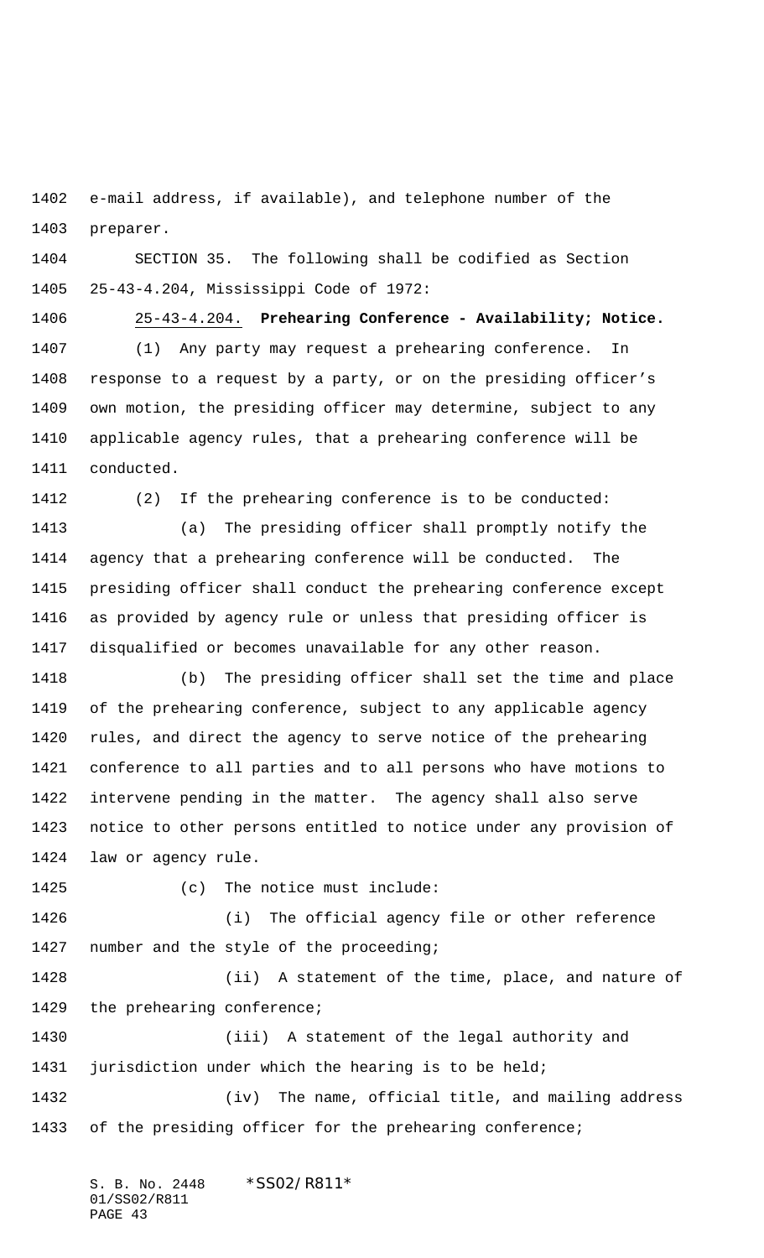e-mail address, if available), and telephone number of the preparer.

 SECTION 35. The following shall be codified as Section 25-43-4.204, Mississippi Code of 1972:

 25-43-4.204. **Prehearing Conference - Availability; Notice.** (1) Any party may request a prehearing conference. In response to a request by a party, or on the presiding officer's own motion, the presiding officer may determine, subject to any applicable agency rules, that a prehearing conference will be conducted.

(2) If the prehearing conference is to be conducted:

 (a) The presiding officer shall promptly notify the agency that a prehearing conference will be conducted. The presiding officer shall conduct the prehearing conference except as provided by agency rule or unless that presiding officer is disqualified or becomes unavailable for any other reason.

 (b) The presiding officer shall set the time and place of the prehearing conference, subject to any applicable agency rules, and direct the agency to serve notice of the prehearing conference to all parties and to all persons who have motions to intervene pending in the matter. The agency shall also serve notice to other persons entitled to notice under any provision of law or agency rule.

(c) The notice must include:

 (i) The official agency file or other reference number and the style of the proceeding;

 (ii) A statement of the time, place, and nature of 1429 the prehearing conference;

 (iii) A statement of the legal authority and jurisdiction under which the hearing is to be held;

 (iv) The name, official title, and mailing address 1433 of the presiding officer for the prehearing conference;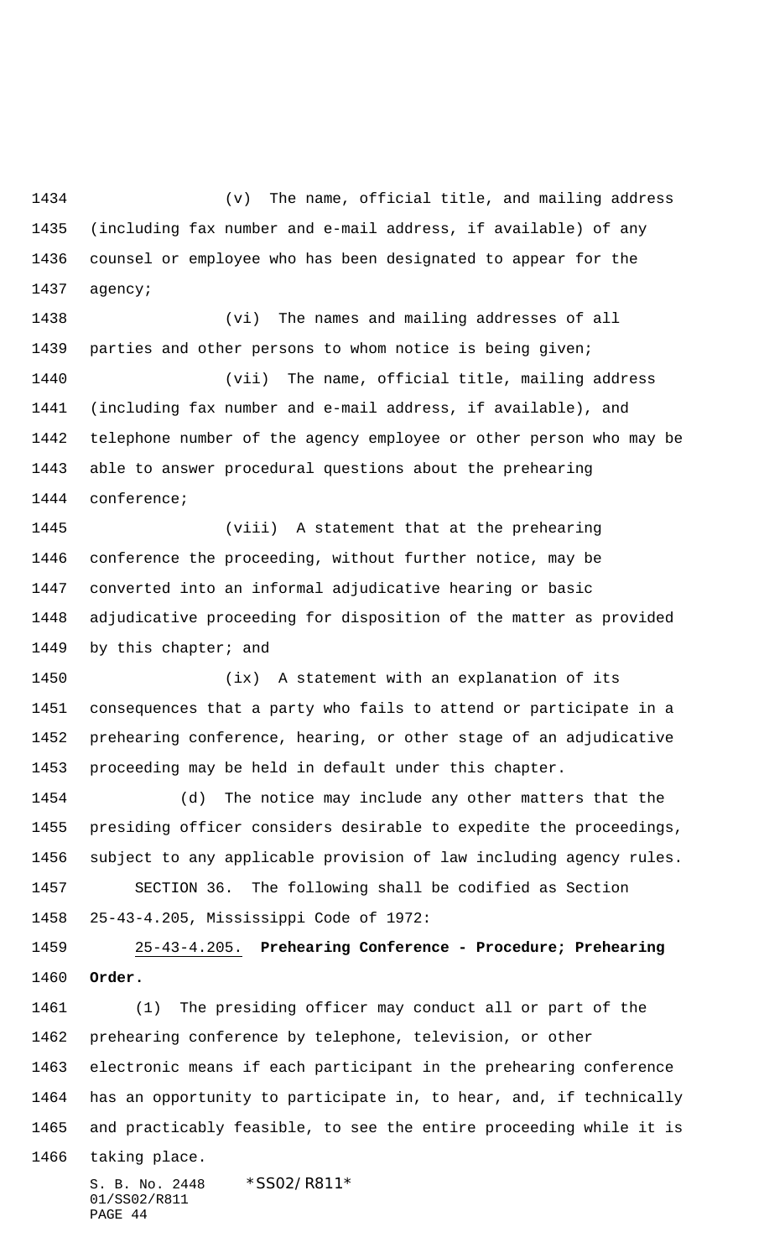(v) The name, official title, and mailing address (including fax number and e-mail address, if available) of any counsel or employee who has been designated to appear for the agency;

 (vi) The names and mailing addresses of all parties and other persons to whom notice is being given; (vii) The name, official title, mailing address (including fax number and e-mail address, if available), and telephone number of the agency employee or other person who may be able to answer procedural questions about the prehearing conference;

 (viii) A statement that at the prehearing conference the proceeding, without further notice, may be converted into an informal adjudicative hearing or basic adjudicative proceeding for disposition of the matter as provided 1449 by this chapter; and

 (ix) A statement with an explanation of its consequences that a party who fails to attend or participate in a prehearing conference, hearing, or other stage of an adjudicative proceeding may be held in default under this chapter.

 (d) The notice may include any other matters that the presiding officer considers desirable to expedite the proceedings, subject to any applicable provision of law including agency rules. SECTION 36. The following shall be codified as Section

25-43-4.205, Mississippi Code of 1972:

 25-43-4.205. **Prehearing Conference - Procedure; Prehearing Order.**

 (1) The presiding officer may conduct all or part of the prehearing conference by telephone, television, or other electronic means if each participant in the prehearing conference has an opportunity to participate in, to hear, and, if technically and practicably feasible, to see the entire proceeding while it is taking place.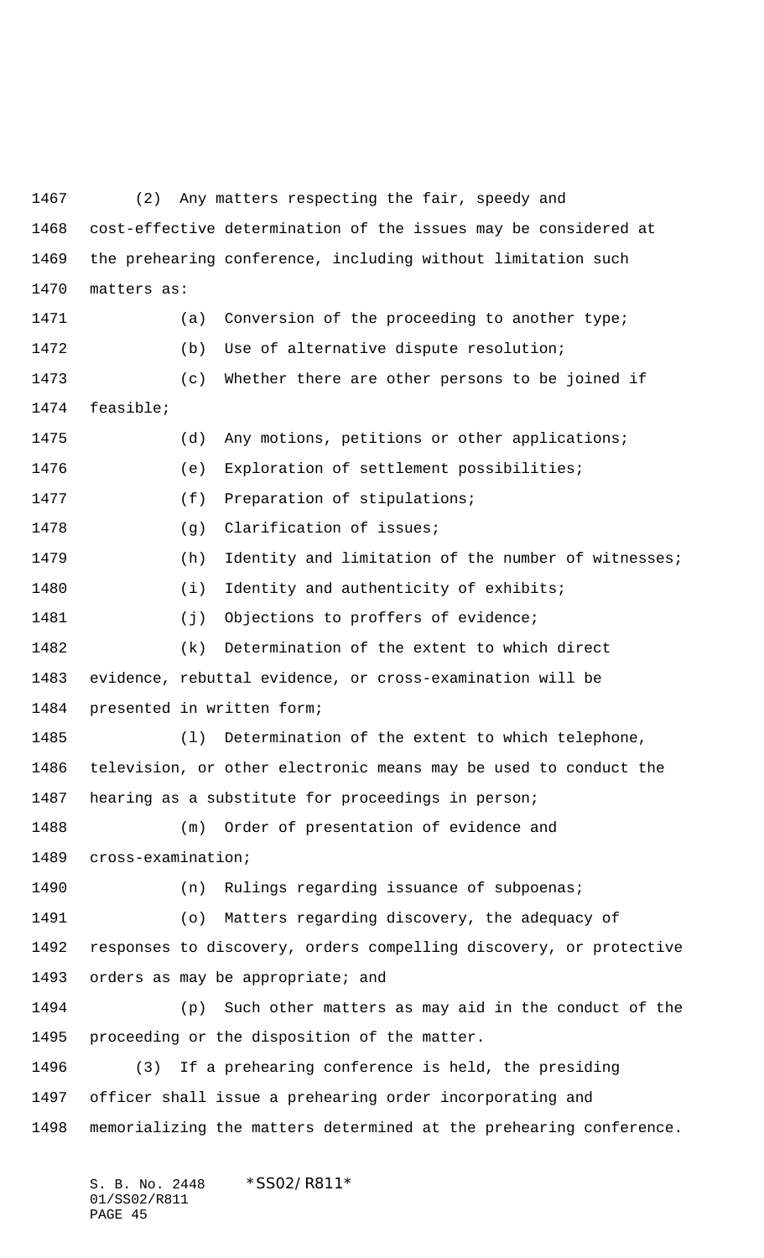(2) Any matters respecting the fair, speedy and cost-effective determination of the issues may be considered at the prehearing conference, including without limitation such matters as: 1471 (a) Conversion of the proceeding to another type; (b) Use of alternative dispute resolution; (c) Whether there are other persons to be joined if feasible; (d) Any motions, petitions or other applications; (e) Exploration of settlement possibilities; 1477 (f) Preparation of stipulations; 1478 (g) Clarification of issues; 1479 (h) Identity and limitation of the number of witnesses; 1480 (i) Identity and authenticity of exhibits; 1481 (j) Objections to proffers of evidence; (k) Determination of the extent to which direct evidence, rebuttal evidence, or cross-examination will be presented in written form; (l) Determination of the extent to which telephone, television, or other electronic means may be used to conduct the hearing as a substitute for proceedings in person; (m) Order of presentation of evidence and cross-examination; (n) Rulings regarding issuance of subpoenas; (o) Matters regarding discovery, the adequacy of responses to discovery, orders compelling discovery, or protective orders as may be appropriate; and (p) Such other matters as may aid in the conduct of the proceeding or the disposition of the matter. (3) If a prehearing conference is held, the presiding officer shall issue a prehearing order incorporating and memorializing the matters determined at the prehearing conference.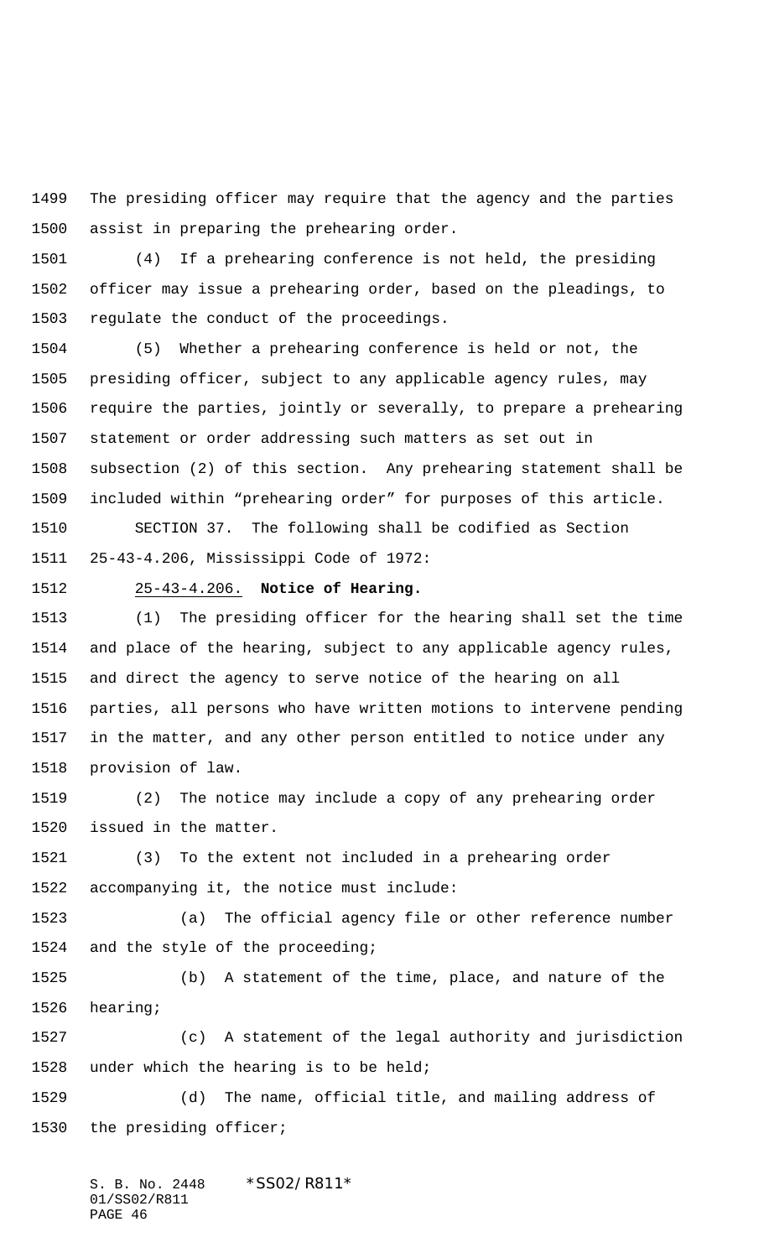The presiding officer may require that the agency and the parties assist in preparing the prehearing order.

 (4) If a prehearing conference is not held, the presiding officer may issue a prehearing order, based on the pleadings, to regulate the conduct of the proceedings.

 (5) Whether a prehearing conference is held or not, the presiding officer, subject to any applicable agency rules, may require the parties, jointly or severally, to prepare a prehearing statement or order addressing such matters as set out in subsection (2) of this section. Any prehearing statement shall be included within "prehearing order" for purposes of this article.

 SECTION 37. The following shall be codified as Section 25-43-4.206, Mississippi Code of 1972:

## 25-43-4.206. **Notice of Hearing.**

 (1) The presiding officer for the hearing shall set the time and place of the hearing, subject to any applicable agency rules, and direct the agency to serve notice of the hearing on all parties, all persons who have written motions to intervene pending in the matter, and any other person entitled to notice under any provision of law.

 (2) The notice may include a copy of any prehearing order issued in the matter.

 (3) To the extent not included in a prehearing order accompanying it, the notice must include:

 (a) The official agency file or other reference number and the style of the proceeding;

 (b) A statement of the time, place, and nature of the hearing;

 (c) A statement of the legal authority and jurisdiction under which the hearing is to be held;

 (d) The name, official title, and mailing address of the presiding officer;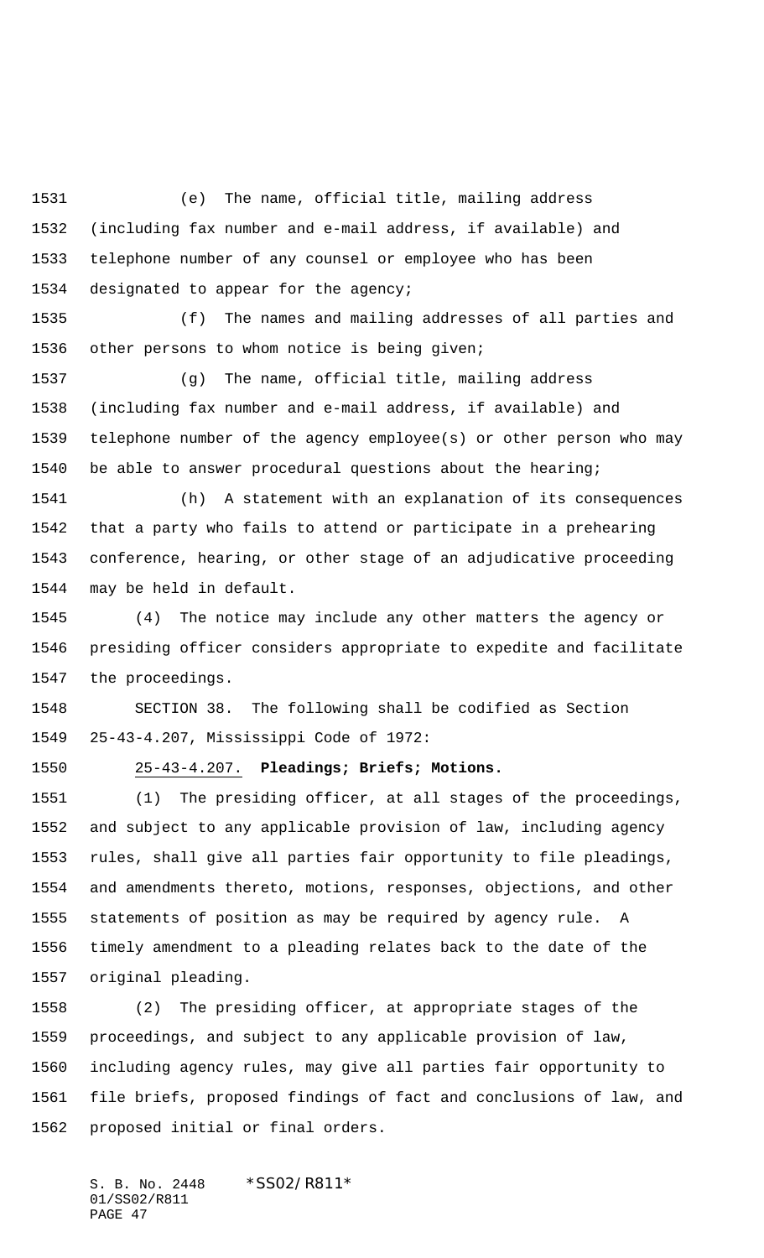(e) The name, official title, mailing address (including fax number and e-mail address, if available) and telephone number of any counsel or employee who has been designated to appear for the agency;

 (f) The names and mailing addresses of all parties and other persons to whom notice is being given;

 (g) The name, official title, mailing address (including fax number and e-mail address, if available) and telephone number of the agency employee(s) or other person who may be able to answer procedural questions about the hearing;

 (h) A statement with an explanation of its consequences that a party who fails to attend or participate in a prehearing conference, hearing, or other stage of an adjudicative proceeding may be held in default.

 (4) The notice may include any other matters the agency or presiding officer considers appropriate to expedite and facilitate the proceedings.

 SECTION 38. The following shall be codified as Section 25-43-4.207, Mississippi Code of 1972:

25-43-4.207. **Pleadings; Briefs; Motions.**

 (1) The presiding officer, at all stages of the proceedings, and subject to any applicable provision of law, including agency rules, shall give all parties fair opportunity to file pleadings, and amendments thereto, motions, responses, objections, and other statements of position as may be required by agency rule. A timely amendment to a pleading relates back to the date of the original pleading.

 (2) The presiding officer, at appropriate stages of the proceedings, and subject to any applicable provision of law, including agency rules, may give all parties fair opportunity to file briefs, proposed findings of fact and conclusions of law, and proposed initial or final orders.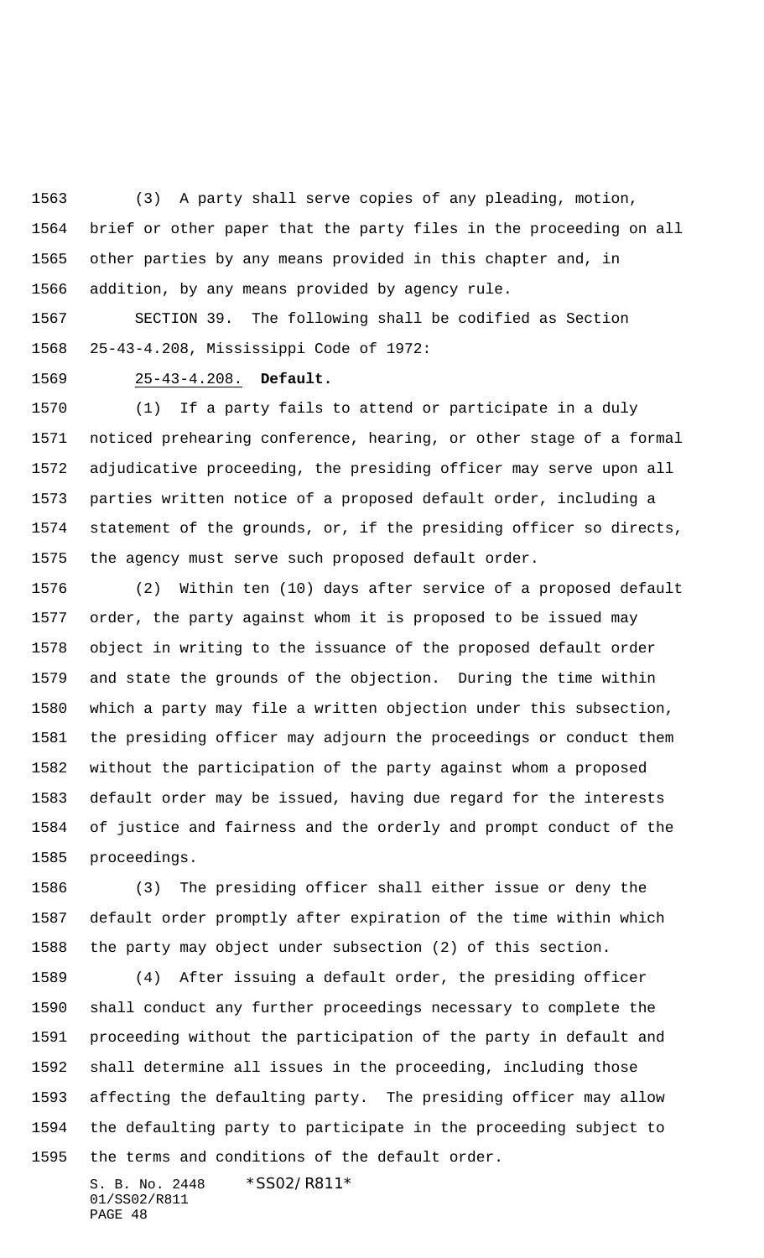(3) A party shall serve copies of any pleading, motion, brief or other paper that the party files in the proceeding on all other parties by any means provided in this chapter and, in addition, by any means provided by agency rule.

 SECTION 39. The following shall be codified as Section 25-43-4.208, Mississippi Code of 1972:

25-43-4.208. **Default.**

 (1) If a party fails to attend or participate in a duly noticed prehearing conference, hearing, or other stage of a formal adjudicative proceeding, the presiding officer may serve upon all parties written notice of a proposed default order, including a statement of the grounds, or, if the presiding officer so directs, the agency must serve such proposed default order.

 (2) Within ten (10) days after service of a proposed default order, the party against whom it is proposed to be issued may object in writing to the issuance of the proposed default order and state the grounds of the objection. During the time within which a party may file a written objection under this subsection, the presiding officer may adjourn the proceedings or conduct them without the participation of the party against whom a proposed default order may be issued, having due regard for the interests of justice and fairness and the orderly and prompt conduct of the proceedings.

 (3) The presiding officer shall either issue or deny the default order promptly after expiration of the time within which the party may object under subsection (2) of this section.

 (4) After issuing a default order, the presiding officer shall conduct any further proceedings necessary to complete the proceeding without the participation of the party in default and shall determine all issues in the proceeding, including those affecting the defaulting party. The presiding officer may allow the defaulting party to participate in the proceeding subject to the terms and conditions of the default order.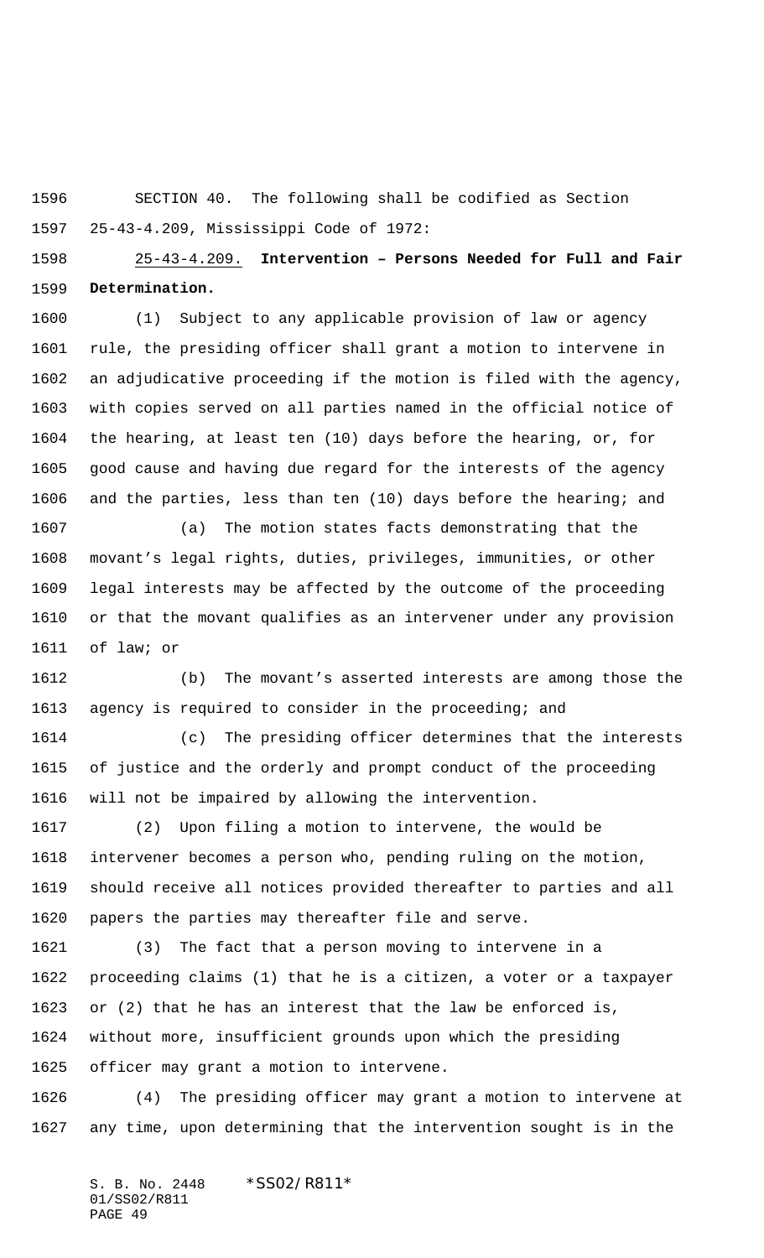SECTION 40. The following shall be codified as Section 25-43-4.209, Mississippi Code of 1972:

 25-43-4.209. **Intervention – Persons Needed for Full and Fair Determination.**

 (1) Subject to any applicable provision of law or agency rule, the presiding officer shall grant a motion to intervene in an adjudicative proceeding if the motion is filed with the agency, with copies served on all parties named in the official notice of the hearing, at least ten (10) days before the hearing, or, for good cause and having due regard for the interests of the agency and the parties, less than ten (10) days before the hearing; and

 (a) The motion states facts demonstrating that the movant's legal rights, duties, privileges, immunities, or other legal interests may be affected by the outcome of the proceeding or that the movant qualifies as an intervener under any provision of law; or

 (b) The movant's asserted interests are among those the agency is required to consider in the proceeding; and

 (c) The presiding officer determines that the interests of justice and the orderly and prompt conduct of the proceeding will not be impaired by allowing the intervention.

 (2) Upon filing a motion to intervene, the would be intervener becomes a person who, pending ruling on the motion, should receive all notices provided thereafter to parties and all papers the parties may thereafter file and serve.

 (3) The fact that a person moving to intervene in a proceeding claims (1) that he is a citizen, a voter or a taxpayer or (2) that he has an interest that the law be enforced is, without more, insufficient grounds upon which the presiding officer may grant a motion to intervene.

 (4) The presiding officer may grant a motion to intervene at any time, upon determining that the intervention sought is in the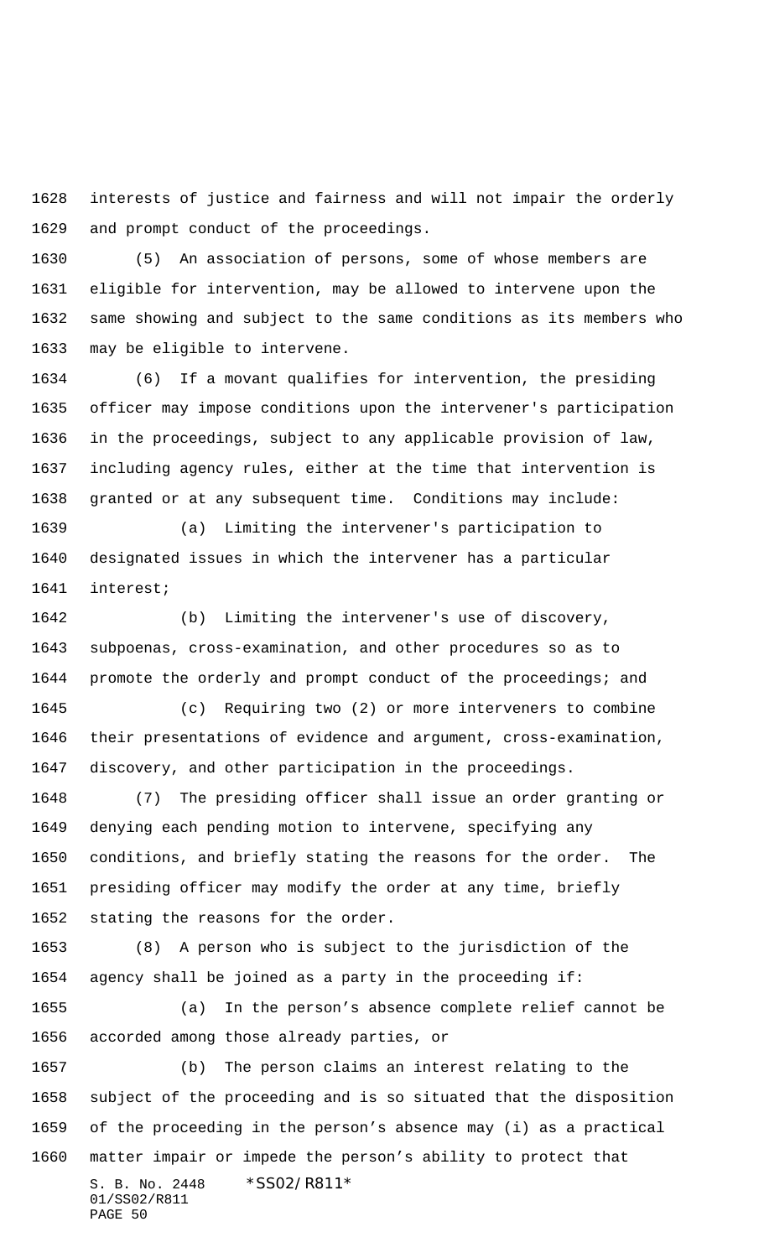interests of justice and fairness and will not impair the orderly and prompt conduct of the proceedings.

 (5) An association of persons, some of whose members are eligible for intervention, may be allowed to intervene upon the same showing and subject to the same conditions as its members who may be eligible to intervene.

 (6) If a movant qualifies for intervention, the presiding officer may impose conditions upon the intervener's participation in the proceedings, subject to any applicable provision of law, including agency rules, either at the time that intervention is granted or at any subsequent time. Conditions may include:

 (a) Limiting the intervener's participation to designated issues in which the intervener has a particular interest;

 (b) Limiting the intervener's use of discovery, subpoenas, cross-examination, and other procedures so as to promote the orderly and prompt conduct of the proceedings; and

 (c) Requiring two (2) or more interveners to combine their presentations of evidence and argument, cross-examination, discovery, and other participation in the proceedings.

 (7) The presiding officer shall issue an order granting or denying each pending motion to intervene, specifying any conditions, and briefly stating the reasons for the order. The presiding officer may modify the order at any time, briefly stating the reasons for the order.

 (8) A person who is subject to the jurisdiction of the agency shall be joined as a party in the proceeding if:

 (a) In the person's absence complete relief cannot be accorded among those already parties, or

S. B. No. 2448 \* SS02/R811\* 01/SS02/R811 PAGE 50 (b) The person claims an interest relating to the subject of the proceeding and is so situated that the disposition of the proceeding in the person's absence may (i) as a practical matter impair or impede the person's ability to protect that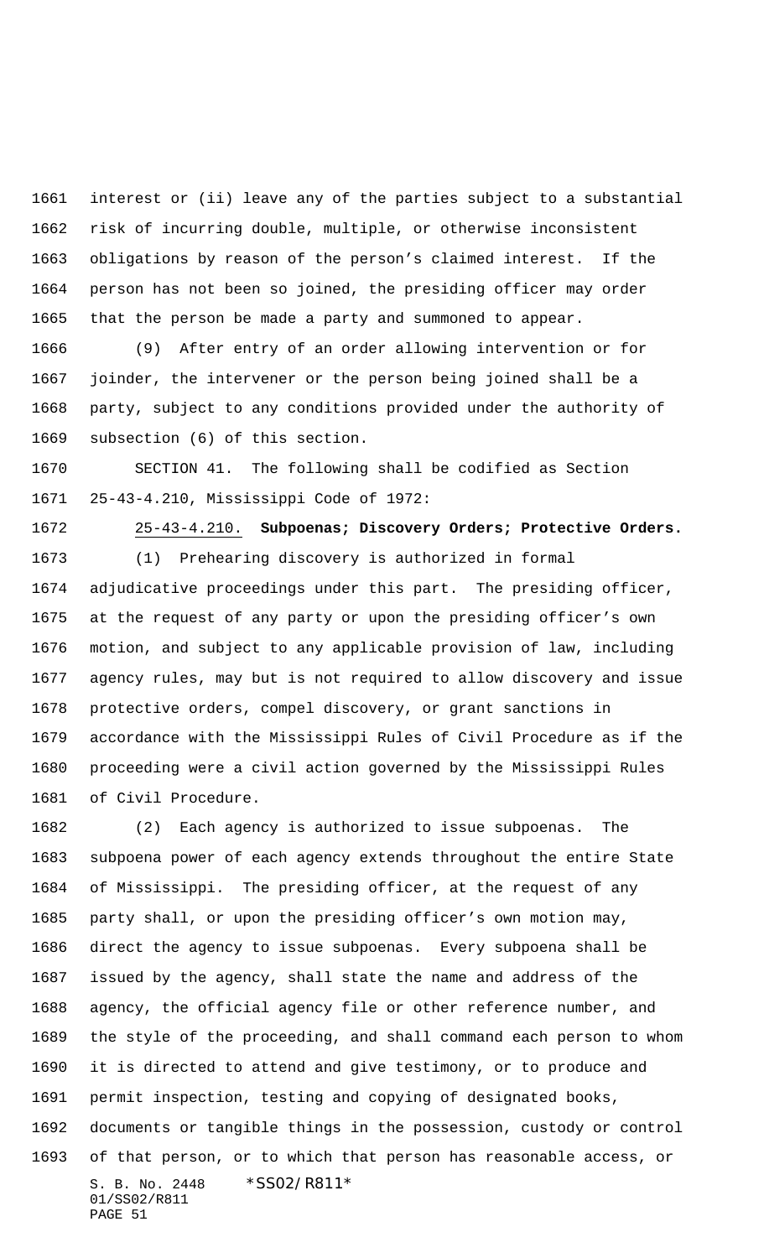interest or (ii) leave any of the parties subject to a substantial risk of incurring double, multiple, or otherwise inconsistent obligations by reason of the person's claimed interest. If the person has not been so joined, the presiding officer may order that the person be made a party and summoned to appear.

 (9) After entry of an order allowing intervention or for joinder, the intervener or the person being joined shall be a party, subject to any conditions provided under the authority of subsection (6) of this section.

 SECTION 41. The following shall be codified as Section 25-43-4.210, Mississippi Code of 1972:

 25-43-4.210. **Subpoenas; Discovery Orders; Protective Orders.** (1) Prehearing discovery is authorized in formal adjudicative proceedings under this part. The presiding officer, at the request of any party or upon the presiding officer's own motion, and subject to any applicable provision of law, including agency rules, may but is not required to allow discovery and issue protective orders, compel discovery, or grant sanctions in accordance with the Mississippi Rules of Civil Procedure as if the proceeding were a civil action governed by the Mississippi Rules of Civil Procedure.

S. B. No. 2448 \* SS02/R811\* 01/SS02/R811 PAGE 51 (2) Each agency is authorized to issue subpoenas. The subpoena power of each agency extends throughout the entire State of Mississippi. The presiding officer, at the request of any party shall, or upon the presiding officer's own motion may, direct the agency to issue subpoenas. Every subpoena shall be issued by the agency, shall state the name and address of the agency, the official agency file or other reference number, and the style of the proceeding, and shall command each person to whom it is directed to attend and give testimony, or to produce and permit inspection, testing and copying of designated books, documents or tangible things in the possession, custody or control of that person, or to which that person has reasonable access, or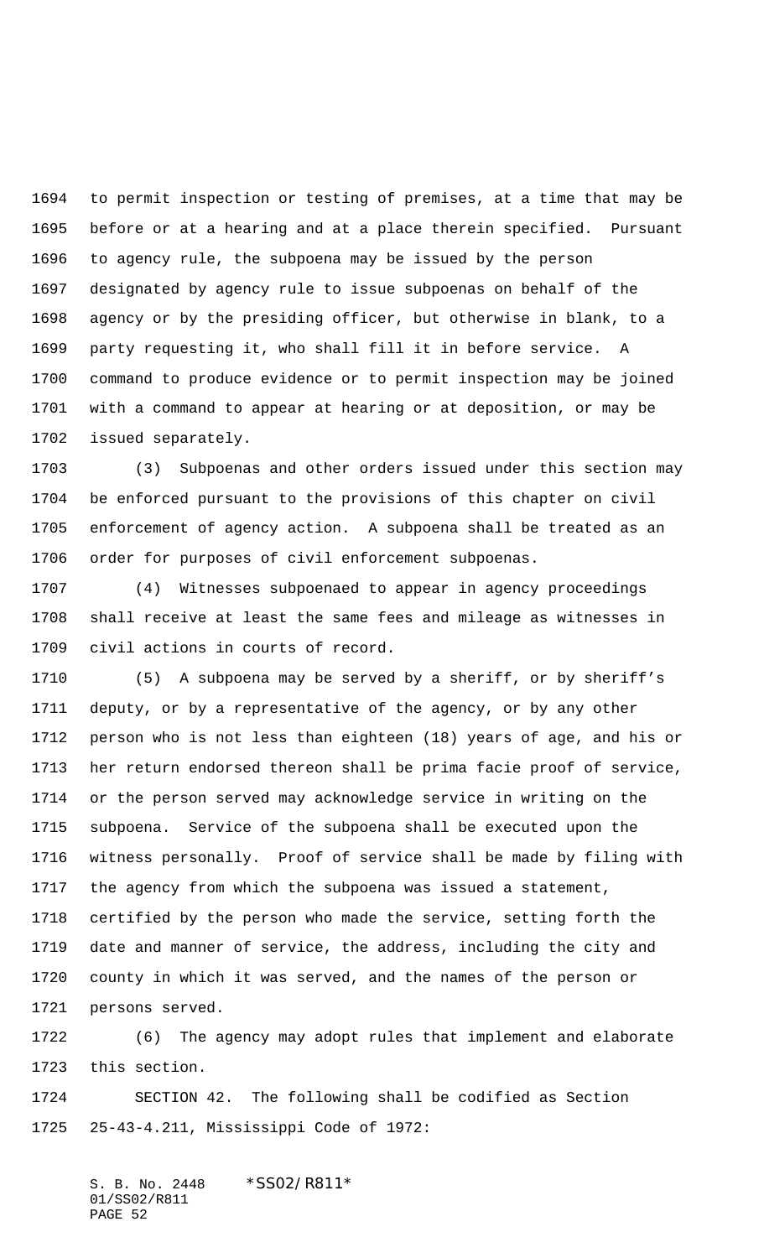to permit inspection or testing of premises, at a time that may be before or at a hearing and at a place therein specified. Pursuant to agency rule, the subpoena may be issued by the person designated by agency rule to issue subpoenas on behalf of the agency or by the presiding officer, but otherwise in blank, to a party requesting it, who shall fill it in before service. A command to produce evidence or to permit inspection may be joined with a command to appear at hearing or at deposition, or may be issued separately.

 (3) Subpoenas and other orders issued under this section may be enforced pursuant to the provisions of this chapter on civil enforcement of agency action. A subpoena shall be treated as an order for purposes of civil enforcement subpoenas.

 (4) Witnesses subpoenaed to appear in agency proceedings shall receive at least the same fees and mileage as witnesses in civil actions in courts of record.

 (5) A subpoena may be served by a sheriff, or by sheriff's deputy, or by a representative of the agency, or by any other person who is not less than eighteen (18) years of age, and his or her return endorsed thereon shall be prima facie proof of service, or the person served may acknowledge service in writing on the subpoena. Service of the subpoena shall be executed upon the witness personally. Proof of service shall be made by filing with the agency from which the subpoena was issued a statement, certified by the person who made the service, setting forth the date and manner of service, the address, including the city and county in which it was served, and the names of the person or persons served.

 (6) The agency may adopt rules that implement and elaborate this section.

 SECTION 42. The following shall be codified as Section 25-43-4.211, Mississippi Code of 1972: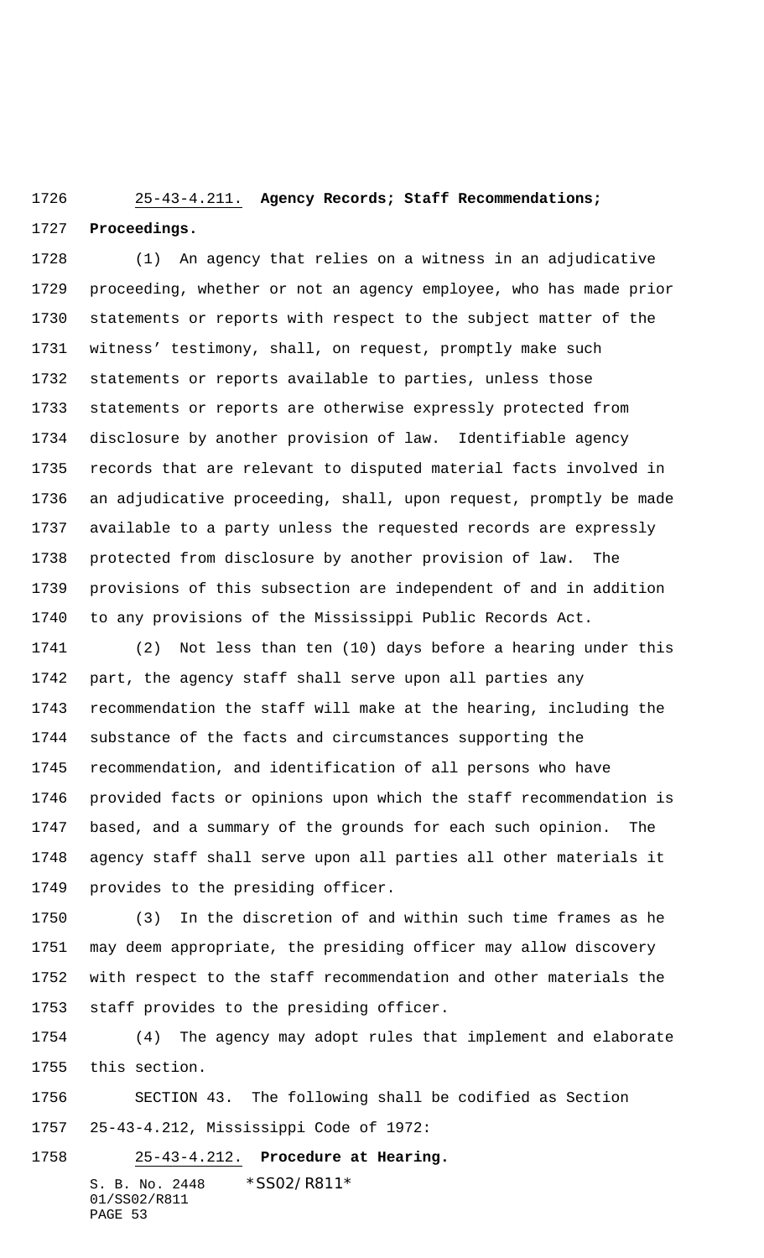# 25-43-4.211. **Agency Records; Staff Recommendations; Proceedings.**

 (1) An agency that relies on a witness in an adjudicative proceeding, whether or not an agency employee, who has made prior statements or reports with respect to the subject matter of the witness' testimony, shall, on request, promptly make such statements or reports available to parties, unless those statements or reports are otherwise expressly protected from disclosure by another provision of law. Identifiable agency records that are relevant to disputed material facts involved in an adjudicative proceeding, shall, upon request, promptly be made available to a party unless the requested records are expressly protected from disclosure by another provision of law. The provisions of this subsection are independent of and in addition to any provisions of the Mississippi Public Records Act.

 (2) Not less than ten (10) days before a hearing under this part, the agency staff shall serve upon all parties any recommendation the staff will make at the hearing, including the substance of the facts and circumstances supporting the recommendation, and identification of all persons who have provided facts or opinions upon which the staff recommendation is based, and a summary of the grounds for each such opinion. The agency staff shall serve upon all parties all other materials it provides to the presiding officer.

 (3) In the discretion of and within such time frames as he may deem appropriate, the presiding officer may allow discovery with respect to the staff recommendation and other materials the staff provides to the presiding officer.

 (4) The agency may adopt rules that implement and elaborate this section.

 SECTION 43. The following shall be codified as Section 25-43-4.212, Mississippi Code of 1972:

S. B. No. 2448 \* SS02/R811\* 01/SS02/R811 PAGE 53 25-43-4.212. **Procedure at Hearing.**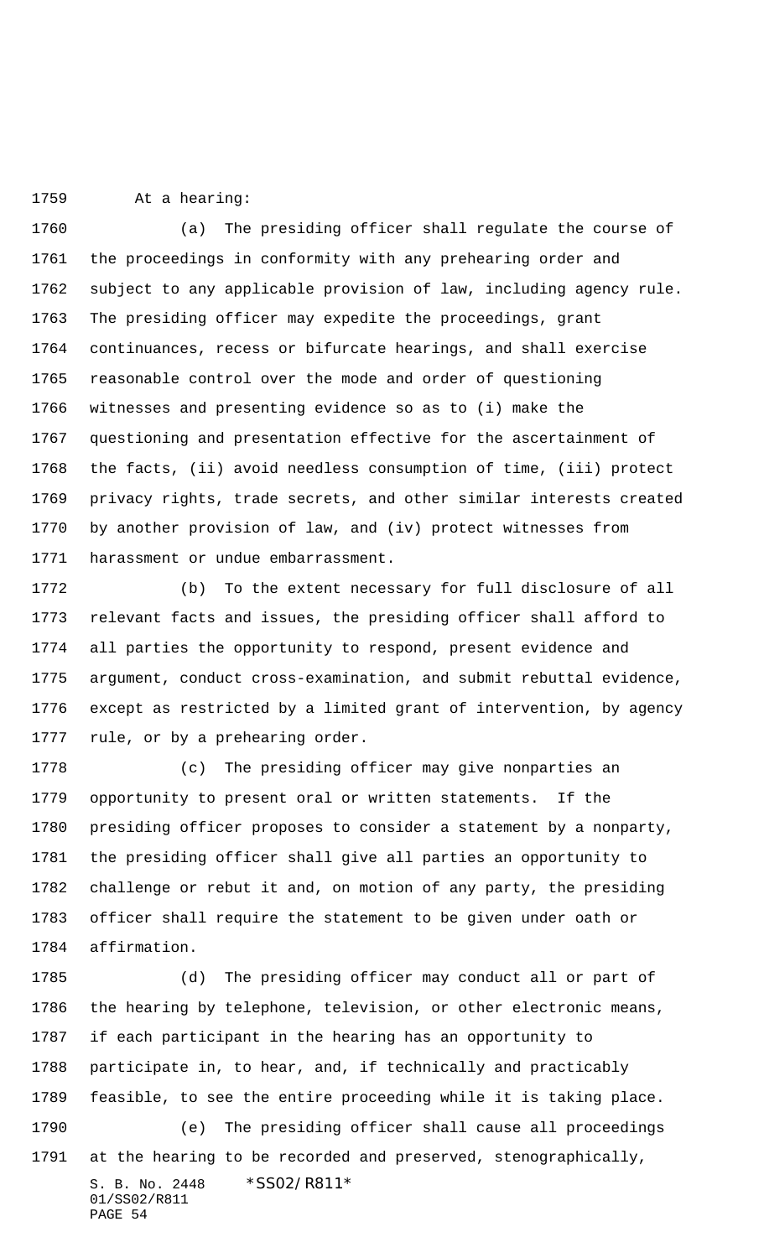At a hearing:

 (a) The presiding officer shall regulate the course of the proceedings in conformity with any prehearing order and subject to any applicable provision of law, including agency rule. The presiding officer may expedite the proceedings, grant continuances, recess or bifurcate hearings, and shall exercise reasonable control over the mode and order of questioning witnesses and presenting evidence so as to (i) make the questioning and presentation effective for the ascertainment of the facts, (ii) avoid needless consumption of time, (iii) protect privacy rights, trade secrets, and other similar interests created by another provision of law, and (iv) protect witnesses from harassment or undue embarrassment.

 (b) To the extent necessary for full disclosure of all relevant facts and issues, the presiding officer shall afford to all parties the opportunity to respond, present evidence and argument, conduct cross-examination, and submit rebuttal evidence, except as restricted by a limited grant of intervention, by agency rule, or by a prehearing order.

 (c) The presiding officer may give nonparties an opportunity to present oral or written statements. If the presiding officer proposes to consider a statement by a nonparty, the presiding officer shall give all parties an opportunity to challenge or rebut it and, on motion of any party, the presiding officer shall require the statement to be given under oath or affirmation.

S. B. No. 2448 \*SS02/R811\* 01/SS02/R811 PAGE 54 (d) The presiding officer may conduct all or part of the hearing by telephone, television, or other electronic means, if each participant in the hearing has an opportunity to participate in, to hear, and, if technically and practicably feasible, to see the entire proceeding while it is taking place. (e) The presiding officer shall cause all proceedings at the hearing to be recorded and preserved, stenographically,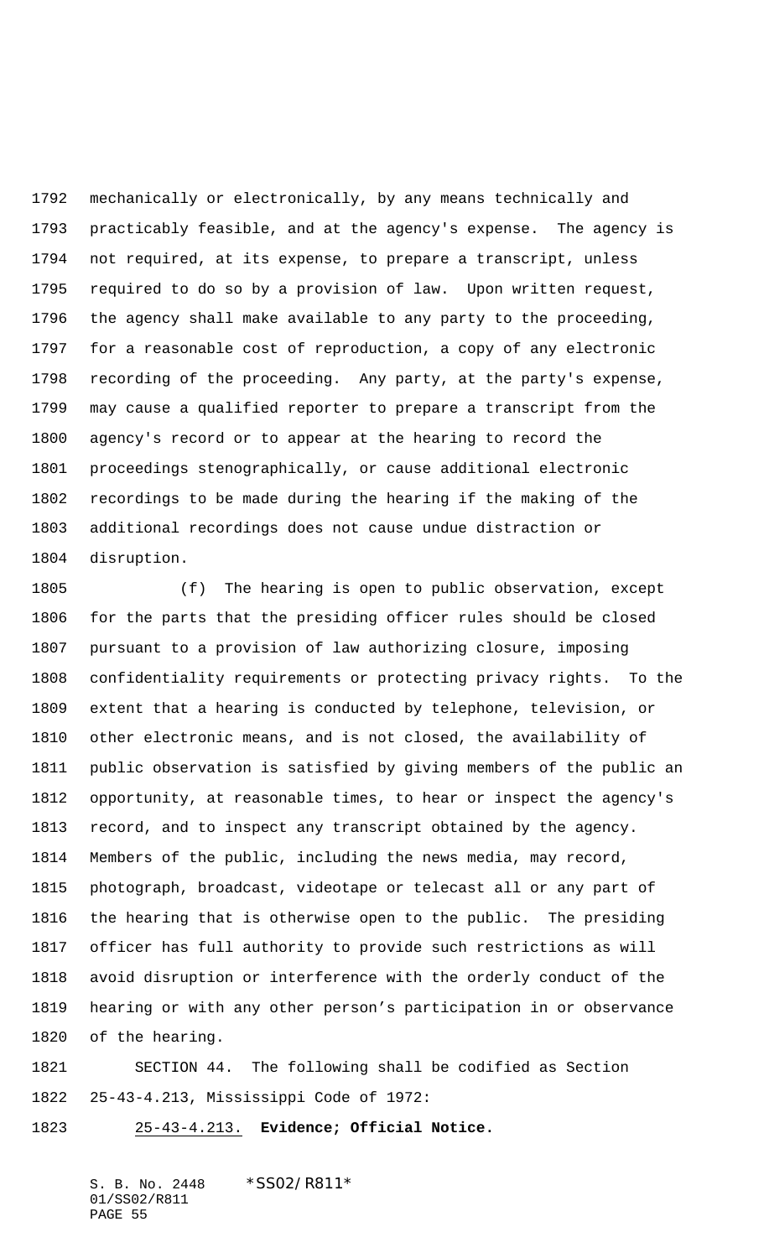mechanically or electronically, by any means technically and practicably feasible, and at the agency's expense. The agency is not required, at its expense, to prepare a transcript, unless required to do so by a provision of law. Upon written request, the agency shall make available to any party to the proceeding, for a reasonable cost of reproduction, a copy of any electronic recording of the proceeding. Any party, at the party's expense, may cause a qualified reporter to prepare a transcript from the agency's record or to appear at the hearing to record the proceedings stenographically, or cause additional electronic recordings to be made during the hearing if the making of the additional recordings does not cause undue distraction or disruption.

 (f) The hearing is open to public observation, except for the parts that the presiding officer rules should be closed pursuant to a provision of law authorizing closure, imposing confidentiality requirements or protecting privacy rights. To the extent that a hearing is conducted by telephone, television, or other electronic means, and is not closed, the availability of public observation is satisfied by giving members of the public an opportunity, at reasonable times, to hear or inspect the agency's record, and to inspect any transcript obtained by the agency. Members of the public, including the news media, may record, photograph, broadcast, videotape or telecast all or any part of the hearing that is otherwise open to the public. The presiding officer has full authority to provide such restrictions as will avoid disruption or interference with the orderly conduct of the hearing or with any other person's participation in or observance of the hearing.

 SECTION 44. The following shall be codified as Section 25-43-4.213, Mississippi Code of 1972:

25-43-4.213. **Evidence; Official Notice.**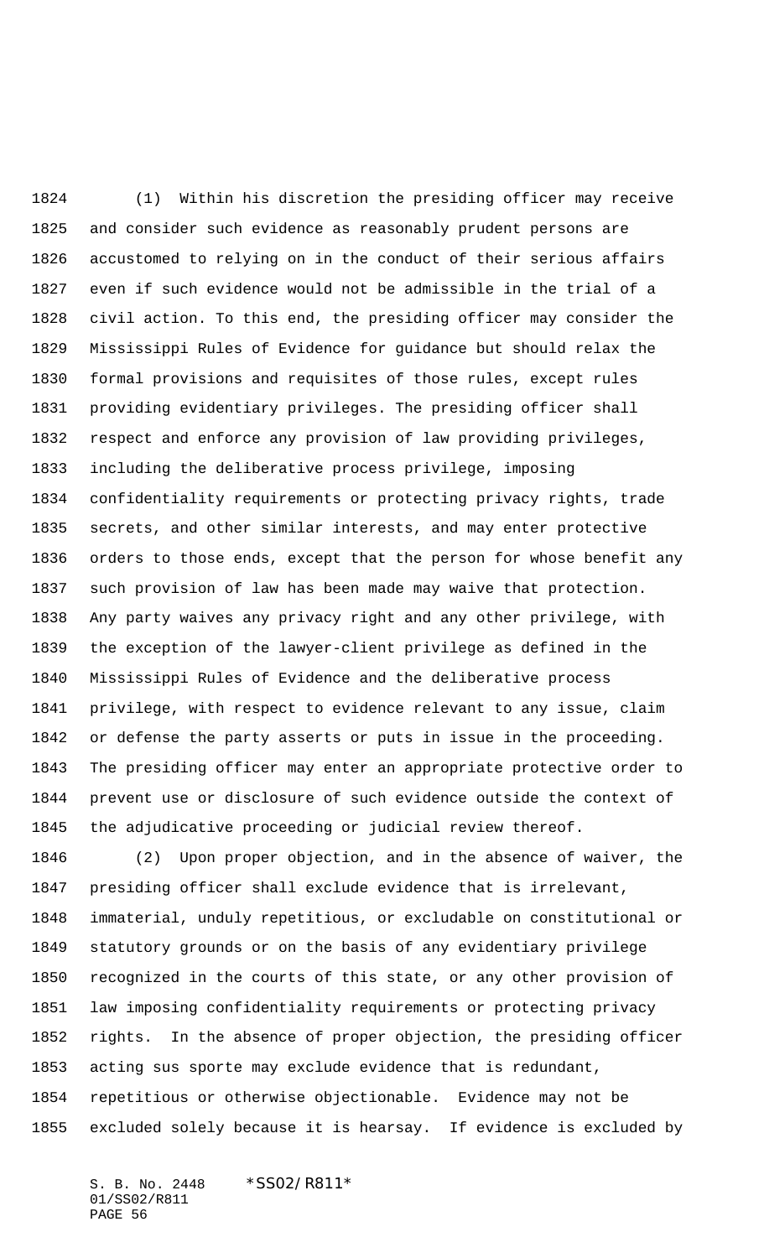(1) Within his discretion the presiding officer may receive and consider such evidence as reasonably prudent persons are accustomed to relying on in the conduct of their serious affairs even if such evidence would not be admissible in the trial of a civil action. To this end, the presiding officer may consider the Mississippi Rules of Evidence for guidance but should relax the formal provisions and requisites of those rules, except rules providing evidentiary privileges. The presiding officer shall respect and enforce any provision of law providing privileges, including the deliberative process privilege, imposing confidentiality requirements or protecting privacy rights, trade secrets, and other similar interests, and may enter protective orders to those ends, except that the person for whose benefit any such provision of law has been made may waive that protection. Any party waives any privacy right and any other privilege, with the exception of the lawyer-client privilege as defined in the Mississippi Rules of Evidence and the deliberative process privilege, with respect to evidence relevant to any issue, claim or defense the party asserts or puts in issue in the proceeding. The presiding officer may enter an appropriate protective order to prevent use or disclosure of such evidence outside the context of the adjudicative proceeding or judicial review thereof.

 (2) Upon proper objection, and in the absence of waiver, the presiding officer shall exclude evidence that is irrelevant, immaterial, unduly repetitious, or excludable on constitutional or statutory grounds or on the basis of any evidentiary privilege recognized in the courts of this state, or any other provision of law imposing confidentiality requirements or protecting privacy rights. In the absence of proper objection, the presiding officer acting sus sporte may exclude evidence that is redundant, repetitious or otherwise objectionable. Evidence may not be excluded solely because it is hearsay. If evidence is excluded by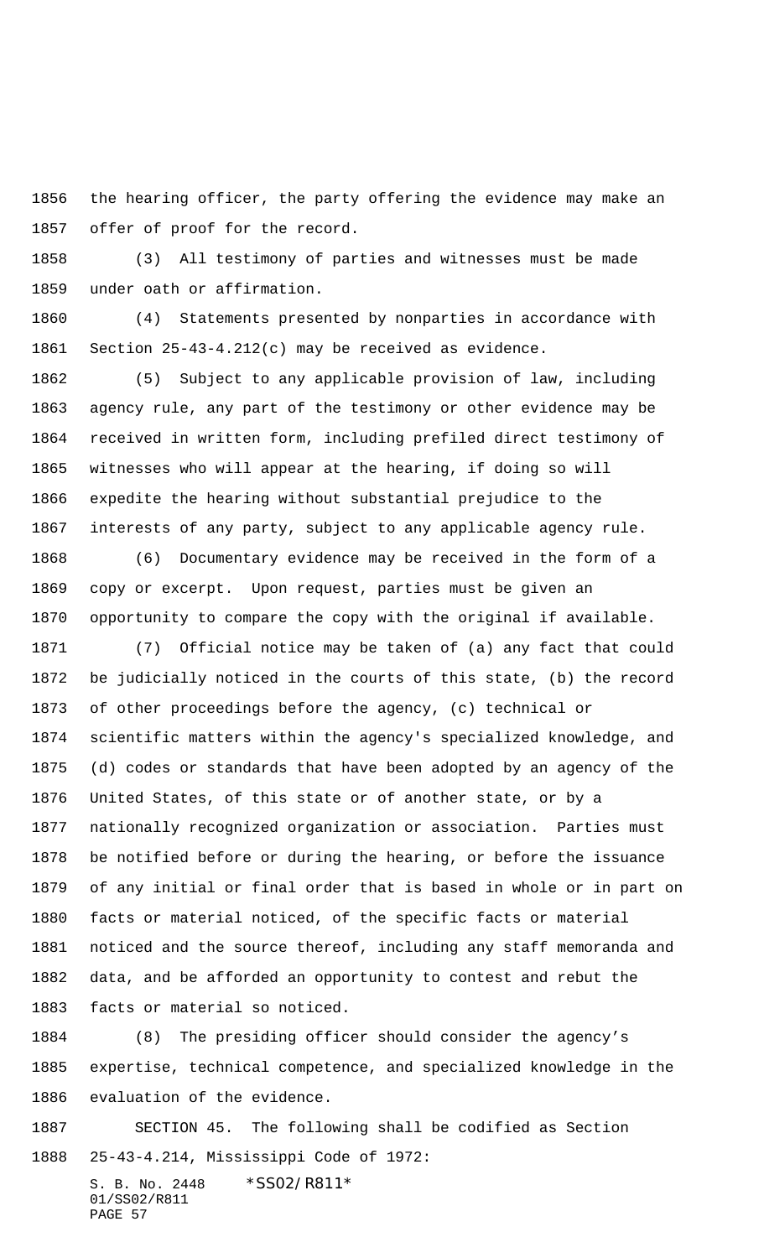the hearing officer, the party offering the evidence may make an offer of proof for the record.

 (3) All testimony of parties and witnesses must be made under oath or affirmation.

 (4) Statements presented by nonparties in accordance with Section 25-43-4.212(c) may be received as evidence.

 (5) Subject to any applicable provision of law, including agency rule, any part of the testimony or other evidence may be received in written form, including prefiled direct testimony of witnesses who will appear at the hearing, if doing so will expedite the hearing without substantial prejudice to the interests of any party, subject to any applicable agency rule.

 (6) Documentary evidence may be received in the form of a copy or excerpt. Upon request, parties must be given an opportunity to compare the copy with the original if available.

 (7) Official notice may be taken of (a) any fact that could be judicially noticed in the courts of this state, (b) the record of other proceedings before the agency, (c) technical or scientific matters within the agency's specialized knowledge, and (d) codes or standards that have been adopted by an agency of the United States, of this state or of another state, or by a nationally recognized organization or association. Parties must be notified before or during the hearing, or before the issuance of any initial or final order that is based in whole or in part on facts or material noticed, of the specific facts or material noticed and the source thereof, including any staff memoranda and data, and be afforded an opportunity to contest and rebut the facts or material so noticed.

 (8) The presiding officer should consider the agency's expertise, technical competence, and specialized knowledge in the evaluation of the evidence.

 SECTION 45. The following shall be codified as Section 25-43-4.214, Mississippi Code of 1972: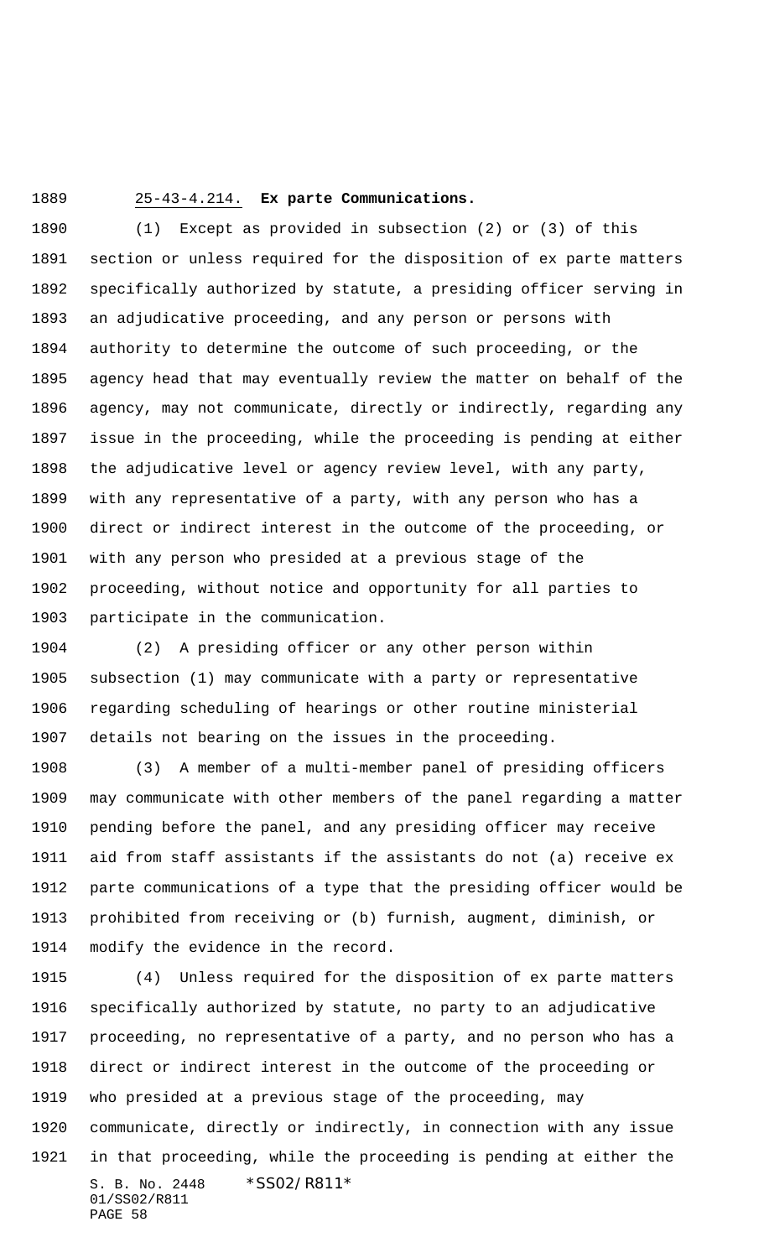25-43-4.214. **Ex parte Communications.**

 (1) Except as provided in subsection (2) or (3) of this section or unless required for the disposition of ex parte matters specifically authorized by statute, a presiding officer serving in an adjudicative proceeding, and any person or persons with authority to determine the outcome of such proceeding, or the agency head that may eventually review the matter on behalf of the agency, may not communicate, directly or indirectly, regarding any issue in the proceeding, while the proceeding is pending at either the adjudicative level or agency review level, with any party, with any representative of a party, with any person who has a direct or indirect interest in the outcome of the proceeding, or with any person who presided at a previous stage of the proceeding, without notice and opportunity for all parties to participate in the communication.

 (2) A presiding officer or any other person within subsection (1) may communicate with a party or representative regarding scheduling of hearings or other routine ministerial details not bearing on the issues in the proceeding.

 (3) A member of a multi-member panel of presiding officers may communicate with other members of the panel regarding a matter pending before the panel, and any presiding officer may receive aid from staff assistants if the assistants do not (a) receive ex parte communications of a type that the presiding officer would be prohibited from receiving or (b) furnish, augment, diminish, or modify the evidence in the record.

S. B. No. 2448 \* SS02/R811\* 01/SS02/R811 PAGE 58 (4) Unless required for the disposition of ex parte matters specifically authorized by statute, no party to an adjudicative proceeding, no representative of a party, and no person who has a direct or indirect interest in the outcome of the proceeding or who presided at a previous stage of the proceeding, may communicate, directly or indirectly, in connection with any issue in that proceeding, while the proceeding is pending at either the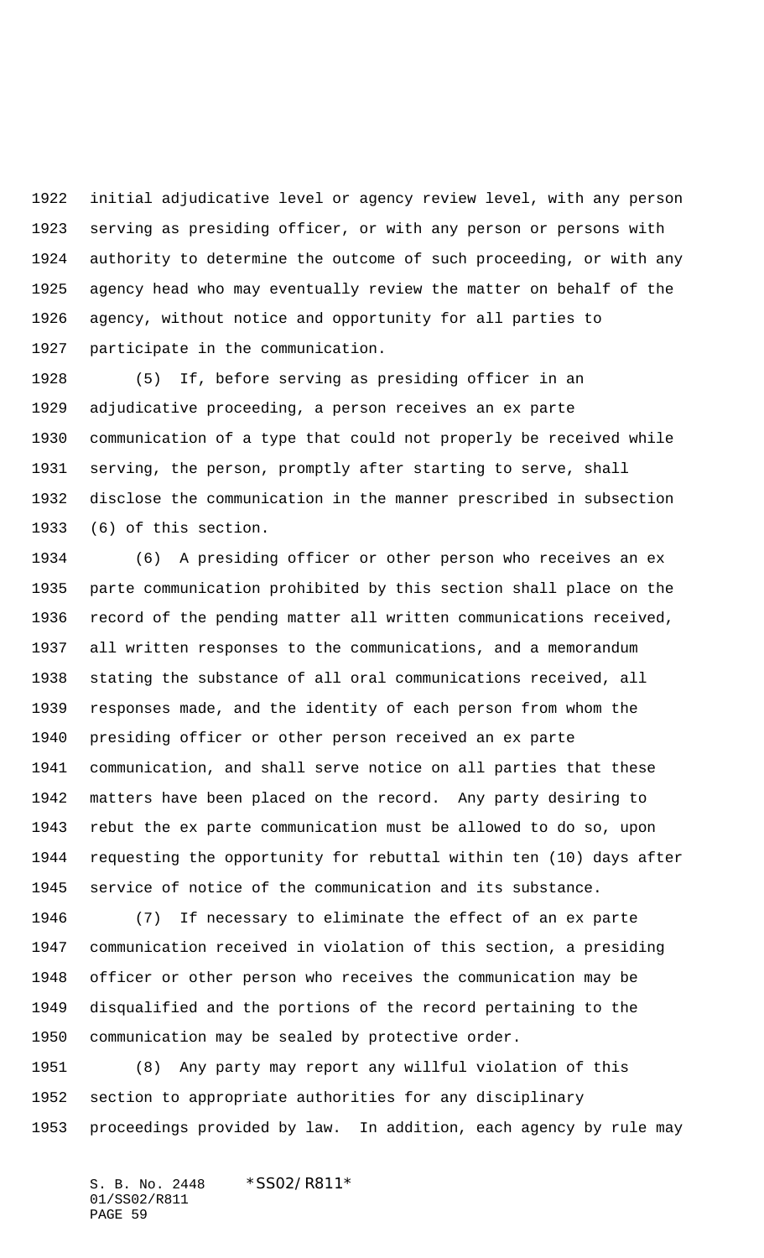initial adjudicative level or agency review level, with any person serving as presiding officer, or with any person or persons with authority to determine the outcome of such proceeding, or with any agency head who may eventually review the matter on behalf of the agency, without notice and opportunity for all parties to participate in the communication.

 (5) If, before serving as presiding officer in an adjudicative proceeding, a person receives an ex parte communication of a type that could not properly be received while serving, the person, promptly after starting to serve, shall disclose the communication in the manner prescribed in subsection (6) of this section.

 (6) A presiding officer or other person who receives an ex parte communication prohibited by this section shall place on the record of the pending matter all written communications received, all written responses to the communications, and a memorandum stating the substance of all oral communications received, all responses made, and the identity of each person from whom the presiding officer or other person received an ex parte communication, and shall serve notice on all parties that these matters have been placed on the record. Any party desiring to rebut the ex parte communication must be allowed to do so, upon requesting the opportunity for rebuttal within ten (10) days after service of notice of the communication and its substance.

 (7) If necessary to eliminate the effect of an ex parte communication received in violation of this section, a presiding officer or other person who receives the communication may be disqualified and the portions of the record pertaining to the communication may be sealed by protective order.

 (8) Any party may report any willful violation of this section to appropriate authorities for any disciplinary proceedings provided by law. In addition, each agency by rule may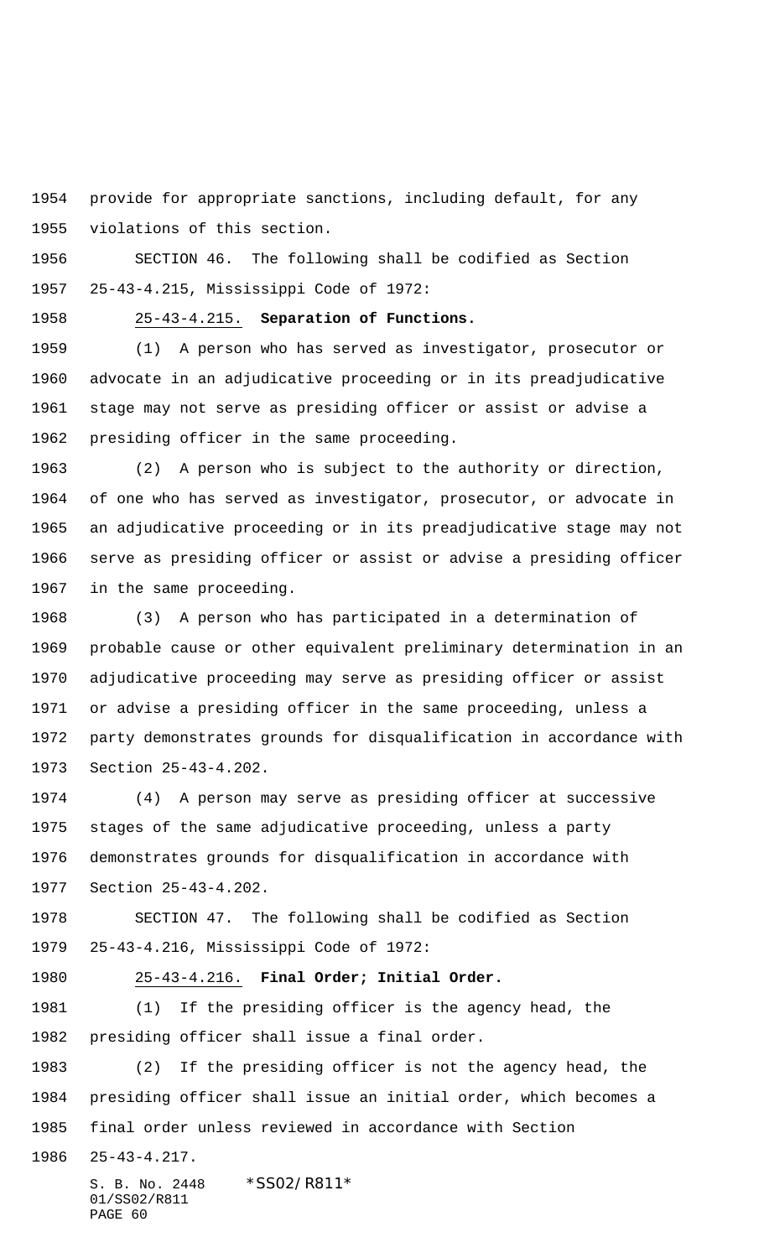provide for appropriate sanctions, including default, for any violations of this section.

 SECTION 46. The following shall be codified as Section 25-43-4.215, Mississippi Code of 1972:

25-43-4.215. **Separation of Functions.**

 (1) A person who has served as investigator, prosecutor or advocate in an adjudicative proceeding or in its preadjudicative stage may not serve as presiding officer or assist or advise a presiding officer in the same proceeding.

 (2) A person who is subject to the authority or direction, of one who has served as investigator, prosecutor, or advocate in an adjudicative proceeding or in its preadjudicative stage may not serve as presiding officer or assist or advise a presiding officer in the same proceeding.

 (3) A person who has participated in a determination of probable cause or other equivalent preliminary determination in an adjudicative proceeding may serve as presiding officer or assist or advise a presiding officer in the same proceeding, unless a party demonstrates grounds for disqualification in accordance with Section 25-43-4.202.

 (4) A person may serve as presiding officer at successive stages of the same adjudicative proceeding, unless a party demonstrates grounds for disqualification in accordance with Section 25-43-4.202.

 SECTION 47. The following shall be codified as Section 25-43-4.216, Mississippi Code of 1972:

25-43-4.216. **Final Order; Initial Order.**

 (1) If the presiding officer is the agency head, the presiding officer shall issue a final order.

 (2) If the presiding officer is not the agency head, the presiding officer shall issue an initial order, which becomes a final order unless reviewed in accordance with Section

25-43-4.217.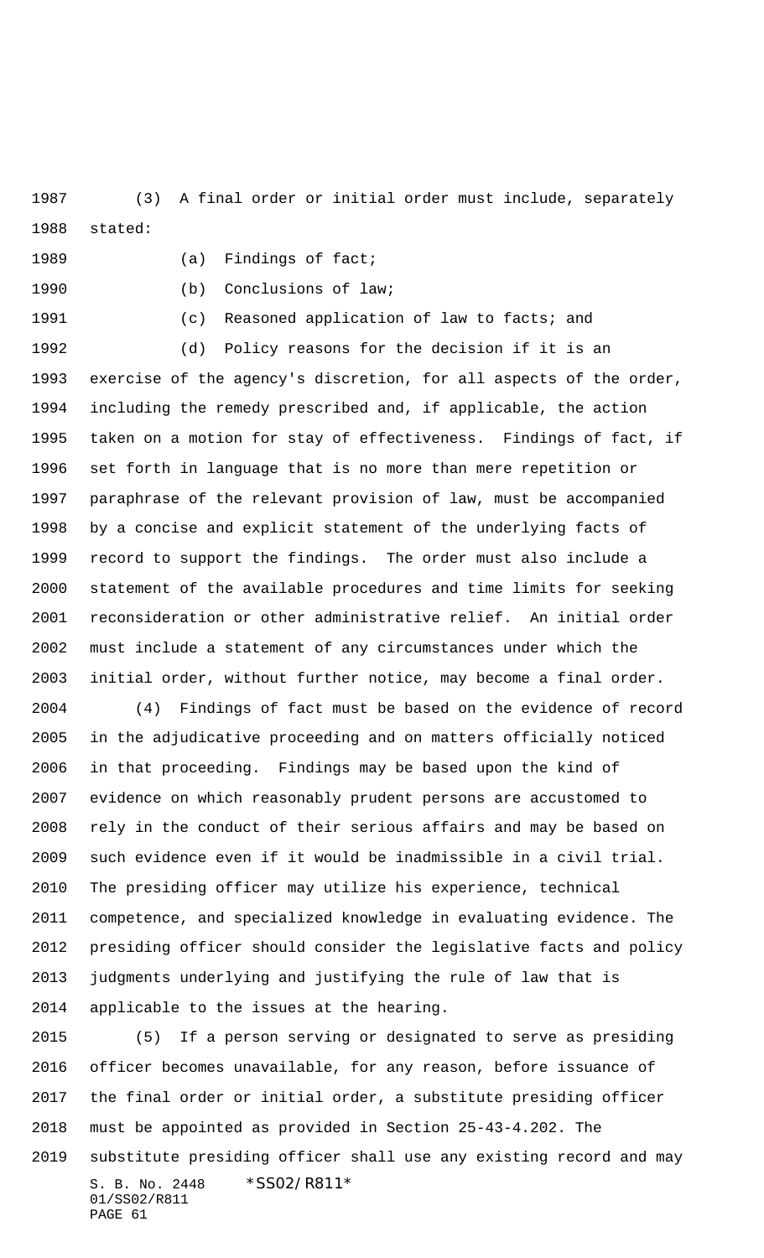(3) A final order or initial order must include, separately stated:

1989 (a) Findings of fact;

(b) Conclusions of law;

(c) Reasoned application of law to facts; and

 (d) Policy reasons for the decision if it is an exercise of the agency's discretion, for all aspects of the order, including the remedy prescribed and, if applicable, the action taken on a motion for stay of effectiveness. Findings of fact, if set forth in language that is no more than mere repetition or paraphrase of the relevant provision of law, must be accompanied by a concise and explicit statement of the underlying facts of record to support the findings. The order must also include a statement of the available procedures and time limits for seeking reconsideration or other administrative relief. An initial order must include a statement of any circumstances under which the initial order, without further notice, may become a final order.

 (4) Findings of fact must be based on the evidence of record in the adjudicative proceeding and on matters officially noticed in that proceeding. Findings may be based upon the kind of evidence on which reasonably prudent persons are accustomed to rely in the conduct of their serious affairs and may be based on such evidence even if it would be inadmissible in a civil trial. The presiding officer may utilize his experience, technical competence, and specialized knowledge in evaluating evidence. The presiding officer should consider the legislative facts and policy judgments underlying and justifying the rule of law that is applicable to the issues at the hearing.

S. B. No. 2448 \* SS02/R811\* 01/SS02/R811 PAGE 61 (5) If a person serving or designated to serve as presiding officer becomes unavailable, for any reason, before issuance of the final order or initial order, a substitute presiding officer must be appointed as provided in Section 25-43-4.202. The substitute presiding officer shall use any existing record and may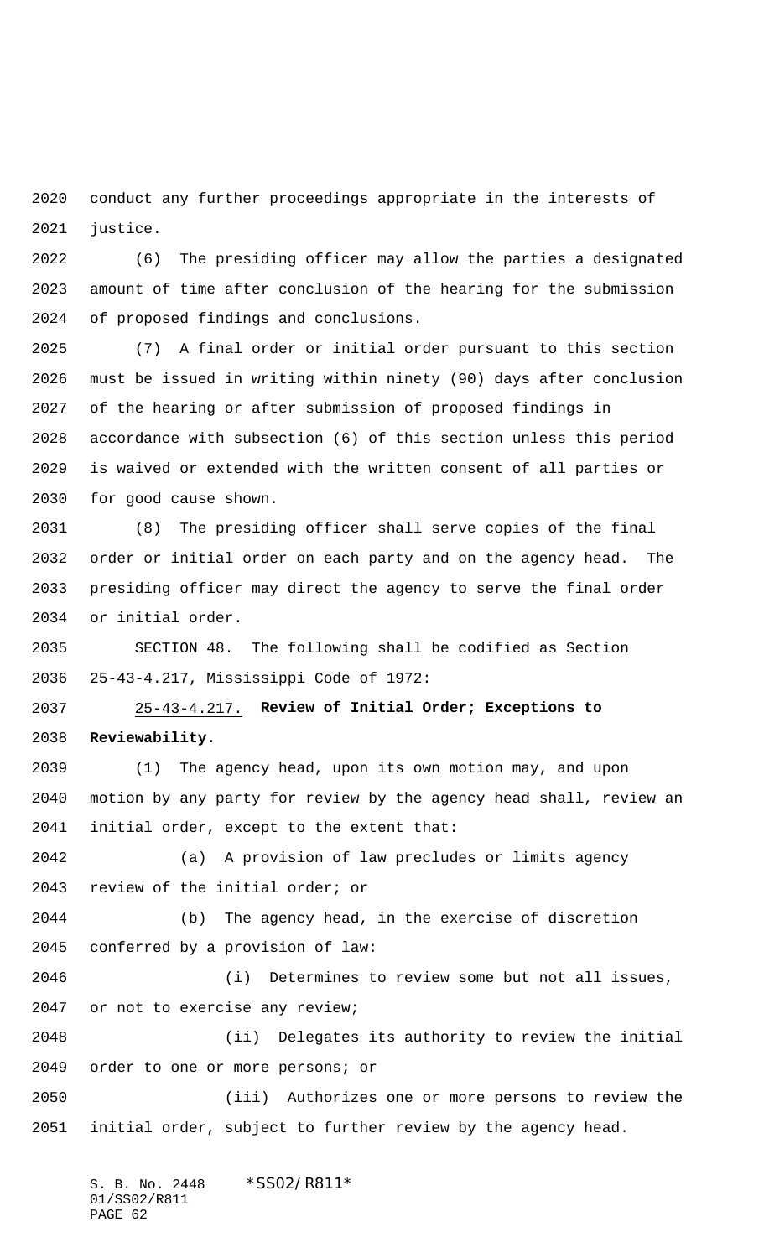conduct any further proceedings appropriate in the interests of justice.

 (6) The presiding officer may allow the parties a designated amount of time after conclusion of the hearing for the submission of proposed findings and conclusions.

 (7) A final order or initial order pursuant to this section must be issued in writing within ninety (90) days after conclusion of the hearing or after submission of proposed findings in accordance with subsection (6) of this section unless this period is waived or extended with the written consent of all parties or for good cause shown.

 (8) The presiding officer shall serve copies of the final order or initial order on each party and on the agency head. The presiding officer may direct the agency to serve the final order or initial order.

 SECTION 48. The following shall be codified as Section 25-43-4.217, Mississippi Code of 1972:

 25-43-4.217. **Review of Initial Order; Exceptions to Reviewability.**

 (1) The agency head, upon its own motion may, and upon motion by any party for review by the agency head shall, review an initial order, except to the extent that:

 (a) A provision of law precludes or limits agency review of the initial order; or

 (b) The agency head, in the exercise of discretion conferred by a provision of law:

 (i) Determines to review some but not all issues, or not to exercise any review;

 (ii) Delegates its authority to review the initial order to one or more persons; or

 (iii) Authorizes one or more persons to review the initial order, subject to further review by the agency head.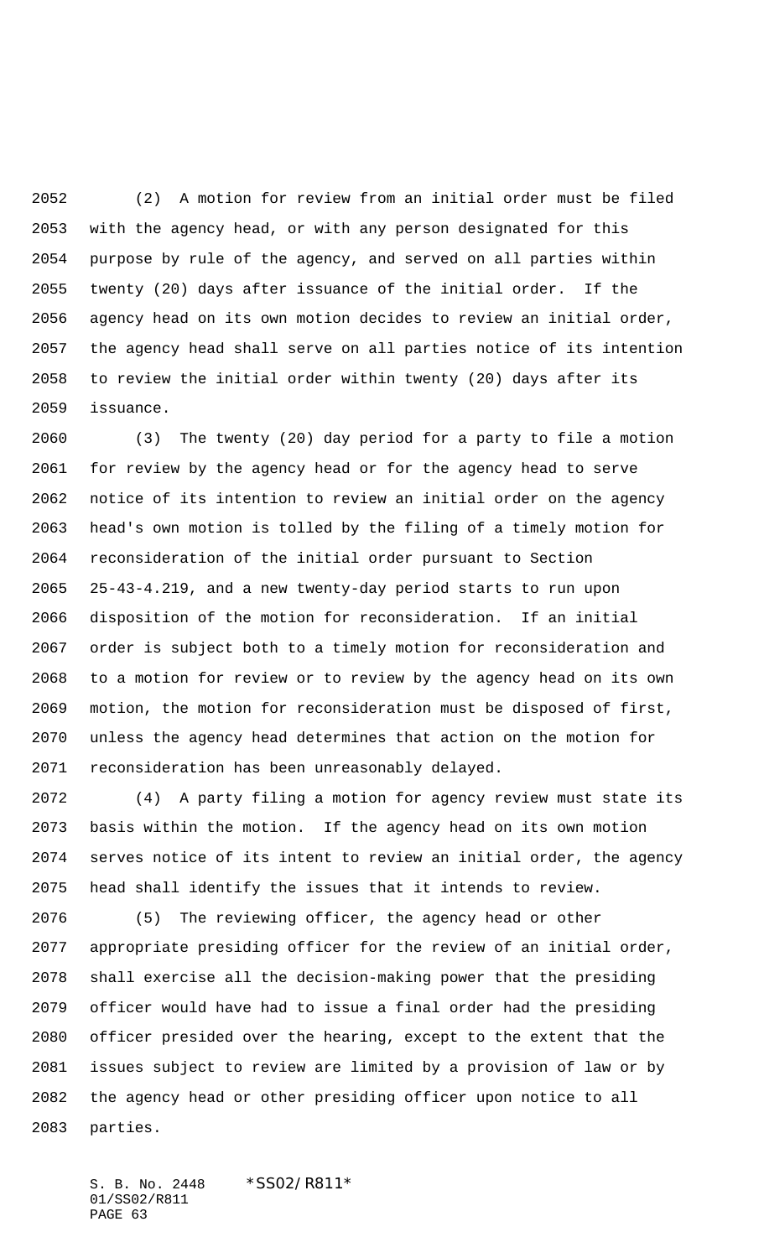(2) A motion for review from an initial order must be filed with the agency head, or with any person designated for this purpose by rule of the agency, and served on all parties within twenty (20) days after issuance of the initial order. If the agency head on its own motion decides to review an initial order, the agency head shall serve on all parties notice of its intention to review the initial order within twenty (20) days after its issuance.

 (3) The twenty (20) day period for a party to file a motion for review by the agency head or for the agency head to serve notice of its intention to review an initial order on the agency head's own motion is tolled by the filing of a timely motion for reconsideration of the initial order pursuant to Section 25-43-4.219, and a new twenty-day period starts to run upon disposition of the motion for reconsideration. If an initial order is subject both to a timely motion for reconsideration and to a motion for review or to review by the agency head on its own motion, the motion for reconsideration must be disposed of first, unless the agency head determines that action on the motion for reconsideration has been unreasonably delayed.

 (4) A party filing a motion for agency review must state its basis within the motion. If the agency head on its own motion serves notice of its intent to review an initial order, the agency head shall identify the issues that it intends to review.

 (5) The reviewing officer, the agency head or other appropriate presiding officer for the review of an initial order, shall exercise all the decision-making power that the presiding officer would have had to issue a final order had the presiding officer presided over the hearing, except to the extent that the issues subject to review are limited by a provision of law or by the agency head or other presiding officer upon notice to all parties.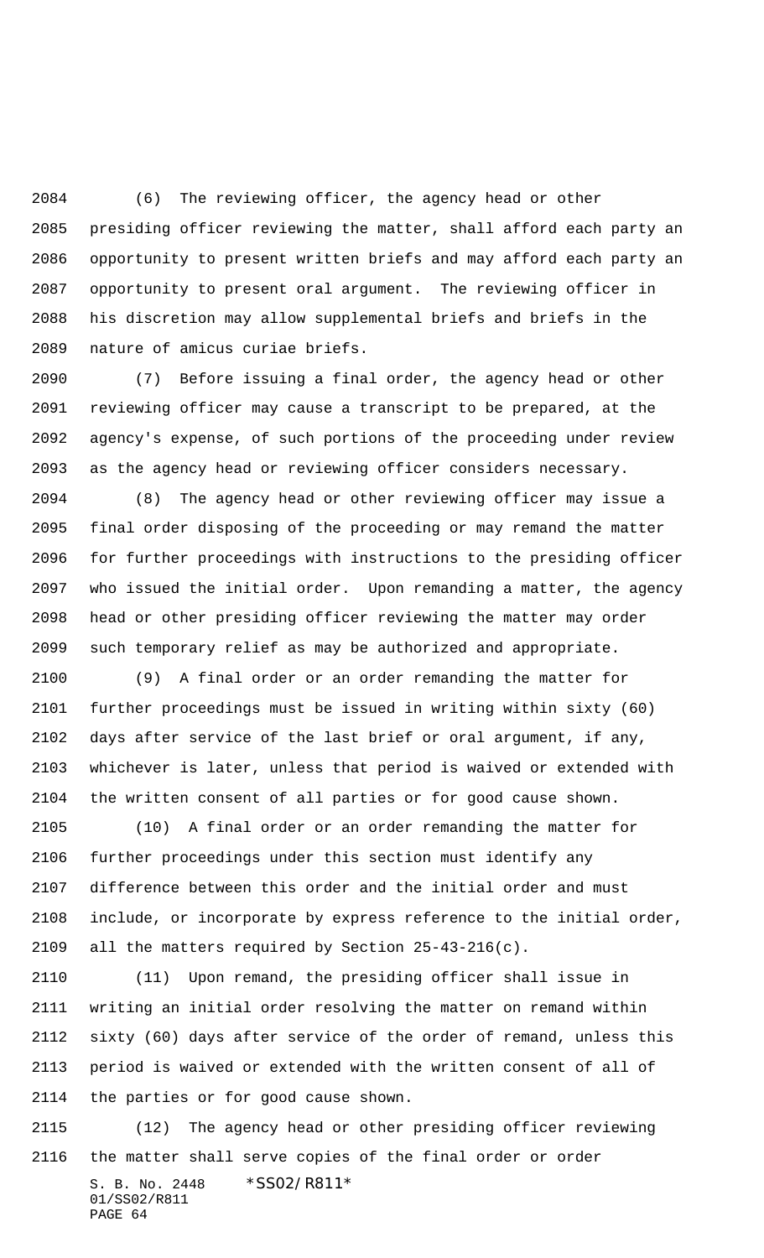(6) The reviewing officer, the agency head or other presiding officer reviewing the matter, shall afford each party an opportunity to present written briefs and may afford each party an opportunity to present oral argument. The reviewing officer in his discretion may allow supplemental briefs and briefs in the nature of amicus curiae briefs.

 (7) Before issuing a final order, the agency head or other reviewing officer may cause a transcript to be prepared, at the agency's expense, of such portions of the proceeding under review as the agency head or reviewing officer considers necessary.

 (8) The agency head or other reviewing officer may issue a final order disposing of the proceeding or may remand the matter for further proceedings with instructions to the presiding officer who issued the initial order. Upon remanding a matter, the agency head or other presiding officer reviewing the matter may order such temporary relief as may be authorized and appropriate.

 (9) A final order or an order remanding the matter for further proceedings must be issued in writing within sixty (60) days after service of the last brief or oral argument, if any, whichever is later, unless that period is waived or extended with the written consent of all parties or for good cause shown.

 (10) A final order or an order remanding the matter for further proceedings under this section must identify any difference between this order and the initial order and must include, or incorporate by express reference to the initial order, all the matters required by Section 25-43-216(c).

 (11) Upon remand, the presiding officer shall issue in writing an initial order resolving the matter on remand within sixty (60) days after service of the order of remand, unless this period is waived or extended with the written consent of all of the parties or for good cause shown.

S. B. No. 2448 \* SS02/R811\* 01/SS02/R811 PAGE 64 (12) The agency head or other presiding officer reviewing the matter shall serve copies of the final order or order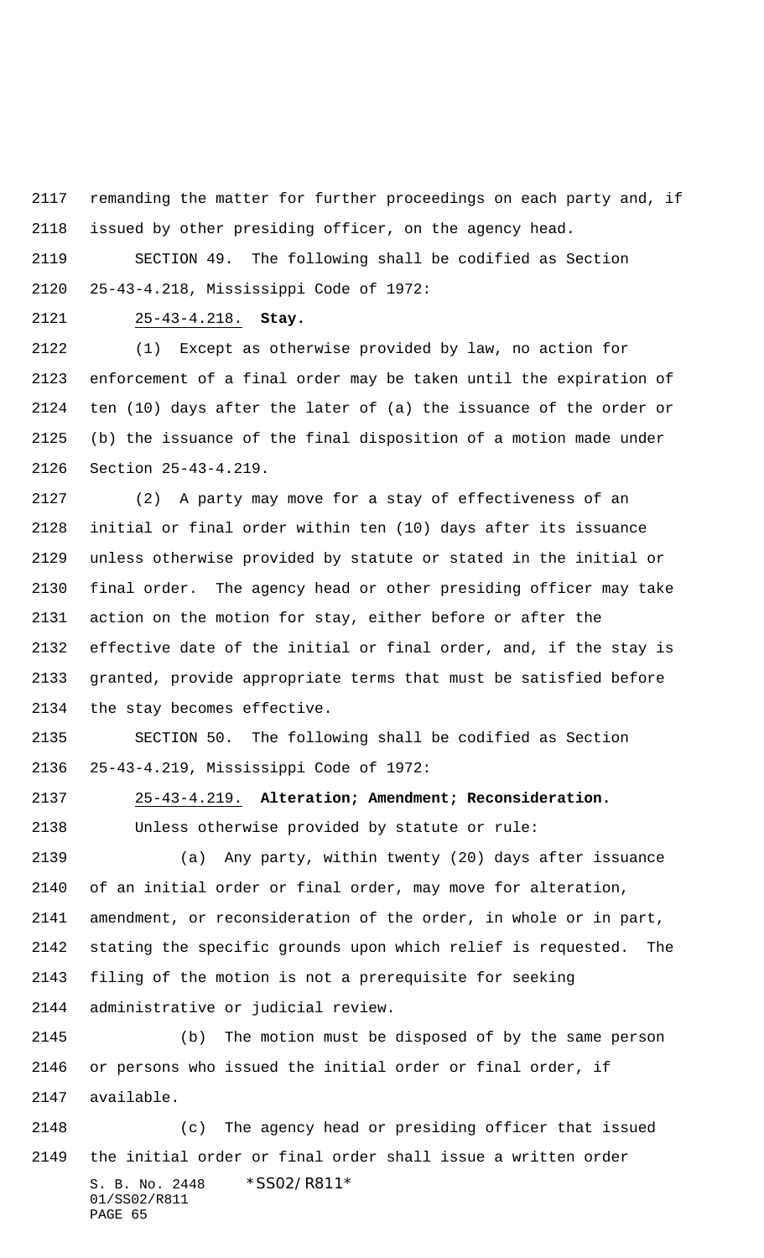remanding the matter for further proceedings on each party and, if issued by other presiding officer, on the agency head.

 SECTION 49. The following shall be codified as Section 25-43-4.218, Mississippi Code of 1972:

25-43-4.218. **Stay.**

 (1) Except as otherwise provided by law, no action for enforcement of a final order may be taken until the expiration of ten (10) days after the later of (a) the issuance of the order or (b) the issuance of the final disposition of a motion made under Section 25-43-4.219.

 (2) A party may move for a stay of effectiveness of an initial or final order within ten (10) days after its issuance unless otherwise provided by statute or stated in the initial or final order. The agency head or other presiding officer may take action on the motion for stay, either before or after the effective date of the initial or final order, and, if the stay is granted, provide appropriate terms that must be satisfied before the stay becomes effective.

 SECTION 50. The following shall be codified as Section 25-43-4.219, Mississippi Code of 1972:

 25-43-4.219. **Alteration; Amendment; Reconsideration.** Unless otherwise provided by statute or rule:

 (a) Any party, within twenty (20) days after issuance of an initial order or final order, may move for alteration, amendment, or reconsideration of the order, in whole or in part, stating the specific grounds upon which relief is requested. The filing of the motion is not a prerequisite for seeking administrative or judicial review.

 (b) The motion must be disposed of by the same person or persons who issued the initial order or final order, if available.

S. B. No. 2448 \*SS02/R811\* 01/SS02/R811 PAGE 65 (c) The agency head or presiding officer that issued the initial order or final order shall issue a written order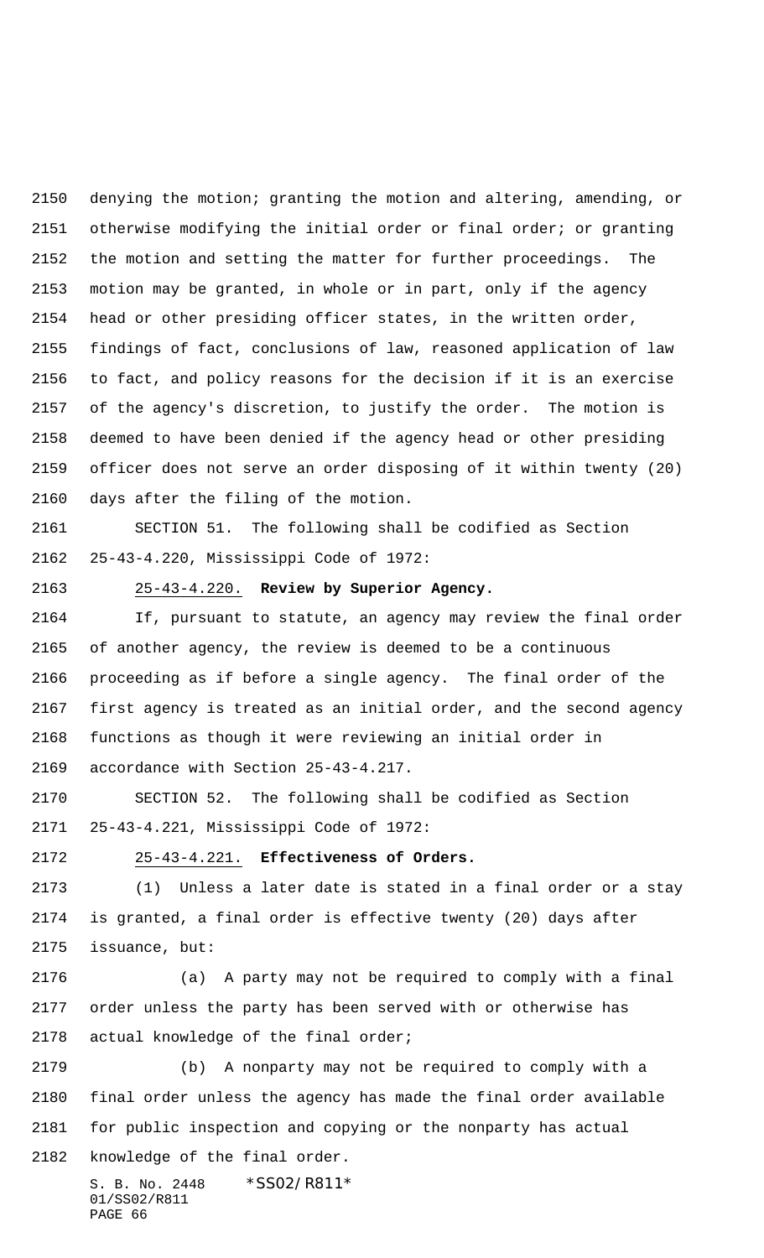denying the motion; granting the motion and altering, amending, or otherwise modifying the initial order or final order; or granting the motion and setting the matter for further proceedings. The motion may be granted, in whole or in part, only if the agency head or other presiding officer states, in the written order, findings of fact, conclusions of law, reasoned application of law to fact, and policy reasons for the decision if it is an exercise of the agency's discretion, to justify the order. The motion is deemed to have been denied if the agency head or other presiding officer does not serve an order disposing of it within twenty (20) days after the filing of the motion.

 SECTION 51. The following shall be codified as Section 25-43-4.220, Mississippi Code of 1972:

### 25-43-4.220. **Review by Superior Agency.**

 If, pursuant to statute, an agency may review the final order of another agency, the review is deemed to be a continuous proceeding as if before a single agency. The final order of the first agency is treated as an initial order, and the second agency functions as though it were reviewing an initial order in accordance with Section 25-43-4.217.

 SECTION 52. The following shall be codified as Section 25-43-4.221, Mississippi Code of 1972:

25-43-4.221. **Effectiveness of Orders.**

 (1) Unless a later date is stated in a final order or a stay is granted, a final order is effective twenty (20) days after issuance, but:

 (a) A party may not be required to comply with a final order unless the party has been served with or otherwise has actual knowledge of the final order;

 (b) A nonparty may not be required to comply with a final order unless the agency has made the final order available for public inspection and copying or the nonparty has actual knowledge of the final order.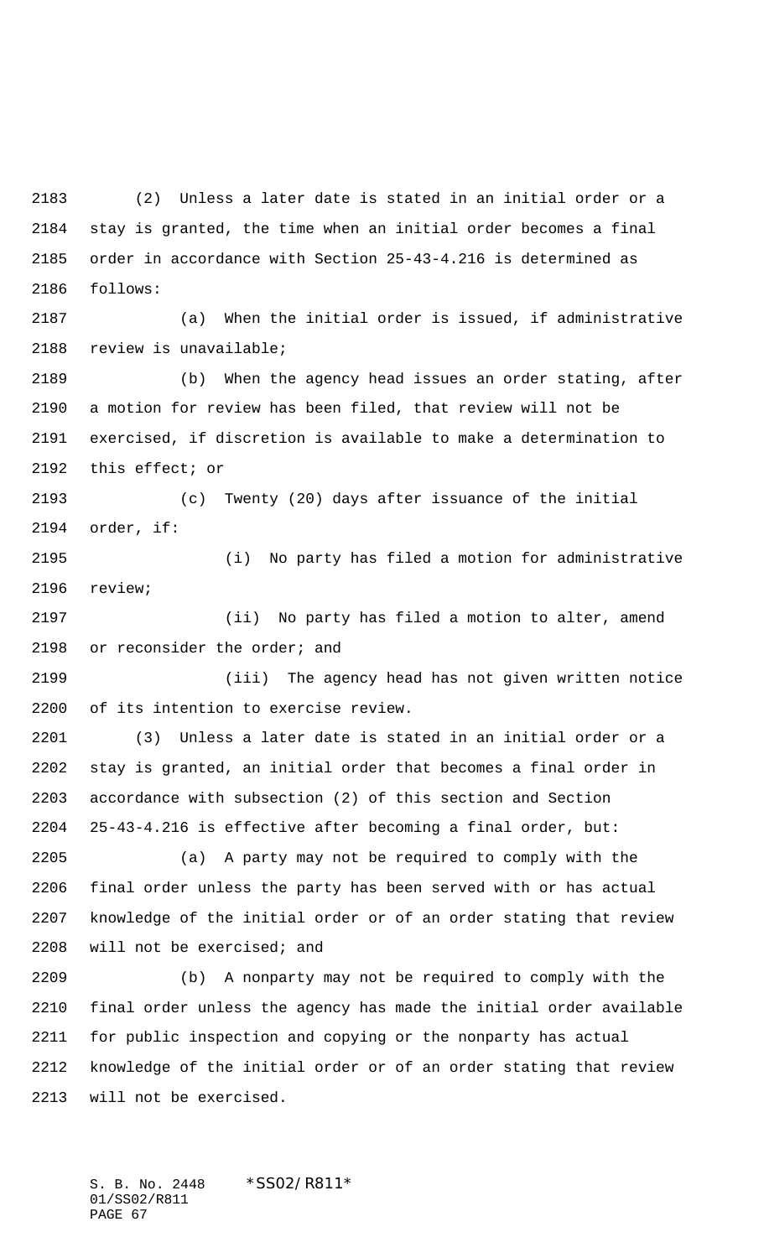(2) Unless a later date is stated in an initial order or a stay is granted, the time when an initial order becomes a final order in accordance with Section 25-43-4.216 is determined as follows:

 (a) When the initial order is issued, if administrative review is unavailable;

 (b) When the agency head issues an order stating, after a motion for review has been filed, that review will not be exercised, if discretion is available to make a determination to this effect; or

 (c) Twenty (20) days after issuance of the initial order, if:

 (i) No party has filed a motion for administrative review;

 (ii) No party has filed a motion to alter, amend or reconsider the order; and

 (iii) The agency head has not given written notice of its intention to exercise review.

 (3) Unless a later date is stated in an initial order or a stay is granted, an initial order that becomes a final order in accordance with subsection (2) of this section and Section 25-43-4.216 is effective after becoming a final order, but:

 (a) A party may not be required to comply with the final order unless the party has been served with or has actual knowledge of the initial order or of an order stating that review will not be exercised; and

 (b) A nonparty may not be required to comply with the final order unless the agency has made the initial order available for public inspection and copying or the nonparty has actual knowledge of the initial order or of an order stating that review will not be exercised.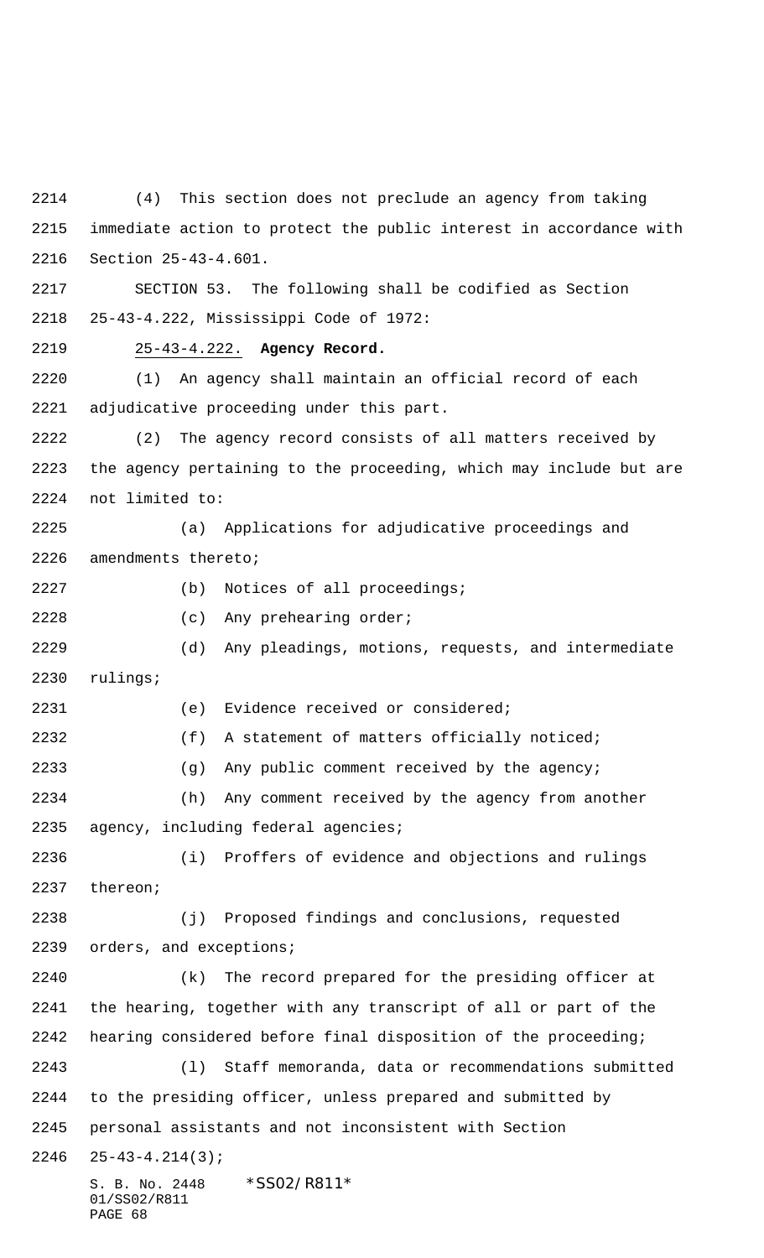S. B. No. 2448 \* SS02/R811\* 01/SS02/R811 (4) This section does not preclude an agency from taking immediate action to protect the public interest in accordance with Section 25-43-4.601. SECTION 53. The following shall be codified as Section 25-43-4.222, Mississippi Code of 1972: 25-43-4.222. **Agency Record.** (1) An agency shall maintain an official record of each adjudicative proceeding under this part. (2) The agency record consists of all matters received by the agency pertaining to the proceeding, which may include but are not limited to: (a) Applications for adjudicative proceedings and amendments thereto; (b) Notices of all proceedings; (c) Any prehearing order; (d) Any pleadings, motions, requests, and intermediate rulings; (e) Evidence received or considered; (f) A statement of matters officially noticed; (g) Any public comment received by the agency; (h) Any comment received by the agency from another agency, including federal agencies; (i) Proffers of evidence and objections and rulings thereon; (j) Proposed findings and conclusions, requested orders, and exceptions; (k) The record prepared for the presiding officer at the hearing, together with any transcript of all or part of the hearing considered before final disposition of the proceeding; (l) Staff memoranda, data or recommendations submitted to the presiding officer, unless prepared and submitted by personal assistants and not inconsistent with Section 25-43-4.214(3);

PAGE 68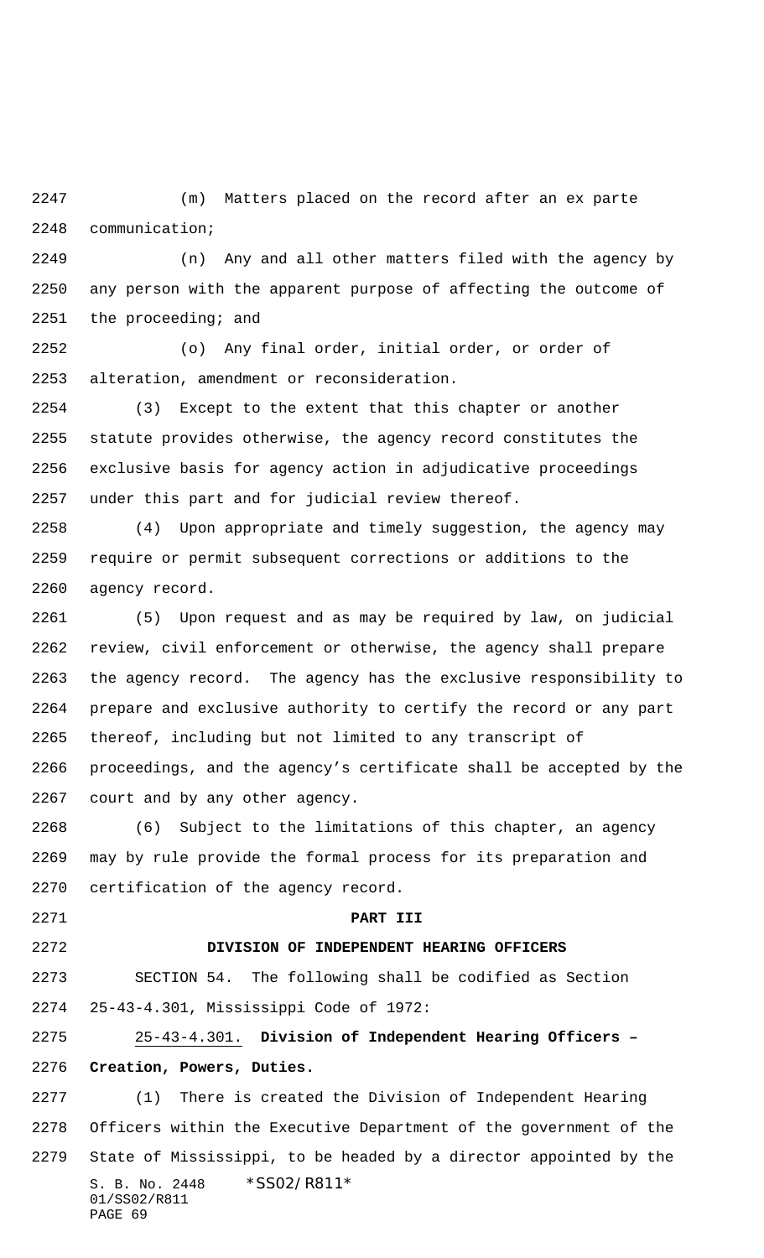(m) Matters placed on the record after an ex parte communication;

 (n) Any and all other matters filed with the agency by any person with the apparent purpose of affecting the outcome of 2251 the proceeding; and

 (o) Any final order, initial order, or order of alteration, amendment or reconsideration.

 (3) Except to the extent that this chapter or another statute provides otherwise, the agency record constitutes the exclusive basis for agency action in adjudicative proceedings under this part and for judicial review thereof.

 (4) Upon appropriate and timely suggestion, the agency may require or permit subsequent corrections or additions to the agency record.

 (5) Upon request and as may be required by law, on judicial review, civil enforcement or otherwise, the agency shall prepare the agency record. The agency has the exclusive responsibility to prepare and exclusive authority to certify the record or any part thereof, including but not limited to any transcript of proceedings, and the agency's certificate shall be accepted by the court and by any other agency.

 (6) Subject to the limitations of this chapter, an agency may by rule provide the formal process for its preparation and certification of the agency record.

### **PART III**

## **DIVISION OF INDEPENDENT HEARING OFFICERS**

 SECTION 54. The following shall be codified as Section 25-43-4.301, Mississippi Code of 1972:

 25-43-4.301. **Division of Independent Hearing Officers – Creation, Powers, Duties.**

S. B. No. 2448 \* SS02/R811\* 01/SS02/R811 PAGE 69 (1) There is created the Division of Independent Hearing Officers within the Executive Department of the government of the State of Mississippi, to be headed by a director appointed by the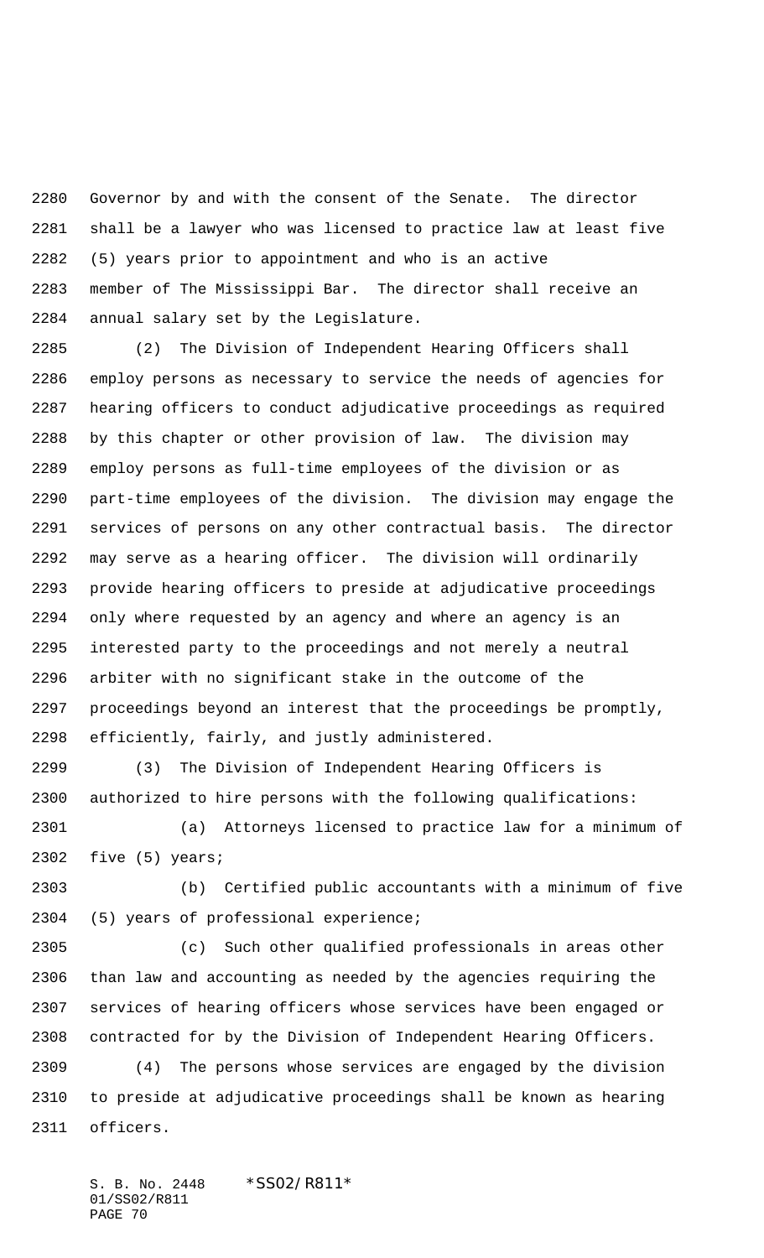Governor by and with the consent of the Senate. The director shall be a lawyer who was licensed to practice law at least five (5) years prior to appointment and who is an active member of The Mississippi Bar. The director shall receive an annual salary set by the Legislature.

 (2) The Division of Independent Hearing Officers shall employ persons as necessary to service the needs of agencies for hearing officers to conduct adjudicative proceedings as required by this chapter or other provision of law. The division may employ persons as full-time employees of the division or as part-time employees of the division. The division may engage the services of persons on any other contractual basis. The director may serve as a hearing officer. The division will ordinarily provide hearing officers to preside at adjudicative proceedings only where requested by an agency and where an agency is an interested party to the proceedings and not merely a neutral arbiter with no significant stake in the outcome of the proceedings beyond an interest that the proceedings be promptly, efficiently, fairly, and justly administered.

 (3) The Division of Independent Hearing Officers is authorized to hire persons with the following qualifications:

 (a) Attorneys licensed to practice law for a minimum of five (5) years;

 (b) Certified public accountants with a minimum of five (5) years of professional experience;

 (c) Such other qualified professionals in areas other than law and accounting as needed by the agencies requiring the services of hearing officers whose services have been engaged or contracted for by the Division of Independent Hearing Officers.

 (4) The persons whose services are engaged by the division to preside at adjudicative proceedings shall be known as hearing officers.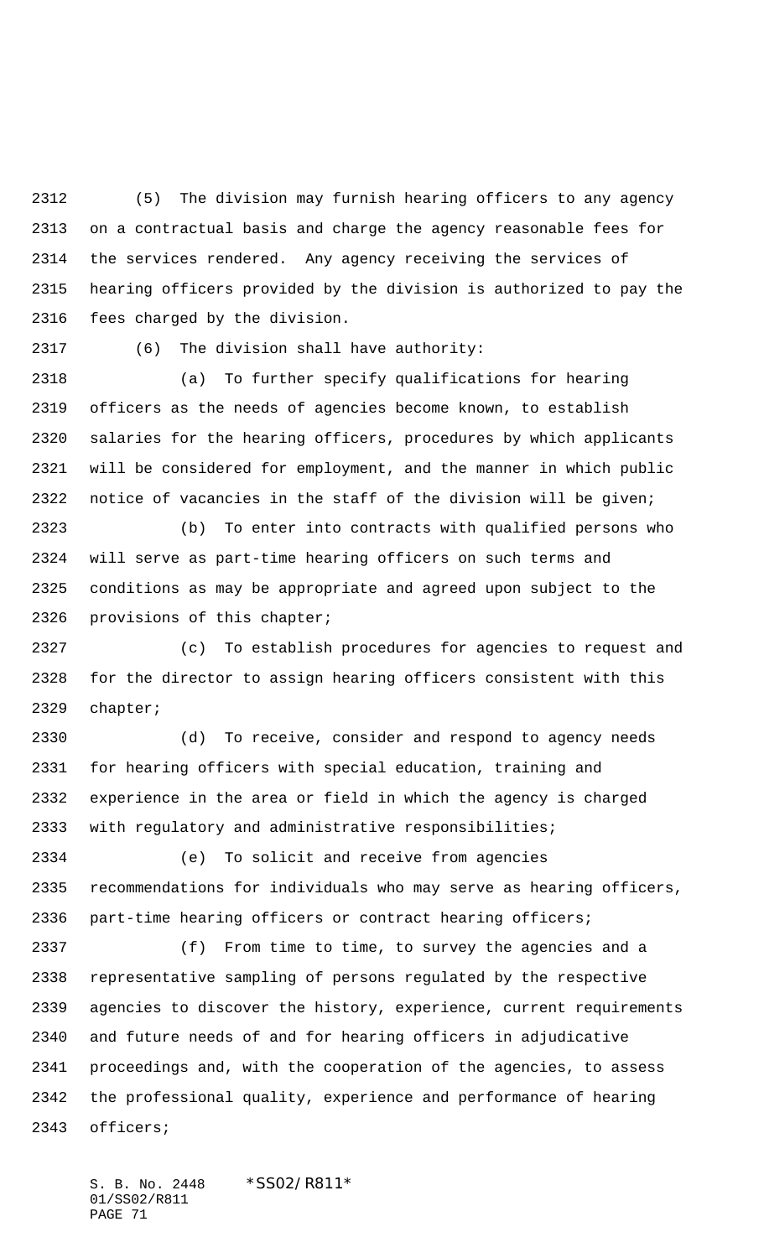(5) The division may furnish hearing officers to any agency on a contractual basis and charge the agency reasonable fees for the services rendered. Any agency receiving the services of hearing officers provided by the division is authorized to pay the fees charged by the division.

(6) The division shall have authority:

 (a) To further specify qualifications for hearing officers as the needs of agencies become known, to establish salaries for the hearing officers, procedures by which applicants will be considered for employment, and the manner in which public notice of vacancies in the staff of the division will be given;

 (b) To enter into contracts with qualified persons who will serve as part-time hearing officers on such terms and conditions as may be appropriate and agreed upon subject to the provisions of this chapter;

 (c) To establish procedures for agencies to request and for the director to assign hearing officers consistent with this chapter;

 (d) To receive, consider and respond to agency needs for hearing officers with special education, training and experience in the area or field in which the agency is charged with regulatory and administrative responsibilities;

 (e) To solicit and receive from agencies recommendations for individuals who may serve as hearing officers, part-time hearing officers or contract hearing officers;

 (f) From time to time, to survey the agencies and a representative sampling of persons regulated by the respective agencies to discover the history, experience, current requirements and future needs of and for hearing officers in adjudicative proceedings and, with the cooperation of the agencies, to assess the professional quality, experience and performance of hearing officers;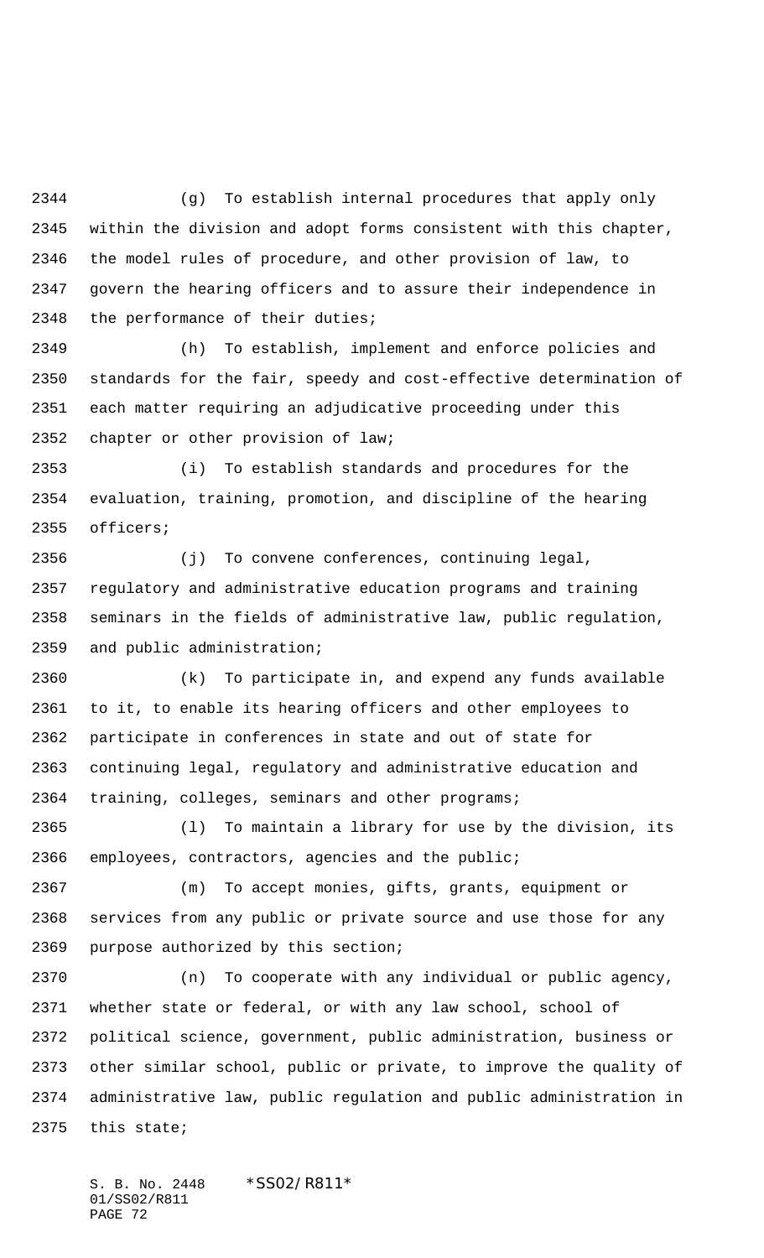(g) To establish internal procedures that apply only within the division and adopt forms consistent with this chapter, the model rules of procedure, and other provision of law, to govern the hearing officers and to assure their independence in the performance of their duties;

 (h) To establish, implement and enforce policies and standards for the fair, speedy and cost-effective determination of each matter requiring an adjudicative proceeding under this chapter or other provision of law;

 (i) To establish standards and procedures for the evaluation, training, promotion, and discipline of the hearing officers;

 (j) To convene conferences, continuing legal, regulatory and administrative education programs and training seminars in the fields of administrative law, public regulation, and public administration;

 (k) To participate in, and expend any funds available to it, to enable its hearing officers and other employees to participate in conferences in state and out of state for continuing legal, regulatory and administrative education and training, colleges, seminars and other programs;

 (l) To maintain a library for use by the division, its employees, contractors, agencies and the public;

 (m) To accept monies, gifts, grants, equipment or services from any public or private source and use those for any purpose authorized by this section;

 (n) To cooperate with any individual or public agency, whether state or federal, or with any law school, school of political science, government, public administration, business or other similar school, public or private, to improve the quality of administrative law, public regulation and public administration in this state;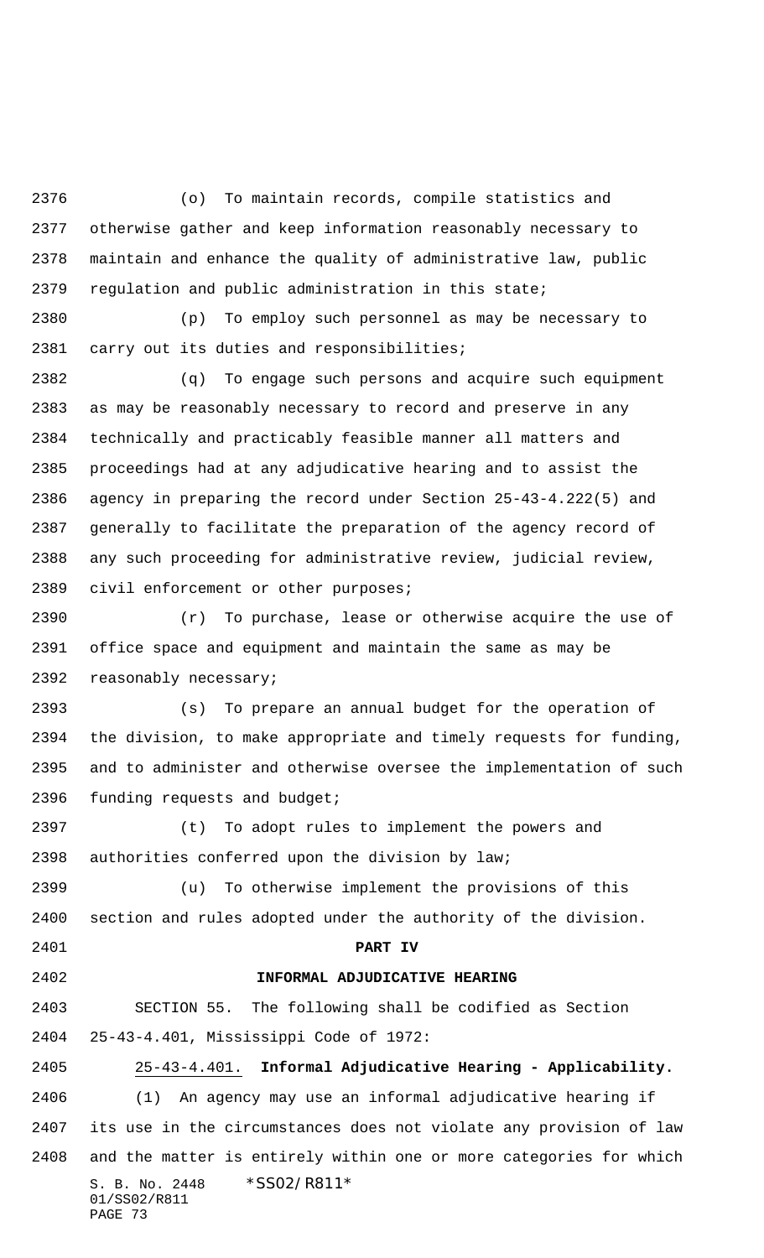(o) To maintain records, compile statistics and otherwise gather and keep information reasonably necessary to maintain and enhance the quality of administrative law, public regulation and public administration in this state;

 (p) To employ such personnel as may be necessary to carry out its duties and responsibilities;

 (q) To engage such persons and acquire such equipment as may be reasonably necessary to record and preserve in any technically and practicably feasible manner all matters and proceedings had at any adjudicative hearing and to assist the agency in preparing the record under Section 25-43-4.222(5) and generally to facilitate the preparation of the agency record of any such proceeding for administrative review, judicial review, civil enforcement or other purposes;

 (r) To purchase, lease or otherwise acquire the use of office space and equipment and maintain the same as may be reasonably necessary;

 (s) To prepare an annual budget for the operation of the division, to make appropriate and timely requests for funding, and to administer and otherwise oversee the implementation of such 2396 funding requests and budget;

 (t) To adopt rules to implement the powers and authorities conferred upon the division by law;

 (u) To otherwise implement the provisions of this section and rules adopted under the authority of the division.

**PART IV**

#### **INFORMAL ADJUDICATIVE HEARING**

SECTION 55. The following shall be codified as Section

25-43-4.401, Mississippi Code of 1972:

 25-43-4.401. **Informal Adjudicative Hearing - Applicability.** (1) An agency may use an informal adjudicative hearing if its use in the circumstances does not violate any provision of law and the matter is entirely within one or more categories for which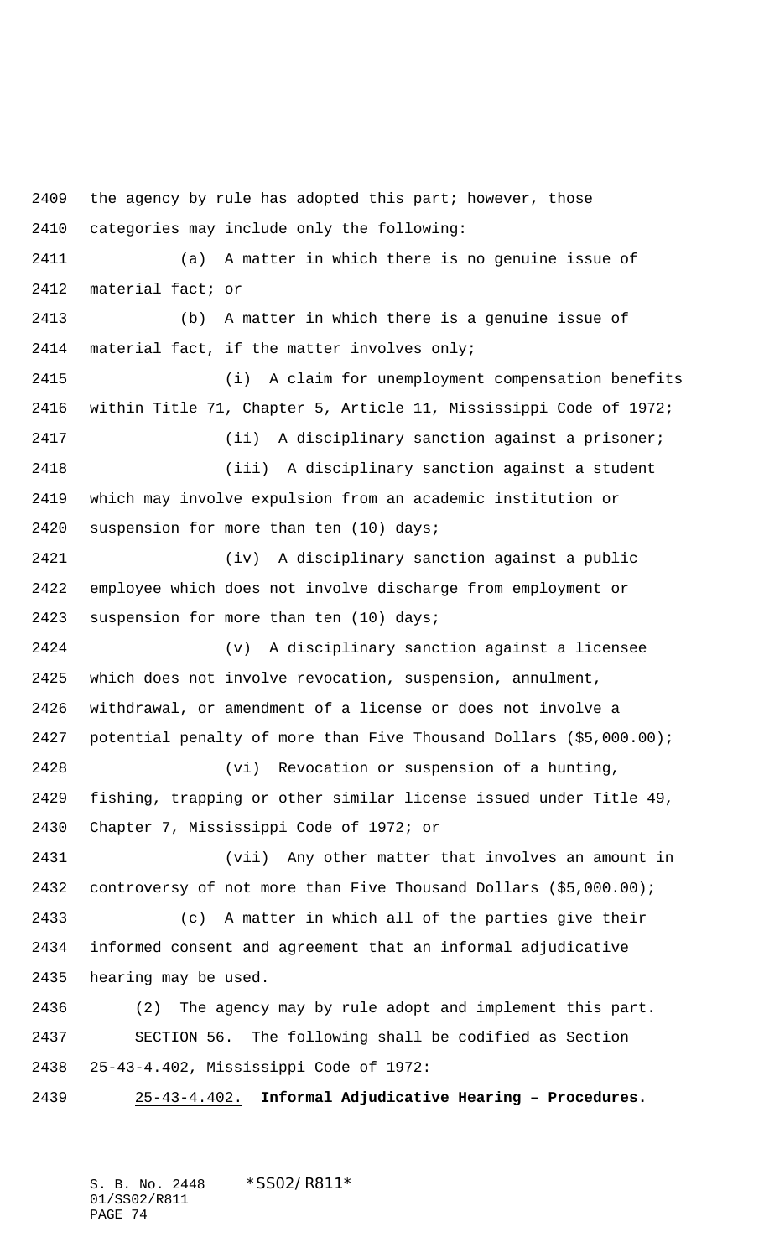the agency by rule has adopted this part; however, those categories may include only the following: (a) A matter in which there is no genuine issue of material fact; or (b) A matter in which there is a genuine issue of material fact, if the matter involves only; (i) A claim for unemployment compensation benefits within Title 71, Chapter 5, Article 11, Mississippi Code of 1972; (ii) A disciplinary sanction against a prisoner; (iii) A disciplinary sanction against a student which may involve expulsion from an academic institution or suspension for more than ten (10) days; (iv) A disciplinary sanction against a public employee which does not involve discharge from employment or suspension for more than ten (10) days; (v) A disciplinary sanction against a licensee which does not involve revocation, suspension, annulment, withdrawal, or amendment of a license or does not involve a potential penalty of more than Five Thousand Dollars (\$5,000.00); (vi) Revocation or suspension of a hunting, fishing, trapping or other similar license issued under Title 49, Chapter 7, Mississippi Code of 1972; or (vii) Any other matter that involves an amount in controversy of not more than Five Thousand Dollars (\$5,000.00); (c) A matter in which all of the parties give their informed consent and agreement that an informal adjudicative hearing may be used. (2) The agency may by rule adopt and implement this part. SECTION 56. The following shall be codified as Section 25-43-4.402, Mississippi Code of 1972: 25-43-4.402. **Informal Adjudicative Hearing – Procedures.**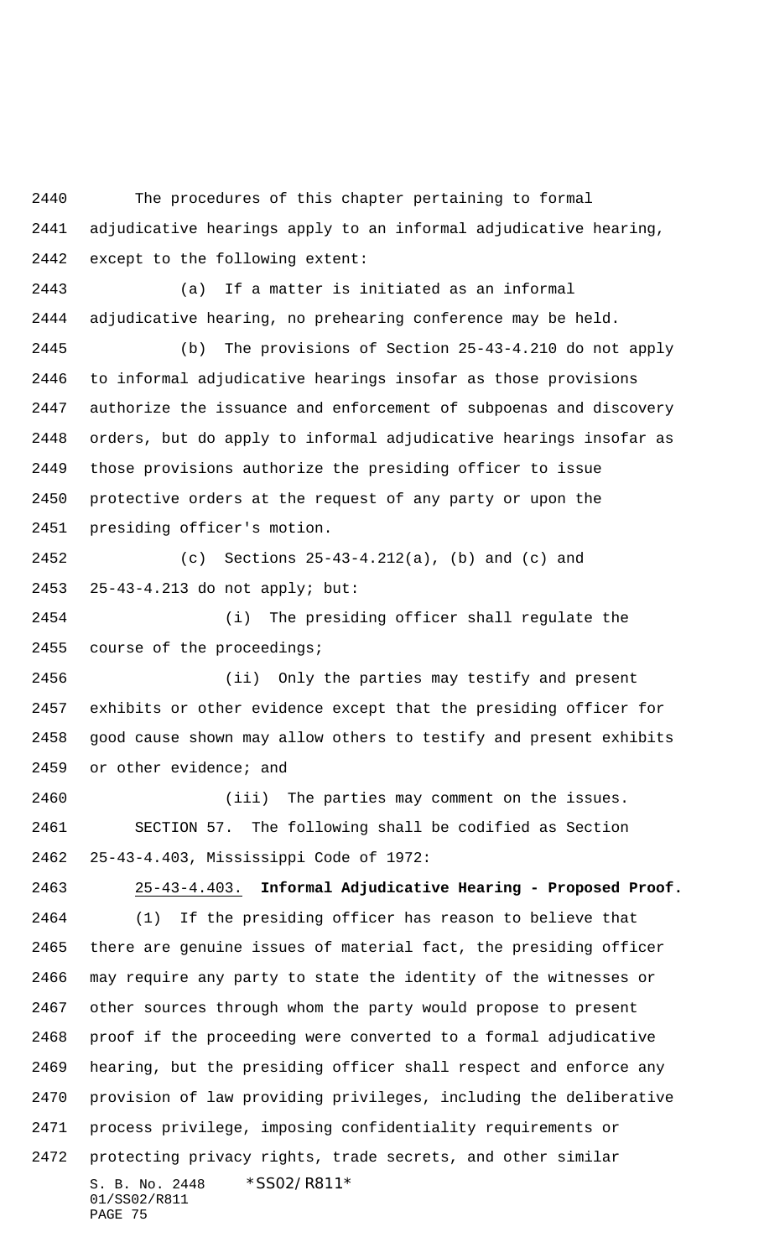The procedures of this chapter pertaining to formal adjudicative hearings apply to an informal adjudicative hearing, except to the following extent:

 (a) If a matter is initiated as an informal adjudicative hearing, no prehearing conference may be held.

 (b) The provisions of Section 25-43-4.210 do not apply to informal adjudicative hearings insofar as those provisions authorize the issuance and enforcement of subpoenas and discovery orders, but do apply to informal adjudicative hearings insofar as those provisions authorize the presiding officer to issue protective orders at the request of any party or upon the presiding officer's motion.

 (c) Sections 25-43-4.212(a), (b) and (c) and 25-43-4.213 do not apply; but:

 (i) The presiding officer shall regulate the 2455 course of the proceedings;

 (ii) Only the parties may testify and present exhibits or other evidence except that the presiding officer for good cause shown may allow others to testify and present exhibits 2459 or other evidence; and

 (iii) The parties may comment on the issues. SECTION 57. The following shall be codified as Section 25-43-4.403, Mississippi Code of 1972:

S. B. No. 2448 \* SS02/R811\* 01/SS02/R811 PAGE 75 25-43-4.403. **Informal Adjudicative Hearing - Proposed Proof.** (1) If the presiding officer has reason to believe that there are genuine issues of material fact, the presiding officer may require any party to state the identity of the witnesses or other sources through whom the party would propose to present proof if the proceeding were converted to a formal adjudicative hearing, but the presiding officer shall respect and enforce any provision of law providing privileges, including the deliberative process privilege, imposing confidentiality requirements or protecting privacy rights, trade secrets, and other similar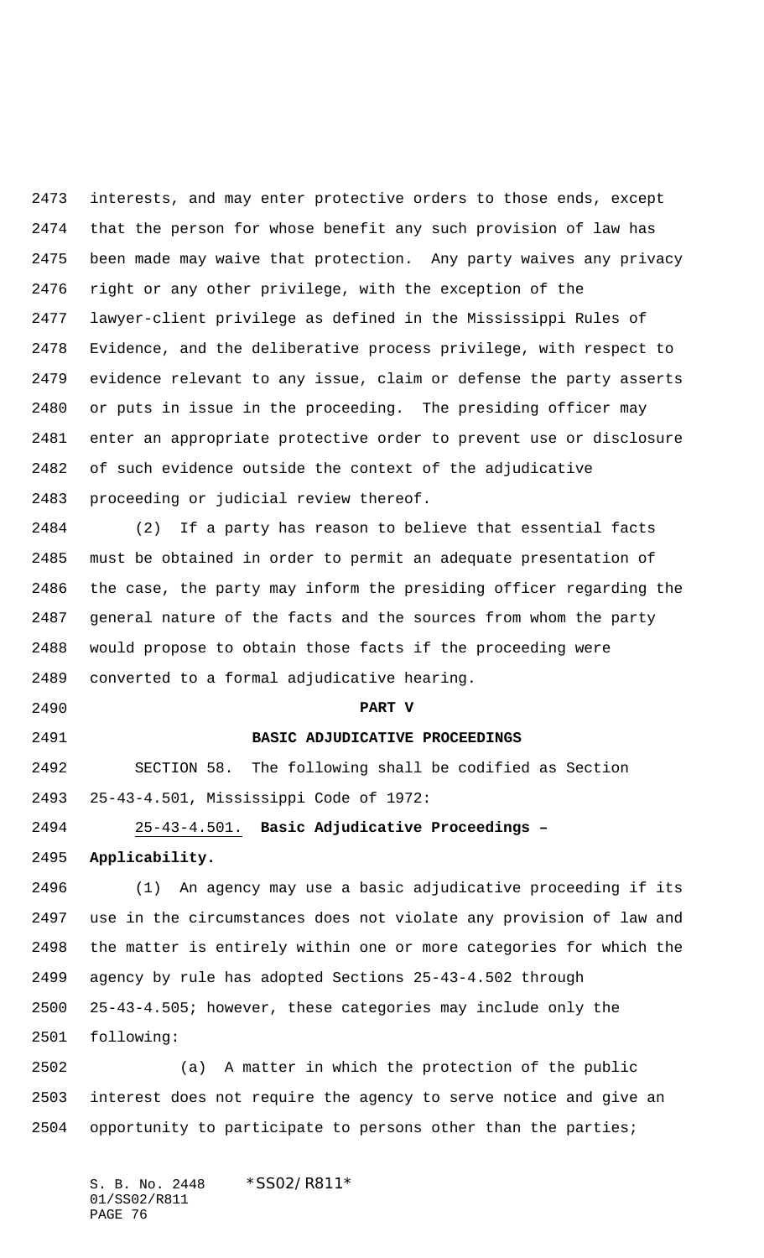interests, and may enter protective orders to those ends, except that the person for whose benefit any such provision of law has been made may waive that protection. Any party waives any privacy right or any other privilege, with the exception of the lawyer-client privilege as defined in the Mississippi Rules of Evidence, and the deliberative process privilege, with respect to evidence relevant to any issue, claim or defense the party asserts or puts in issue in the proceeding. The presiding officer may enter an appropriate protective order to prevent use or disclosure of such evidence outside the context of the adjudicative proceeding or judicial review thereof.

 (2) If a party has reason to believe that essential facts must be obtained in order to permit an adequate presentation of the case, the party may inform the presiding officer regarding the general nature of the facts and the sources from whom the party would propose to obtain those facts if the proceeding were converted to a formal adjudicative hearing.

**PART V**

 SECTION 58. The following shall be codified as Section 25-43-4.501, Mississippi Code of 1972:

 25-43-4.501. **Basic Adjudicative Proceedings – Applicability.**

**BASIC ADJUDICATIVE PROCEEDINGS**

 (1) An agency may use a basic adjudicative proceeding if its use in the circumstances does not violate any provision of law and the matter is entirely within one or more categories for which the agency by rule has adopted Sections 25-43-4.502 through 25-43-4.505; however, these categories may include only the following:

 (a) A matter in which the protection of the public interest does not require the agency to serve notice and give an opportunity to participate to persons other than the parties;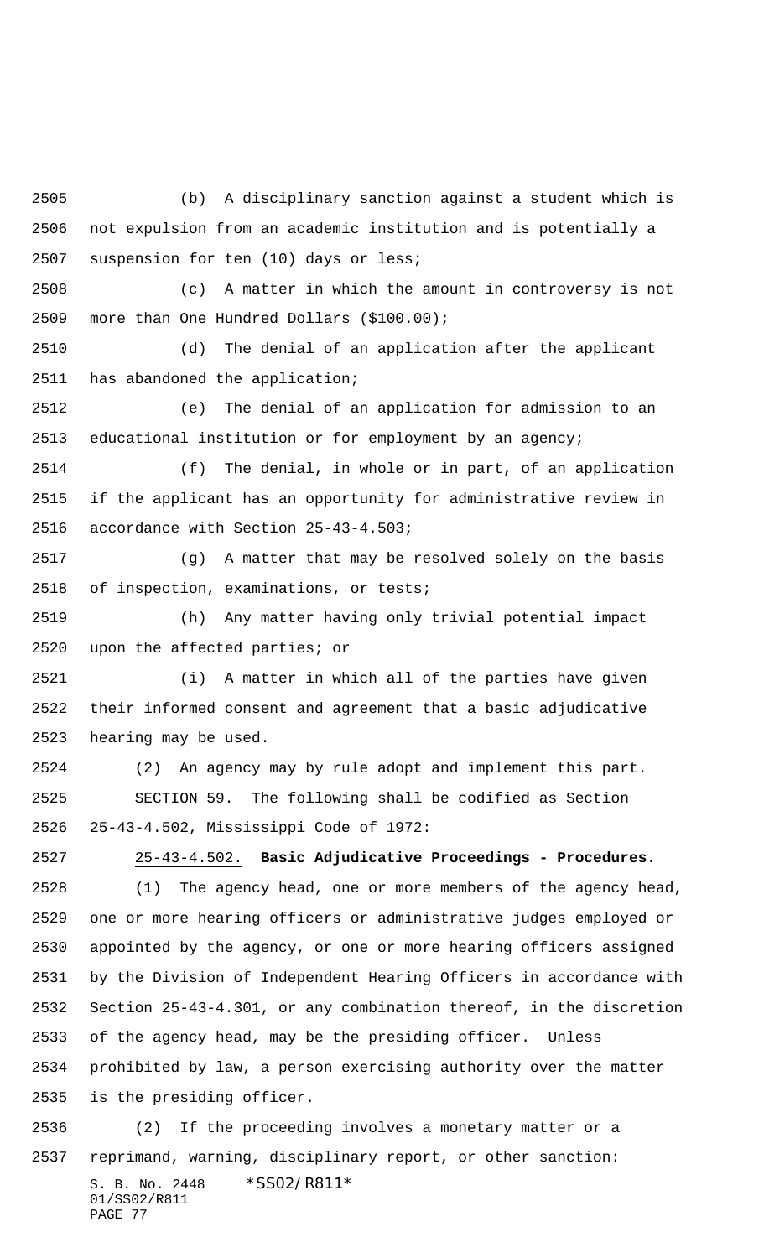(b) A disciplinary sanction against a student which is not expulsion from an academic institution and is potentially a suspension for ten (10) days or less;

 (c) A matter in which the amount in controversy is not more than One Hundred Dollars (\$100.00);

 (d) The denial of an application after the applicant has abandoned the application;

 (e) The denial of an application for admission to an educational institution or for employment by an agency;

 (f) The denial, in whole or in part, of an application if the applicant has an opportunity for administrative review in accordance with Section 25-43-4.503;

 (g) A matter that may be resolved solely on the basis of inspection, examinations, or tests;

 (h) Any matter having only trivial potential impact upon the affected parties; or

 (i) A matter in which all of the parties have given their informed consent and agreement that a basic adjudicative hearing may be used.

 (2) An agency may by rule adopt and implement this part. SECTION 59. The following shall be codified as Section 25-43-4.502, Mississippi Code of 1972:

 25-43-4.502. **Basic Adjudicative Proceedings - Procedures.** (1) The agency head, one or more members of the agency head, one or more hearing officers or administrative judges employed or appointed by the agency, or one or more hearing officers assigned by the Division of Independent Hearing Officers in accordance with Section 25-43-4.301, or any combination thereof, in the discretion of the agency head, may be the presiding officer. Unless prohibited by law, a person exercising authority over the matter is the presiding officer. (2) If the proceeding involves a monetary matter or a

S. B. No. 2448 \* SS02/R811\* 01/SS02/R811 PAGE 77 reprimand, warning, disciplinary report, or other sanction: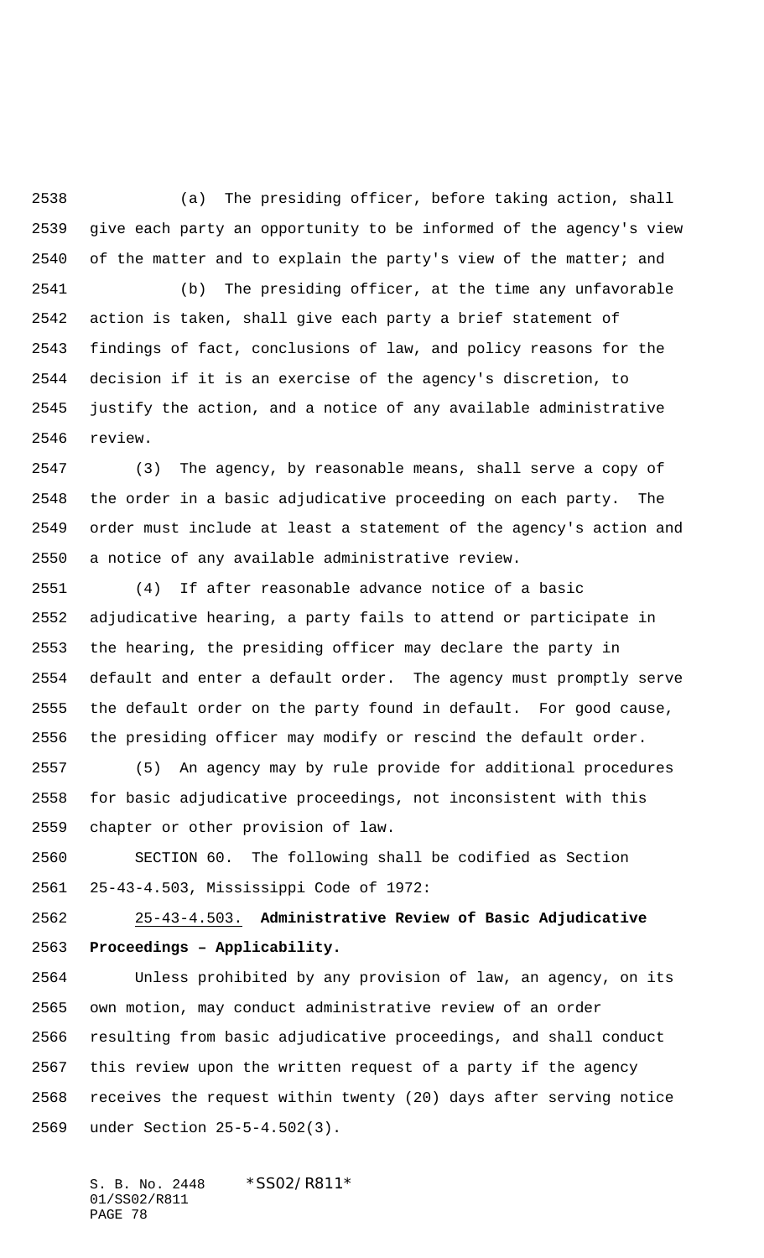(a) The presiding officer, before taking action, shall give each party an opportunity to be informed of the agency's view 2540 of the matter and to explain the party's view of the matter; and

 (b) The presiding officer, at the time any unfavorable action is taken, shall give each party a brief statement of findings of fact, conclusions of law, and policy reasons for the decision if it is an exercise of the agency's discretion, to justify the action, and a notice of any available administrative review.

 (3) The agency, by reasonable means, shall serve a copy of the order in a basic adjudicative proceeding on each party. The order must include at least a statement of the agency's action and a notice of any available administrative review.

 (4) If after reasonable advance notice of a basic adjudicative hearing, a party fails to attend or participate in the hearing, the presiding officer may declare the party in default and enter a default order. The agency must promptly serve the default order on the party found in default. For good cause, the presiding officer may modify or rescind the default order.

 (5) An agency may by rule provide for additional procedures for basic adjudicative proceedings, not inconsistent with this chapter or other provision of law.

 SECTION 60. The following shall be codified as Section 25-43-4.503, Mississippi Code of 1972:

 25-43-4.503. **Administrative Review of Basic Adjudicative Proceedings – Applicability.**

 Unless prohibited by any provision of law, an agency, on its own motion, may conduct administrative review of an order resulting from basic adjudicative proceedings, and shall conduct this review upon the written request of a party if the agency receives the request within twenty (20) days after serving notice under Section 25-5-4.502(3).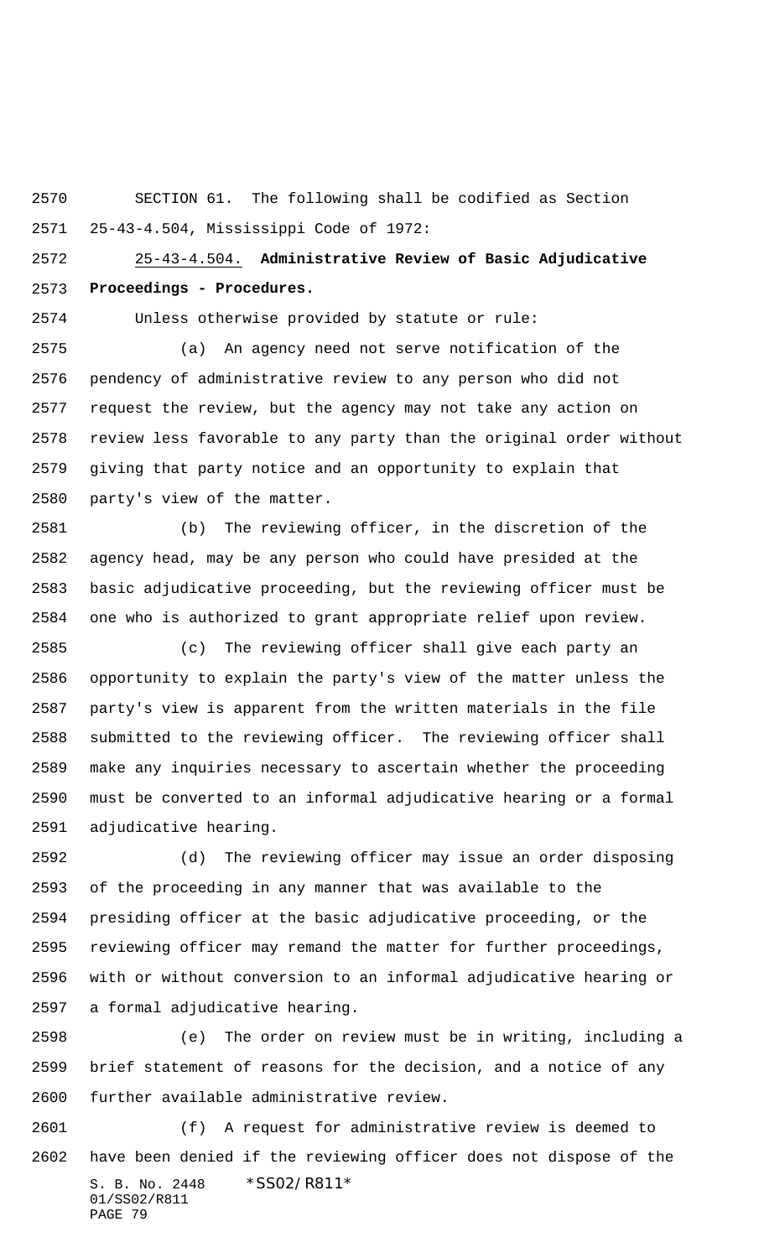SECTION 61. The following shall be codified as Section 25-43-4.504, Mississippi Code of 1972:

 25-43-4.504. **Administrative Review of Basic Adjudicative Proceedings - Procedures.**

Unless otherwise provided by statute or rule:

 (a) An agency need not serve notification of the pendency of administrative review to any person who did not request the review, but the agency may not take any action on review less favorable to any party than the original order without giving that party notice and an opportunity to explain that party's view of the matter.

 (b) The reviewing officer, in the discretion of the agency head, may be any person who could have presided at the basic adjudicative proceeding, but the reviewing officer must be one who is authorized to grant appropriate relief upon review.

 (c) The reviewing officer shall give each party an opportunity to explain the party's view of the matter unless the party's view is apparent from the written materials in the file submitted to the reviewing officer. The reviewing officer shall make any inquiries necessary to ascertain whether the proceeding must be converted to an informal adjudicative hearing or a formal adjudicative hearing.

 (d) The reviewing officer may issue an order disposing of the proceeding in any manner that was available to the presiding officer at the basic adjudicative proceeding, or the reviewing officer may remand the matter for further proceedings, with or without conversion to an informal adjudicative hearing or a formal adjudicative hearing.

 (e) The order on review must be in writing, including a brief statement of reasons for the decision, and a notice of any further available administrative review.

S. B. No. 2448 \* SS02/R811\* 01/SS02/R811 PAGE 79 (f) A request for administrative review is deemed to have been denied if the reviewing officer does not dispose of the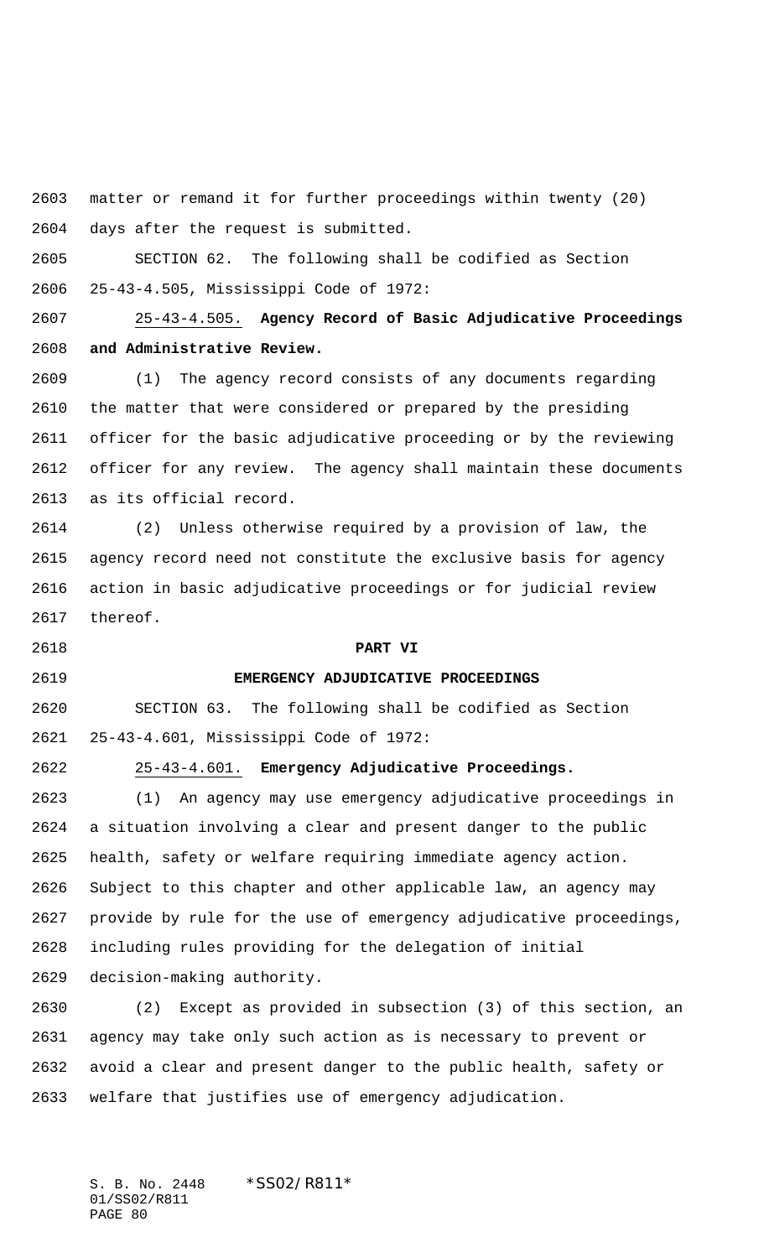matter or remand it for further proceedings within twenty (20) days after the request is submitted.

 SECTION 62. The following shall be codified as Section 25-43-4.505, Mississippi Code of 1972:

 25-43-4.505. **Agency Record of Basic Adjudicative Proceedings and Administrative Review.**

 (1) The agency record consists of any documents regarding the matter that were considered or prepared by the presiding officer for the basic adjudicative proceeding or by the reviewing officer for any review. The agency shall maintain these documents as its official record.

 (2) Unless otherwise required by a provision of law, the agency record need not constitute the exclusive basis for agency action in basic adjudicative proceedings or for judicial review thereof.

**PART VI**

# **EMERGENCY ADJUDICATIVE PROCEEDINGS**

 SECTION 63. The following shall be codified as Section 25-43-4.601, Mississippi Code of 1972:

25-43-4.601. **Emergency Adjudicative Proceedings.**

 (1) An agency may use emergency adjudicative proceedings in a situation involving a clear and present danger to the public health, safety or welfare requiring immediate agency action. Subject to this chapter and other applicable law, an agency may provide by rule for the use of emergency adjudicative proceedings, including rules providing for the delegation of initial decision-making authority.

 (2) Except as provided in subsection (3) of this section, an agency may take only such action as is necessary to prevent or avoid a clear and present danger to the public health, safety or welfare that justifies use of emergency adjudication.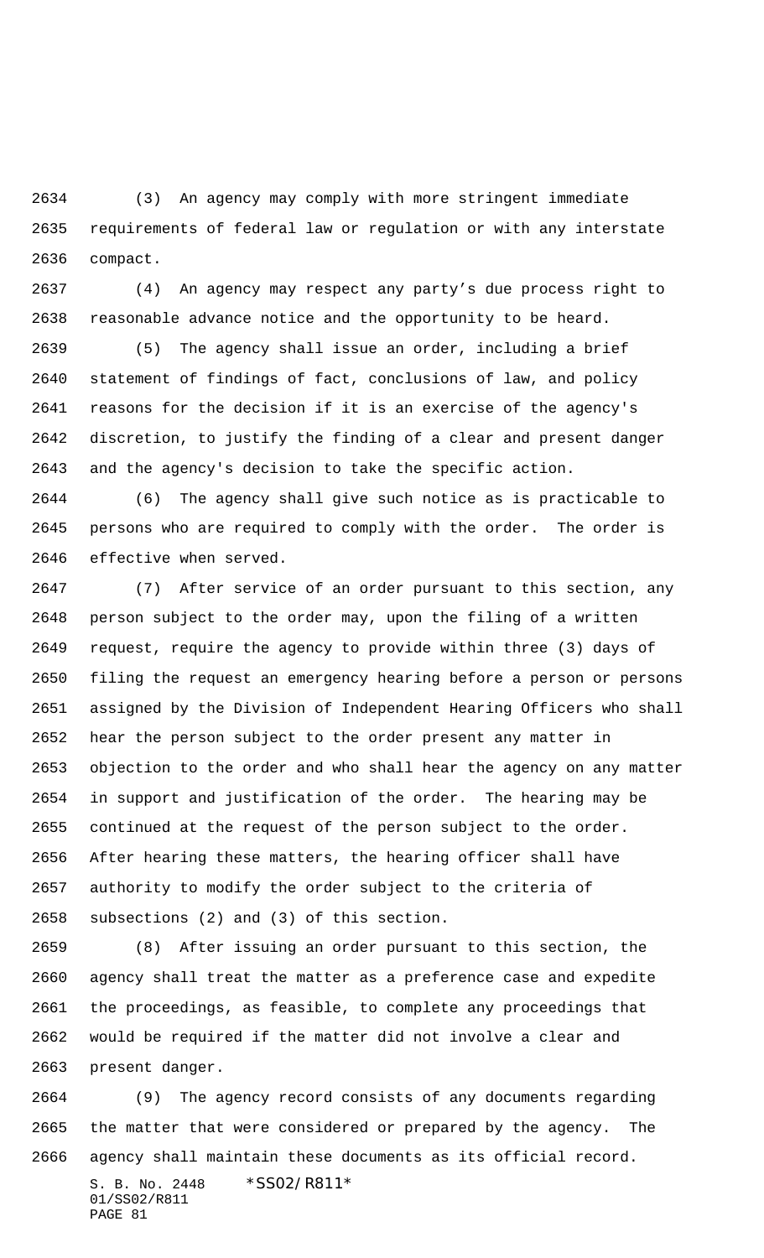(3) An agency may comply with more stringent immediate requirements of federal law or regulation or with any interstate compact.

 (4) An agency may respect any party's due process right to reasonable advance notice and the opportunity to be heard.

 (5) The agency shall issue an order, including a brief statement of findings of fact, conclusions of law, and policy reasons for the decision if it is an exercise of the agency's discretion, to justify the finding of a clear and present danger and the agency's decision to take the specific action.

 (6) The agency shall give such notice as is practicable to persons who are required to comply with the order. The order is effective when served.

 (7) After service of an order pursuant to this section, any person subject to the order may, upon the filing of a written request, require the agency to provide within three (3) days of filing the request an emergency hearing before a person or persons assigned by the Division of Independent Hearing Officers who shall hear the person subject to the order present any matter in objection to the order and who shall hear the agency on any matter in support and justification of the order. The hearing may be continued at the request of the person subject to the order. After hearing these matters, the hearing officer shall have authority to modify the order subject to the criteria of subsections (2) and (3) of this section.

 (8) After issuing an order pursuant to this section, the agency shall treat the matter as a preference case and expedite the proceedings, as feasible, to complete any proceedings that would be required if the matter did not involve a clear and present danger.

 (9) The agency record consists of any documents regarding the matter that were considered or prepared by the agency. The agency shall maintain these documents as its official record.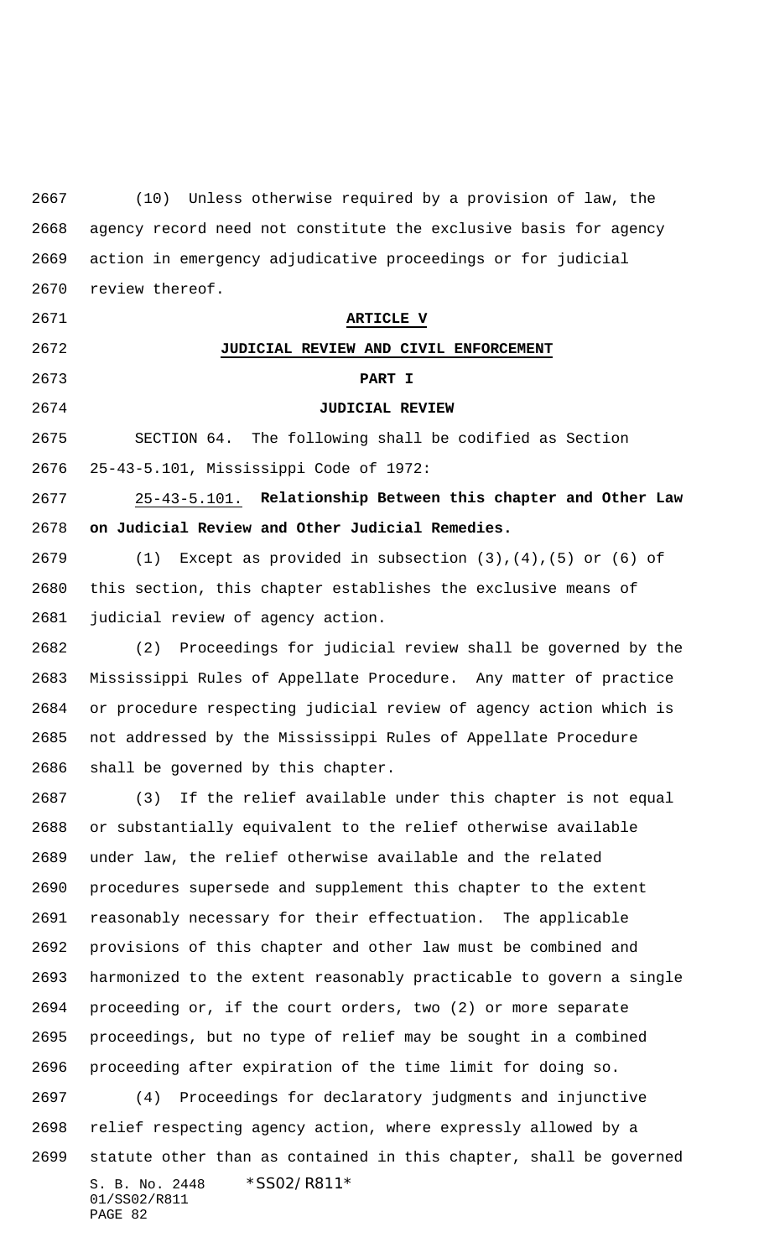(10) Unless otherwise required by a provision of law, the agency record need not constitute the exclusive basis for agency action in emergency adjudicative proceedings or for judicial review thereof.

**ARTICLE V**

**JUDICIAL REVIEW AND CIVIL ENFORCEMENT**

## **PART I**

# **JUDICIAL REVIEW**

 SECTION 64. The following shall be codified as Section 25-43-5.101, Mississippi Code of 1972:

 25-43-5.101. **Relationship Between this chapter and Other Law on Judicial Review and Other Judicial Remedies.**

 (1) Except as provided in subsection (3),(4),(5) or (6) of this section, this chapter establishes the exclusive means of judicial review of agency action.

 (2) Proceedings for judicial review shall be governed by the Mississippi Rules of Appellate Procedure. Any matter of practice or procedure respecting judicial review of agency action which is not addressed by the Mississippi Rules of Appellate Procedure shall be governed by this chapter.

S. B. No. 2448 \* SS02/R811\* 01/SS02/R811 (3) If the relief available under this chapter is not equal or substantially equivalent to the relief otherwise available under law, the relief otherwise available and the related procedures supersede and supplement this chapter to the extent reasonably necessary for their effectuation. The applicable provisions of this chapter and other law must be combined and harmonized to the extent reasonably practicable to govern a single proceeding or, if the court orders, two (2) or more separate proceedings, but no type of relief may be sought in a combined proceeding after expiration of the time limit for doing so. (4) Proceedings for declaratory judgments and injunctive relief respecting agency action, where expressly allowed by a statute other than as contained in this chapter, shall be governed

PAGE 82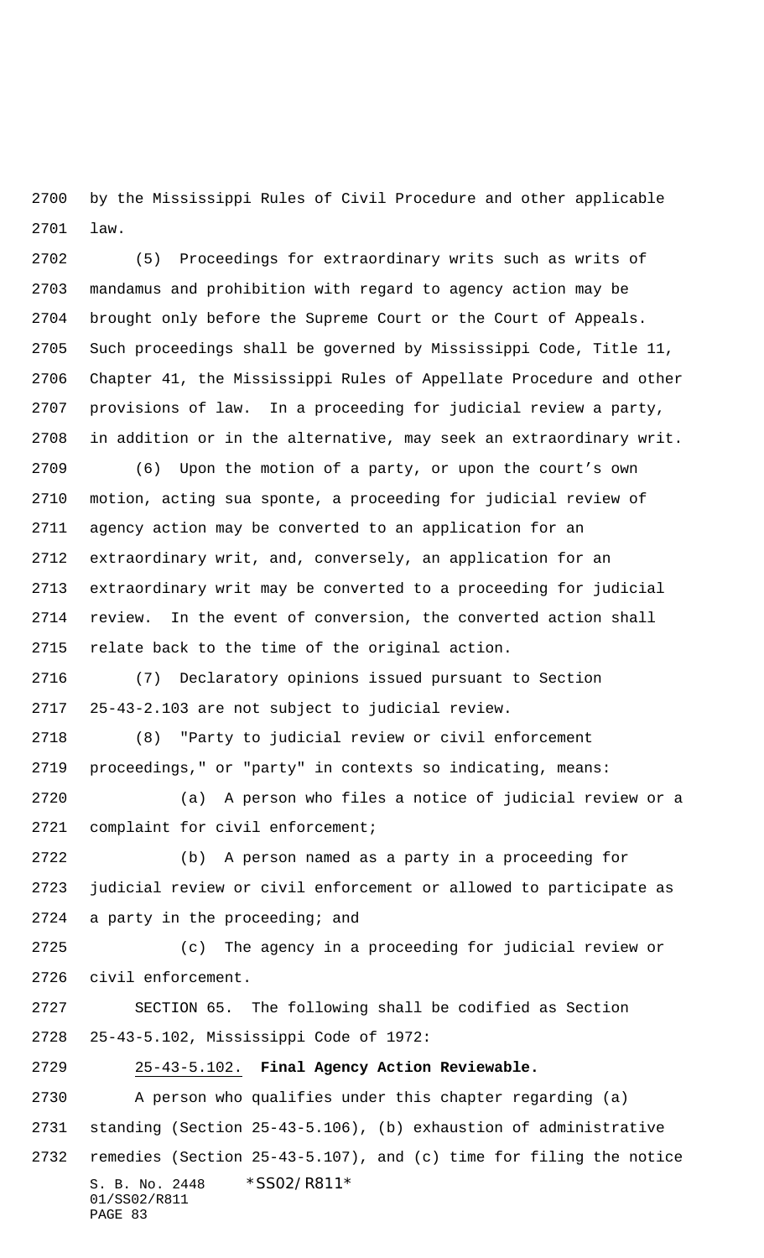by the Mississippi Rules of Civil Procedure and other applicable law.

 (5) Proceedings for extraordinary writs such as writs of mandamus and prohibition with regard to agency action may be brought only before the Supreme Court or the Court of Appeals. Such proceedings shall be governed by Mississippi Code, Title 11, Chapter 41, the Mississippi Rules of Appellate Procedure and other provisions of law. In a proceeding for judicial review a party, in addition or in the alternative, may seek an extraordinary writ.

 (6) Upon the motion of a party, or upon the court's own motion, acting sua sponte, a proceeding for judicial review of agency action may be converted to an application for an extraordinary writ, and, conversely, an application for an extraordinary writ may be converted to a proceeding for judicial review. In the event of conversion, the converted action shall relate back to the time of the original action.

 (7) Declaratory opinions issued pursuant to Section 25-43-2.103 are not subject to judicial review.

 (8) "Party to judicial review or civil enforcement proceedings," or "party" in contexts so indicating, means:

 (a) A person who files a notice of judicial review or a complaint for civil enforcement;

 (b) A person named as a party in a proceeding for judicial review or civil enforcement or allowed to participate as a party in the proceeding; and

 (c) The agency in a proceeding for judicial review or civil enforcement.

 SECTION 65. The following shall be codified as Section 25-43-5.102, Mississippi Code of 1972:

25-43-5.102. **Final Agency Action Reviewable.**

S. B. No. 2448 \*SS02/R811\* 01/SS02/R811 PAGE 83 A person who qualifies under this chapter regarding (a) standing (Section 25-43-5.106), (b) exhaustion of administrative remedies (Section 25-43-5.107), and (c) time for filing the notice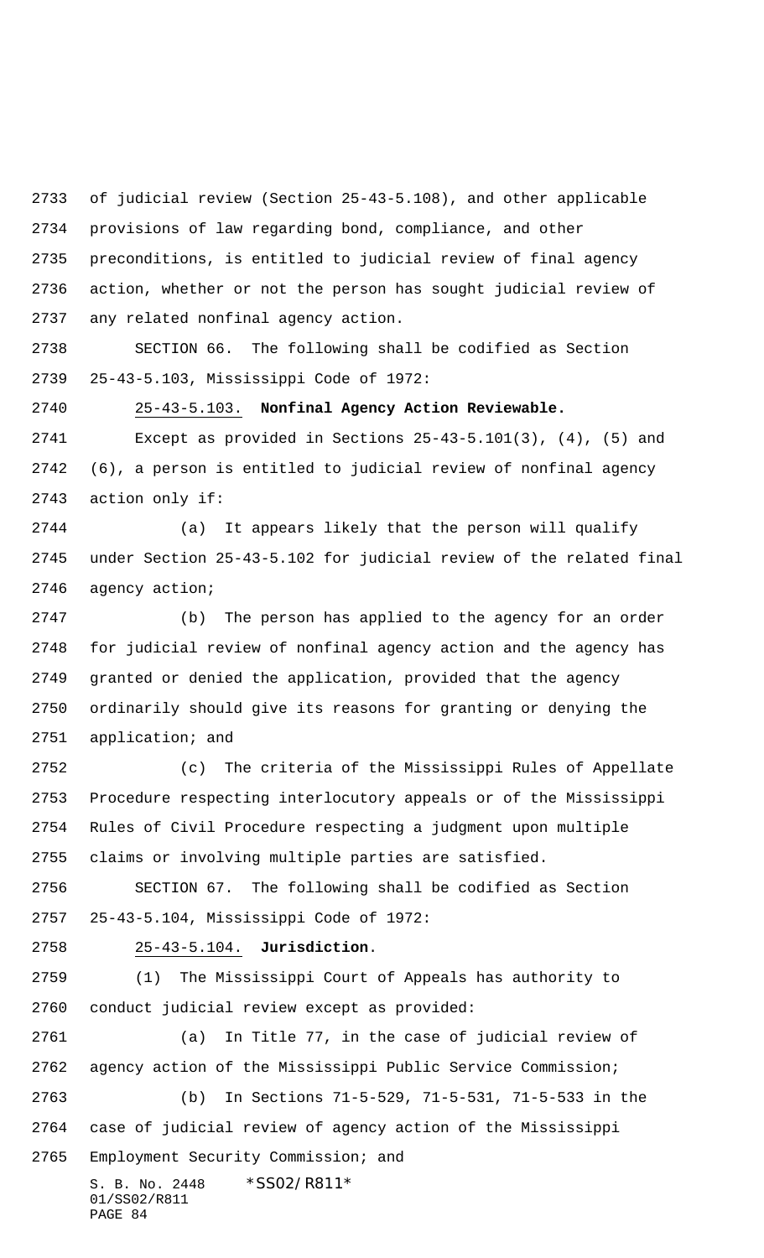of judicial review (Section 25-43-5.108), and other applicable provisions of law regarding bond, compliance, and other preconditions, is entitled to judicial review of final agency action, whether or not the person has sought judicial review of any related nonfinal agency action.

 SECTION 66. The following shall be codified as Section 25-43-5.103, Mississippi Code of 1972:

 25-43-5.103. **Nonfinal Agency Action Reviewable.** Except as provided in Sections 25-43-5.101(3), (4), (5) and (6), a person is entitled to judicial review of nonfinal agency action only if:

 (a) It appears likely that the person will qualify under Section 25-43-5.102 for judicial review of the related final agency action;

 (b) The person has applied to the agency for an order for judicial review of nonfinal agency action and the agency has granted or denied the application, provided that the agency ordinarily should give its reasons for granting or denying the application; and

 (c) The criteria of the Mississippi Rules of Appellate Procedure respecting interlocutory appeals or of the Mississippi Rules of Civil Procedure respecting a judgment upon multiple claims or involving multiple parties are satisfied.

 SECTION 67. The following shall be codified as Section 25-43-5.104, Mississippi Code of 1972:

### 25-43-5.104. **Jurisdiction**.

 (1) The Mississippi Court of Appeals has authority to conduct judicial review except as provided:

S. B. No. 2448 \* SS02/R811\* (a) In Title 77, in the case of judicial review of agency action of the Mississippi Public Service Commission; (b) In Sections 71-5-529, 71-5-531, 71-5-533 in the case of judicial review of agency action of the Mississippi Employment Security Commission; and

01/SS02/R811 PAGE 84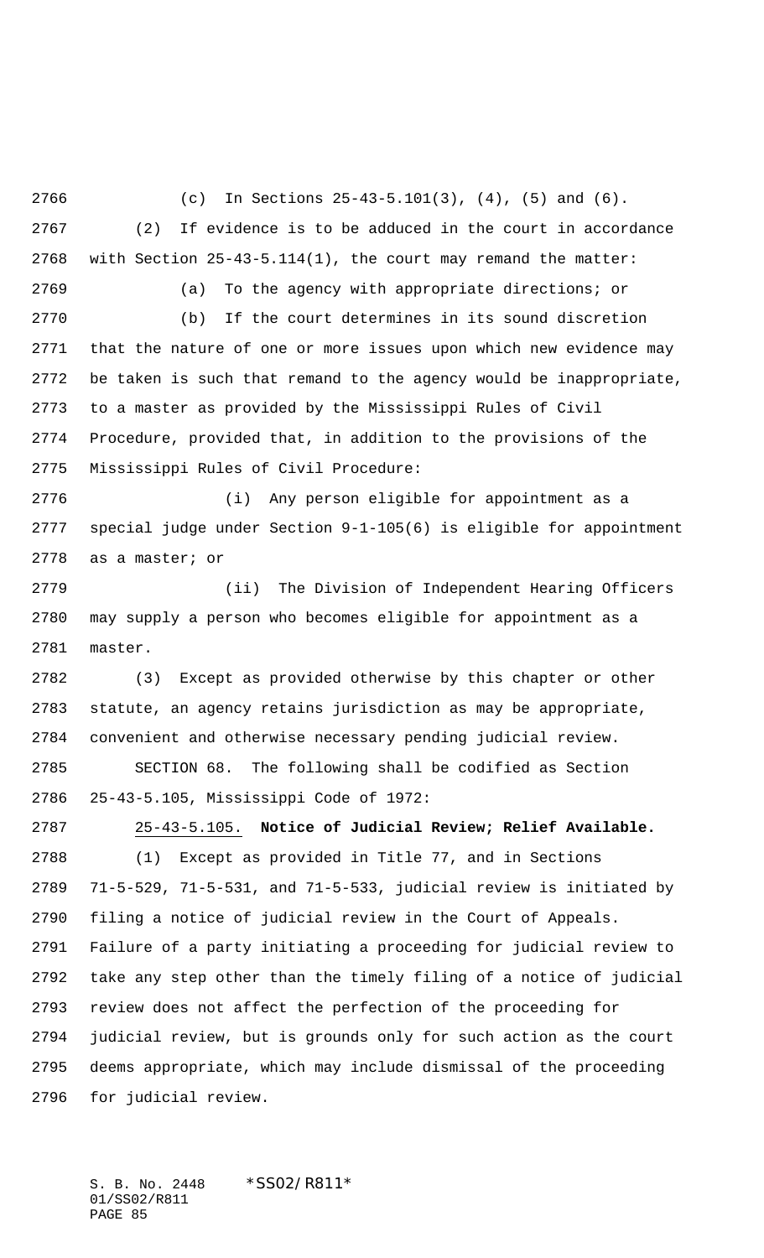(c) In Sections 25-43-5.101(3), (4), (5) and (6). (2) If evidence is to be adduced in the court in accordance with Section 25-43-5.114(1), the court may remand the matter: (a) To the agency with appropriate directions; or (b) If the court determines in its sound discretion that the nature of one or more issues upon which new evidence may be taken is such that remand to the agency would be inappropriate, to a master as provided by the Mississippi Rules of Civil Procedure, provided that, in addition to the provisions of the Mississippi Rules of Civil Procedure: (i) Any person eligible for appointment as a special judge under Section 9-1-105(6) is eligible for appointment as a master; or (ii) The Division of Independent Hearing Officers may supply a person who becomes eligible for appointment as a master. (3) Except as provided otherwise by this chapter or other statute, an agency retains jurisdiction as may be appropriate, convenient and otherwise necessary pending judicial review. SECTION 68. The following shall be codified as Section 25-43-5.105, Mississippi Code of 1972: 25-43-5.105. **Notice of Judicial Review; Relief Available.** (1) Except as provided in Title 77, and in Sections 71-5-529, 71-5-531, and 71-5-533, judicial review is initiated by filing a notice of judicial review in the Court of Appeals. Failure of a party initiating a proceeding for judicial review to take any step other than the timely filing of a notice of judicial review does not affect the perfection of the proceeding for judicial review, but is grounds only for such action as the court deems appropriate, which may include dismissal of the proceeding for judicial review.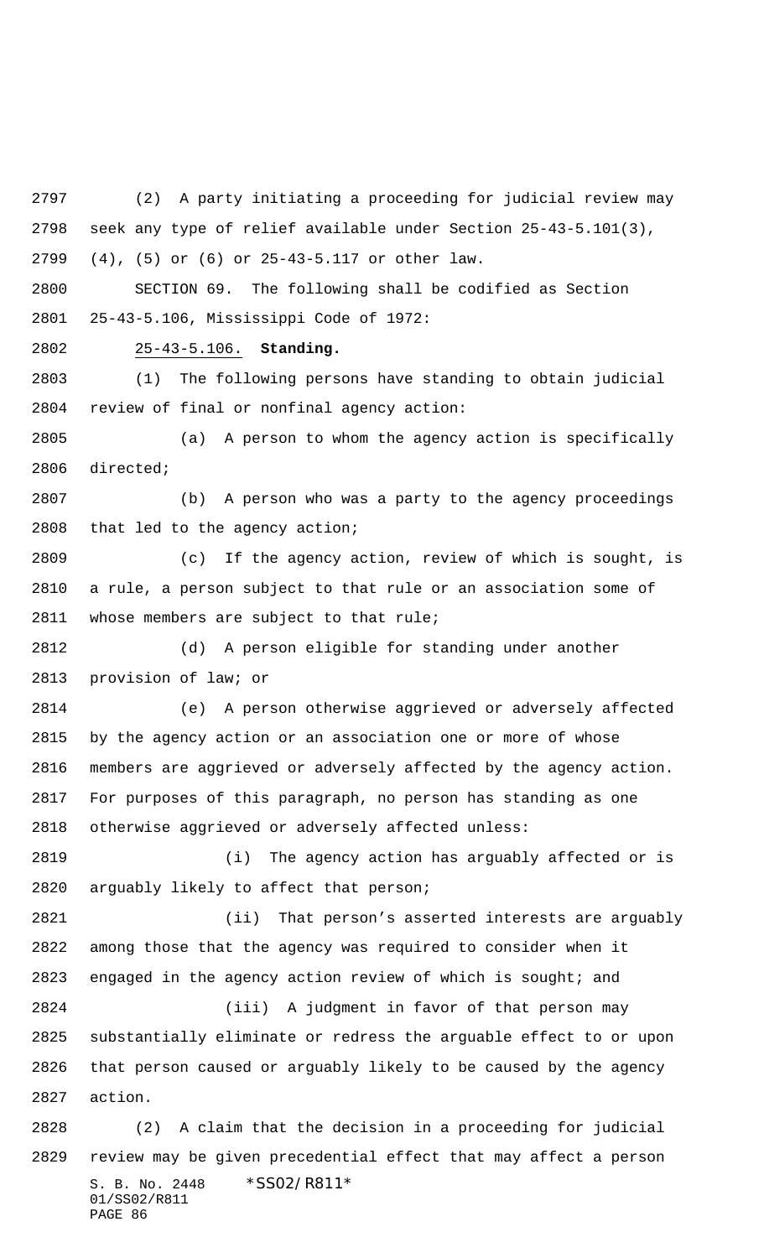S. B. No. 2448 \* SS02/R811\* (2) A party initiating a proceeding for judicial review may seek any type of relief available under Section 25-43-5.101(3), (4), (5) or (6) or 25-43-5.117 or other law. SECTION 69. The following shall be codified as Section 25-43-5.106, Mississippi Code of 1972: 25-43-5.106. **Standing.** (1) The following persons have standing to obtain judicial review of final or nonfinal agency action: (a) A person to whom the agency action is specifically directed; (b) A person who was a party to the agency proceedings that led to the agency action; (c) If the agency action, review of which is sought, is a rule, a person subject to that rule or an association some of whose members are subject to that rule; (d) A person eligible for standing under another provision of law; or (e) A person otherwise aggrieved or adversely affected by the agency action or an association one or more of whose members are aggrieved or adversely affected by the agency action. For purposes of this paragraph, no person has standing as one otherwise aggrieved or adversely affected unless: (i) The agency action has arguably affected or is arguably likely to affect that person; (ii) That person's asserted interests are arguably among those that the agency was required to consider when it 2823 engaged in the agency action review of which is sought; and (iii) A judgment in favor of that person may substantially eliminate or redress the arguable effect to or upon that person caused or arguably likely to be caused by the agency action. (2) A claim that the decision in a proceeding for judicial review may be given precedential effect that may affect a person

01/SS02/R811 PAGE 86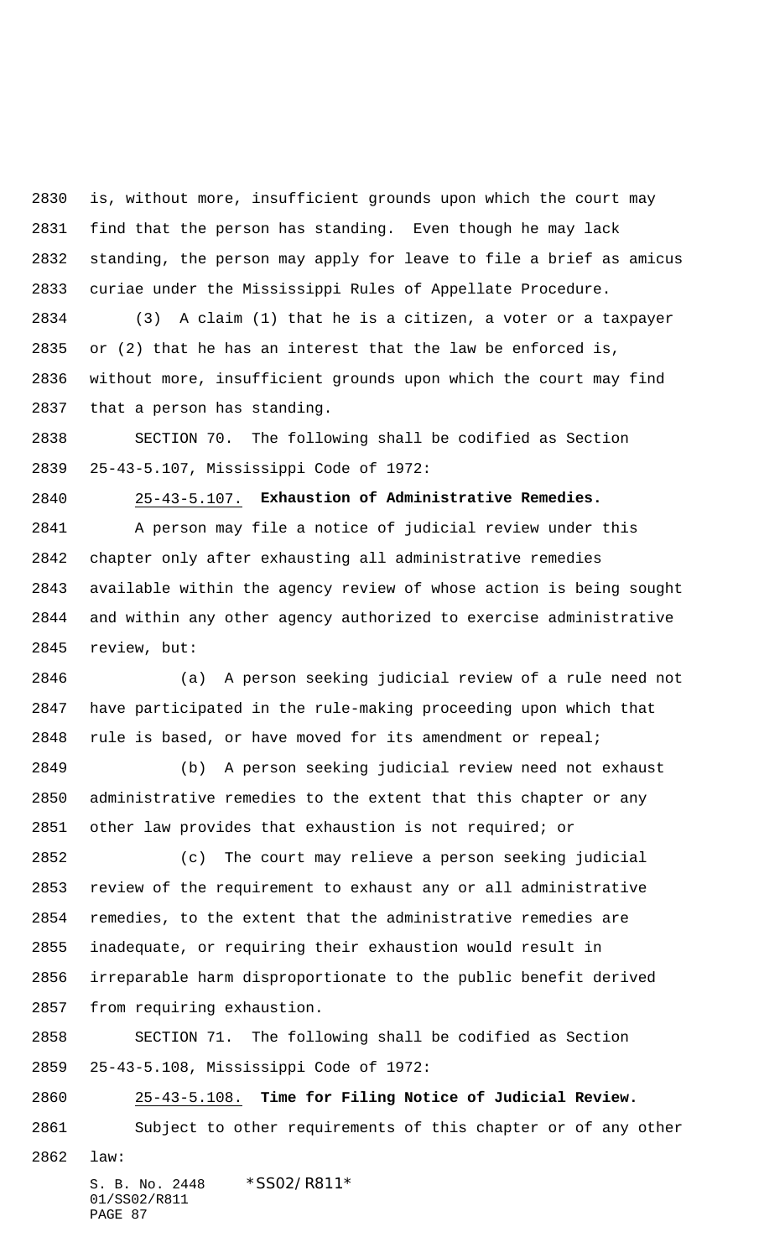is, without more, insufficient grounds upon which the court may find that the person has standing. Even though he may lack standing, the person may apply for leave to file a brief as amicus curiae under the Mississippi Rules of Appellate Procedure.

 (3) A claim (1) that he is a citizen, a voter or a taxpayer or (2) that he has an interest that the law be enforced is, without more, insufficient grounds upon which the court may find that a person has standing.

 SECTION 70. The following shall be codified as Section 25-43-5.107, Mississippi Code of 1972:

25-43-5.107. **Exhaustion of Administrative Remedies.**

 A person may file a notice of judicial review under this chapter only after exhausting all administrative remedies available within the agency review of whose action is being sought and within any other agency authorized to exercise administrative review, but:

 (a) A person seeking judicial review of a rule need not have participated in the rule-making proceeding upon which that 2848 rule is based, or have moved for its amendment or repeal;

 (b) A person seeking judicial review need not exhaust administrative remedies to the extent that this chapter or any other law provides that exhaustion is not required; or

 (c) The court may relieve a person seeking judicial review of the requirement to exhaust any or all administrative remedies, to the extent that the administrative remedies are inadequate, or requiring their exhaustion would result in irreparable harm disproportionate to the public benefit derived from requiring exhaustion.

 SECTION 71. The following shall be codified as Section 25-43-5.108, Mississippi Code of 1972:

 25-43-5.108. **Time for Filing Notice of Judicial Review.** Subject to other requirements of this chapter or of any other

law: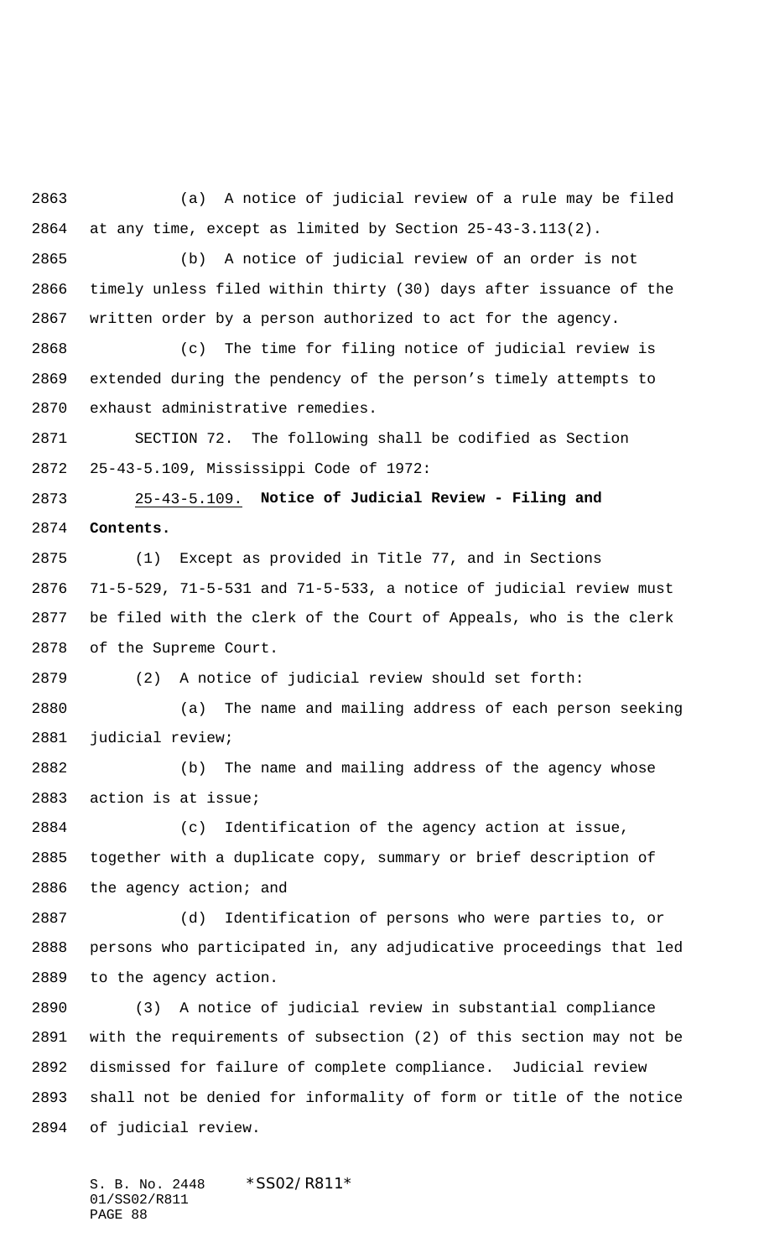(a) A notice of judicial review of a rule may be filed at any time, except as limited by Section 25-43-3.113(2).

 (b) A notice of judicial review of an order is not timely unless filed within thirty (30) days after issuance of the written order by a person authorized to act for the agency.

 (c) The time for filing notice of judicial review is extended during the pendency of the person's timely attempts to exhaust administrative remedies.

 SECTION 72. The following shall be codified as Section 25-43-5.109, Mississippi Code of 1972:

 25-43-5.109. **Notice of Judicial Review - Filing and Contents.**

 (1) Except as provided in Title 77, and in Sections 71-5-529, 71-5-531 and 71-5-533, a notice of judicial review must be filed with the clerk of the Court of Appeals, who is the clerk of the Supreme Court.

(2) A notice of judicial review should set forth:

 (a) The name and mailing address of each person seeking judicial review;

 (b) The name and mailing address of the agency whose action is at issue;

 (c) Identification of the agency action at issue, together with a duplicate copy, summary or brief description of the agency action; and

 (d) Identification of persons who were parties to, or persons who participated in, any adjudicative proceedings that led to the agency action.

 (3) A notice of judicial review in substantial compliance with the requirements of subsection (2) of this section may not be dismissed for failure of complete compliance. Judicial review shall not be denied for informality of form or title of the notice of judicial review.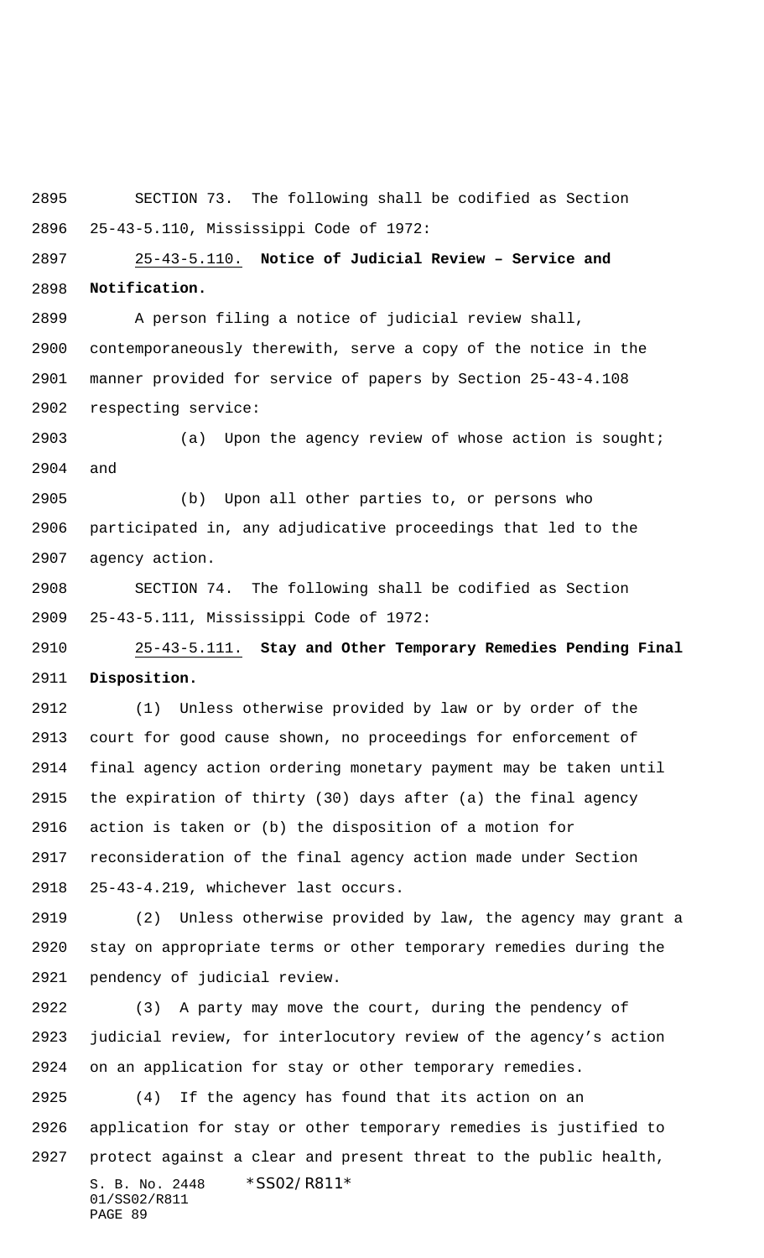SECTION 73. The following shall be codified as Section 25-43-5.110, Mississippi Code of 1972:

 25-43-5.110. **Notice of Judicial Review – Service and Notification.**

 A person filing a notice of judicial review shall, contemporaneously therewith, serve a copy of the notice in the manner provided for service of papers by Section 25-43-4.108 respecting service:

 (a) Upon the agency review of whose action is sought; and

 (b) Upon all other parties to, or persons who participated in, any adjudicative proceedings that led to the agency action.

 SECTION 74. The following shall be codified as Section 25-43-5.111, Mississippi Code of 1972:

 25-43-5.111. **Stay and Other Temporary Remedies Pending Final Disposition.**

 (1) Unless otherwise provided by law or by order of the court for good cause shown, no proceedings for enforcement of final agency action ordering monetary payment may be taken until the expiration of thirty (30) days after (a) the final agency action is taken or (b) the disposition of a motion for reconsideration of the final agency action made under Section 25-43-4.219, whichever last occurs.

 (2) Unless otherwise provided by law, the agency may grant a stay on appropriate terms or other temporary remedies during the pendency of judicial review.

 (3) A party may move the court, during the pendency of judicial review, for interlocutory review of the agency's action on an application for stay or other temporary remedies.

S. B. No. 2448 \* SS02/R811\* 01/SS02/R811 PAGE 89 (4) If the agency has found that its action on an application for stay or other temporary remedies is justified to protect against a clear and present threat to the public health,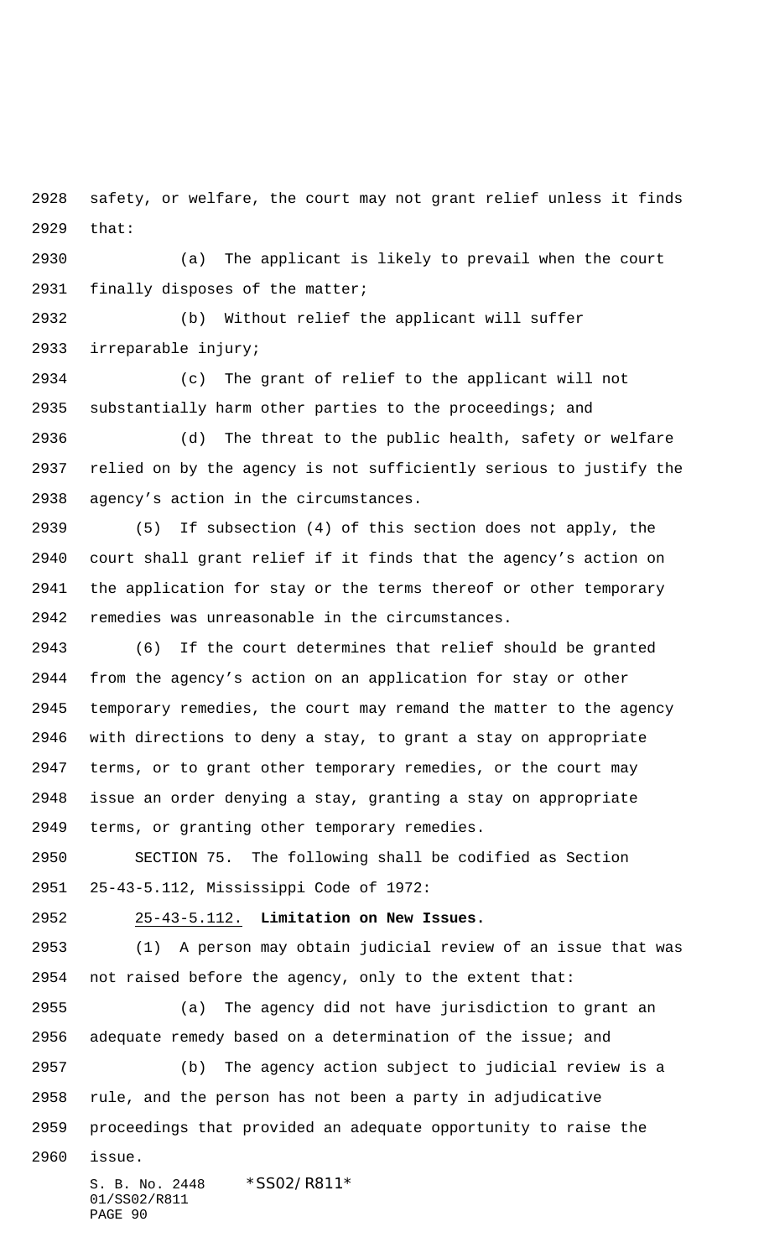safety, or welfare, the court may not grant relief unless it finds that:

 (a) The applicant is likely to prevail when the court finally disposes of the matter;

 (b) Without relief the applicant will suffer irreparable injury;

 (c) The grant of relief to the applicant will not substantially harm other parties to the proceedings; and

 (d) The threat to the public health, safety or welfare relied on by the agency is not sufficiently serious to justify the agency's action in the circumstances.

 (5) If subsection (4) of this section does not apply, the court shall grant relief if it finds that the agency's action on the application for stay or the terms thereof or other temporary remedies was unreasonable in the circumstances.

 (6) If the court determines that relief should be granted from the agency's action on an application for stay or other temporary remedies, the court may remand the matter to the agency with directions to deny a stay, to grant a stay on appropriate terms, or to grant other temporary remedies, or the court may issue an order denying a stay, granting a stay on appropriate terms, or granting other temporary remedies.

 SECTION 75. The following shall be codified as Section 25-43-5.112, Mississippi Code of 1972:

25-43-5.112. **Limitation on New Issues.**

 (1) A person may obtain judicial review of an issue that was not raised before the agency, only to the extent that:

 (a) The agency did not have jurisdiction to grant an adequate remedy based on a determination of the issue; and

 (b) The agency action subject to judicial review is a rule, and the person has not been a party in adjudicative proceedings that provided an adequate opportunity to raise the

issue.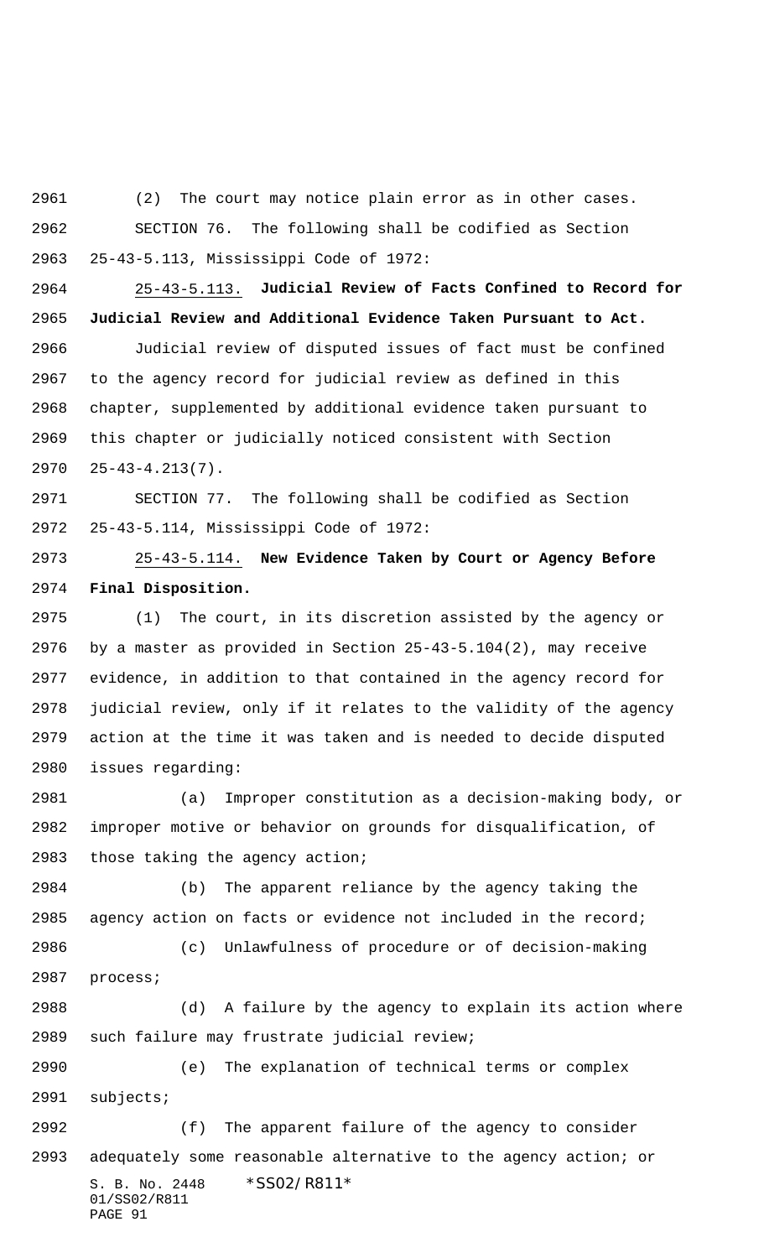(2) The court may notice plain error as in other cases. SECTION 76. The following shall be codified as Section 25-43-5.113, Mississippi Code of 1972:

 25-43-5.113. **Judicial Review of Facts Confined to Record for Judicial Review and Additional Evidence Taken Pursuant to Act.**

 Judicial review of disputed issues of fact must be confined to the agency record for judicial review as defined in this chapter, supplemented by additional evidence taken pursuant to this chapter or judicially noticed consistent with Section 25-43-4.213(7).

 SECTION 77. The following shall be codified as Section 25-43-5.114, Mississippi Code of 1972:

 25-43-5.114. **New Evidence Taken by Court or Agency Before Final Disposition.**

 (1) The court, in its discretion assisted by the agency or by a master as provided in Section 25-43-5.104(2), may receive evidence, in addition to that contained in the agency record for judicial review, only if it relates to the validity of the agency action at the time it was taken and is needed to decide disputed issues regarding:

 (a) Improper constitution as a decision-making body, or improper motive or behavior on grounds for disqualification, of those taking the agency action;

 (b) The apparent reliance by the agency taking the agency action on facts or evidence not included in the record;

 (c) Unlawfulness of procedure or of decision-making process;

 (d) A failure by the agency to explain its action where such failure may frustrate judicial review;

 (e) The explanation of technical terms or complex subjects;

S. B. No. 2448 \* SS02/R811\* 01/SS02/R811 PAGE 91 (f) The apparent failure of the agency to consider adequately some reasonable alternative to the agency action; or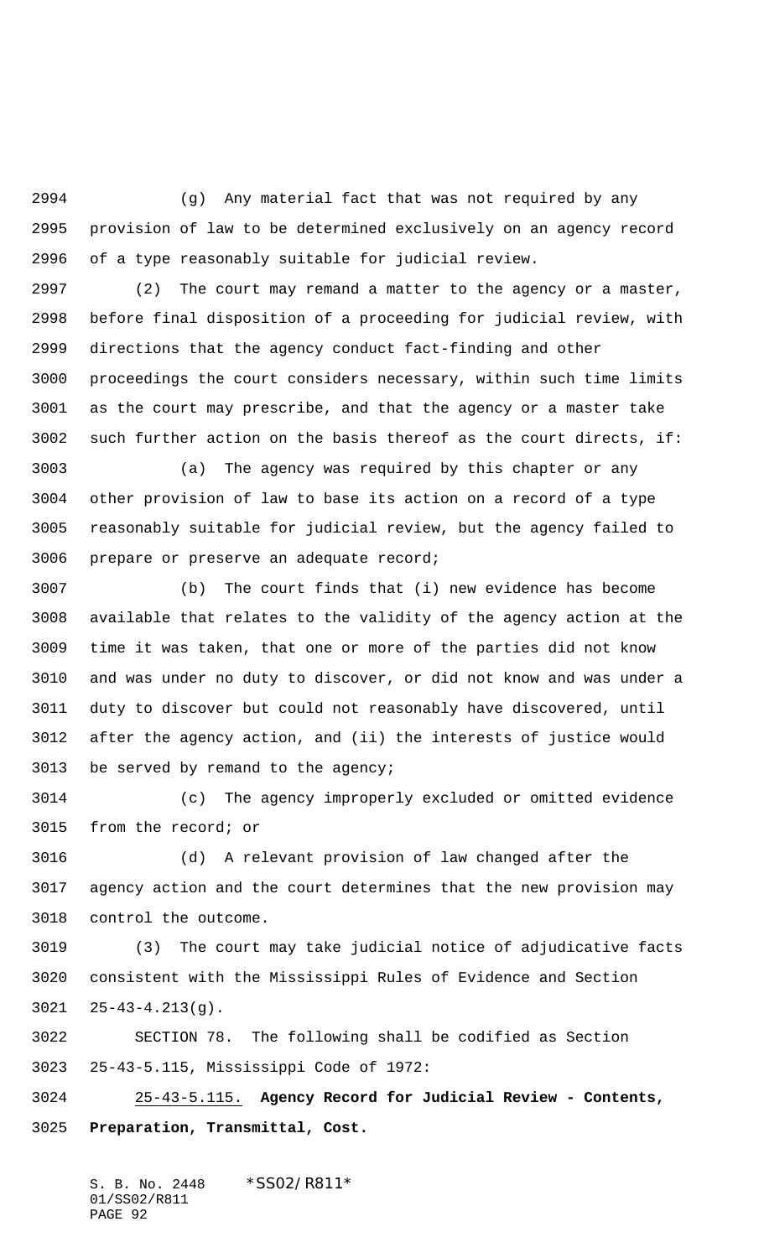(g) Any material fact that was not required by any provision of law to be determined exclusively on an agency record of a type reasonably suitable for judicial review.

 (2) The court may remand a matter to the agency or a master, before final disposition of a proceeding for judicial review, with directions that the agency conduct fact-finding and other proceedings the court considers necessary, within such time limits as the court may prescribe, and that the agency or a master take such further action on the basis thereof as the court directs, if:

 (a) The agency was required by this chapter or any other provision of law to base its action on a record of a type reasonably suitable for judicial review, but the agency failed to prepare or preserve an adequate record;

 (b) The court finds that (i) new evidence has become available that relates to the validity of the agency action at the time it was taken, that one or more of the parties did not know and was under no duty to discover, or did not know and was under a duty to discover but could not reasonably have discovered, until after the agency action, and (ii) the interests of justice would be served by remand to the agency;

 (c) The agency improperly excluded or omitted evidence from the record; or

 (d) A relevant provision of law changed after the agency action and the court determines that the new provision may control the outcome.

 (3) The court may take judicial notice of adjudicative facts consistent with the Mississippi Rules of Evidence and Section 25-43-4.213(g).

 SECTION 78. The following shall be codified as Section 25-43-5.115, Mississippi Code of 1972:

 25-43-5.115. **Agency Record for Judicial Review - Contents, Preparation, Transmittal, Cost.**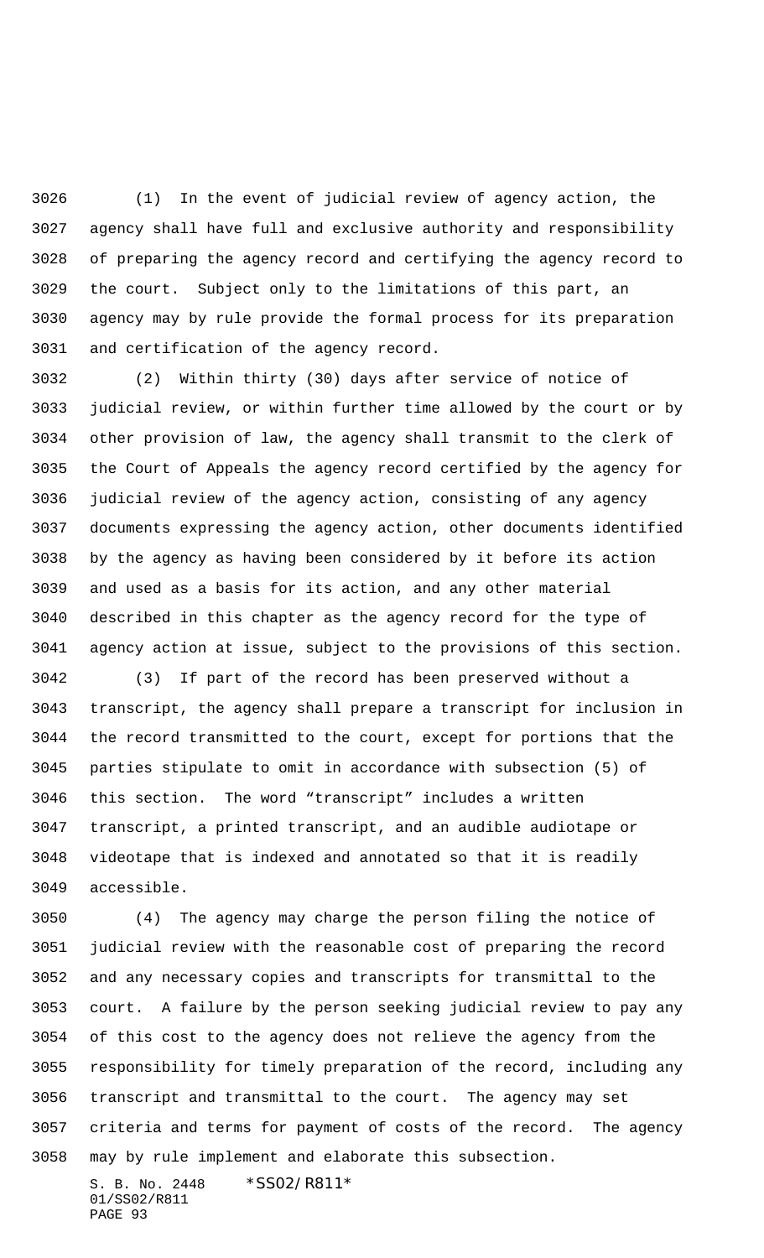(1) In the event of judicial review of agency action, the agency shall have full and exclusive authority and responsibility of preparing the agency record and certifying the agency record to the court. Subject only to the limitations of this part, an agency may by rule provide the formal process for its preparation and certification of the agency record.

 (2) Within thirty (30) days after service of notice of judicial review, or within further time allowed by the court or by other provision of law, the agency shall transmit to the clerk of the Court of Appeals the agency record certified by the agency for judicial review of the agency action, consisting of any agency documents expressing the agency action, other documents identified by the agency as having been considered by it before its action and used as a basis for its action, and any other material described in this chapter as the agency record for the type of agency action at issue, subject to the provisions of this section.

 (3) If part of the record has been preserved without a transcript, the agency shall prepare a transcript for inclusion in the record transmitted to the court, except for portions that the parties stipulate to omit in accordance with subsection (5) of this section. The word "transcript" includes a written transcript, a printed transcript, and an audible audiotape or videotape that is indexed and annotated so that it is readily accessible.

 (4) The agency may charge the person filing the notice of judicial review with the reasonable cost of preparing the record and any necessary copies and transcripts for transmittal to the court. A failure by the person seeking judicial review to pay any of this cost to the agency does not relieve the agency from the responsibility for timely preparation of the record, including any transcript and transmittal to the court. The agency may set criteria and terms for payment of costs of the record. The agency may by rule implement and elaborate this subsection.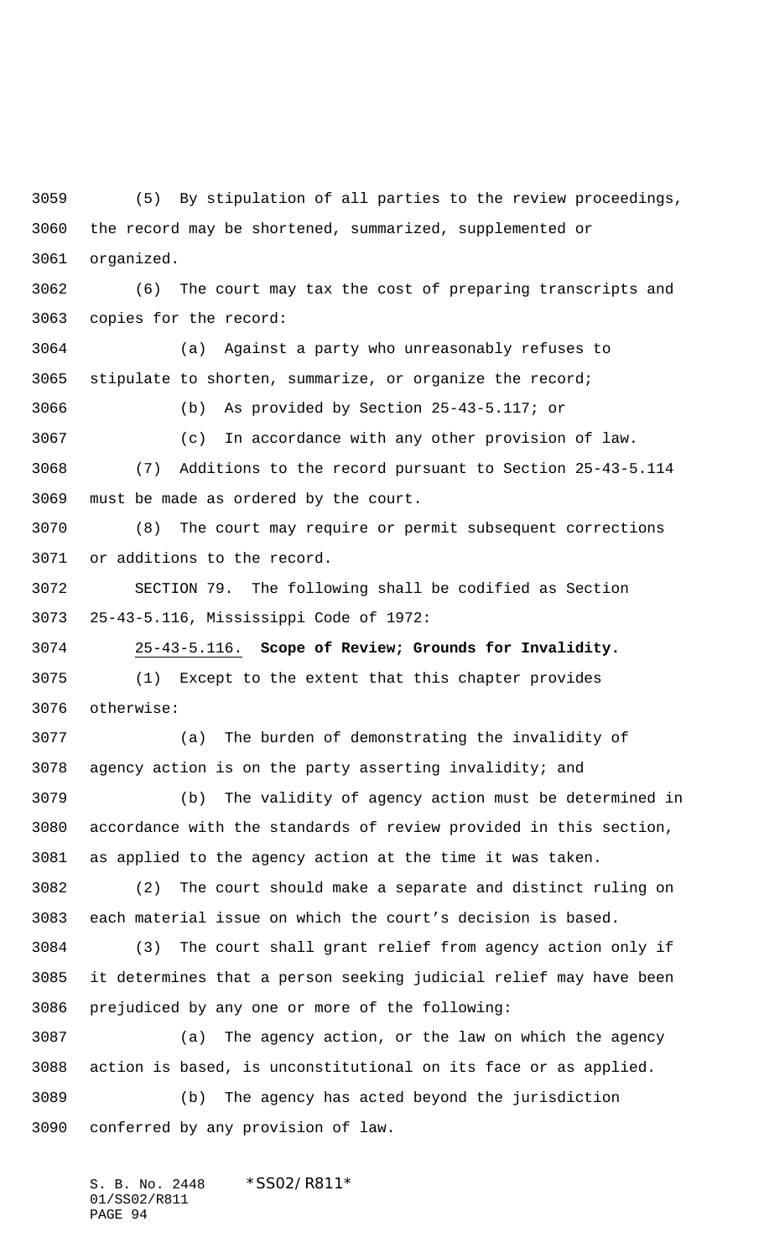(5) By stipulation of all parties to the review proceedings, the record may be shortened, summarized, supplemented or organized.

 (6) The court may tax the cost of preparing transcripts and copies for the record:

 (a) Against a party who unreasonably refuses to stipulate to shorten, summarize, or organize the record;

(b) As provided by Section 25-43-5.117; or

 (c) In accordance with any other provision of law. (7) Additions to the record pursuant to Section 25-43-5.114 must be made as ordered by the court.

 (8) The court may require or permit subsequent corrections or additions to the record.

 SECTION 79. The following shall be codified as Section 25-43-5.116, Mississippi Code of 1972:

25-43-5.116. **Scope of Review; Grounds for Invalidity.**

 (1) Except to the extent that this chapter provides otherwise:

 (a) The burden of demonstrating the invalidity of agency action is on the party asserting invalidity; and

 (b) The validity of agency action must be determined in accordance with the standards of review provided in this section, as applied to the agency action at the time it was taken.

 (2) The court should make a separate and distinct ruling on each material issue on which the court's decision is based.

 (3) The court shall grant relief from agency action only if it determines that a person seeking judicial relief may have been prejudiced by any one or more of the following:

 (a) The agency action, or the law on which the agency action is based, is unconstitutional on its face or as applied. (b) The agency has acted beyond the jurisdiction conferred by any provision of law.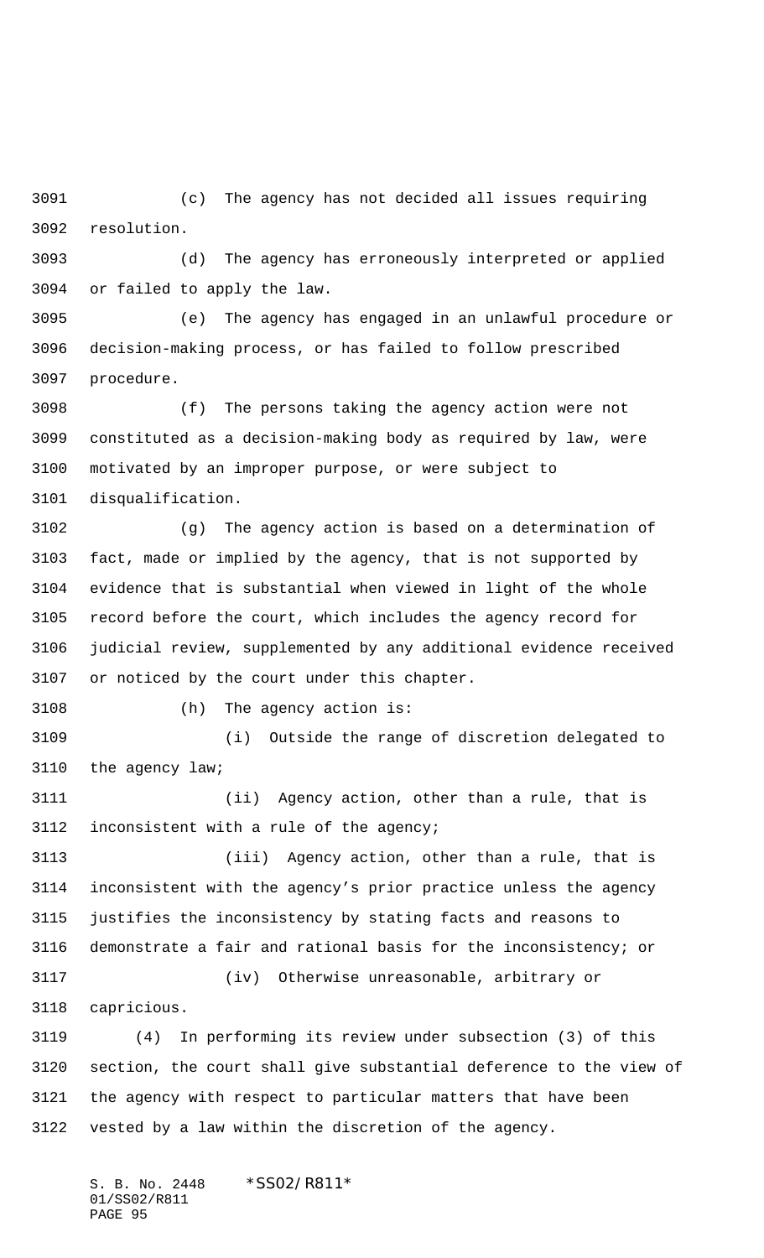(c) The agency has not decided all issues requiring resolution.

 (d) The agency has erroneously interpreted or applied or failed to apply the law.

 (e) The agency has engaged in an unlawful procedure or decision-making process, or has failed to follow prescribed procedure.

 (f) The persons taking the agency action were not constituted as a decision-making body as required by law, were motivated by an improper purpose, or were subject to disqualification.

 (g) The agency action is based on a determination of fact, made or implied by the agency, that is not supported by evidence that is substantial when viewed in light of the whole record before the court, which includes the agency record for judicial review, supplemented by any additional evidence received or noticed by the court under this chapter.

(h) The agency action is:

 (i) Outside the range of discretion delegated to the agency law;

 (ii) Agency action, other than a rule, that is inconsistent with a rule of the agency;

 (iii) Agency action, other than a rule, that is inconsistent with the agency's prior practice unless the agency justifies the inconsistency by stating facts and reasons to demonstrate a fair and rational basis for the inconsistency; or (iv) Otherwise unreasonable, arbitrary or

capricious.

 (4) In performing its review under subsection (3) of this section, the court shall give substantial deference to the view of the agency with respect to particular matters that have been vested by a law within the discretion of the agency.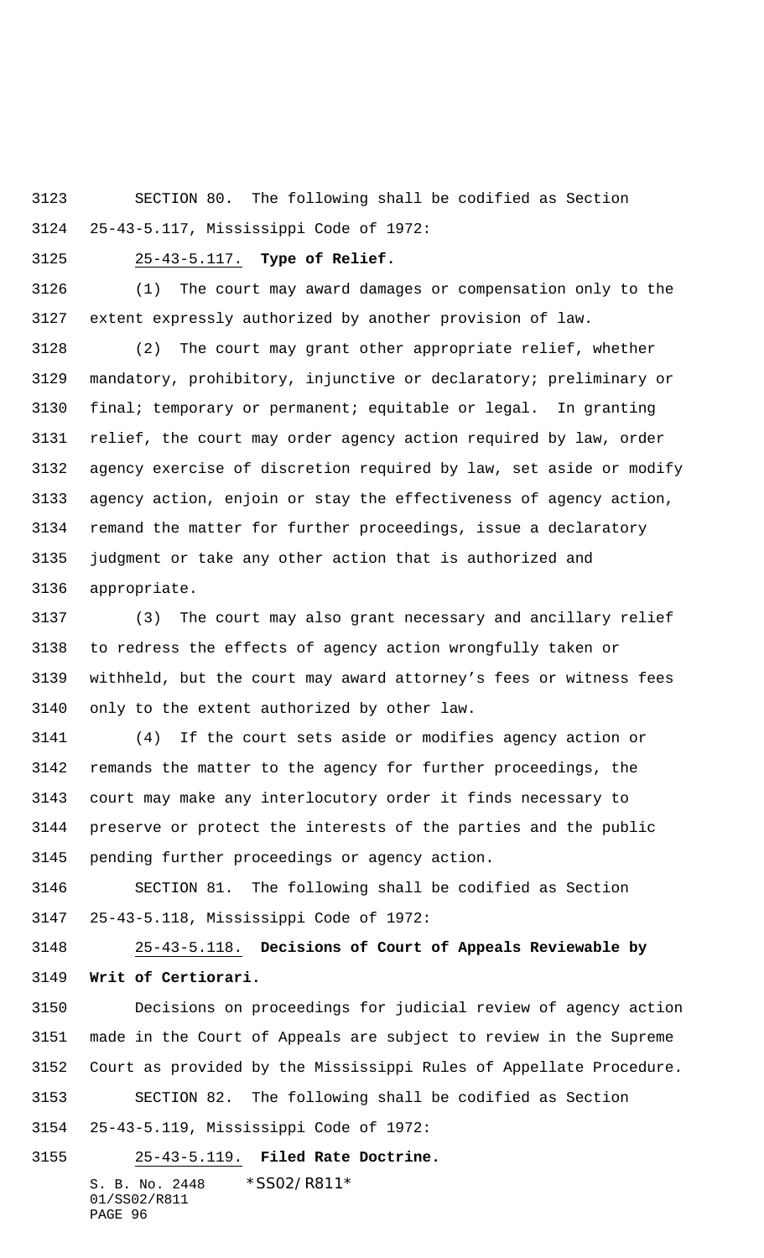SECTION 80. The following shall be codified as Section 25-43-5.117, Mississippi Code of 1972:

#### 25-43-5.117. **Type of Relief.**

 (1) The court may award damages or compensation only to the extent expressly authorized by another provision of law.

 (2) The court may grant other appropriate relief, whether mandatory, prohibitory, injunctive or declaratory; preliminary or final; temporary or permanent; equitable or legal. In granting relief, the court may order agency action required by law, order agency exercise of discretion required by law, set aside or modify agency action, enjoin or stay the effectiveness of agency action, remand the matter for further proceedings, issue a declaratory judgment or take any other action that is authorized and appropriate.

 (3) The court may also grant necessary and ancillary relief to redress the effects of agency action wrongfully taken or withheld, but the court may award attorney's fees or witness fees only to the extent authorized by other law.

 (4) If the court sets aside or modifies agency action or remands the matter to the agency for further proceedings, the court may make any interlocutory order it finds necessary to preserve or protect the interests of the parties and the public pending further proceedings or agency action.

 SECTION 81. The following shall be codified as Section 25-43-5.118, Mississippi Code of 1972:

 25-43-5.118. **Decisions of Court of Appeals Reviewable by Writ of Certiorari.**

 Decisions on proceedings for judicial review of agency action made in the Court of Appeals are subject to review in the Supreme Court as provided by the Mississippi Rules of Appellate Procedure. SECTION 82. The following shall be codified as Section

25-43-5.119, Mississippi Code of 1972:

S. B. No. 2448 \* SS02/R811\* 01/SS02/R811 25-43-5.119. **Filed Rate Doctrine.**

PAGE 96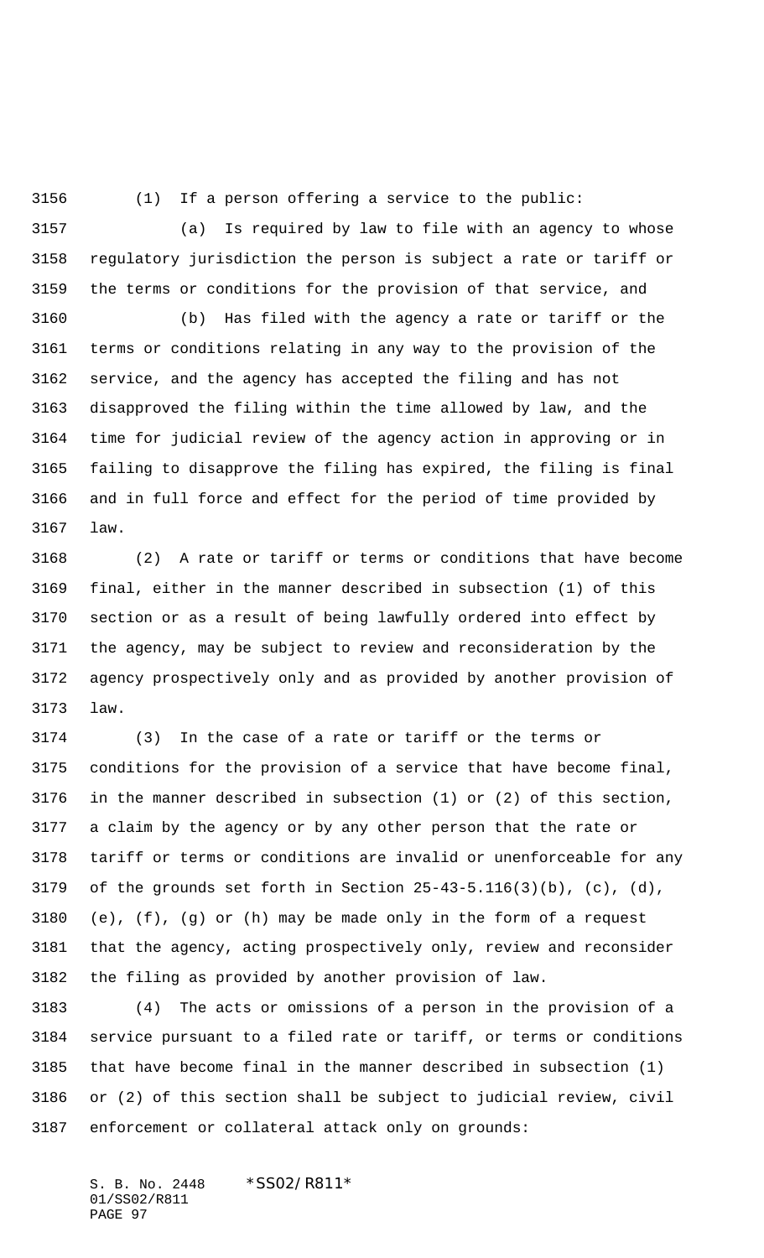(1) If a person offering a service to the public:

 (a) Is required by law to file with an agency to whose regulatory jurisdiction the person is subject a rate or tariff or the terms or conditions for the provision of that service, and

 (b) Has filed with the agency a rate or tariff or the terms or conditions relating in any way to the provision of the service, and the agency has accepted the filing and has not disapproved the filing within the time allowed by law, and the time for judicial review of the agency action in approving or in failing to disapprove the filing has expired, the filing is final and in full force and effect for the period of time provided by law.

 (2) A rate or tariff or terms or conditions that have become final, either in the manner described in subsection (1) of this section or as a result of being lawfully ordered into effect by the agency, may be subject to review and reconsideration by the agency prospectively only and as provided by another provision of law.

 (3) In the case of a rate or tariff or the terms or conditions for the provision of a service that have become final, in the manner described in subsection (1) or (2) of this section, a claim by the agency or by any other person that the rate or tariff or terms or conditions are invalid or unenforceable for any 3179 of the grounds set forth in Section  $25-43-5.116(3)(b)$ , (c), (d), (e), (f), (g) or (h) may be made only in the form of a request that the agency, acting prospectively only, review and reconsider the filing as provided by another provision of law.

 (4) The acts or omissions of a person in the provision of a service pursuant to a filed rate or tariff, or terms or conditions that have become final in the manner described in subsection (1) or (2) of this section shall be subject to judicial review, civil enforcement or collateral attack only on grounds: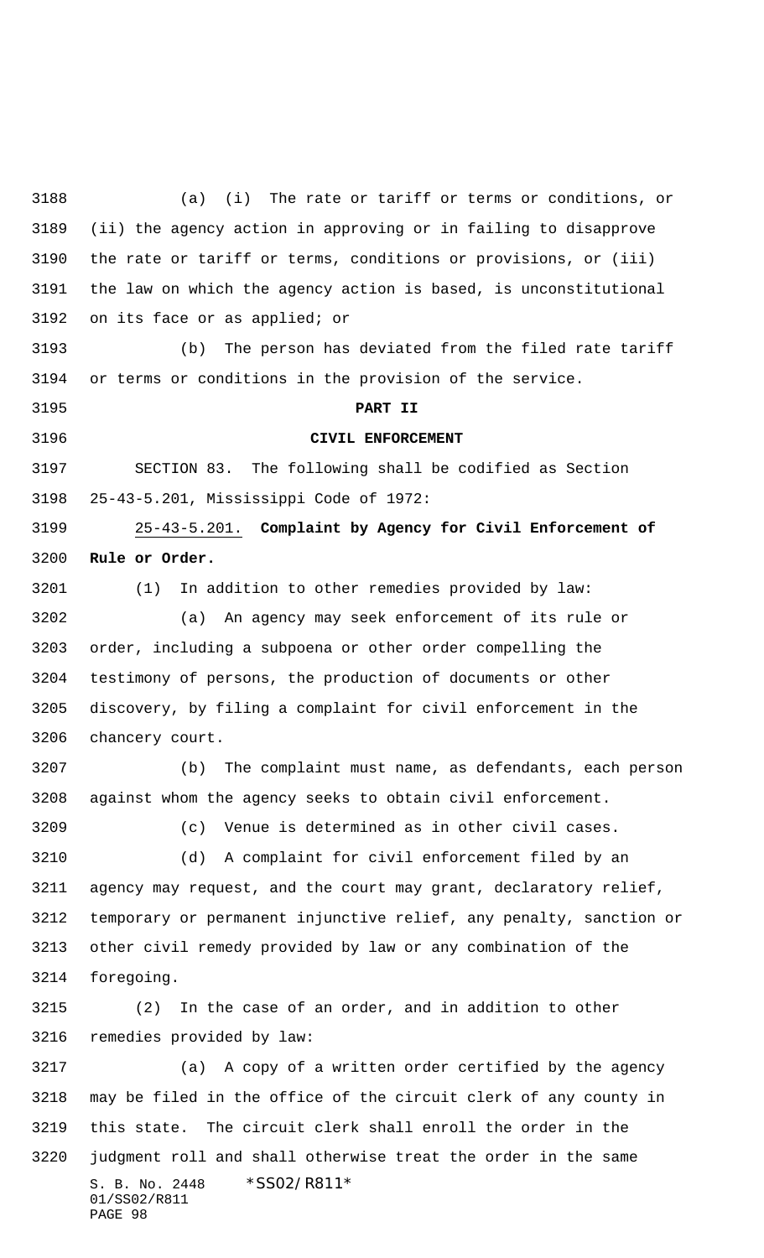S. B. No. 2448 \* SS02/R811\* 01/SS02/R811 PAGE 98 (a) (i) The rate or tariff or terms or conditions, or (ii) the agency action in approving or in failing to disapprove the rate or tariff or terms, conditions or provisions, or (iii) the law on which the agency action is based, is unconstitutional on its face or as applied; or (b) The person has deviated from the filed rate tariff or terms or conditions in the provision of the service. **PART II CIVIL ENFORCEMENT** SECTION 83. The following shall be codified as Section 25-43-5.201, Mississippi Code of 1972: 25-43-5.201. **Complaint by Agency for Civil Enforcement of Rule or Order.** (1) In addition to other remedies provided by law: (a) An agency may seek enforcement of its rule or order, including a subpoena or other order compelling the testimony of persons, the production of documents or other discovery, by filing a complaint for civil enforcement in the chancery court. (b) The complaint must name, as defendants, each person against whom the agency seeks to obtain civil enforcement. (c) Venue is determined as in other civil cases. (d) A complaint for civil enforcement filed by an agency may request, and the court may grant, declaratory relief, temporary or permanent injunctive relief, any penalty, sanction or other civil remedy provided by law or any combination of the foregoing. (2) In the case of an order, and in addition to other remedies provided by law: (a) A copy of a written order certified by the agency may be filed in the office of the circuit clerk of any county in this state. The circuit clerk shall enroll the order in the judgment roll and shall otherwise treat the order in the same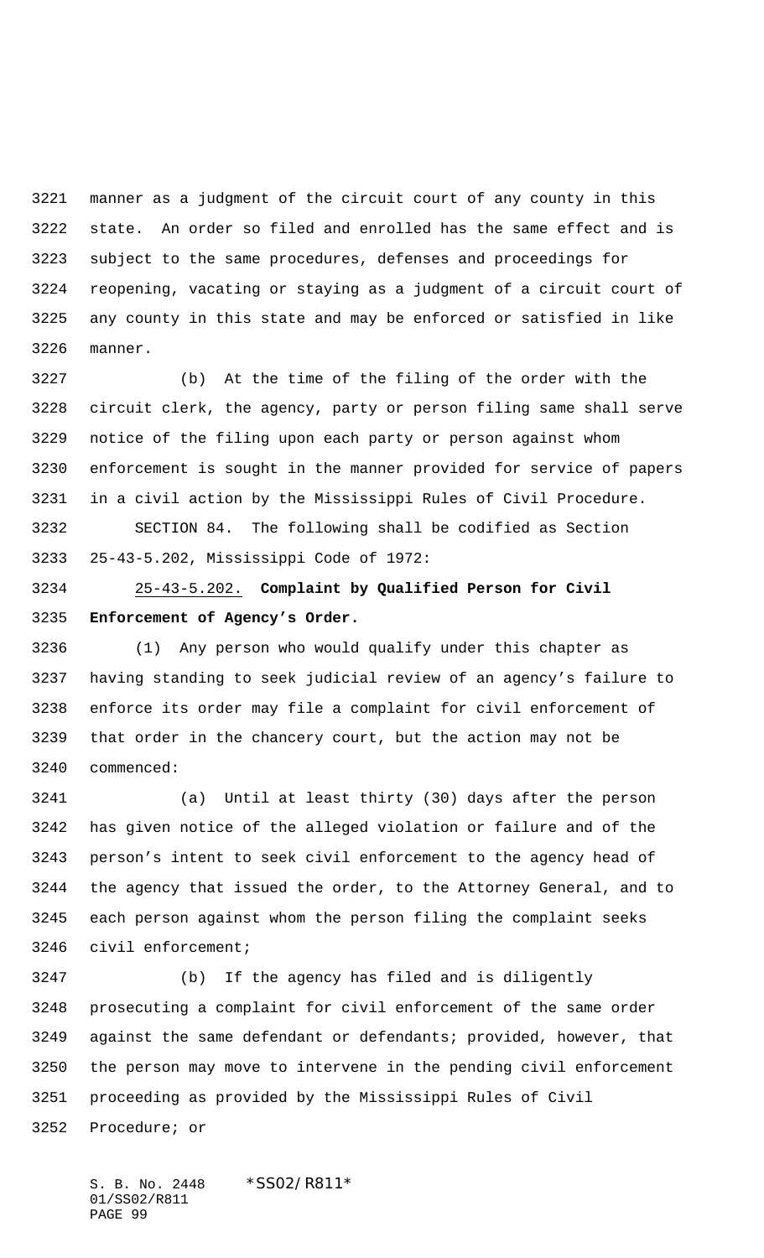manner as a judgment of the circuit court of any county in this state. An order so filed and enrolled has the same effect and is subject to the same procedures, defenses and proceedings for reopening, vacating or staying as a judgment of a circuit court of any county in this state and may be enforced or satisfied in like manner.

 (b) At the time of the filing of the order with the circuit clerk, the agency, party or person filing same shall serve notice of the filing upon each party or person against whom enforcement is sought in the manner provided for service of papers in a civil action by the Mississippi Rules of Civil Procedure.

 SECTION 84. The following shall be codified as Section 25-43-5.202, Mississippi Code of 1972:

 25-43-5.202. **Complaint by Qualified Person for Civil Enforcement of Agency's Order.**

 (1) Any person who would qualify under this chapter as having standing to seek judicial review of an agency's failure to enforce its order may file a complaint for civil enforcement of that order in the chancery court, but the action may not be commenced:

 (a) Until at least thirty (30) days after the person has given notice of the alleged violation or failure and of the person's intent to seek civil enforcement to the agency head of the agency that issued the order, to the Attorney General, and to each person against whom the person filing the complaint seeks civil enforcement;

 (b) If the agency has filed and is diligently prosecuting a complaint for civil enforcement of the same order against the same defendant or defendants; provided, however, that the person may move to intervene in the pending civil enforcement proceeding as provided by the Mississippi Rules of Civil Procedure; or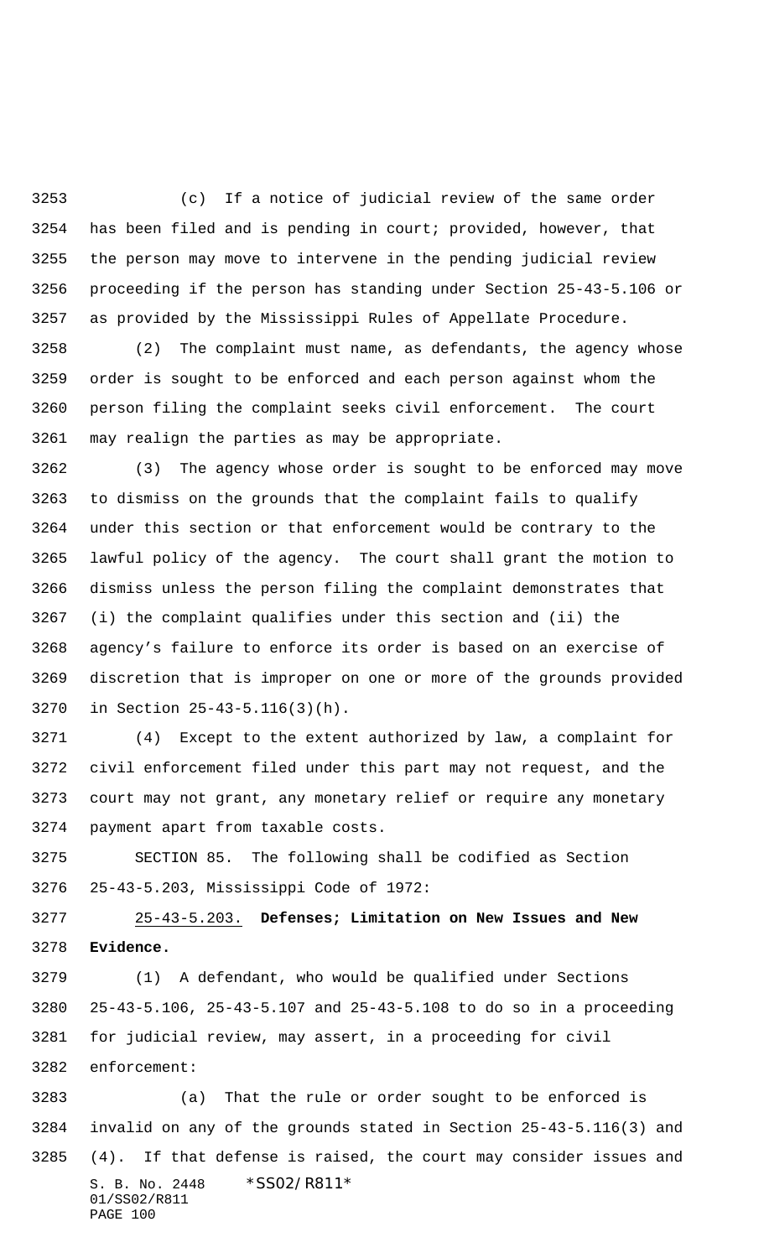(c) If a notice of judicial review of the same order has been filed and is pending in court; provided, however, that the person may move to intervene in the pending judicial review proceeding if the person has standing under Section 25-43-5.106 or as provided by the Mississippi Rules of Appellate Procedure.

 (2) The complaint must name, as defendants, the agency whose order is sought to be enforced and each person against whom the person filing the complaint seeks civil enforcement. The court may realign the parties as may be appropriate.

 (3) The agency whose order is sought to be enforced may move to dismiss on the grounds that the complaint fails to qualify under this section or that enforcement would be contrary to the lawful policy of the agency. The court shall grant the motion to dismiss unless the person filing the complaint demonstrates that (i) the complaint qualifies under this section and (ii) the agency's failure to enforce its order is based on an exercise of discretion that is improper on one or more of the grounds provided in Section 25-43-5.116(3)(h).

 (4) Except to the extent authorized by law, a complaint for civil enforcement filed under this part may not request, and the court may not grant, any monetary relief or require any monetary payment apart from taxable costs.

 SECTION 85. The following shall be codified as Section 25-43-5.203, Mississippi Code of 1972:

 25-43-5.203. **Defenses; Limitation on New Issues and New Evidence.**

 (1) A defendant, who would be qualified under Sections 25-43-5.106, 25-43-5.107 and 25-43-5.108 to do so in a proceeding for judicial review, may assert, in a proceeding for civil enforcement:

S. B. No. 2448 \* SS02/R811\* 01/SS02/R811 PAGE 100 (a) That the rule or order sought to be enforced is invalid on any of the grounds stated in Section 25-43-5.116(3) and (4). If that defense is raised, the court may consider issues and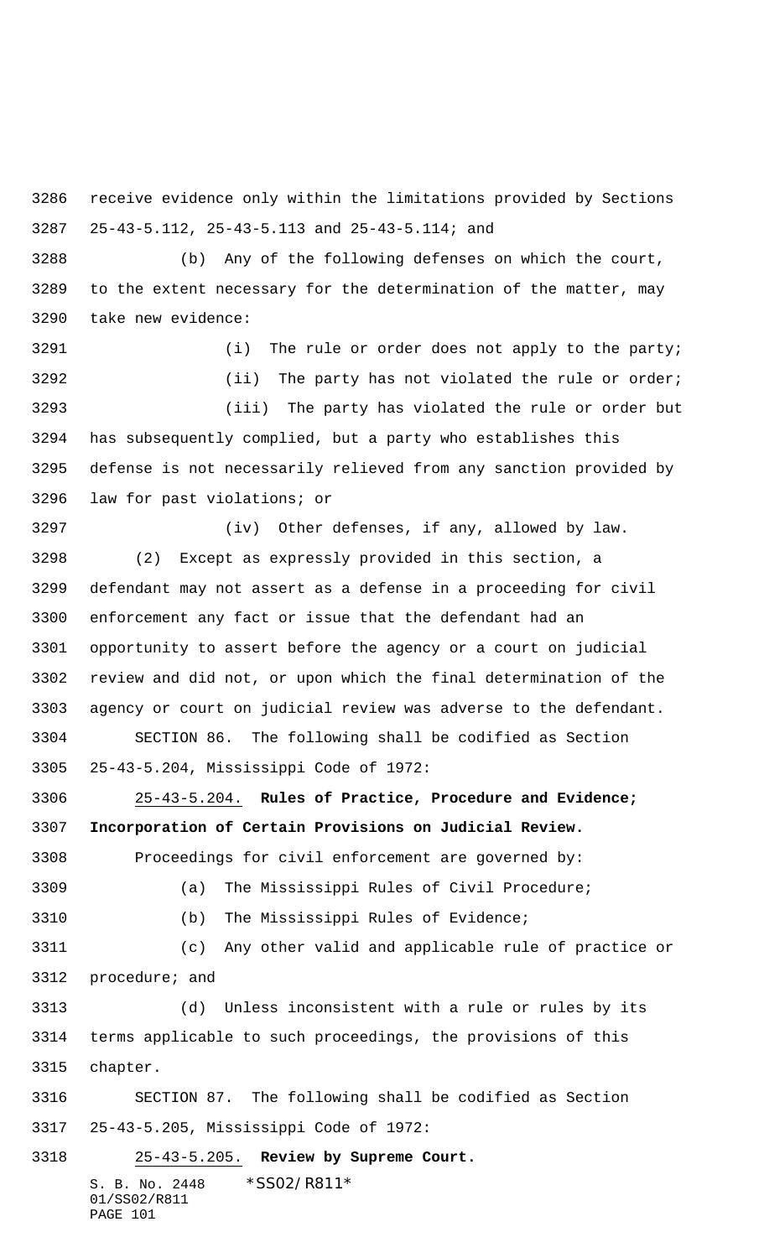receive evidence only within the limitations provided by Sections 25-43-5.112, 25-43-5.113 and 25-43-5.114; and

 (b) Any of the following defenses on which the court, to the extent necessary for the determination of the matter, may take new evidence:

3291 (i) The rule or order does not apply to the party; 3292 (ii) The party has not violated the rule or order; (iii) The party has violated the rule or order but has subsequently complied, but a party who establishes this defense is not necessarily relieved from any sanction provided by law for past violations; or

 (iv) Other defenses, if any, allowed by law. (2) Except as expressly provided in this section, a defendant may not assert as a defense in a proceeding for civil enforcement any fact or issue that the defendant had an opportunity to assert before the agency or a court on judicial review and did not, or upon which the final determination of the agency or court on judicial review was adverse to the defendant. SECTION 86. The following shall be codified as Section

 25-43-5.204, Mississippi Code of 1972: 25-43-5.204. **Rules of Practice, Procedure and Evidence;**

**Incorporation of Certain Provisions on Judicial Review.**

Proceedings for civil enforcement are governed by:

(a) The Mississippi Rules of Civil Procedure;

(b) The Mississippi Rules of Evidence;

 (c) Any other valid and applicable rule of practice or procedure; and

 (d) Unless inconsistent with a rule or rules by its terms applicable to such proceedings, the provisions of this chapter.

 SECTION 87. The following shall be codified as Section 25-43-5.205, Mississippi Code of 1972:

S. B. No. 2448 \* SS02/R811\* 01/SS02/R811 PAGE 101 25-43-5.205. **Review by Supreme Court.**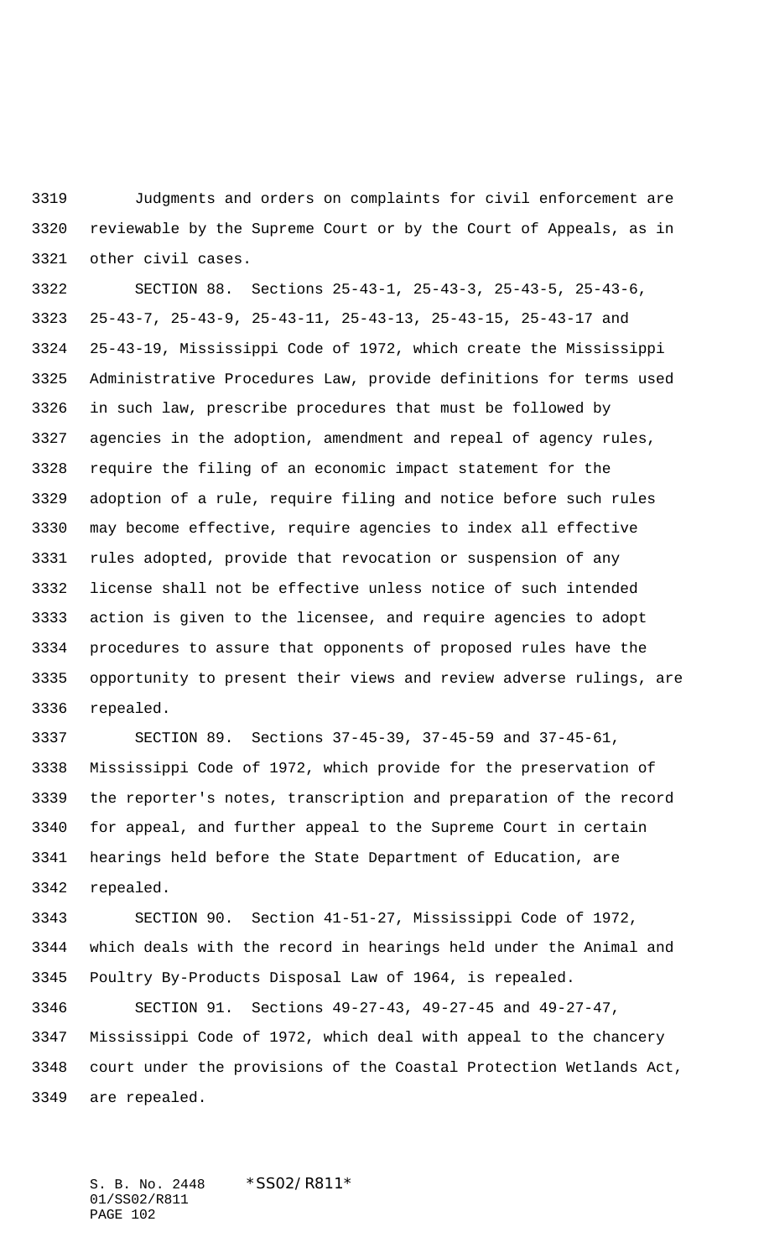Judgments and orders on complaints for civil enforcement are reviewable by the Supreme Court or by the Court of Appeals, as in other civil cases.

 SECTION 88. Sections 25-43-1, 25-43-3, 25-43-5, 25-43-6, 25-43-7, 25-43-9, 25-43-11, 25-43-13, 25-43-15, 25-43-17 and 25-43-19, Mississippi Code of 1972, which create the Mississippi Administrative Procedures Law, provide definitions for terms used in such law, prescribe procedures that must be followed by agencies in the adoption, amendment and repeal of agency rules, require the filing of an economic impact statement for the adoption of a rule, require filing and notice before such rules may become effective, require agencies to index all effective rules adopted, provide that revocation or suspension of any license shall not be effective unless notice of such intended action is given to the licensee, and require agencies to adopt procedures to assure that opponents of proposed rules have the opportunity to present their views and review adverse rulings, are repealed.

 SECTION 89. Sections 37-45-39, 37-45-59 and 37-45-61, Mississippi Code of 1972, which provide for the preservation of the reporter's notes, transcription and preparation of the record for appeal, and further appeal to the Supreme Court in certain hearings held before the State Department of Education, are repealed.

 SECTION 90. Section 41-51-27, Mississippi Code of 1972, which deals with the record in hearings held under the Animal and Poultry By-Products Disposal Law of 1964, is repealed.

 SECTION 91. Sections 49-27-43, 49-27-45 and 49-27-47, Mississippi Code of 1972, which deal with appeal to the chancery court under the provisions of the Coastal Protection Wetlands Act, are repealed.